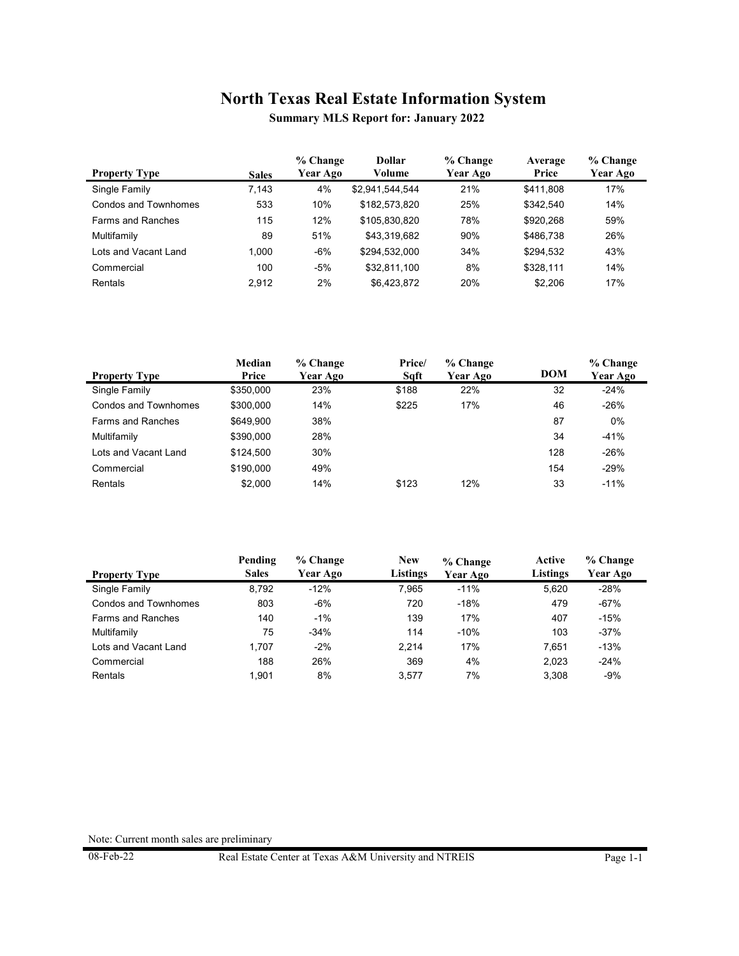**Summary MLS Report for: January 2022**

| <b>Property Type</b>     | <b>Sales</b> | % Change<br>Year Ago | <b>Dollar</b><br>Volume | % Change<br>Year Ago | Average<br>Price | % Change<br><b>Year Ago</b> |
|--------------------------|--------------|----------------------|-------------------------|----------------------|------------------|-----------------------------|
| Single Family            | 7.143        | 4%                   | \$2,941,544,544         | 21%                  | \$411.808        | 17%                         |
| Condos and Townhomes     | 533          | 10%                  | \$182.573.820           | 25%                  | \$342.540        | 14%                         |
| <b>Farms and Ranches</b> | 115          | 12%                  | \$105,830,820           | 78%                  | \$920.268        | 59%                         |
| Multifamily              | 89           | 51%                  | \$43,319,682            | 90%                  | \$486,738        | 26%                         |
| Lots and Vacant Land     | 1.000        | $-6%$                | \$294.532.000           | 34%                  | \$294,532        | 43%                         |
| Commercial               | 100          | -5%                  | \$32,811,100            | 8%                   | \$328.111        | 14%                         |
| Rentals                  | 2.912        | 2%                   | \$6.423.872             | 20%                  | \$2,206          | 17%                         |

|                          | Median    | % Change | Price/ | % Change |            | % Change |
|--------------------------|-----------|----------|--------|----------|------------|----------|
| <b>Property Type</b>     | Price     | Year Ago | Sqft   | Year Ago | <b>DOM</b> | Year Ago |
| Single Family            | \$350,000 | 23%      | \$188  | 22%      | 32         | $-24%$   |
| Condos and Townhomes     | \$300,000 | 14%      | \$225  | 17%      | 46         | $-26%$   |
| <b>Farms and Ranches</b> | \$649.900 | 38%      |        |          | 87         | $0\%$    |
| Multifamily              | \$390,000 | 28%      |        |          | 34         | $-41%$   |
| Lots and Vacant Land     | \$124.500 | 30%      |        |          | 128        | $-26%$   |
| Commercial               | \$190,000 | 49%      |        |          | 154        | $-29%$   |
| Rentals                  | \$2.000   | 14%      | \$123  | 12%      | 33         | $-11%$   |

|                          | Pending      | % Change | <b>New</b> | % Change | Active          | % Change |
|--------------------------|--------------|----------|------------|----------|-----------------|----------|
| <b>Property Type</b>     | <b>Sales</b> | Year Ago | Listings   | Year Ago | <b>Listings</b> | Year Ago |
| Single Family            | 8,792        | $-12%$   | 7.965      | $-11%$   | 5.620           | $-28%$   |
| Condos and Townhomes     | 803          | $-6%$    | 720        | $-18%$   | 479             | -67%     |
| <b>Farms and Ranches</b> | 140          | $-1%$    | 139        | 17%      | 407             | $-15%$   |
| Multifamily              | 75           | $-34%$   | 114        | $-10%$   | 103             | $-37%$   |
| Lots and Vacant Land     | 1.707        | $-2%$    | 2.214      | 17%      | 7.651           | $-13%$   |
| Commercial               | 188          | 26%      | 369        | 4%       | 2.023           | $-24%$   |
| Rentals                  | 1.901        | 8%       | 3.577      | 7%       | 3.308           | $-9%$    |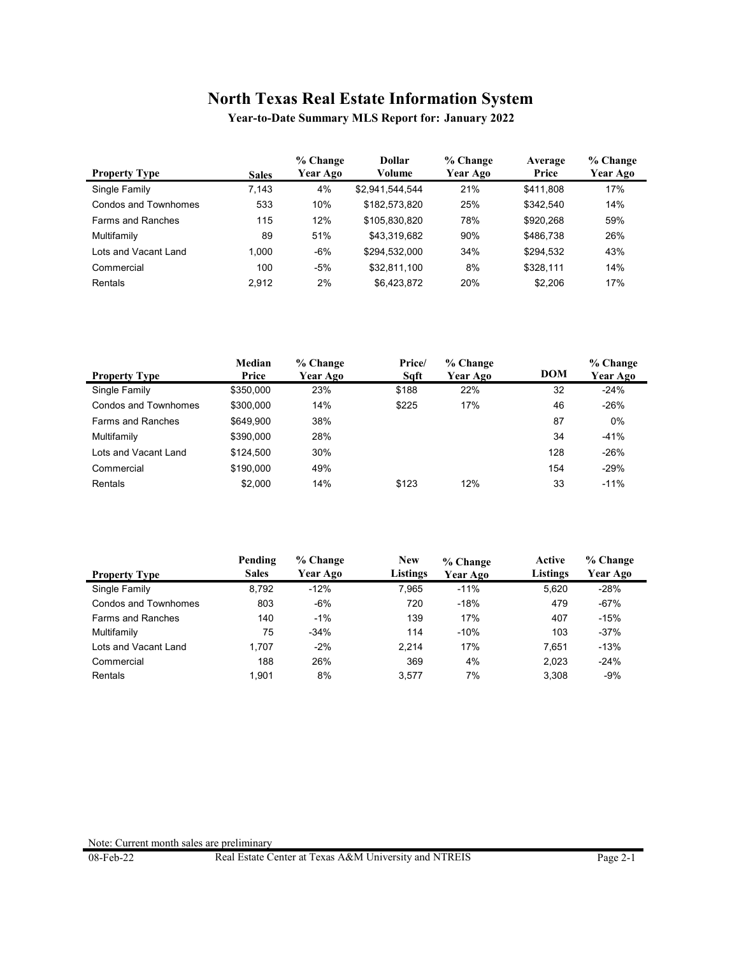**Year-to-Date Summary MLS Report for: January 2022**

| <b>Property Type</b>     | <b>Sales</b> | % Change<br>Year Ago | <b>Dollar</b><br>Volume | % Change<br>Year Ago | Average<br>Price | % Change<br><b>Year Ago</b> |
|--------------------------|--------------|----------------------|-------------------------|----------------------|------------------|-----------------------------|
| Single Family            | 7.143        | 4%                   | \$2,941,544,544         | 21%                  | \$411.808        | 17%                         |
| Condos and Townhomes     | 533          | 10%                  | \$182,573,820           | 25%                  | \$342.540        | 14%                         |
| <b>Farms and Ranches</b> | 115          | 12%                  | \$105.830.820           | 78%                  | \$920.268        | 59%                         |
| Multifamily              | 89           | 51%                  | \$43,319,682            | 90%                  | \$486,738        | 26%                         |
| Lots and Vacant Land     | 1.000        | $-6%$                | \$294.532.000           | 34%                  | \$294,532        | 43%                         |
| Commercial               | 100          | $-5%$                | \$32,811,100            | 8%                   | \$328.111        | 14%                         |
| Rentals                  | 2.912        | 2%                   | \$6.423.872             | 20%                  | \$2,206          | 17%                         |

|                          | Median    | % Change | Price/ | % Change |            | % Change |
|--------------------------|-----------|----------|--------|----------|------------|----------|
| <b>Property Type</b>     | Price     | Year Ago | Saft   | Year Ago | <b>DOM</b> | Year Ago |
| Single Family            | \$350,000 | 23%      | \$188  | 22%      | 32         | $-24%$   |
| Condos and Townhomes     | \$300,000 | 14%      | \$225  | 17%      | 46         | $-26%$   |
| <b>Farms and Ranches</b> | \$649.900 | 38%      |        |          | 87         | $0\%$    |
| Multifamily              | \$390,000 | 28%      |        |          | 34         | $-41%$   |
| Lots and Vacant Land     | \$124.500 | 30%      |        |          | 128        | $-26%$   |
| Commercial               | \$190,000 | 49%      |        |          | 154        | $-29%$   |
| Rentals                  | \$2.000   | 14%      | \$123  | 12%      | 33         | $-11%$   |

|                          | Pending      | % Change | <b>New</b> | % Change | Active   | % Change |
|--------------------------|--------------|----------|------------|----------|----------|----------|
| <b>Property Type</b>     | <b>Sales</b> | Year Ago | Listings   | Year Ago | Listings | Year Ago |
| Single Family            | 8,792        | $-12%$   | 7.965      | $-11%$   | 5.620    | $-28%$   |
| Condos and Townhomes     | 803          | $-6%$    | 720        | $-18%$   | 479      | -67%     |
| <b>Farms and Ranches</b> | 140          | $-1%$    | 139        | 17%      | 407      | $-15%$   |
| Multifamily              | 75           | $-34%$   | 114        | $-10%$   | 103      | $-37%$   |
| Lots and Vacant Land     | 1.707        | $-2%$    | 2.214      | 17%      | 7.651    | $-13%$   |
| Commercial               | 188          | 26%      | 369        | 4%       | 2.023    | $-24%$   |
| Rentals                  | 1.901        | 8%       | 3.577      | 7%       | 3.308    | $-9%$    |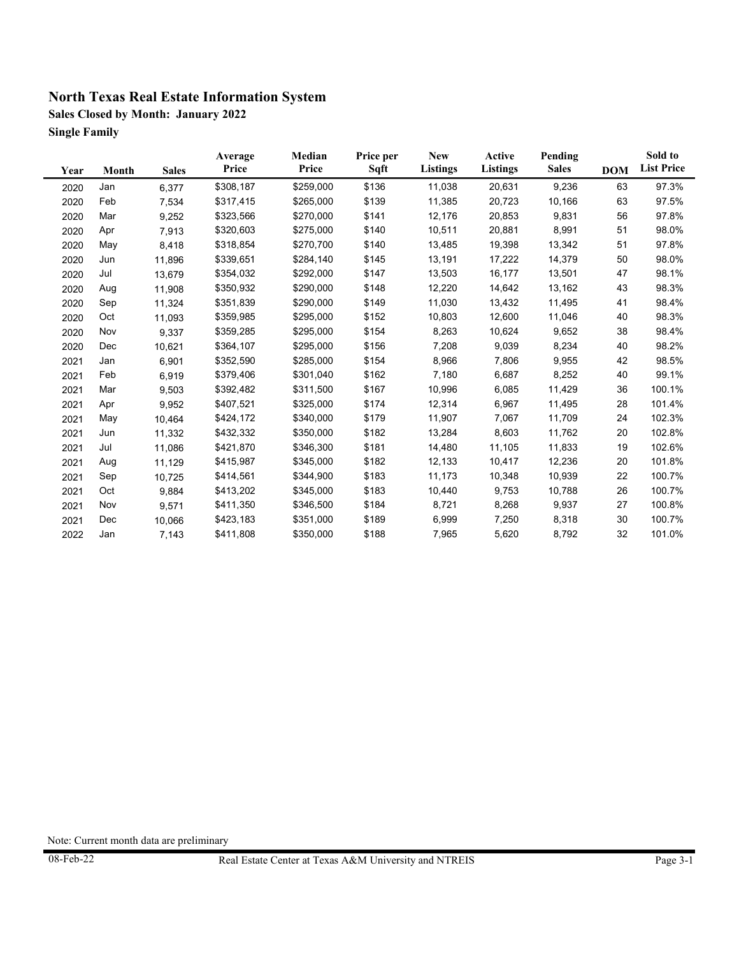**Sales Closed by Month: January 2022 Single Family**

| Year | Month | <b>Sales</b> | Average<br>Price | Median<br>Price | Price per<br>Sqft | <b>New</b><br><b>Listings</b> | Active<br><b>Listings</b> | Pending<br><b>Sales</b> | <b>DOM</b> | Sold to<br><b>List Price</b> |
|------|-------|--------------|------------------|-----------------|-------------------|-------------------------------|---------------------------|-------------------------|------------|------------------------------|
| 2020 | Jan   | 6,377        | \$308,187        | \$259,000       | \$136             | 11,038                        | 20,631                    | 9,236                   | 63         | 97.3%                        |
| 2020 | Feb   | 7,534        | \$317,415        | \$265,000       | \$139             | 11,385                        | 20,723                    | 10,166                  | 63         | 97.5%                        |
| 2020 | Mar   | 9,252        | \$323,566        | \$270,000       | \$141             | 12,176                        | 20,853                    | 9,831                   | 56         | 97.8%                        |
| 2020 | Apr   | 7,913        | \$320,603        | \$275,000       | \$140             | 10,511                        | 20,881                    | 8,991                   | 51         | 98.0%                        |
| 2020 | May   | 8,418        | \$318,854        | \$270,700       | \$140             | 13,485                        | 19,398                    | 13,342                  | 51         | 97.8%                        |
| 2020 | Jun   | 11,896       | \$339,651        | \$284,140       | \$145             | 13,191                        | 17,222                    | 14,379                  | 50         | 98.0%                        |
| 2020 | Jul   | 13,679       | \$354,032        | \$292,000       | \$147             | 13,503                        | 16,177                    | 13,501                  | 47         | 98.1%                        |
| 2020 | Aug   | 11,908       | \$350,932        | \$290,000       | \$148             | 12,220                        | 14,642                    | 13,162                  | 43         | 98.3%                        |
| 2020 | Sep   | 11,324       | \$351,839        | \$290,000       | \$149             | 11,030                        | 13,432                    | 11,495                  | 41         | 98.4%                        |
| 2020 | Oct   | 11,093       | \$359,985        | \$295,000       | \$152             | 10,803                        | 12,600                    | 11,046                  | 40         | 98.3%                        |
| 2020 | Nov   | 9,337        | \$359,285        | \$295,000       | \$154             | 8,263                         | 10,624                    | 9,652                   | 38         | 98.4%                        |
| 2020 | Dec   | 10,621       | \$364,107        | \$295,000       | \$156             | 7,208                         | 9,039                     | 8,234                   | 40         | 98.2%                        |
| 2021 | Jan   | 6,901        | \$352,590        | \$285,000       | \$154             | 8,966                         | 7,806                     | 9,955                   | 42         | 98.5%                        |
| 2021 | Feb   | 6,919        | \$379,406        | \$301,040       | \$162             | 7,180                         | 6,687                     | 8,252                   | 40         | 99.1%                        |
| 2021 | Mar   | 9,503        | \$392,482        | \$311,500       | \$167             | 10,996                        | 6,085                     | 11,429                  | 36         | 100.1%                       |
| 2021 | Apr   | 9,952        | \$407,521        | \$325,000       | \$174             | 12,314                        | 6,967                     | 11,495                  | 28         | 101.4%                       |
| 2021 | May   | 10,464       | \$424,172        | \$340,000       | \$179             | 11,907                        | 7,067                     | 11,709                  | 24         | 102.3%                       |
| 2021 | Jun   | 11,332       | \$432,332        | \$350,000       | \$182             | 13,284                        | 8,603                     | 11,762                  | 20         | 102.8%                       |
| 2021 | Jul   | 11,086       | \$421,870        | \$346,300       | \$181             | 14,480                        | 11,105                    | 11,833                  | 19         | 102.6%                       |
| 2021 | Aug   | 11,129       | \$415,987        | \$345,000       | \$182             | 12,133                        | 10,417                    | 12,236                  | 20         | 101.8%                       |
| 2021 | Sep   | 10,725       | \$414,561        | \$344,900       | \$183             | 11,173                        | 10,348                    | 10,939                  | 22         | 100.7%                       |
| 2021 | Oct   | 9,884        | \$413,202        | \$345,000       | \$183             | 10,440                        | 9,753                     | 10,788                  | 26         | 100.7%                       |
| 2021 | Nov   | 9,571        | \$411,350        | \$346,500       | \$184             | 8,721                         | 8,268                     | 9,937                   | 27         | 100.8%                       |
| 2021 | Dec   | 10,066       | \$423,183        | \$351,000       | \$189             | 6,999                         | 7,250                     | 8,318                   | 30         | 100.7%                       |
| 2022 | Jan   | 7,143        | \$411,808        | \$350,000       | \$188             | 7,965                         | 5,620                     | 8,792                   | 32         | 101.0%                       |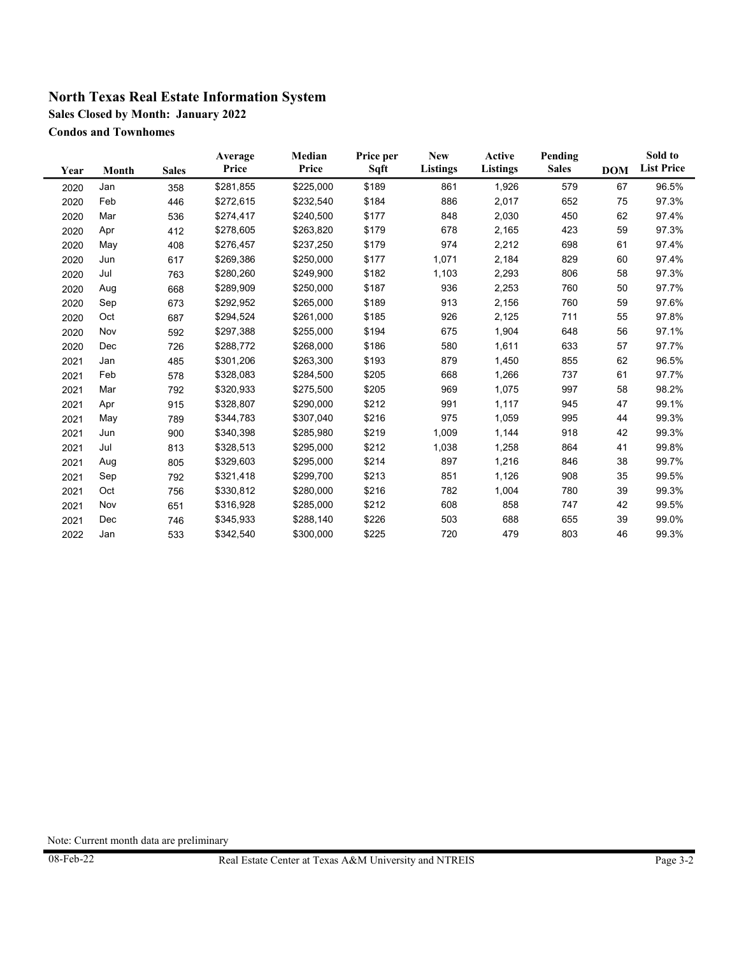**Sales Closed by Month: January 2022**

**Condos and Townhomes**

| Year | Month | <b>Sales</b> | Average<br>Price | Median<br>Price | Price per<br>Sqft | <b>New</b><br><b>Listings</b> | <b>Active</b><br><b>Listings</b> | Pending<br><b>Sales</b> | <b>DOM</b> | Sold to<br><b>List Price</b> |
|------|-------|--------------|------------------|-----------------|-------------------|-------------------------------|----------------------------------|-------------------------|------------|------------------------------|
| 2020 | Jan   | 358          | \$281,855        | \$225,000       | \$189             | 861                           | 1,926                            | 579                     | 67         | 96.5%                        |
| 2020 | Feb   | 446          | \$272,615        | \$232,540       | \$184             | 886                           | 2,017                            | 652                     | 75         | 97.3%                        |
| 2020 | Mar   | 536          | \$274,417        | \$240,500       | \$177             | 848                           | 2,030                            | 450                     | 62         | 97.4%                        |
| 2020 | Apr   | 412          | \$278,605        | \$263,820       | \$179             | 678                           | 2,165                            | 423                     | 59         | 97.3%                        |
| 2020 | May   | 408          | \$276,457        | \$237,250       | \$179             | 974                           | 2,212                            | 698                     | 61         | 97.4%                        |
| 2020 | Jun   | 617          | \$269,386        | \$250,000       | \$177             | 1,071                         | 2,184                            | 829                     | 60         | 97.4%                        |
| 2020 | Jul   | 763          | \$280,260        | \$249,900       | \$182             | 1,103                         | 2,293                            | 806                     | 58         | 97.3%                        |
| 2020 | Aug   | 668          | \$289,909        | \$250,000       | \$187             | 936                           | 2,253                            | 760                     | 50         | 97.7%                        |
| 2020 | Sep   | 673          | \$292,952        | \$265,000       | \$189             | 913                           | 2,156                            | 760                     | 59         | 97.6%                        |
| 2020 | Oct   | 687          | \$294,524        | \$261,000       | \$185             | 926                           | 2,125                            | 711                     | 55         | 97.8%                        |
| 2020 | Nov   | 592          | \$297,388        | \$255,000       | \$194             | 675                           | 1,904                            | 648                     | 56         | 97.1%                        |
| 2020 | Dec   | 726          | \$288,772        | \$268,000       | \$186             | 580                           | 1,611                            | 633                     | 57         | 97.7%                        |
| 2021 | Jan   | 485          | \$301,206        | \$263,300       | \$193             | 879                           | 1,450                            | 855                     | 62         | 96.5%                        |
| 2021 | Feb   | 578          | \$328,083        | \$284,500       | \$205             | 668                           | 1,266                            | 737                     | 61         | 97.7%                        |
| 2021 | Mar   | 792          | \$320,933        | \$275,500       | \$205             | 969                           | 1,075                            | 997                     | 58         | 98.2%                        |
| 2021 | Apr   | 915          | \$328,807        | \$290,000       | \$212             | 991                           | 1,117                            | 945                     | 47         | 99.1%                        |
| 2021 | May   | 789          | \$344,783        | \$307,040       | \$216             | 975                           | 1,059                            | 995                     | 44         | 99.3%                        |
| 2021 | Jun   | 900          | \$340,398        | \$285,980       | \$219             | 1,009                         | 1,144                            | 918                     | 42         | 99.3%                        |
| 2021 | Jul   | 813          | \$328,513        | \$295,000       | \$212             | 1,038                         | 1,258                            | 864                     | 41         | 99.8%                        |
| 2021 | Aug   | 805          | \$329,603        | \$295,000       | \$214             | 897                           | 1,216                            | 846                     | 38         | 99.7%                        |
| 2021 | Sep   | 792          | \$321,418        | \$299,700       | \$213             | 851                           | 1,126                            | 908                     | 35         | 99.5%                        |
| 2021 | Oct   | 756          | \$330,812        | \$280,000       | \$216             | 782                           | 1,004                            | 780                     | 39         | 99.3%                        |
| 2021 | Nov   | 651          | \$316,928        | \$285,000       | \$212             | 608                           | 858                              | 747                     | 42         | 99.5%                        |
| 2021 | Dec   | 746          | \$345,933        | \$288,140       | \$226             | 503                           | 688                              | 655                     | 39         | 99.0%                        |
| 2022 | Jan   | 533          | \$342,540        | \$300,000       | \$225             | 720                           | 479                              | 803                     | 46         | 99.3%                        |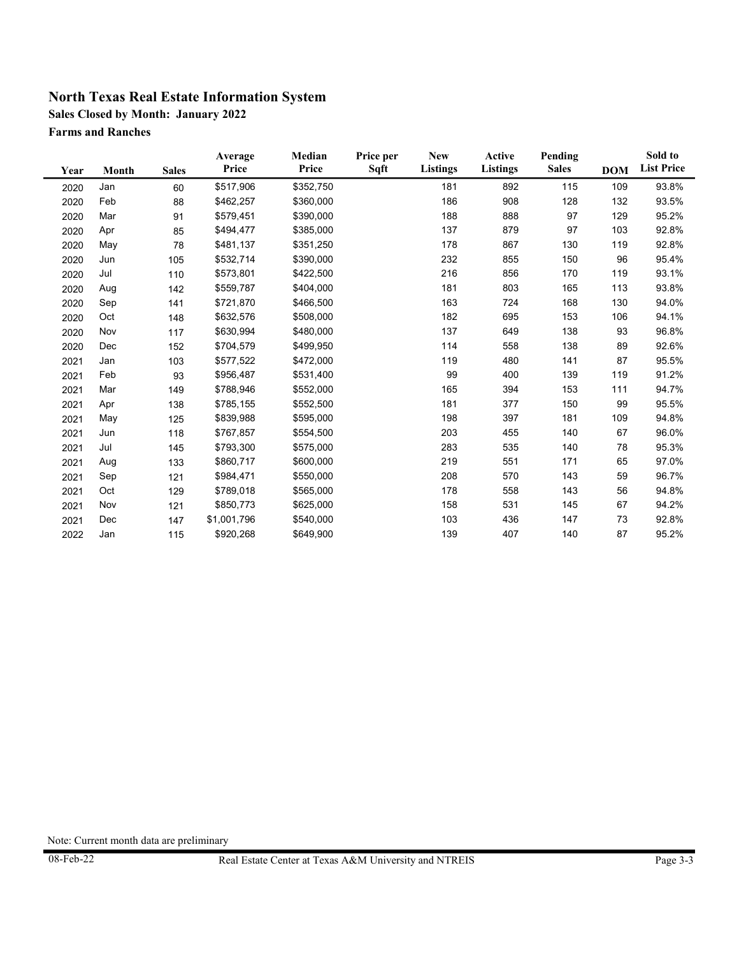**Sales Closed by Month: January 2022**

**Farms and Ranches**

| Year | Month | <b>Sales</b> | Average<br>Price | Median<br>Price | Price per<br>Sqft | <b>New</b><br><b>Listings</b> | Active<br><b>Listings</b> | Pending<br><b>Sales</b> | <b>DOM</b> | Sold to<br><b>List Price</b> |
|------|-------|--------------|------------------|-----------------|-------------------|-------------------------------|---------------------------|-------------------------|------------|------------------------------|
| 2020 | Jan   | 60           | \$517,906        | \$352,750       |                   | 181                           | 892                       | 115                     | 109        | 93.8%                        |
| 2020 | Feb   | 88           | \$462,257        | \$360,000       |                   | 186                           | 908                       | 128                     | 132        | 93.5%                        |
| 2020 | Mar   | 91           | \$579,451        | \$390,000       |                   | 188                           | 888                       | 97                      | 129        | 95.2%                        |
| 2020 | Apr   | 85           | \$494,477        | \$385,000       |                   | 137                           | 879                       | 97                      | 103        | 92.8%                        |
| 2020 | May   | 78           | \$481,137        | \$351,250       |                   | 178                           | 867                       | 130                     | 119        | 92.8%                        |
| 2020 | Jun   | 105          | \$532,714        | \$390,000       |                   | 232                           | 855                       | 150                     | 96         | 95.4%                        |
| 2020 | Jul   | 110          | \$573,801        | \$422,500       |                   | 216                           | 856                       | 170                     | 119        | 93.1%                        |
| 2020 | Aug   | 142          | \$559,787        | \$404,000       |                   | 181                           | 803                       | 165                     | 113        | 93.8%                        |
| 2020 | Sep   | 141          | \$721,870        | \$466,500       |                   | 163                           | 724                       | 168                     | 130        | 94.0%                        |
| 2020 | Oct   | 148          | \$632,576        | \$508,000       |                   | 182                           | 695                       | 153                     | 106        | 94.1%                        |
| 2020 | Nov   | 117          | \$630,994        | \$480,000       |                   | 137                           | 649                       | 138                     | 93         | 96.8%                        |
| 2020 | Dec   | 152          | \$704,579        | \$499,950       |                   | 114                           | 558                       | 138                     | 89         | 92.6%                        |
| 2021 | Jan   | 103          | \$577,522        | \$472,000       |                   | 119                           | 480                       | 141                     | 87         | 95.5%                        |
| 2021 | Feb   | 93           | \$956,487        | \$531,400       |                   | 99                            | 400                       | 139                     | 119        | 91.2%                        |
| 2021 | Mar   | 149          | \$788,946        | \$552,000       |                   | 165                           | 394                       | 153                     | 111        | 94.7%                        |
| 2021 | Apr   | 138          | \$785,155        | \$552,500       |                   | 181                           | 377                       | 150                     | 99         | 95.5%                        |
| 2021 | May   | 125          | \$839,988        | \$595,000       |                   | 198                           | 397                       | 181                     | 109        | 94.8%                        |
| 2021 | Jun   | 118          | \$767,857        | \$554,500       |                   | 203                           | 455                       | 140                     | 67         | 96.0%                        |
| 2021 | Jul   | 145          | \$793,300        | \$575,000       |                   | 283                           | 535                       | 140                     | 78         | 95.3%                        |
| 2021 | Aug   | 133          | \$860,717        | \$600,000       |                   | 219                           | 551                       | 171                     | 65         | 97.0%                        |
| 2021 | Sep   | 121          | \$984,471        | \$550,000       |                   | 208                           | 570                       | 143                     | 59         | 96.7%                        |
| 2021 | Oct   | 129          | \$789,018        | \$565,000       |                   | 178                           | 558                       | 143                     | 56         | 94.8%                        |
| 2021 | Nov   | 121          | \$850,773        | \$625,000       |                   | 158                           | 531                       | 145                     | 67         | 94.2%                        |
| 2021 | Dec   | 147          | \$1,001,796      | \$540,000       |                   | 103                           | 436                       | 147                     | 73         | 92.8%                        |
| 2022 | Jan   | 115          | \$920,268        | \$649,900       |                   | 139                           | 407                       | 140                     | 87         | 95.2%                        |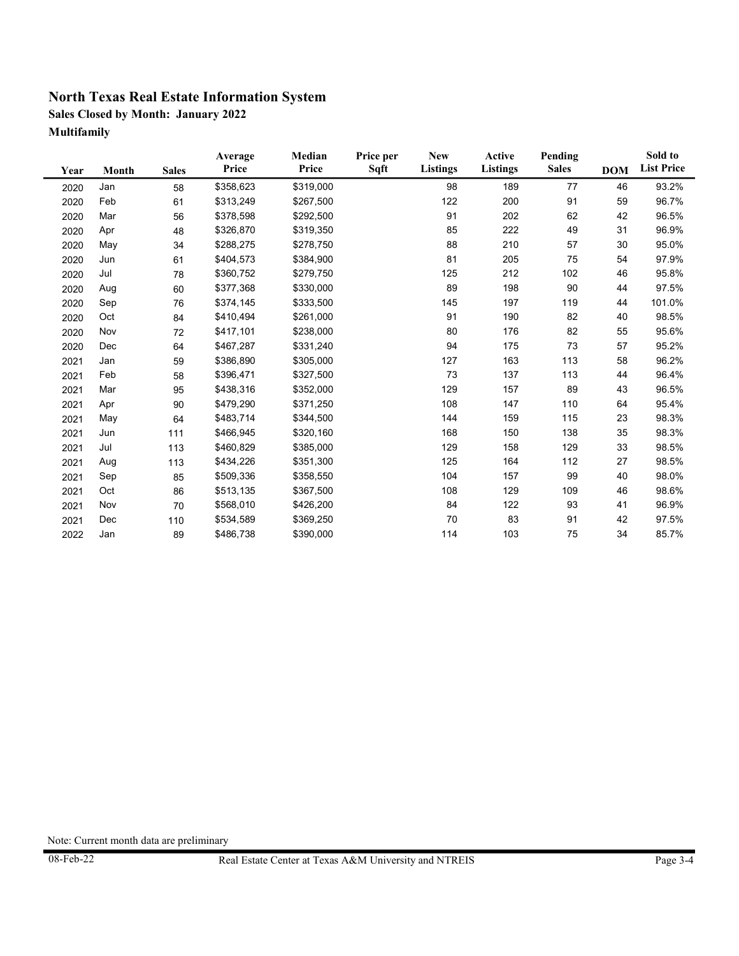**Sales Closed by Month: January 2022 Multifamily**

| Year | Month | <b>Sales</b> | Average<br>Price | Median<br>Price | Price per<br>Sqft | <b>New</b><br>Listings | <b>Active</b><br><b>Listings</b> | Pending<br><b>Sales</b> | <b>DOM</b> | Sold to<br><b>List Price</b> |
|------|-------|--------------|------------------|-----------------|-------------------|------------------------|----------------------------------|-------------------------|------------|------------------------------|
| 2020 | Jan   | 58           | \$358,623        | \$319,000       |                   | 98                     | 189                              | 77                      | 46         | 93.2%                        |
| 2020 | Feb   | 61           | \$313,249        | \$267,500       |                   | 122                    | 200                              | 91                      | 59         | 96.7%                        |
| 2020 | Mar   | 56           | \$378,598        | \$292,500       |                   | 91                     | 202                              | 62                      | 42         | 96.5%                        |
| 2020 | Apr   | 48           | \$326,870        | \$319,350       |                   | 85                     | 222                              | 49                      | 31         | 96.9%                        |
| 2020 | May   | 34           | \$288,275        | \$278,750       |                   | 88                     | 210                              | 57                      | 30         | 95.0%                        |
| 2020 | Jun   | 61           | \$404,573        | \$384,900       |                   | 81                     | 205                              | 75                      | 54         | 97.9%                        |
| 2020 | Jul   | 78           | \$360,752        | \$279,750       |                   | 125                    | 212                              | 102                     | 46         | 95.8%                        |
| 2020 | Aug   | 60           | \$377,368        | \$330,000       |                   | 89                     | 198                              | 90                      | 44         | 97.5%                        |
| 2020 | Sep   | 76           | \$374,145        | \$333,500       |                   | 145                    | 197                              | 119                     | 44         | 101.0%                       |
| 2020 | Oct   | 84           | \$410,494        | \$261,000       |                   | 91                     | 190                              | 82                      | 40         | 98.5%                        |
| 2020 | Nov   | 72           | \$417,101        | \$238,000       |                   | 80                     | 176                              | 82                      | 55         | 95.6%                        |
| 2020 | Dec   | 64           | \$467,287        | \$331,240       |                   | 94                     | 175                              | 73                      | 57         | 95.2%                        |
| 2021 | Jan   | 59           | \$386,890        | \$305,000       |                   | 127                    | 163                              | 113                     | 58         | 96.2%                        |
| 2021 | Feb   | 58           | \$396,471        | \$327,500       |                   | 73                     | 137                              | 113                     | 44         | 96.4%                        |
| 2021 | Mar   | 95           | \$438,316        | \$352,000       |                   | 129                    | 157                              | 89                      | 43         | 96.5%                        |
| 2021 | Apr   | 90           | \$479,290        | \$371,250       |                   | 108                    | 147                              | 110                     | 64         | 95.4%                        |
| 2021 | May   | 64           | \$483,714        | \$344,500       |                   | 144                    | 159                              | 115                     | 23         | 98.3%                        |
| 2021 | Jun   | 111          | \$466,945        | \$320,160       |                   | 168                    | 150                              | 138                     | 35         | 98.3%                        |
| 2021 | Jul   | 113          | \$460,829        | \$385,000       |                   | 129                    | 158                              | 129                     | 33         | 98.5%                        |
| 2021 | Aug   | 113          | \$434,226        | \$351,300       |                   | 125                    | 164                              | 112                     | 27         | 98.5%                        |
| 2021 | Sep   | 85           | \$509,336        | \$358,550       |                   | 104                    | 157                              | 99                      | 40         | 98.0%                        |
| 2021 | Oct   | 86           | \$513,135        | \$367,500       |                   | 108                    | 129                              | 109                     | 46         | 98.6%                        |
| 2021 | Nov   | 70           | \$568,010        | \$426,200       |                   | 84                     | 122                              | 93                      | 41         | 96.9%                        |
| 2021 | Dec   | 110          | \$534,589        | \$369,250       |                   | 70                     | 83                               | 91                      | 42         | 97.5%                        |
| 2022 | Jan   | 89           | \$486,738        | \$390,000       |                   | 114                    | 103                              | 75                      | 34         | 85.7%                        |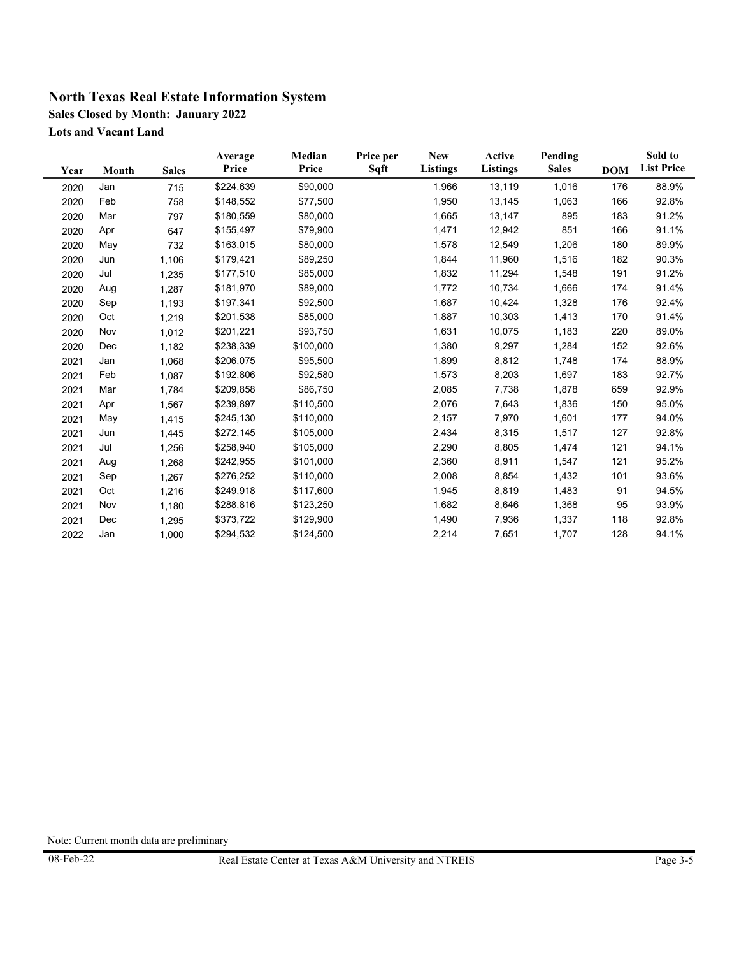**Sales Closed by Month: January 2022**

**Lots and Vacant Land**

| Year | Month | <b>Sales</b> | Average<br>Price | Median<br>Price | Price per<br>Sqft | <b>New</b><br><b>Listings</b> | Active<br><b>Listings</b> | Pending<br><b>Sales</b> | <b>DOM</b> | Sold to<br><b>List Price</b> |
|------|-------|--------------|------------------|-----------------|-------------------|-------------------------------|---------------------------|-------------------------|------------|------------------------------|
| 2020 | Jan   | 715          | \$224,639        | \$90,000        |                   | 1,966                         | 13,119                    | 1,016                   | 176        | 88.9%                        |
| 2020 | Feb   | 758          | \$148,552        | \$77,500        |                   | 1,950                         | 13,145                    | 1,063                   | 166        | 92.8%                        |
| 2020 | Mar   | 797          | \$180,559        | \$80,000        |                   | 1,665                         | 13,147                    | 895                     | 183        | 91.2%                        |
| 2020 | Apr   | 647          | \$155,497        | \$79,900        |                   | 1,471                         | 12,942                    | 851                     | 166        | 91.1%                        |
| 2020 | May   | 732          | \$163,015        | \$80,000        |                   | 1,578                         | 12,549                    | 1,206                   | 180        | 89.9%                        |
| 2020 | Jun   | 1,106        | \$179,421        | \$89,250        |                   | 1,844                         | 11,960                    | 1,516                   | 182        | 90.3%                        |
| 2020 | Jul   | 1,235        | \$177,510        | \$85,000        |                   | 1,832                         | 11,294                    | 1,548                   | 191        | 91.2%                        |
| 2020 | Aug   | 1,287        | \$181,970        | \$89,000        |                   | 1,772                         | 10,734                    | 1,666                   | 174        | 91.4%                        |
| 2020 | Sep   | 1,193        | \$197,341        | \$92,500        |                   | 1,687                         | 10,424                    | 1,328                   | 176        | 92.4%                        |
| 2020 | Oct   | 1,219        | \$201,538        | \$85,000        |                   | 1,887                         | 10,303                    | 1,413                   | 170        | 91.4%                        |
| 2020 | Nov   | 1,012        | \$201,221        | \$93,750        |                   | 1,631                         | 10,075                    | 1,183                   | 220        | 89.0%                        |
| 2020 | Dec   | 1,182        | \$238,339        | \$100,000       |                   | 1,380                         | 9,297                     | 1,284                   | 152        | 92.6%                        |
| 2021 | Jan   | 1,068        | \$206,075        | \$95,500        |                   | 1,899                         | 8,812                     | 1,748                   | 174        | 88.9%                        |
| 2021 | Feb   | 1,087        | \$192,806        | \$92,580        |                   | 1,573                         | 8,203                     | 1,697                   | 183        | 92.7%                        |
| 2021 | Mar   | 1,784        | \$209,858        | \$86,750        |                   | 2,085                         | 7,738                     | 1,878                   | 659        | 92.9%                        |
| 2021 | Apr   | 1,567        | \$239,897        | \$110,500       |                   | 2,076                         | 7,643                     | 1,836                   | 150        | 95.0%                        |
| 2021 | May   | 1,415        | \$245,130        | \$110,000       |                   | 2,157                         | 7,970                     | 1,601                   | 177        | 94.0%                        |
| 2021 | Jun   | 1,445        | \$272,145        | \$105,000       |                   | 2,434                         | 8,315                     | 1,517                   | 127        | 92.8%                        |
| 2021 | Jul   | 1,256        | \$258,940        | \$105,000       |                   | 2,290                         | 8,805                     | 1,474                   | 121        | 94.1%                        |
| 2021 | Aug   | 1,268        | \$242,955        | \$101,000       |                   | 2,360                         | 8,911                     | 1,547                   | 121        | 95.2%                        |
| 2021 | Sep   | 1,267        | \$276,252        | \$110,000       |                   | 2,008                         | 8,854                     | 1,432                   | 101        | 93.6%                        |
| 2021 | Oct   | 1,216        | \$249,918        | \$117,600       |                   | 1,945                         | 8,819                     | 1,483                   | 91         | 94.5%                        |
| 2021 | Nov   | 1,180        | \$288,816        | \$123,250       |                   | 1,682                         | 8,646                     | 1,368                   | 95         | 93.9%                        |
| 2021 | Dec   | 1,295        | \$373,722        | \$129,900       |                   | 1,490                         | 7,936                     | 1,337                   | 118        | 92.8%                        |
| 2022 | Jan   | 1,000        | \$294,532        | \$124,500       |                   | 2,214                         | 7,651                     | 1,707                   | 128        | 94.1%                        |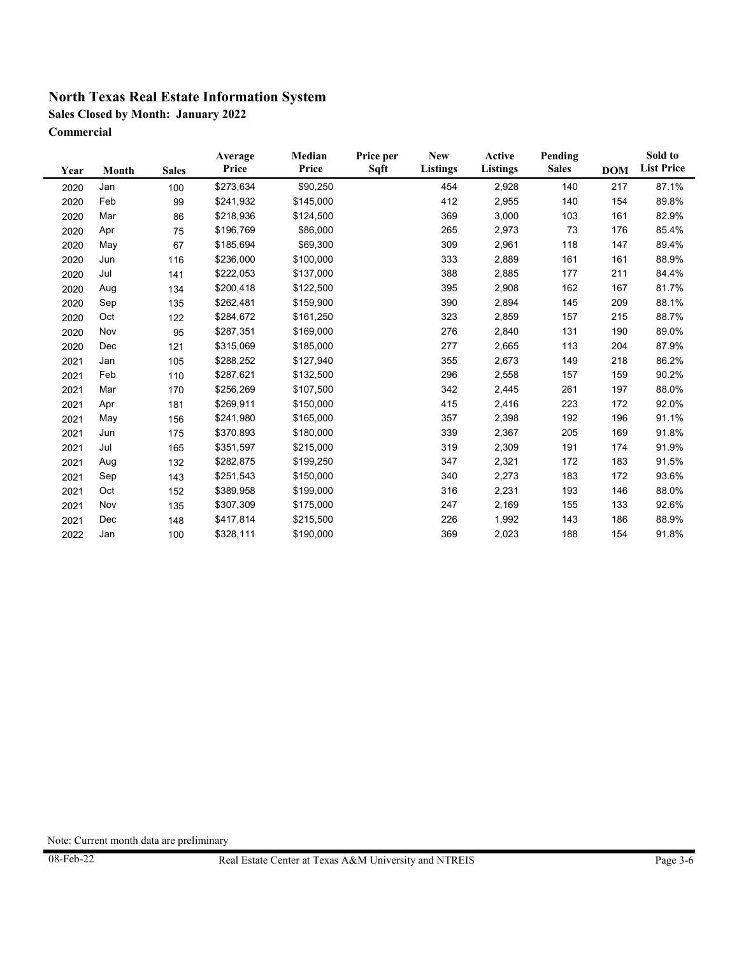**Sales Closed by Month: January 2022**

**Commercial**

| Year | Month | <b>Sales</b> | Average<br>Price | Median<br>Price | Price per<br>Sqft | <b>New</b><br>Listings | Active<br>Listings | Pending<br><b>Sales</b> | <b>DOM</b> | Sold to<br><b>List Price</b> |
|------|-------|--------------|------------------|-----------------|-------------------|------------------------|--------------------|-------------------------|------------|------------------------------|
| 2020 | Jan   | 100          | \$273,634        | \$90,250        |                   | 454                    | 2,928              | 140                     | 217        | 87.1%                        |
| 2020 | Feb   | 99           | \$241,932        | \$145,000       |                   | 412                    | 2,955              | 140                     | 154        | 89.8%                        |
| 2020 | Mar   | 86           | \$218,936        | \$124,500       |                   | 369                    | 3,000              | 103                     | 161        | 82.9%                        |
| 2020 | Apr   | 75           | \$196,769        | \$86,000        |                   | 265                    | 2,973              | 73                      | 176        | 85.4%                        |
| 2020 | May   | 67           | \$185,694        | \$69,300        |                   | 309                    | 2,961              | 118                     | 147        | 89.4%                        |
| 2020 | Jun   | 116          | \$236,000        | \$100,000       |                   | 333                    | 2,889              | 161                     | 161        | 88.9%                        |
| 2020 | Jul   | 141          | \$222,053        | \$137,000       |                   | 388                    | 2,885              | 177                     | 211        | 84.4%                        |
| 2020 | Aug   | 134          | \$200,418        | \$122,500       |                   | 395                    | 2,908              | 162                     | 167        | 81.7%                        |
| 2020 | Sep   | 135          | \$262,481        | \$159,900       |                   | 390                    | 2,894              | 145                     | 209        | 88.1%                        |
| 2020 | Oct   | 122          | \$284,672        | \$161,250       |                   | 323                    | 2,859              | 157                     | 215        | 88.7%                        |
| 2020 | Nov   | 95           | \$287,351        | \$169,000       |                   | 276                    | 2,840              | 131                     | 190        | 89.0%                        |
| 2020 | Dec   | 121          | \$315,069        | \$185,000       |                   | 277                    | 2,665              | 113                     | 204        | 87.9%                        |
| 2021 | Jan   | 105          | \$288,252        | \$127,940       |                   | 355                    | 2,673              | 149                     | 218        | 86.2%                        |
| 2021 | Feb   | 110          | \$287,621        | \$132,500       |                   | 296                    | 2,558              | 157                     | 159        | 90.2%                        |
| 2021 | Mar   | 170          | \$256,269        | \$107,500       |                   | 342                    | 2,445              | 261                     | 197        | 88.0%                        |
| 2021 | Apr   | 181          | \$269,911        | \$150,000       |                   | 415                    | 2,416              | 223                     | 172        | 92.0%                        |
| 2021 | May   | 156          | \$241,980        | \$165,000       |                   | 357                    | 2,398              | 192                     | 196        | 91.1%                        |
| 2021 | Jun   | 175          | \$370,893        | \$180,000       |                   | 339                    | 2,367              | 205                     | 169        | 91.8%                        |
| 2021 | Jul   | 165          | \$351,597        | \$215,000       |                   | 319                    | 2,309              | 191                     | 174        | 91.9%                        |
| 2021 | Aug   | 132          | \$282,875        | \$199,250       |                   | 347                    | 2,321              | 172                     | 183        | 91.5%                        |
| 2021 | Sep   | 143          | \$251,543        | \$150,000       |                   | 340                    | 2,273              | 183                     | 172        | 93.6%                        |
| 2021 | Oct   | 152          | \$389,958        | \$199,000       |                   | 316                    | 2,231              | 193                     | 146        | 88.0%                        |
| 2021 | Nov   | 135          | \$307,309        | \$175,000       |                   | 247                    | 2,169              | 155                     | 133        | 92.6%                        |
| 2021 | Dec   | 148          | \$417,814        | \$215,500       |                   | 226                    | 1,992              | 143                     | 186        | 88.9%                        |
| 2022 | Jan   | 100          | \$328,111        | \$190,000       |                   | 369                    | 2,023              | 188                     | 154        | 91.8%                        |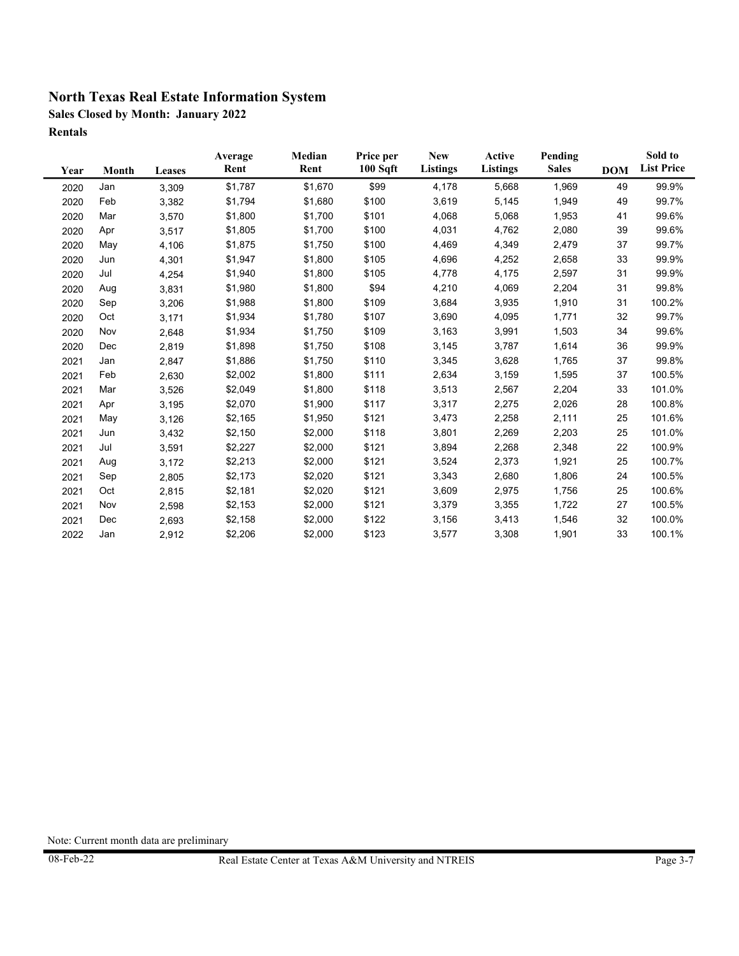**Sales Closed by Month: January 2022 Rentals**

| Year | Month | <b>Leases</b> | Average<br>Rent | Median<br>Rent | Price per<br>100 Sqft | <b>New</b><br>Listings | Active<br><b>Listings</b> | Pending<br><b>Sales</b> | <b>DOM</b> | Sold to<br><b>List Price</b> |
|------|-------|---------------|-----------------|----------------|-----------------------|------------------------|---------------------------|-------------------------|------------|------------------------------|
| 2020 | Jan   | 3,309         | \$1,787         | \$1,670        | \$99                  | 4,178                  | 5,668                     | 1,969                   | 49         | 99.9%                        |
| 2020 | Feb   | 3,382         | \$1,794         | \$1,680        | \$100                 | 3,619                  | 5,145                     | 1,949                   | 49         | 99.7%                        |
| 2020 | Mar   | 3,570         | \$1,800         | \$1,700        | \$101                 | 4,068                  | 5,068                     | 1,953                   | 41         | 99.6%                        |
| 2020 | Apr   | 3,517         | \$1,805         | \$1,700        | \$100                 | 4,031                  | 4,762                     | 2,080                   | 39         | 99.6%                        |
| 2020 | May   | 4,106         | \$1,875         | \$1,750        | \$100                 | 4,469                  | 4,349                     | 2,479                   | 37         | 99.7%                        |
| 2020 | Jun   | 4,301         | \$1,947         | \$1,800        | \$105                 | 4,696                  | 4,252                     | 2,658                   | 33         | 99.9%                        |
| 2020 | Jul   | 4,254         | \$1,940         | \$1,800        | \$105                 | 4,778                  | 4,175                     | 2,597                   | 31         | 99.9%                        |
| 2020 | Aug   | 3,831         | \$1,980         | \$1,800        | \$94                  | 4,210                  | 4,069                     | 2,204                   | 31         | 99.8%                        |
| 2020 | Sep   | 3,206         | \$1,988         | \$1,800        | \$109                 | 3,684                  | 3,935                     | 1,910                   | 31         | 100.2%                       |
| 2020 | Oct   | 3,171         | \$1,934         | \$1,780        | \$107                 | 3,690                  | 4,095                     | 1,771                   | 32         | 99.7%                        |
| 2020 | Nov   | 2,648         | \$1,934         | \$1,750        | \$109                 | 3,163                  | 3,991                     | 1,503                   | 34         | 99.6%                        |
| 2020 | Dec   | 2,819         | \$1,898         | \$1,750        | \$108                 | 3,145                  | 3,787                     | 1,614                   | 36         | 99.9%                        |
| 2021 | Jan   | 2,847         | \$1,886         | \$1,750        | \$110                 | 3,345                  | 3,628                     | 1,765                   | 37         | 99.8%                        |
| 2021 | Feb   | 2,630         | \$2,002         | \$1,800        | \$111                 | 2,634                  | 3,159                     | 1,595                   | 37         | 100.5%                       |
| 2021 | Mar   | 3,526         | \$2,049         | \$1,800        | \$118                 | 3,513                  | 2,567                     | 2,204                   | 33         | 101.0%                       |
| 2021 | Apr   | 3,195         | \$2,070         | \$1,900        | \$117                 | 3,317                  | 2,275                     | 2,026                   | 28         | 100.8%                       |
| 2021 | May   | 3,126         | \$2,165         | \$1,950        | \$121                 | 3,473                  | 2,258                     | 2,111                   | 25         | 101.6%                       |
| 2021 | Jun   | 3,432         | \$2,150         | \$2,000        | \$118                 | 3,801                  | 2,269                     | 2,203                   | 25         | 101.0%                       |
| 2021 | Jul   | 3,591         | \$2,227         | \$2,000        | \$121                 | 3,894                  | 2,268                     | 2,348                   | 22         | 100.9%                       |
| 2021 | Aug   | 3,172         | \$2,213         | \$2,000        | \$121                 | 3,524                  | 2,373                     | 1,921                   | 25         | 100.7%                       |
| 2021 | Sep   | 2,805         | \$2,173         | \$2,020        | \$121                 | 3,343                  | 2,680                     | 1,806                   | 24         | 100.5%                       |
| 2021 | Oct   | 2,815         | \$2,181         | \$2,020        | \$121                 | 3,609                  | 2,975                     | 1,756                   | 25         | 100.6%                       |
| 2021 | Nov   | 2,598         | \$2,153         | \$2,000        | \$121                 | 3,379                  | 3,355                     | 1,722                   | 27         | 100.5%                       |
| 2021 | Dec   | 2,693         | \$2,158         | \$2,000        | \$122                 | 3,156                  | 3,413                     | 1,546                   | 32         | 100.0%                       |
| 2022 | Jan   | 2,912         | \$2,206         | \$2,000        | \$123                 | 3,577                  | 3,308                     | 1,901                   | 33         | 100.1%                       |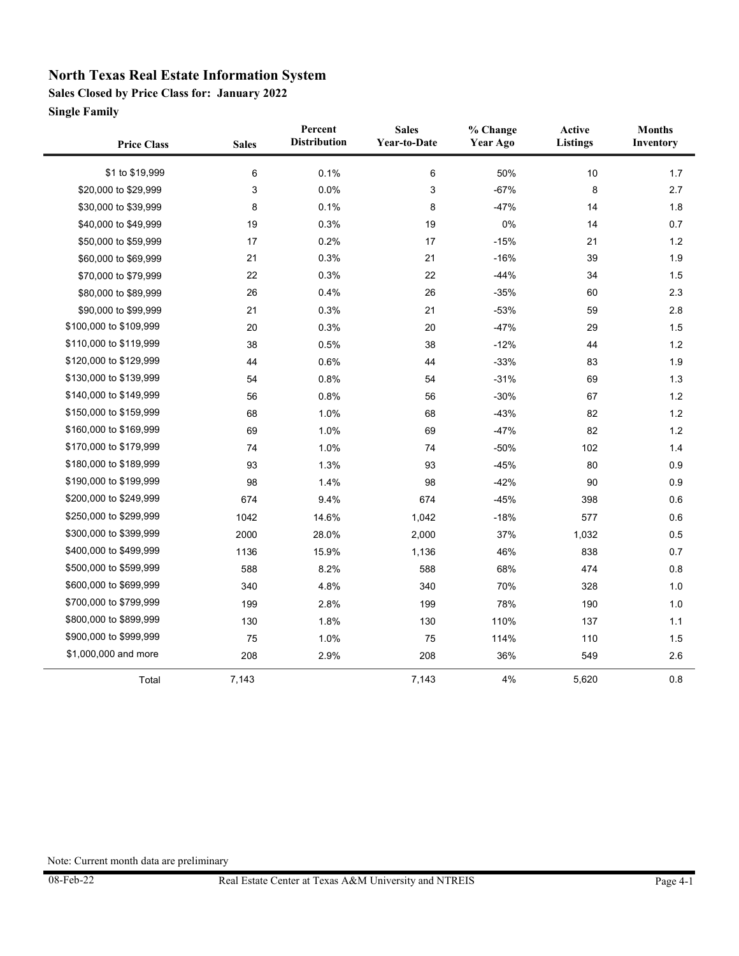**Sales Closed by Price Class for: January 2022**

**Single Family**

 $\blacksquare$ 

| <b>Price Class</b>     | <b>Sales</b> | Percent<br><b>Distribution</b> | <b>Sales</b><br>Year-to-Date | % Change<br>Year Ago | Active<br><b>Listings</b> | <b>Months</b><br>Inventory |
|------------------------|--------------|--------------------------------|------------------------------|----------------------|---------------------------|----------------------------|
| \$1 to \$19,999        | 6            | 0.1%                           | $\,6\,$                      | 50%                  | $10$                      | 1.7                        |
| \$20,000 to \$29,999   | 3            | 0.0%                           | 3                            | $-67%$               | 8                         | 2.7                        |
| \$30,000 to \$39,999   | 8            | 0.1%                           | 8                            | $-47%$               | 14                        | 1.8                        |
| \$40,000 to \$49,999   | 19           | 0.3%                           | 19                           | 0%                   | 14                        | 0.7                        |
| \$50,000 to \$59,999   | 17           | 0.2%                           | 17                           | $-15%$               | 21                        | 1.2                        |
| \$60,000 to \$69,999   | 21           | 0.3%                           | 21                           | $-16%$               | 39                        | 1.9                        |
| \$70,000 to \$79,999   | 22           | 0.3%                           | 22                           | $-44%$               | 34                        | 1.5                        |
| \$80,000 to \$89,999   | 26           | 0.4%                           | 26                           | $-35%$               | 60                        | 2.3                        |
| \$90,000 to \$99,999   | 21           | 0.3%                           | 21                           | $-53%$               | 59                        | 2.8                        |
| \$100,000 to \$109,999 | 20           | 0.3%                           | 20                           | $-47%$               | 29                        | 1.5                        |
| \$110,000 to \$119,999 | 38           | 0.5%                           | 38                           | $-12%$               | 44                        | 1.2                        |
| \$120,000 to \$129,999 | 44           | 0.6%                           | 44                           | $-33%$               | 83                        | 1.9                        |
| \$130,000 to \$139,999 | 54           | 0.8%                           | 54                           | $-31%$               | 69                        | 1.3                        |
| \$140,000 to \$149,999 | 56           | 0.8%                           | 56                           | $-30%$               | 67                        | 1.2                        |
| \$150,000 to \$159,999 | 68           | 1.0%                           | 68                           | $-43%$               | 82                        | 1.2                        |
| \$160,000 to \$169,999 | 69           | 1.0%                           | 69                           | $-47%$               | 82                        | 1.2                        |
| \$170,000 to \$179,999 | 74           | 1.0%                           | 74                           | $-50%$               | 102                       | 1.4                        |
| \$180,000 to \$189,999 | 93           | 1.3%                           | 93                           | $-45%$               | 80                        | 0.9                        |
| \$190,000 to \$199,999 | 98           | 1.4%                           | 98                           | $-42%$               | 90                        | 0.9                        |
| \$200,000 to \$249,999 | 674          | 9.4%                           | 674                          | $-45%$               | 398                       | 0.6                        |
| \$250,000 to \$299,999 | 1042         | 14.6%                          | 1,042                        | $-18%$               | 577                       | 0.6                        |
| \$300,000 to \$399,999 | 2000         | 28.0%                          | 2,000                        | 37%                  | 1,032                     | 0.5                        |
| \$400,000 to \$499,999 | 1136         | 15.9%                          | 1,136                        | 46%                  | 838                       | 0.7                        |
| \$500,000 to \$599,999 | 588          | 8.2%                           | 588                          | 68%                  | 474                       | 0.8                        |
| \$600,000 to \$699,999 | 340          | 4.8%                           | 340                          | 70%                  | 328                       | 1.0                        |
| \$700,000 to \$799,999 | 199          | 2.8%                           | 199                          | 78%                  | 190                       | 1.0                        |
| \$800,000 to \$899,999 | 130          | 1.8%                           | 130                          | 110%                 | 137                       | 1.1                        |
| \$900,000 to \$999,999 | 75           | 1.0%                           | 75                           | 114%                 | 110                       | 1.5                        |
| \$1,000,000 and more   | 208          | 2.9%                           | 208                          | 36%                  | 549                       | 2.6                        |
| Total                  | 7,143        |                                | 7,143                        | 4%                   | 5,620                     | 0.8                        |

 $\overline{a}$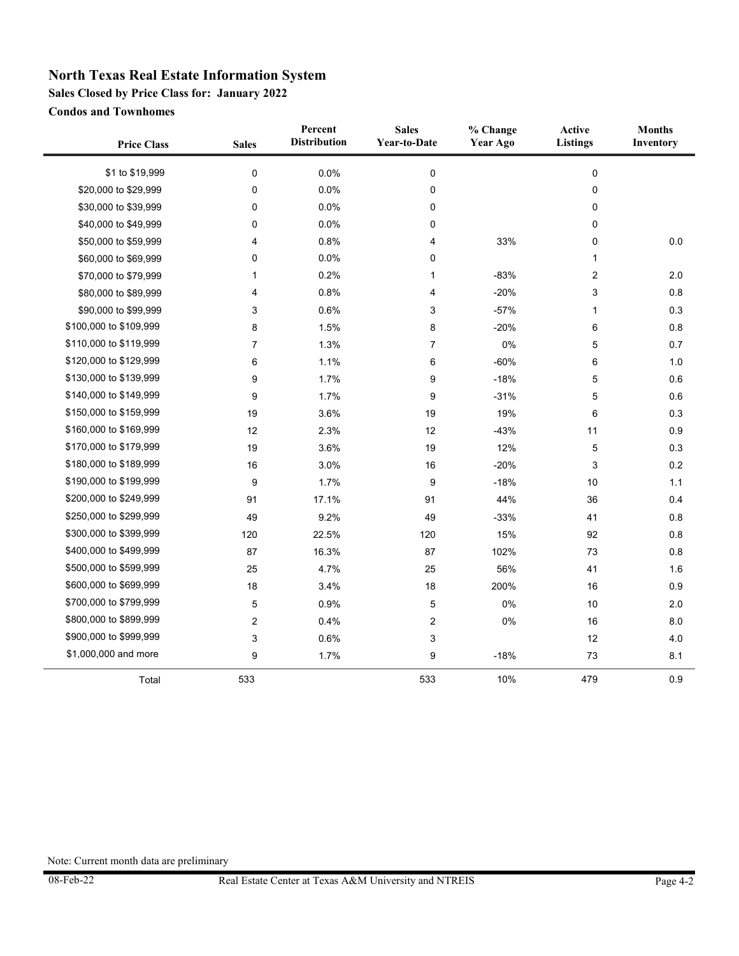**Sales Closed by Price Class for: January 2022**

**Condos and Townhomes**

| <b>Price Class</b>     | <b>Sales</b>     | Percent<br><b>Distribution</b> | <b>Sales</b><br>Year-to-Date | % Change<br><b>Year Ago</b> | Active<br><b>Listings</b> | <b>Months</b><br>Inventory |
|------------------------|------------------|--------------------------------|------------------------------|-----------------------------|---------------------------|----------------------------|
| \$1 to \$19,999        | 0                | 0.0%                           | $\pmb{0}$                    |                             | 0                         |                            |
| \$20,000 to \$29,999   | 0                | 0.0%                           | 0                            |                             | 0                         |                            |
| \$30,000 to \$39,999   | 0                | 0.0%                           | 0                            |                             | 0                         |                            |
| \$40,000 to \$49,999   | 0                | 0.0%                           | 0                            |                             | 0                         |                            |
| \$50,000 to \$59,999   | 4                | 0.8%                           | 4                            | 33%                         | 0                         | $0.0\,$                    |
| \$60,000 to \$69,999   | 0                | 0.0%                           | 0                            |                             | $\mathbf{1}$              |                            |
| \$70,000 to \$79,999   | 1                | 0.2%                           | 1                            | $-83%$                      | 2                         | 2.0                        |
| \$80,000 to \$89,999   | 4                | 0.8%                           | 4                            | $-20%$                      | 3                         | 0.8                        |
| \$90,000 to \$99,999   | 3                | 0.6%                           | 3                            | $-57%$                      | $\mathbf{1}$              | 0.3                        |
| \$100,000 to \$109,999 | 8                | 1.5%                           | 8                            | $-20%$                      | 6                         | 0.8                        |
| \$110,000 to \$119,999 | 7                | 1.3%                           | 7                            | $0\%$                       | 5                         | 0.7                        |
| \$120,000 to \$129,999 | 6                | 1.1%                           | 6                            | $-60%$                      | 6                         | 1.0                        |
| \$130,000 to \$139,999 | 9                | 1.7%                           | 9                            | $-18%$                      | 5                         | 0.6                        |
| \$140,000 to \$149,999 | 9                | 1.7%                           | 9                            | $-31%$                      | 5                         | 0.6                        |
| \$150,000 to \$159,999 | 19               | 3.6%                           | 19                           | 19%                         | 6                         | 0.3                        |
| \$160,000 to \$169,999 | 12               | 2.3%                           | 12                           | $-43%$                      | 11                        | 0.9                        |
| \$170,000 to \$179,999 | 19               | 3.6%                           | 19                           | 12%                         | 5                         | 0.3                        |
| \$180,000 to \$189,999 | 16               | 3.0%                           | 16                           | $-20%$                      | 3                         | 0.2                        |
| \$190,000 to \$199,999 | 9                | 1.7%                           | 9                            | $-18%$                      | 10                        | 1.1                        |
| \$200,000 to \$249,999 | 91               | 17.1%                          | 91                           | 44%                         | 36                        | 0.4                        |
| \$250,000 to \$299,999 | 49               | 9.2%                           | 49                           | $-33%$                      | 41                        | 0.8                        |
| \$300,000 to \$399,999 | 120              | 22.5%                          | 120                          | 15%                         | 92                        | 0.8                        |
| \$400,000 to \$499,999 | 87               | 16.3%                          | 87                           | 102%                        | 73                        | 0.8                        |
| \$500,000 to \$599,999 | 25               | 4.7%                           | 25                           | 56%                         | 41                        | 1.6                        |
| \$600,000 to \$699,999 | 18               | 3.4%                           | 18                           | 200%                        | 16                        | 0.9                        |
| \$700,000 to \$799,999 | 5                | 0.9%                           | 5                            | $0\%$                       | 10                        | 2.0                        |
| \$800,000 to \$899,999 | $\boldsymbol{2}$ | 0.4%                           | $\overline{c}$               | 0%                          | 16                        | 8.0                        |
| \$900,000 to \$999,999 | 3                | 0.6%                           | 3                            |                             | 12                        | 4.0                        |
| \$1,000,000 and more   | 9                | 1.7%                           | 9                            | $-18%$                      | 73                        | 8.1                        |
| Total                  | 533              |                                | 533                          | 10%                         | 479                       | 0.9                        |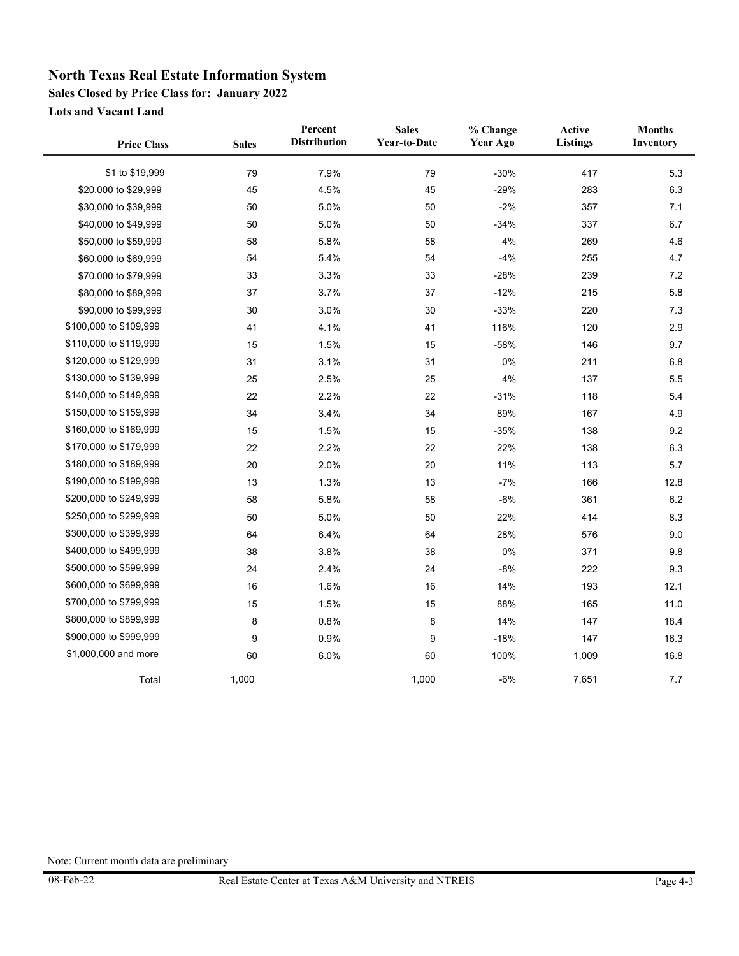**Sales Closed by Price Class for: January 2022**

**Lots and Vacant Land**

| <b>Price Class</b>     | <b>Sales</b> | Percent<br><b>Distribution</b> | <b>Sales</b><br><b>Year-to-Date</b> | % Change<br><b>Year Ago</b> | Active<br><b>Listings</b> | <b>Months</b><br>Inventory |
|------------------------|--------------|--------------------------------|-------------------------------------|-----------------------------|---------------------------|----------------------------|
| \$1 to \$19,999        | 79           | 7.9%                           | 79                                  | $-30%$                      | 417                       | 5.3                        |
| \$20,000 to \$29,999   | 45           | 4.5%                           | 45                                  | $-29%$                      | 283                       | 6.3                        |
| \$30,000 to \$39,999   | 50           | 5.0%                           | 50                                  | $-2%$                       | 357                       | 7.1                        |
| \$40,000 to \$49,999   | 50           | 5.0%                           | 50                                  | $-34%$                      | 337                       | 6.7                        |
| \$50,000 to \$59,999   | 58           | 5.8%                           | 58                                  | 4%                          | 269                       | 4.6                        |
| \$60,000 to \$69,999   | 54           | 5.4%                           | 54                                  | $-4%$                       | 255                       | 4.7                        |
| \$70,000 to \$79,999   | 33           | 3.3%                           | 33                                  | $-28%$                      | 239                       | 7.2                        |
| \$80,000 to \$89,999   | 37           | 3.7%                           | 37                                  | $-12%$                      | 215                       | 5.8                        |
| \$90,000 to \$99,999   | 30           | 3.0%                           | 30                                  | $-33%$                      | 220                       | 7.3                        |
| \$100,000 to \$109,999 | 41           | 4.1%                           | 41                                  | 116%                        | 120                       | 2.9                        |
| \$110,000 to \$119,999 | 15           | 1.5%                           | 15                                  | $-58%$                      | 146                       | 9.7                        |
| \$120,000 to \$129,999 | 31           | 3.1%                           | 31                                  | 0%                          | 211                       | 6.8                        |
| \$130,000 to \$139,999 | 25           | 2.5%                           | 25                                  | 4%                          | 137                       | 5.5                        |
| \$140,000 to \$149,999 | 22           | 2.2%                           | 22                                  | $-31%$                      | 118                       | 5.4                        |
| \$150,000 to \$159,999 | 34           | 3.4%                           | 34                                  | 89%                         | 167                       | 4.9                        |
| \$160,000 to \$169,999 | 15           | 1.5%                           | 15                                  | $-35%$                      | 138                       | 9.2                        |
| \$170,000 to \$179,999 | 22           | 2.2%                           | 22                                  | 22%                         | 138                       | 6.3                        |
| \$180,000 to \$189,999 | 20           | 2.0%                           | 20                                  | 11%                         | 113                       | 5.7                        |
| \$190,000 to \$199,999 | 13           | 1.3%                           | 13                                  | $-7%$                       | 166                       | 12.8                       |
| \$200,000 to \$249,999 | 58           | 5.8%                           | 58                                  | $-6%$                       | 361                       | 6.2                        |
| \$250,000 to \$299,999 | 50           | 5.0%                           | 50                                  | 22%                         | 414                       | 8.3                        |
| \$300,000 to \$399,999 | 64           | 6.4%                           | 64                                  | 28%                         | 576                       | 9.0                        |
| \$400,000 to \$499,999 | 38           | 3.8%                           | 38                                  | 0%                          | 371                       | 9.8                        |
| \$500,000 to \$599,999 | 24           | 2.4%                           | 24                                  | $-8%$                       | 222                       | 9.3                        |
| \$600,000 to \$699,999 | 16           | 1.6%                           | 16                                  | 14%                         | 193                       | 12.1                       |
| \$700,000 to \$799,999 | 15           | 1.5%                           | 15                                  | 88%                         | 165                       | 11.0                       |
| \$800,000 to \$899,999 | 8            | 0.8%                           | 8                                   | 14%                         | 147                       | 18.4                       |
| \$900,000 to \$999,999 | 9            | 0.9%                           | 9                                   | $-18%$                      | 147                       | 16.3                       |
| \$1,000,000 and more   | 60           | 6.0%                           | 60                                  | 100%                        | 1,009                     | 16.8                       |
| Total                  | 1,000        |                                | 1,000                               | $-6%$                       | 7,651                     | 7.7                        |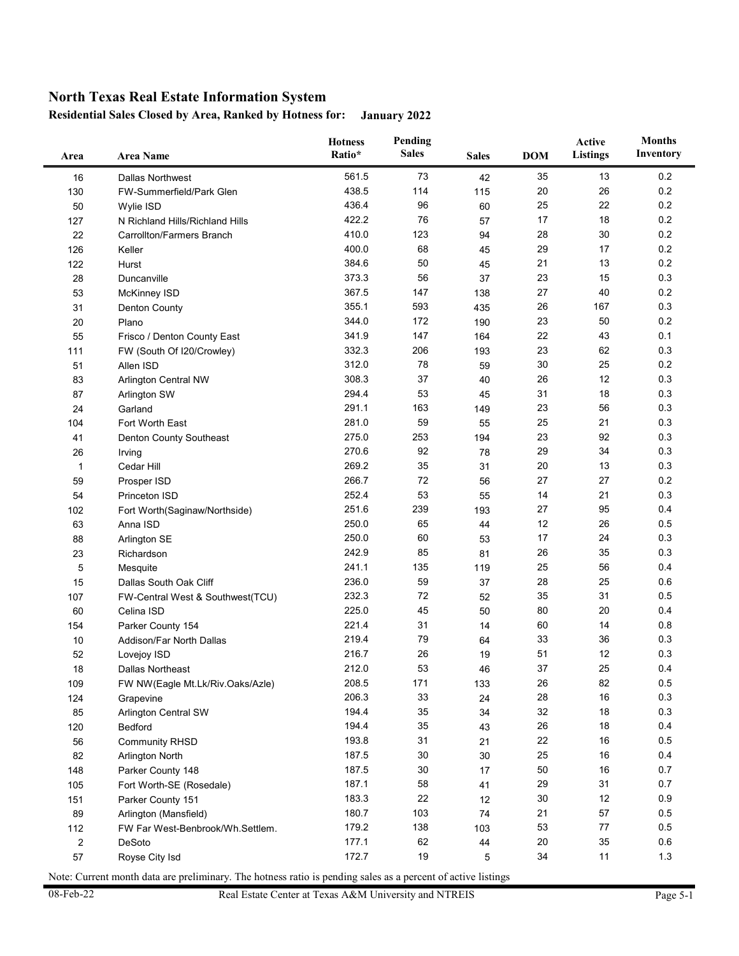#### **Residential Sales Closed by Area, Ranked by Hotness for: January 2022**

| Area         | <b>Area Name</b>                 | <b>Hotness</b><br>Ratio* | Pending<br><b>Sales</b> | <b>Sales</b> | <b>DOM</b> | Active<br><b>Listings</b> | <b>Months</b><br>Inventory |
|--------------|----------------------------------|--------------------------|-------------------------|--------------|------------|---------------------------|----------------------------|
| 16           | Dallas Northwest                 | 561.5                    | 73                      | 42           | 35         | 13                        | 0.2                        |
| 130          | FW-Summerfield/Park Glen         | 438.5                    | 114                     | 115          | 20         | 26                        | 0.2                        |
| 50           | Wylie ISD                        | 436.4                    | 96                      | 60           | 25         | 22                        | 0.2                        |
| 127          | N Richland Hills/Richland Hills  | 422.2                    | 76                      | 57           | 17         | 18                        | 0.2                        |
| 22           | Carrollton/Farmers Branch        | 410.0                    | 123                     | 94           | 28         | 30                        | 0.2                        |
| 126          | Keller                           | 400.0                    | 68                      | 45           | 29         | 17                        | 0.2                        |
| 122          | Hurst                            | 384.6                    | 50                      | 45           | 21         | 13                        | 0.2                        |
| 28           | Duncanville                      | 373.3                    | 56                      | 37           | 23         | 15                        | 0.3                        |
| 53           | McKinney ISD                     | 367.5                    | 147                     | 138          | 27         | 40                        | 0.2                        |
| 31           | <b>Denton County</b>             | 355.1                    | 593                     | 435          | 26         | 167                       | 0.3                        |
| 20           | Plano                            | 344.0                    | 172                     | 190          | 23         | 50                        | 0.2                        |
| 55           | Frisco / Denton County East      | 341.9                    | 147                     | 164          | 22         | 43                        | 0.1                        |
| 111          | FW (South Of I20/Crowley)        | 332.3                    | 206                     | 193          | 23         | 62                        | 0.3                        |
| 51           | Allen ISD                        | 312.0                    | 78                      | 59           | 30         | 25                        | 0.2                        |
| 83           | <b>Arlington Central NW</b>      | 308.3                    | 37                      | 40           | 26         | 12                        | 0.3                        |
| 87           | Arlington SW                     | 294.4                    | 53                      | 45           | 31         | 18                        | 0.3                        |
| 24           | Garland                          | 291.1                    | 163                     | 149          | 23         | 56                        | 0.3                        |
| 104          | Fort Worth East                  | 281.0                    | 59                      | 55           | 25         | 21                        | 0.3                        |
| 41           | Denton County Southeast          | 275.0                    | 253                     | 194          | 23         | 92                        | 0.3                        |
| 26           | Irving                           | 270.6                    | 92                      | 78           | 29         | 34                        | 0.3                        |
| $\mathbf{1}$ | Cedar Hill                       | 269.2                    | 35                      | 31           | 20         | 13                        | 0.3                        |
| 59           | Prosper ISD                      | 266.7                    | 72                      | 56           | 27         | 27                        | 0.2                        |
| 54           | Princeton ISD                    | 252.4                    | 53                      | 55           | 14         | 21                        | 0.3                        |
| 102          | Fort Worth(Saginaw/Northside)    | 251.6                    | 239                     | 193          | 27         | 95                        | 0.4                        |
| 63           | Anna ISD                         | 250.0                    | 65                      | 44           | 12         | 26                        | 0.5                        |
| 88           | Arlington SE                     | 250.0                    | 60                      | 53           | 17         | 24                        | 0.3                        |
| 23           | Richardson                       | 242.9                    | 85                      | 81           | 26         | 35                        | 0.3                        |
| 5            | Mesquite                         | 241.1                    | 135                     | 119          | 25         | 56                        | 0.4                        |
| 15           | Dallas South Oak Cliff           | 236.0                    | 59                      | 37           | 28         | 25                        | 0.6                        |
| 107          | FW-Central West & Southwest(TCU) | 232.3                    | 72                      | 52           | 35         | 31                        | 0.5                        |
| 60           | Celina ISD                       | 225.0                    | 45                      | 50           | 80         | 20                        | 0.4                        |
| 154          | Parker County 154                | 221.4                    | 31                      | 14           | 60         | 14                        | 0.8                        |
| 10           | Addison/Far North Dallas         | 219.4                    | 79                      | 64           | 33         | 36                        | 0.3                        |
| 52           | Lovejoy ISD                      | 216.7                    | 26                      | 19           | 51         | 12                        | 0.3                        |
| 18           | Dallas Northeast                 | 212.0                    | 53                      | 46           | 37         | 25                        | 0.4                        |
| 109          | FW NW(Eagle Mt.Lk/Riv.Oaks/Azle) | 208.5                    | 171                     | 133          | 26         | 82                        | 0.5                        |
| 124          | Grapevine                        | 206.3                    | 33                      | 24           | 28         | 16                        | 0.3                        |
| 85           | Arlington Central SW             | 194.4                    | 35                      | 34           | 32         | 18                        | 0.3                        |
| 120          | Bedford                          | 194.4                    | 35                      | 43           | 26         | 18                        | 0.4                        |
| 56           | <b>Community RHSD</b>            | 193.8                    | 31                      | 21           | 22         | 16                        | 0.5                        |
| 82           | Arlington North                  | 187.5                    | 30                      | 30           | 25         | 16                        | 0.4                        |
| 148          | Parker County 148                | 187.5                    | 30                      | 17           | 50         | 16                        | 0.7                        |
| 105          | Fort Worth-SE (Rosedale)         | 187.1                    | 58                      | 41           | 29         | 31                        | 0.7                        |
| 151          | Parker County 151                | 183.3                    | 22                      | 12           | 30         | 12                        | 0.9                        |
| 89           | Arlington (Mansfield)            | 180.7                    | 103                     | 74           | 21         | 57                        | 0.5                        |
| 112          | FW Far West-Benbrook/Wh.Settlem. | 179.2                    | 138                     | 103          | 53         | 77                        | 0.5                        |
| $\sqrt{2}$   | DeSoto                           | 177.1                    | 62                      | 44           | 20         | 35                        | 0.6                        |
| 57           | Royse City Isd                   | 172.7                    | 19                      | 5            | 34         | 11                        | $1.3$                      |

Note: Current month data are preliminary. The hotness ratio is pending sales as a percent of active listings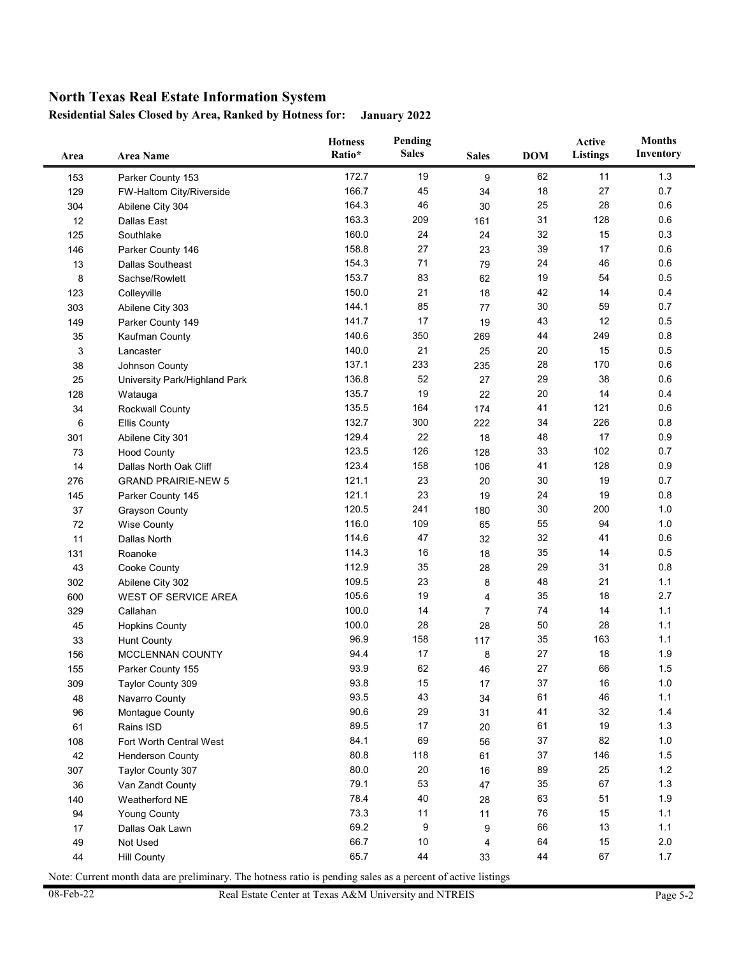**Residential Sales Closed by Area, Ranked by Hotness for: January 2022**

| Area | <b>Area Name</b>              | <b>Hotness</b><br>Ratio* | Pending<br><b>Sales</b> | <b>Sales</b>   | <b>DOM</b> | Active<br><b>Listings</b> | <b>Months</b><br>Inventory |
|------|-------------------------------|--------------------------|-------------------------|----------------|------------|---------------------------|----------------------------|
| 153  | Parker County 153             | 172.7                    | 19                      | 9              | 62         | 11                        | 1.3                        |
| 129  | FW-Haltom City/Riverside      | 166.7                    | 45                      | 34             | 18         | 27                        | 0.7                        |
| 304  | Abilene City 304              | 164.3                    | 46                      | 30             | 25         | 28                        | 0.6                        |
| 12   | <b>Dallas East</b>            | 163.3                    | 209                     | 161            | 31         | 128                       | 0.6                        |
| 125  | Southlake                     | 160.0                    | 24                      | 24             | 32         | 15                        | 0.3                        |
| 146  | Parker County 146             | 158.8                    | 27                      | 23             | 39         | 17                        | 0.6                        |
| 13   | <b>Dallas Southeast</b>       | 154.3                    | 71                      | 79             | 24         | 46                        | 0.6                        |
| 8    | Sachse/Rowlett                | 153.7                    | 83                      | 62             | 19         | 54                        | 0.5                        |
| 123  | Colleyville                   | 150.0                    | 21                      | 18             | 42         | 14                        | 0.4                        |
| 303  | Abilene City 303              | 144.1                    | 85                      | 77             | 30         | 59                        | 0.7                        |
| 149  | Parker County 149             | 141.7                    | 17                      | 19             | 43         | 12                        | 0.5                        |
| 35   | Kaufman County                | 140.6                    | 350                     | 269            | 44         | 249                       | 0.8                        |
| 3    | Lancaster                     | 140.0                    | 21                      | 25             | 20         | 15                        | 0.5                        |
| 38   | Johnson County                | 137.1                    | 233                     | 235            | 28         | 170                       | 0.6                        |
| 25   | University Park/Highland Park | 136.8                    | 52                      | 27             | 29         | 38                        | 0.6                        |
| 128  | Watauga                       | 135.7                    | 19                      | 22             | 20         | 14                        | 0.4                        |
| 34   | Rockwall County               | 135.5                    | 164                     | 174            | 41         | 121                       | 0.6                        |
| 6    | <b>Ellis County</b>           | 132.7                    | 300                     | 222            | 34         | 226                       | 0.8                        |
| 301  | Abilene City 301              | 129.4                    | 22                      | 18             | 48         | 17                        | 0.9                        |
| 73   | <b>Hood County</b>            | 123.5                    | 126                     | 128            | 33         | 102                       | 0.7                        |
| 14   | Dallas North Oak Cliff        | 123.4                    | 158                     | 106            | 41         | 128                       | 0.9                        |
| 276  | <b>GRAND PRAIRIE-NEW 5</b>    | 121.1                    | 23                      | 20             | 30         | 19                        | 0.7                        |
| 145  | Parker County 145             | 121.1                    | 23                      | 19             | 24         | 19                        | 0.8                        |
| 37   | <b>Grayson County</b>         | 120.5                    | 241                     | 180            | 30         | 200                       | 1.0                        |
| 72   | <b>Wise County</b>            | 116.0                    | 109                     | 65             | 55         | 94                        | 1.0                        |
| 11   | Dallas North                  | 114.6                    | 47                      | 32             | 32         | 41                        | 0.6                        |
| 131  | Roanoke                       | 114.3                    | 16                      | 18             | 35         | 14                        | 0.5                        |
| 43   | Cooke County                  | 112.9                    | 35                      | 28             | 29         | 31                        | 0.8                        |
| 302  | Abilene City 302              | 109.5                    | 23                      | 8              | 48         | 21                        | 1.1                        |
| 600  | <b>WEST OF SERVICE AREA</b>   | 105.6                    | 19                      | 4              | 35         | 18                        | 2.7                        |
| 329  | Callahan                      | 100.0                    | 14                      | $\overline{7}$ | 74         | 14                        | 1.1                        |
| 45   | <b>Hopkins County</b>         | 100.0                    | 28                      | 28             | 50         | 28                        | 1.1                        |
| 33   | <b>Hunt County</b>            | 96.9                     | 158                     | 117            | 35         | 163                       | 1.1                        |
| 156  | MCCLENNAN COUNTY              | 94.4                     | 17                      | 8              | 27         | 18                        | 1.9                        |
| 155  | Parker County 155             | 93.9                     | 62                      | 46             | 27         | 66                        | 1.5                        |
| 309  | Taylor County 309             | 93.8                     | 15                      | 17             | 37         | 16                        | $1.0$                      |
| 48   | Navarro County                | 93.5                     | 43                      | 34             | 61         | 46                        | 1.1                        |
| 96   | Montague County               | 90.6                     | 29                      | 31             | 41         | 32                        | $1.4$                      |
| 61   | Rains ISD                     | 89.5                     | $17$                    | 20             | 61         | 19                        | $1.3$                      |
| 108  | Fort Worth Central West       | 84.1                     | 69                      | 56             | 37         | 82                        | $1.0\,$                    |
| 42   | <b>Henderson County</b>       | 80.8                     | 118                     | 61             | 37         | 146                       | $1.5$                      |
| 307  | Taylor County 307             | 80.0                     | 20                      | 16             | 89         | 25                        | $1.2$                      |
| 36   | Van Zandt County              | 79.1                     | 53                      | 47             | 35         | 67                        | $1.3$                      |
| 140  | Weatherford NE                | 78.4                     | 40                      | 28             | 63         | 51                        | 1.9                        |
| 94   | <b>Young County</b>           | 73.3                     | 11                      | 11             | 76         | 15                        | 1.1                        |
| 17   | Dallas Oak Lawn               | 69.2                     | 9                       | 9              | 66         | 13                        | 1.1                        |
| 49   | Not Used                      | 66.7                     | $10\,$                  | 4              | 64         | 15                        | 2.0                        |
| 44   | <b>Hill County</b>            | 65.7                     | 44                      | 33             | 44         | 67                        | 1.7                        |
|      |                               |                          |                         |                |            |                           |                            |

Note: Current month data are preliminary. The hotness ratio is pending sales as a percent of active listings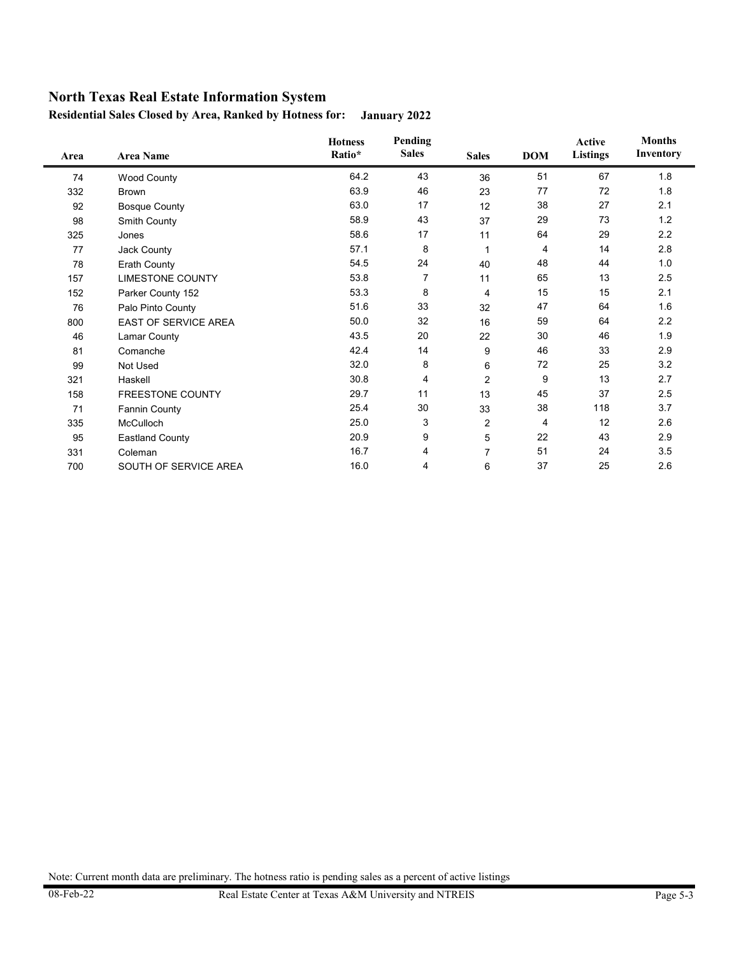**Residential Sales Closed by Area, Ranked by Hotness for: January 2022**

| Area | <b>Area Name</b>            | <b>Hotness</b><br>Ratio* | Pending<br><b>Sales</b> | <b>Sales</b>   | <b>DOM</b> | Active<br><b>Listings</b> | <b>Months</b><br>Inventory |
|------|-----------------------------|--------------------------|-------------------------|----------------|------------|---------------------------|----------------------------|
| 74   | <b>Wood County</b>          | 64.2                     | 43                      | 36             | 51         | 67                        | 1.8                        |
| 332  | <b>Brown</b>                | 63.9                     | 46                      | 23             | 77         | 72                        | 1.8                        |
| 92   | <b>Bosque County</b>        | 63.0                     | 17                      | 12             | 38         | 27                        | 2.1                        |
| 98   | Smith County                | 58.9                     | 43                      | 37             | 29         | 73                        | 1.2                        |
| 325  | Jones                       | 58.6                     | 17                      | 11             | 64         | 29                        | 2.2                        |
| 77   | Jack County                 | 57.1                     | 8                       | 1              | 4          | 14                        | 2.8                        |
| 78   | Erath County                | 54.5                     | 24                      | 40             | 48         | 44                        | 1.0                        |
| 157  | <b>LIMESTONE COUNTY</b>     | 53.8                     | $\overline{7}$          | 11             | 65         | 13                        | 2.5                        |
| 152  | Parker County 152           | 53.3                     | 8                       | 4              | 15         | 15                        | 2.1                        |
| 76   | Palo Pinto County           | 51.6                     | 33                      | 32             | 47         | 64                        | 1.6                        |
| 800  | <b>EAST OF SERVICE AREA</b> | 50.0                     | 32                      | 16             | 59         | 64                        | $2.2\,$                    |
| 46   | Lamar County                | 43.5                     | 20                      | 22             | 30         | 46                        | 1.9                        |
| 81   | Comanche                    | 42.4                     | 14                      | 9              | 46         | 33                        | 2.9                        |
| 99   | Not Used                    | 32.0                     | 8                       | 6              | 72         | 25                        | 3.2                        |
| 321  | Haskell                     | 30.8                     | 4                       | $\overline{2}$ | 9          | 13                        | 2.7                        |
| 158  | <b>FREESTONE COUNTY</b>     | 29.7                     | 11                      | 13             | 45         | 37                        | 2.5                        |
| 71   | <b>Fannin County</b>        | 25.4                     | 30                      | 33             | 38         | 118                       | 3.7                        |
| 335  | McCulloch                   | 25.0                     | 3                       | 2              | 4          | 12                        | 2.6                        |
| 95   | <b>Eastland County</b>      | 20.9                     | 9                       | 5              | 22         | 43                        | 2.9                        |
| 331  | Coleman                     | 16.7                     | 4                       | $\overline{7}$ | 51         | 24                        | 3.5                        |
| 700  | SOUTH OF SERVICE AREA       | 16.0                     | 4                       | 6              | 37         | 25                        | 2.6                        |

Note: Current month data are preliminary. The hotness ratio is pending sales as a percent of active listings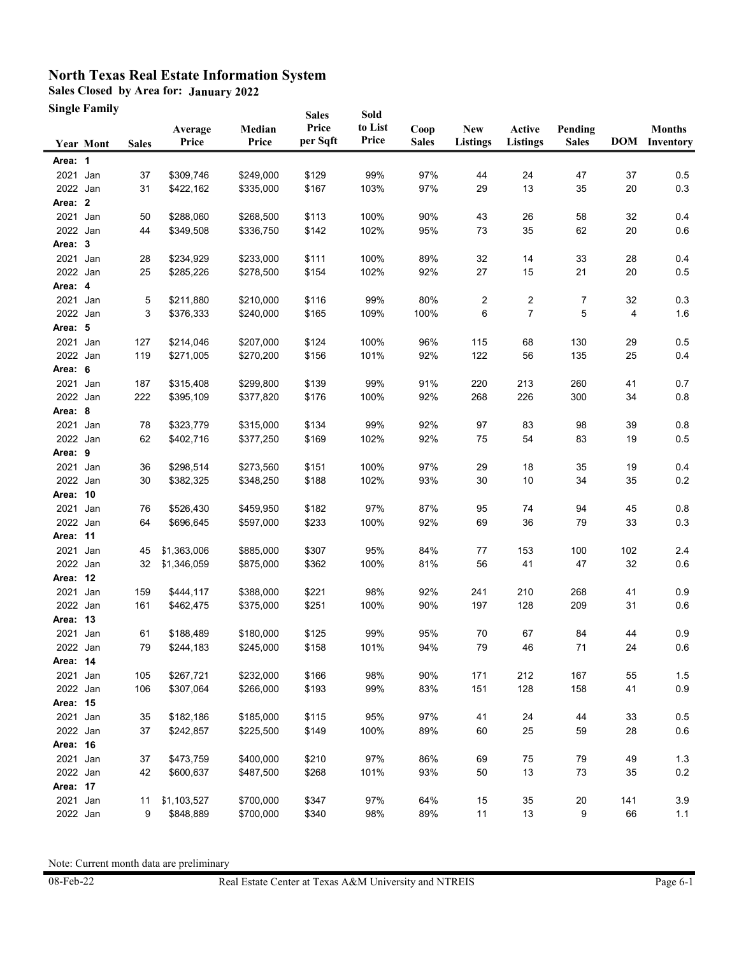**Sales Closed by Area for: January 2022**

**Single Family**

|                      | Single Family    |              |                  |                        | <b>Sales</b>      | Sold             |                      |                               |                           |                         |          |                                       |
|----------------------|------------------|--------------|------------------|------------------------|-------------------|------------------|----------------------|-------------------------------|---------------------------|-------------------------|----------|---------------------------------------|
|                      | <b>Year Mont</b> | <b>Sales</b> | Average<br>Price | Median<br>Price        | Price<br>per Sqft | to List<br>Price | Coop<br><b>Sales</b> | <b>New</b><br><b>Listings</b> | Active<br><b>Listings</b> | Pending<br><b>Sales</b> |          | <b>Months</b><br><b>DOM</b> Inventory |
| Area: 1              |                  |              |                  |                        |                   |                  |                      |                               |                           |                         |          |                                       |
| 2021                 | Jan              | 37           | \$309,746        | \$249,000              | \$129             | 99%              | 97%                  | 44                            | 24                        | 47                      | 37       | 0.5                                   |
| 2022 Jan             |                  | 31           | \$422,162        | \$335,000              | \$167             | 103%             | 97%                  | 29                            | 13                        | 35                      | 20       | 0.3                                   |
| Area: 2              |                  |              |                  |                        |                   |                  |                      |                               |                           |                         |          |                                       |
| 2021 Jan             |                  | 50           | \$288,060        | \$268,500              | \$113             | 100%             | 90%                  | 43                            | 26                        | 58                      | 32       | 0.4                                   |
| 2022 Jan             |                  | 44           | \$349,508        | \$336,750              | \$142             | 102%             | 95%                  | 73                            | 35                        | 62                      | 20       | 0.6                                   |
| Area: 3              |                  |              |                  |                        |                   |                  |                      |                               |                           |                         |          |                                       |
| 2021                 | Jan              | 28           | \$234,929        | \$233,000              | \$111             | 100%             | 89%                  | 32                            | 14                        | 33                      | 28       | 0.4                                   |
| 2022 Jan             |                  | 25           | \$285,226        | \$278,500              | \$154             | 102%             | 92%                  | 27                            | 15                        | 21                      | 20       | 0.5                                   |
| Area: 4              |                  |              |                  |                        |                   |                  |                      |                               |                           |                         |          |                                       |
| 2021 Jan             |                  | 5            | \$211,880        | \$210,000              | \$116             | 99%              | 80%                  | $\overline{2}$                | 2                         | 7                       | 32       | 0.3                                   |
| 2022 Jan             |                  | 3            | \$376,333        | \$240,000              | \$165             | 109%             | 100%                 | 6                             | 7                         | 5                       | 4        | 1.6                                   |
| Area: 5              |                  |              |                  |                        |                   |                  |                      |                               |                           |                         |          |                                       |
| 2021 Jan             |                  | 127          | \$214,046        | \$207,000              | \$124             | 100%             | 96%                  | 115                           | 68                        | 130                     | 29       | 0.5                                   |
| 2022 Jan             |                  | 119          | \$271,005        | \$270,200              | \$156             | 101%             | 92%                  | 122                           | 56                        | 135                     | 25       | 0.4                                   |
| Area: 6              |                  |              |                  |                        |                   |                  |                      |                               |                           |                         |          |                                       |
| 2021 Jan             |                  | 187          | \$315,408        | \$299,800              | \$139             | 99%              | 91%                  | 220                           | 213                       | 260                     | 41       | 0.7                                   |
| 2022 Jan             |                  | 222          | \$395,109        | \$377,820              | \$176             | 100%             | 92%                  | 268                           | 226                       | 300                     | 34       | 0.8                                   |
| Area: 8              |                  |              |                  |                        |                   |                  |                      |                               |                           |                         |          |                                       |
| 2021                 | Jan              | 78           | \$323,779        | \$315,000              | \$134             | 99%              | 92%                  | 97                            | 83                        | 98                      | 39       | 0.8                                   |
| 2022 Jan             |                  | 62           | \$402,716        | \$377,250              | \$169             | 102%             | 92%                  | 75                            | 54                        | 83                      | 19       | 0.5                                   |
| Area: 9              |                  |              |                  |                        |                   |                  |                      |                               |                           |                         |          |                                       |
| 2021                 | Jan              | 36           | \$298,514        | \$273,560              | \$151             | 100%             | 97%                  | 29                            | 18                        | 35                      | 19       | 0.4                                   |
| 2022 Jan             |                  | 30           | \$382,325        | \$348,250              | \$188             | 102%             | 93%                  | 30                            | 10                        | 34                      | 35       | 0.2                                   |
| Area: 10             |                  |              |                  |                        |                   |                  |                      |                               |                           |                         |          |                                       |
| 2021                 | Jan              | 76           | \$526,430        | \$459,950              | \$182             | 97%              | 87%                  | 95                            | 74                        | 94                      | 45       | 0.8                                   |
| 2022 Jan             |                  | 64           | \$696,645        | \$597,000              | \$233             | 100%             | 92%                  | 69                            | 36                        | 79                      | 33       | 0.3                                   |
| Area: 11             |                  |              |                  |                        |                   |                  |                      |                               |                           |                         |          |                                       |
| 2021 Jan             |                  | 45           | \$1,363,006      | \$885,000              | \$307             | 95%              | 84%                  | 77                            | 153                       | 100                     | 102      | 2.4                                   |
| 2022 Jan             |                  | 32           | \$1,346,059      | \$875,000              | \$362             | 100%             | 81%                  | 56                            | 41                        | 47                      | 32       | 0.6                                   |
| Area: 12             |                  |              |                  |                        |                   |                  |                      |                               |                           |                         |          |                                       |
| 2021                 | Jan              | 159          | \$444,117        | \$388,000              | \$221             | 98%              | 92%                  | 241                           | 210                       | 268                     | 41       | 0.9                                   |
| 2022 Jan             |                  | 161          | \$462,475        | \$375,000              | \$251             | 100%             | 90%                  | 197                           | 128                       | 209                     | 31       | 0.6                                   |
| Area: 13             |                  |              |                  |                        |                   |                  |                      |                               |                           |                         |          |                                       |
| 2021 Jan             |                  | 61           | \$188,489        | \$180.000              | \$125             | 99%              | 95%                  | 70                            | 67                        | 84                      | 44       | 0.9                                   |
| 2022 Jan             |                  | 79           | \$244,183        | \$245,000              | \$158             | 101%             | 94%                  | 79                            | 46                        | 71                      | 24       | 0.6                                   |
| Area: 14             |                  |              |                  |                        |                   |                  |                      |                               |                           |                         |          |                                       |
| 2021                 | Jan              | 105          | \$267,721        | \$232,000<br>\$266,000 | \$166             | 98%              | 90%                  | 171                           | 212                       | 167                     | 55       | 1.5                                   |
| 2022 Jan             |                  | 106          | \$307,064        |                        | \$193             | 99%              | 83%                  | 151                           | 128                       | 158                     | 41       | $0.9\,$                               |
| Area: 15             |                  |              | \$182,186        |                        |                   |                  |                      |                               |                           |                         |          |                                       |
| 2021 Jan<br>2022 Jan |                  | 35<br>37     |                  | \$185,000<br>\$225,500 | \$115             | 95%<br>100%      | 97%<br>89%           | 41<br>60                      | 24<br>25                  | 44<br>59                | 33<br>28 | $0.5\,$<br>0.6                        |
| Area: 16             |                  |              | \$242,857        |                        | \$149             |                  |                      |                               |                           |                         |          |                                       |
|                      |                  |              |                  |                        |                   |                  |                      |                               |                           |                         |          |                                       |
| 2021 Jan<br>2022 Jan |                  | 37<br>42     | \$473,759        | \$400,000<br>\$487,500 | \$210<br>\$268    | 97%<br>101%      | 86%<br>93%           | 69<br>50                      | 75<br>13                  | 79<br>73                | 49<br>35 | 1.3<br>0.2                            |
| Area: 17             |                  |              | \$600,637        |                        |                   |                  |                      |                               |                           |                         |          |                                       |
| 2021 Jan             |                  | 11           | \$1,103,527      | \$700,000              | \$347             | 97%              | 64%                  | 15                            | $35\,$                    | $20\,$                  | 141      | 3.9                                   |
| 2022 Jan             |                  | 9            | \$848,889        | \$700,000              | \$340             | 98%              | 89%                  | 11                            | 13                        | 9                       | 66       | 1.1                                   |
|                      |                  |              |                  |                        |                   |                  |                      |                               |                           |                         |          |                                       |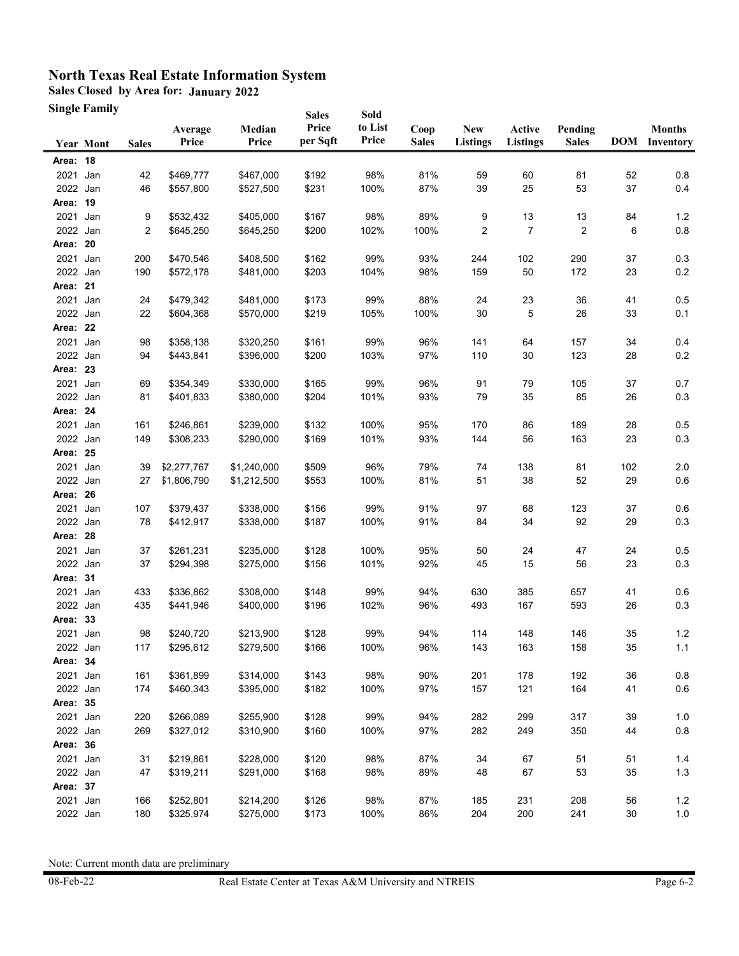**Sales Closed by Area for: January 2022**

**Single Family**

|          | Single Family    |              |                  |                 | <b>Sales</b>      | Sold             |                      |                               |                           |                         |     |                                       |
|----------|------------------|--------------|------------------|-----------------|-------------------|------------------|----------------------|-------------------------------|---------------------------|-------------------------|-----|---------------------------------------|
|          | <b>Year Mont</b> | <b>Sales</b> | Average<br>Price | Median<br>Price | Price<br>per Sqft | to List<br>Price | Coop<br><b>Sales</b> | <b>New</b><br><b>Listings</b> | Active<br><b>Listings</b> | Pending<br><b>Sales</b> |     | <b>Months</b><br><b>DOM</b> Inventory |
| Area: 18 |                  |              |                  |                 |                   |                  |                      |                               |                           |                         |     |                                       |
| 2021     | Jan              | 42           | \$469,777        | \$467,000       | \$192             | 98%              | 81%                  | 59                            | 60                        | 81                      | 52  | 0.8                                   |
| 2022 Jan |                  | 46           | \$557,800        | \$527,500       | \$231             | 100%             | 87%                  | 39                            | 25                        | 53                      | 37  | 0.4                                   |
| Area: 19 |                  |              |                  |                 |                   |                  |                      |                               |                           |                         |     |                                       |
| 2021 Jan |                  | 9            | \$532,432        | \$405,000       | \$167             | 98%              | 89%                  | 9                             | 13                        | 13                      | 84  | 1.2                                   |
| 2022 Jan |                  | 2            | \$645,250        | \$645,250       | \$200             | 102%             | 100%                 | 2                             | 7                         | 2                       | 6   | 0.8                                   |
| Area: 20 |                  |              |                  |                 |                   |                  |                      |                               |                           |                         |     |                                       |
| 2021     | Jan              | 200          | \$470,546        | \$408,500       | \$162             | 99%              | 93%                  | 244                           | 102                       | 290                     | 37  | 0.3                                   |
| 2022 Jan |                  | 190          | \$572,178        | \$481,000       | \$203             | 104%             | 98%                  | 159                           | 50                        | 172                     | 23  | 0.2                                   |
| Area: 21 |                  |              |                  |                 |                   |                  |                      |                               |                           |                         |     |                                       |
| 2021     | Jan              | 24           | \$479,342        | \$481,000       | \$173             | 99%              | 88%                  | 24                            | 23                        | 36                      | 41  | 0.5                                   |
| 2022 Jan |                  | 22           | \$604,368        | \$570,000       | \$219             | 105%             | 100%                 | 30                            | 5                         | 26                      | 33  | 0.1                                   |
| Area: 22 |                  |              |                  |                 |                   |                  |                      |                               |                           |                         |     |                                       |
| 2021 Jan |                  | 98           | \$358,138        | \$320,250       | \$161             | 99%              | 96%                  | 141                           | 64                        | 157                     | 34  | 0.4                                   |
| 2022 Jan |                  | 94           | \$443,841        | \$396,000       | \$200             | 103%             | 97%                  | 110                           | 30                        | 123                     | 28  | 0.2                                   |
| Area: 23 |                  |              |                  |                 |                   |                  |                      |                               |                           |                         |     |                                       |
| 2021 Jan |                  | 69           | \$354,349        | \$330,000       | \$165             | 99%              | 96%                  | 91                            | 79                        | 105                     | 37  | 0.7                                   |
| 2022 Jan |                  | 81           | \$401,833        | \$380,000       | \$204             | 101%             | 93%                  | 79                            | 35                        | 85                      | 26  | 0.3                                   |
| Area: 24 |                  |              |                  |                 |                   |                  |                      |                               |                           |                         |     |                                       |
| 2021     | Jan              | 161          | \$246,861        | \$239,000       | \$132             | 100%             | 95%                  | 170                           | 86                        | 189                     | 28  | 0.5                                   |
| 2022 Jan |                  | 149          | \$308,233        | \$290,000       | \$169             | 101%             | 93%                  | 144                           | 56                        | 163                     | 23  | 0.3                                   |
| Area: 25 |                  |              |                  |                 |                   |                  |                      |                               |                           |                         |     |                                       |
| 2021     | Jan              | 39           | \$2,277,767      | \$1,240,000     | \$509             | 96%              | 79%                  | 74                            | 138                       | 81                      | 102 | 2.0                                   |
| 2022 Jan |                  | 27           | \$1,806,790      | \$1,212,500     | \$553             | 100%             | 81%                  | 51                            | 38                        | 52                      | 29  | 0.6                                   |
| Area: 26 |                  |              |                  |                 |                   |                  |                      |                               |                           |                         |     |                                       |
| 2021     | Jan              | 107          | \$379,437        | \$338,000       | \$156             | 99%              | 91%                  | 97                            | 68                        | 123                     | 37  | 0.6                                   |
| 2022 Jan |                  | 78           | \$412,917        | \$338,000       | \$187             | 100%             | 91%                  | 84                            | 34                        | 92                      | 29  | 0.3                                   |
| Area: 28 |                  |              |                  |                 |                   |                  |                      |                               |                           |                         |     |                                       |
| 2021 Jan |                  | 37           | \$261,231        | \$235,000       | \$128             | 100%             | 95%                  | 50                            | 24                        | 47                      | 24  | 0.5                                   |
| 2022 Jan |                  | 37           | \$294,398        | \$275,000       | \$156             | 101%             | 92%                  | 45                            | 15                        | 56                      | 23  | 0.3                                   |
| Area: 31 |                  |              |                  |                 |                   |                  |                      |                               |                           |                         |     |                                       |
| 2021     | Jan              | 433          | \$336,862        | \$308,000       | \$148             | 99%              | 94%                  | 630                           | 385                       | 657                     | 41  | 0.6                                   |
| 2022 Jan |                  | 435          | \$441,946        | \$400,000       | \$196             | 102%             | 96%                  | 493                           | 167                       | 593                     | 26  | 0.3                                   |
| Area: 33 |                  |              |                  |                 |                   |                  |                      |                               |                           |                         |     |                                       |
| 2021 Jan |                  | 98           | \$240,720        | \$213,900       | \$128             | 99%              | 94%                  | 114                           | 148                       | 146                     | 35  | 1.2                                   |
| 2022 Jan |                  | 117          | \$295,612        | \$279,500       | \$166             | 100%             | 96%                  | 143                           | 163                       | 158                     | 35  | 1.1                                   |
| Area: 34 |                  |              |                  |                 |                   |                  |                      |                               |                           |                         |     |                                       |
| 2021     | Jan              | 161          | \$361,899        | \$314,000       | \$143             | 98%              | 90%                  | 201                           | 178                       | 192                     | 36  | $0.8\,$                               |
| 2022 Jan |                  | 174          | \$460,343        | \$395,000       | \$182             | 100%             | 97%                  | 157                           | 121                       | 164                     | 41  | $0.6\,$                               |
| Area: 35 |                  |              |                  |                 |                   |                  |                      |                               |                           |                         |     |                                       |
| 2021 Jan |                  | 220          | \$266,089        | \$255,900       | \$128             | 99%              | 94%                  | 282                           | 299                       | 317                     | 39  | 1.0                                   |
| 2022 Jan |                  | 269          | \$327,012        | \$310,900       | \$160             | 100%             | 97%                  | 282                           | 249                       | 350                     | 44  | 0.8                                   |
| Area: 36 |                  |              |                  |                 |                   |                  |                      |                               |                           |                         |     |                                       |
| 2021 Jan |                  | 31           | \$219,861        | \$228,000       | \$120             | 98%              | 87%                  | 34                            | 67                        | 51                      | 51  | 1.4                                   |
| 2022 Jan |                  | 47           | \$319,211        | \$291,000       | \$168             | 98%              | 89%                  | 48                            | 67                        | 53                      | 35  | $1.3$                                 |
| Area: 37 |                  |              |                  |                 |                   |                  |                      |                               |                           |                         |     |                                       |
| 2021 Jan |                  | 166          | \$252,801        | \$214,200       | \$126             | 98%              | 87%                  | 185                           | 231                       | 208                     | 56  | 1.2                                   |
| 2022 Jan |                  | 180          | \$325,974        | \$275,000       | \$173             | 100%             | 86%                  | 204                           | 200                       | 241                     | 30  | $1.0$                                 |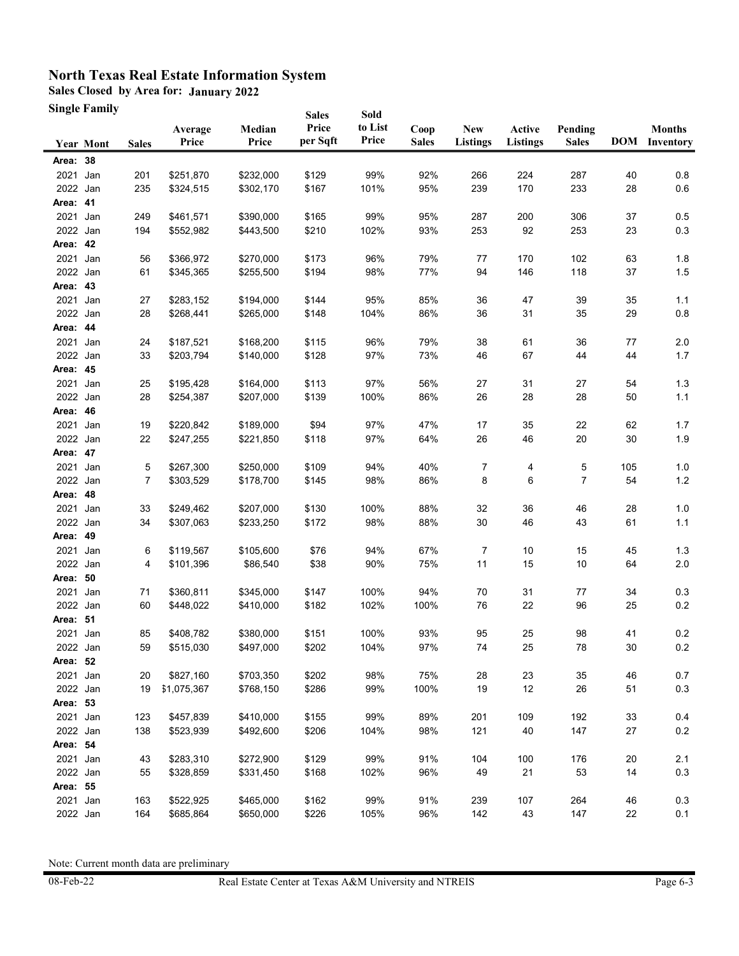**Sales Closed by Area for: January 2022**

**Single Family**

|                  | Single Family    |                |                  |                 | <b>Sales</b>      | Sold             |                      |                               |                           |                         |        |                                       |
|------------------|------------------|----------------|------------------|-----------------|-------------------|------------------|----------------------|-------------------------------|---------------------------|-------------------------|--------|---------------------------------------|
|                  | <b>Year Mont</b> | <b>Sales</b>   | Average<br>Price | Median<br>Price | Price<br>per Sqft | to List<br>Price | Coop<br><b>Sales</b> | <b>New</b><br><b>Listings</b> | Active<br><b>Listings</b> | Pending<br><b>Sales</b> |        | <b>Months</b><br><b>DOM</b> Inventory |
| Area: 38         |                  |                |                  |                 |                   |                  |                      |                               |                           |                         |        |                                       |
| 2021             | Jan              | 201            | \$251,870        | \$232,000       | \$129             | 99%              | 92%                  | 266                           | 224                       | 287                     | 40     | 0.8                                   |
| 2022 Jan         |                  | 235            | \$324,515        | \$302,170       | \$167             | 101%             | 95%                  | 239                           | 170                       | 233                     | 28     | 0.6                                   |
| Area: 41         |                  |                |                  |                 |                   |                  |                      |                               |                           |                         |        |                                       |
| 2021 Jan         |                  | 249            | \$461,571        | \$390,000       | \$165             | 99%              | 95%                  | 287                           | 200                       | 306                     | 37     | 0.5                                   |
| 2022 Jan         |                  | 194            | \$552,982        | \$443,500       | \$210             | 102%             | 93%                  | 253                           | 92                        | 253                     | 23     | 0.3                                   |
| Area: 42         |                  |                |                  |                 |                   |                  |                      |                               |                           |                         |        |                                       |
| 2021             | Jan              | 56             | \$366,972        | \$270,000       | \$173             | 96%              | 79%                  | 77                            | 170                       | 102                     | 63     | 1.8                                   |
| 2022 Jan         |                  | 61             | \$345,365        | \$255,500       | \$194             | 98%              | 77%                  | 94                            | 146                       | 118                     | 37     | 1.5                                   |
| Area: 43         |                  |                |                  |                 |                   |                  |                      |                               |                           |                         |        |                                       |
| 2021             | Jan              | 27             | \$283,152        | \$194,000       | \$144             | 95%              | 85%                  | 36                            | 47                        | 39                      | 35     | 1.1                                   |
| 2022 Jan         |                  | 28             | \$268,441        | \$265,000       | \$148             | 104%             | 86%                  | 36                            | 31                        | 35                      | 29     | 0.8                                   |
| Area: 44         |                  |                |                  |                 |                   |                  |                      |                               |                           |                         |        |                                       |
| 2021             | Jan              | 24             | \$187,521        | \$168,200       | \$115             | 96%              | 79%                  | 38                            | 61                        | 36                      | 77     | 2.0                                   |
| 2022 Jan         |                  | 33             | \$203,794        | \$140,000       | \$128             | 97%              | 73%                  | 46                            | 67                        | 44                      | 44     | 1.7                                   |
| Area: 45         |                  |                |                  |                 |                   |                  |                      |                               |                           |                         |        |                                       |
| 2021 Jan         |                  | 25             | \$195,428        | \$164,000       | \$113             | 97%              | 56%                  | 27                            | 31                        | 27                      | 54     | 1.3                                   |
| 2022 Jan         |                  | 28             | \$254,387        | \$207,000       | \$139             | 100%             | 86%                  | 26                            | 28                        | 28                      | 50     | 1.1                                   |
| Area: 46         |                  |                |                  |                 |                   |                  |                      |                               |                           |                         |        |                                       |
| 2021             | Jan              | 19             | \$220,842        | \$189,000       | \$94              | 97%              | 47%                  | 17                            | 35                        | 22                      | 62     | 1.7                                   |
| 2022 Jan         |                  | 22             | \$247,255        | \$221,850       | \$118             | 97%              | 64%                  | 26                            | 46                        | $20\,$                  | 30     | 1.9                                   |
| Area: 47         |                  |                |                  |                 |                   |                  |                      |                               |                           |                         |        |                                       |
| 2021             | Jan              | 5              | \$267,300        | \$250,000       | \$109             | 94%              | 40%                  | 7                             | 4                         | 5                       | 105    | 1.0                                   |
| 2022 Jan         |                  | $\overline{7}$ | \$303,529        | \$178,700       | \$145             | 98%              | 86%                  | 8                             | 6                         | 7                       | 54     | $1.2$                                 |
| Area: 48         |                  |                |                  |                 |                   |                  |                      |                               |                           |                         |        |                                       |
| 2021             | Jan              | 33             | \$249,462        | \$207,000       | \$130             | 100%             | 88%                  | 32                            | 36                        | 46                      | 28     | 1.0                                   |
| 2022 Jan         |                  | 34             | \$307,063        | \$233,250       | \$172             | 98%              | 88%                  | 30                            | 46                        | 43                      | 61     | 1.1                                   |
| Area: 49         |                  |                |                  |                 |                   |                  |                      |                               |                           |                         |        |                                       |
| 2021 Jan         |                  | 6              | \$119,567        | \$105,600       | \$76              | 94%              | 67%                  | 7                             | 10                        | 15                      | 45     | 1.3                                   |
| 2022 Jan         |                  | 4              | \$101,396        | \$86,540        | \$38              | 90%              | 75%                  | 11                            | 15                        | 10                      | 64     | $2.0\,$                               |
| Area: 50         |                  |                |                  |                 |                   |                  |                      |                               |                           |                         |        |                                       |
| 2021             | Jan              | 71             | \$360,811        | \$345,000       | \$147             | 100%             | 94%                  | 70                            | 31                        | 77                      | 34     | 0.3                                   |
| 2022 Jan         |                  | 60             | \$448,022        | \$410,000       | \$182             | 102%             | 100%                 | 76                            | 22                        | 96                      | 25     | 0.2                                   |
| Area: 51         |                  |                |                  |                 |                   |                  |                      |                               |                           |                         |        |                                       |
| 2021 Jan         |                  | 85             | \$408,782        | \$380,000       | \$151             | 100%             | 93%                  | 95                            | 25                        | 98                      | 41     | 0.2                                   |
| 2022 Jan         |                  | 59             | \$515,030        | \$497,000       | \$202             | 104%             | 97%                  | 74                            | 25                        | 78                      | $30\,$ | $0.2\,$                               |
| Area: 52<br>2021 | Jan              | 20             | \$827,160        | \$703,350       | \$202             | 98%              | 75%                  | 28                            | 23                        | 35                      | 46     | 0.7                                   |
| 2022 Jan         |                  | 19             | \$1,075,367      | \$768,150       | \$286             | 99%              | 100%                 | 19                            | 12                        | 26                      | 51     | 0.3                                   |
| Area: 53         |                  |                |                  |                 |                   |                  |                      |                               |                           |                         |        |                                       |
| 2021 Jan         |                  | 123            | \$457,839        | \$410,000       | \$155             | 99%              | 89%                  | 201                           | 109                       | 192                     | 33     | 0.4                                   |
| 2022 Jan         |                  | 138            | \$523,939        | \$492,600       | \$206             | 104%             | 98%                  | 121                           | 40                        | 147                     | 27     | 0.2                                   |
| Area: 54         |                  |                |                  |                 |                   |                  |                      |                               |                           |                         |        |                                       |
| 2021             | Jan              | 43             | \$283,310        | \$272,900       | \$129             | 99%              | 91%                  | 104                           | 100                       | 176                     | 20     | 2.1                                   |
| 2022 Jan         |                  | 55             | \$328,859        | \$331,450       | \$168             | 102%             | 96%                  | 49                            | 21                        | 53                      | 14     | 0.3                                   |
| Area: 55         |                  |                |                  |                 |                   |                  |                      |                               |                           |                         |        |                                       |
| 2021 Jan         |                  | 163            | \$522,925        | \$465,000       | \$162             | 99%              | 91%                  | 239                           | 107                       | 264                     | 46     | 0.3                                   |
| 2022 Jan         |                  | 164            | \$685,864        | \$650,000       | \$226             | 105%             | 96%                  | 142                           | 43                        | 147                     | 22     | 0.1                                   |
|                  |                  |                |                  |                 |                   |                  |                      |                               |                           |                         |        |                                       |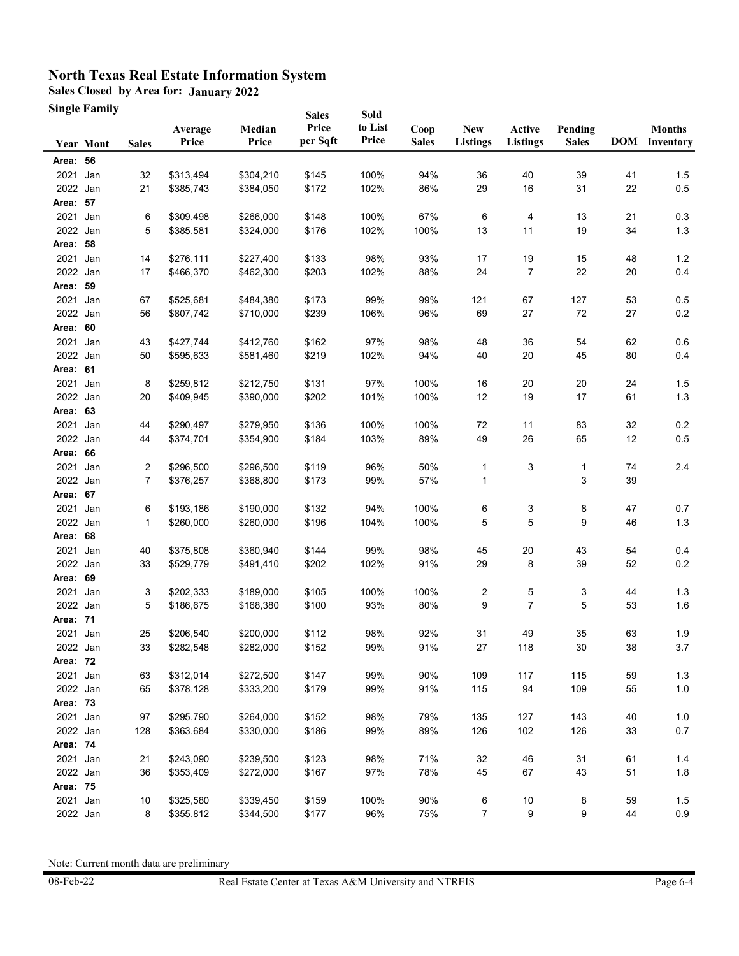**Sales Closed by Area for: January 2022**

**Single Family**

|                      | Single Family    |                |                  |                 | <b>Sales</b>      | Sold             |                      |                               |                           |                         |          |                                       |
|----------------------|------------------|----------------|------------------|-----------------|-------------------|------------------|----------------------|-------------------------------|---------------------------|-------------------------|----------|---------------------------------------|
|                      | <b>Year Mont</b> | <b>Sales</b>   | Average<br>Price | Median<br>Price | Price<br>per Sqft | to List<br>Price | Coop<br><b>Sales</b> | <b>New</b><br><b>Listings</b> | Active<br><b>Listings</b> | Pending<br><b>Sales</b> |          | <b>Months</b><br><b>DOM</b> Inventory |
| Area: 56             |                  |                |                  |                 |                   |                  |                      |                               |                           |                         |          |                                       |
| 2021                 | Jan              | 32             | \$313,494        | \$304,210       | \$145             | 100%             | 94%                  | 36                            | 40                        | 39                      | 41       | 1.5                                   |
| 2022 Jan             |                  | 21             | \$385,743        | \$384,050       | \$172             | 102%             | 86%                  | 29                            | 16                        | 31                      | 22       | 0.5                                   |
| Area: 57             |                  |                |                  |                 |                   |                  |                      |                               |                           |                         |          |                                       |
| 2021 Jan             |                  | 6              | \$309,498        | \$266,000       | \$148             | 100%             | 67%                  | 6                             | 4                         | 13                      | 21       | 0.3                                   |
| 2022 Jan             |                  | 5              | \$385,581        | \$324,000       | \$176             | 102%             | 100%                 | 13                            | 11                        | 19                      | 34       | 1.3                                   |
| Area: 58             |                  |                |                  |                 |                   |                  |                      |                               |                           |                         |          |                                       |
| 2021                 | Jan              | 14             | \$276,111        | \$227,400       | \$133             | 98%              | 93%                  | 17                            | 19                        | 15                      | 48       | 1.2                                   |
| 2022 Jan             |                  | 17             | \$466,370        | \$462,300       | \$203             | 102%             | 88%                  | 24                            | 7                         | 22                      | 20       | 0.4                                   |
| Area: 59             |                  |                |                  |                 |                   |                  |                      |                               |                           |                         |          |                                       |
| 2021                 | Jan              | 67             | \$525,681        | \$484,380       | \$173             | 99%              | 99%                  | 121                           | 67                        | 127                     | 53       | 0.5                                   |
| 2022                 | Jan              | 56             | \$807,742        | \$710,000       | \$239             | 106%             | 96%                  | 69                            | 27                        | $72\,$                  | 27       | 0.2                                   |
| Area:                | 60               |                |                  |                 |                   |                  |                      |                               |                           |                         |          |                                       |
| 2021                 | Jan              | 43             | \$427,744        | \$412,760       | \$162             | 97%              | 98%                  | 48                            | 36                        | 54                      | 62       | 0.6                                   |
| 2022 Jan             |                  | 50             | \$595,633        | \$581,460       | \$219             | 102%             | 94%                  | 40                            | 20                        | 45                      | 80       | 0.4                                   |
| Area: 61             |                  |                |                  |                 |                   |                  |                      |                               |                           |                         |          |                                       |
| 2021 Jan             |                  | 8              | \$259,812        | \$212,750       | \$131             | 97%              | 100%                 | 16                            | 20                        | 20                      | 24       | 1.5                                   |
| 2022 Jan             |                  | 20             | \$409,945        | \$390,000       | \$202             | 101%             | 100%                 | 12                            | 19                        | 17                      | 61       | 1.3                                   |
| Area: 63             |                  |                |                  |                 |                   |                  |                      |                               |                           |                         |          |                                       |
| 2021                 | Jan              | 44             | \$290,497        | \$279,950       | \$136             | 100%             | 100%                 | 72                            | 11                        | 83                      | 32       | 0.2                                   |
| 2022 Jan             |                  | 44             | \$374,701        | \$354,900       | \$184             | 103%             | 89%                  | 49                            | 26                        | 65                      | 12       | 0.5                                   |
| Area: 66             |                  |                |                  |                 |                   |                  |                      |                               |                           |                         |          |                                       |
| 2021                 | Jan              | 2              | \$296,500        | \$296,500       | \$119             | 96%              | 50%                  | 1                             | 3                         | 1                       | 74       | 2.4                                   |
| 2022 Jan             |                  | $\overline{7}$ | \$376,257        | \$368,800       | \$173             | 99%              | 57%                  | 1                             |                           | 3                       | 39       |                                       |
| Area: 67             |                  |                |                  |                 |                   |                  |                      |                               |                           |                         |          |                                       |
| 2021                 | Jan              | 6              | \$193,186        | \$190,000       | \$132             | 94%              | 100%                 | 6                             | 3                         | 8                       | 47       | 0.7                                   |
| 2022 Jan             |                  | 1              | \$260,000        | \$260,000       | \$196             | 104%             | 100%                 | 5                             | 5                         | 9                       | 46       | 1.3                                   |
| Area: 68             |                  |                |                  |                 |                   |                  |                      |                               |                           |                         |          |                                       |
| 2021 Jan             |                  | 40             | \$375,808        | \$360,940       | \$144             | 99%              | 98%                  | 45                            | 20                        | 43                      | 54       | 0.4                                   |
| 2022 Jan             |                  | 33             | \$529,779        | \$491,410       | \$202             | 102%             | 91%                  | 29                            | 8                         | 39                      | 52       | 0.2                                   |
| Area: 69             |                  |                |                  |                 |                   |                  |                      |                               |                           |                         |          |                                       |
| 2021                 | Jan              | 3              | \$202,333        | \$189,000       | \$105             | 100%             | 100%                 | 2                             | 5                         | 3                       | 44       | 1.3                                   |
| 2022 Jan             |                  | 5              | \$186,675        | \$168,380       | \$100             | 93%              | 80%                  | 9                             | 7                         | 5                       | 53       | 1.6                                   |
| Area: 71             |                  |                |                  |                 |                   |                  |                      |                               |                           |                         |          |                                       |
| 2021 Jan             |                  | 25             | \$206,540        | \$200.000       | \$112             | 98%              | 92%                  | 31                            | 49                        | 35                      | 63       | 1.9                                   |
| 2022 Jan             |                  | 33             | \$282,548        | \$282,000       | \$152             | 99%              | 91%                  | 27                            | 118                       | $30\,$                  | 38       | 3.7                                   |
| Area: 72             |                  |                |                  |                 |                   |                  |                      |                               |                           |                         |          |                                       |
| 2021 Jan             |                  | 63             | \$312,014        | \$272,500       | \$147             | 99%              | 90%                  | 109                           | 117                       | 115                     | 59       | 1.3                                   |
| 2022 Jan             |                  | 65             | \$378,128        | \$333,200       | \$179             | 99%              | 91%                  | 115                           | 94                        | 109                     | 55       | $1.0$                                 |
| Area: 73             |                  |                |                  |                 |                   |                  |                      |                               |                           |                         |          |                                       |
| 2021 Jan             |                  | 97             | \$295,790        | \$264,000       | \$152             | 98%              | 79%                  | 135                           | 127                       | 143                     | 40       | $1.0$                                 |
| 2022 Jan             |                  | 128            | \$363,684        | \$330,000       | \$186             | 99%              | 89%                  | 126                           | 102                       | 126                     | 33       | 0.7                                   |
| Area: 74             |                  |                |                  |                 |                   |                  |                      |                               |                           |                         |          |                                       |
| 2021 Jan             |                  | 21             | \$243,090        | \$239,500       | \$123             | 98%              | 71%                  | 32                            | 46                        | 31                      | 61       | 1.4                                   |
| 2022 Jan<br>Area: 75 |                  | 36             | \$353,409        | \$272,000       | \$167             | 97%              | 78%                  | 45                            | 67                        | 43                      | 51       | 1.8                                   |
|                      |                  |                |                  |                 |                   |                  |                      |                               |                           |                         |          |                                       |
| 2021 Jan<br>2022 Jan |                  | 10<br>8        | \$325,580        | \$339,450       | \$159             | 100%<br>96%      | 90%<br>75%           | $\,6$<br>$\overline{7}$       | 10<br>9                   | 8<br>9                  | 59<br>44 | 1.5<br>0.9                            |
|                      |                  |                | \$355,812        | \$344,500       | \$177             |                  |                      |                               |                           |                         |          |                                       |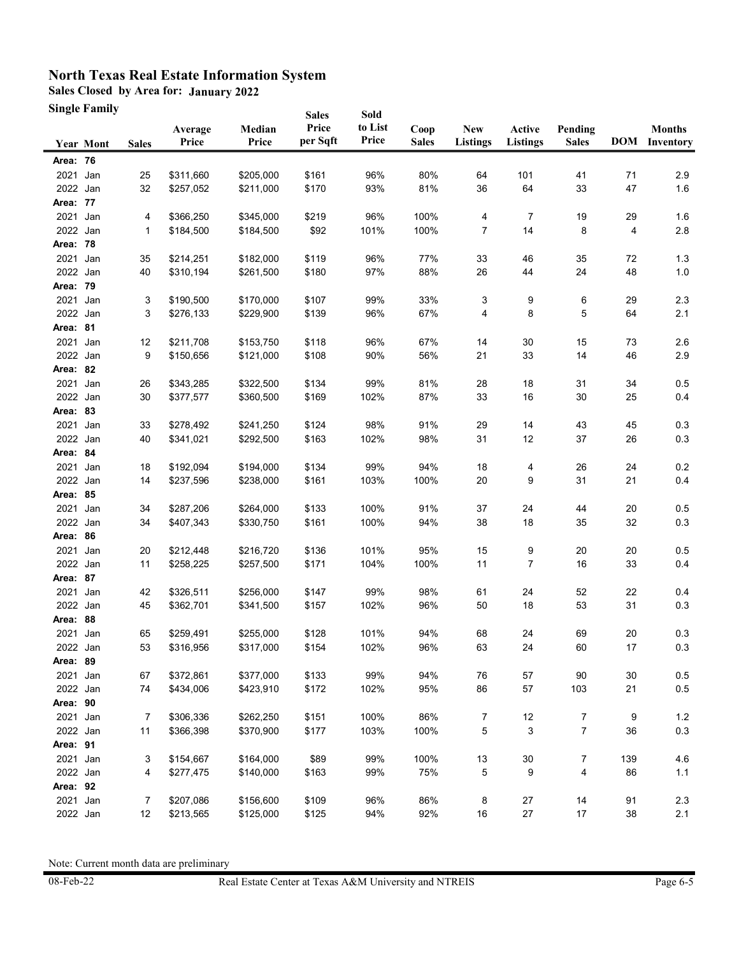**Sales Closed by Area for: January 2022**

**Single Family**

|          | Single Family    |              |                  |                 | <b>Sales</b>      | Sold             |                      |                               |                           |                         |          |                                       |
|----------|------------------|--------------|------------------|-----------------|-------------------|------------------|----------------------|-------------------------------|---------------------------|-------------------------|----------|---------------------------------------|
|          | <b>Year Mont</b> | <b>Sales</b> | Average<br>Price | Median<br>Price | Price<br>per Sqft | to List<br>Price | Coop<br><b>Sales</b> | <b>New</b><br><b>Listings</b> | Active<br><b>Listings</b> | Pending<br><b>Sales</b> |          | <b>Months</b><br><b>DOM</b> Inventory |
| Area: 76 |                  |              |                  |                 |                   |                  |                      |                               |                           |                         |          |                                       |
| 2021     | Jan              | 25           | \$311,660        | \$205,000       | \$161             | 96%              | 80%                  | 64                            | 101                       | 41                      | 71       | 2.9                                   |
| 2022 Jan |                  | 32           | \$257,052        | \$211,000       | \$170             | 93%              | 81%                  | 36                            | 64                        | 33                      | 47       | 1.6                                   |
| Area: 77 |                  |              |                  |                 |                   |                  |                      |                               |                           |                         |          |                                       |
| 2021 Jan |                  | 4            | \$366,250        | \$345,000       | \$219             | 96%              | 100%                 | 4                             | 7                         | 19                      | 29       | 1.6                                   |
| 2022 Jan |                  | 1            | \$184,500        | \$184,500       | \$92              | 101%             | 100%                 | 7                             | 14                        | 8                       | 4        | 2.8                                   |
| Area: 78 |                  |              |                  |                 |                   |                  |                      |                               |                           |                         |          |                                       |
| 2021     | Jan              | 35           | \$214,251        | \$182,000       | \$119             | 96%              | 77%                  | 33                            | 46                        | 35                      | 72       | 1.3                                   |
| 2022 Jan |                  | 40           | \$310,194        | \$261,500       | \$180             | 97%              | 88%                  | 26                            | 44                        | 24                      | 48       | 1.0                                   |
| Area: 79 |                  |              |                  |                 |                   |                  |                      |                               |                           |                         |          |                                       |
| 2021     | Jan              | 3            | \$190,500        | \$170,000       | \$107             | 99%              | 33%                  | 3                             | 9                         | 6                       | 29       | 2.3                                   |
| 2022 Jan |                  | 3            | \$276,133        | \$229,900       | \$139             | 96%              | 67%                  | 4                             | 8                         | 5                       | 64       | 2.1                                   |
| Area: 81 |                  |              |                  |                 |                   |                  |                      |                               |                           |                         |          |                                       |
| 2021     | Jan              | 12           | \$211,708        | \$153,750       | \$118             | 96%              | 67%                  | 14                            | 30                        | 15                      | 73       | 2.6                                   |
| 2022 Jan |                  | 9            | \$150,656        | \$121,000       | \$108             | 90%              | 56%                  | 21                            | 33                        | 14                      | 46       | 2.9                                   |
| Area: 82 |                  |              |                  |                 |                   |                  |                      |                               |                           |                         |          |                                       |
| 2021 Jan |                  | 26           | \$343,285        | \$322,500       | \$134             | 99%              | 81%                  | 28                            | 18                        | 31                      | 34       | 0.5                                   |
| 2022 Jan |                  | 30           | \$377,577        | \$360,500       | \$169             | 102%             | 87%                  | 33                            | 16                        | 30                      | 25       | 0.4                                   |
| Area: 83 |                  |              |                  |                 |                   |                  |                      |                               |                           |                         |          |                                       |
| 2021     | Jan              | 33           | \$278,492        | \$241,250       | \$124             | 98%              | 91%                  | 29                            | 14                        | 43                      | 45       | 0.3                                   |
| 2022 Jan |                  | 40           | \$341,021        | \$292,500       | \$163             | 102%             | 98%                  | 31                            | 12                        | 37                      | 26       | 0.3                                   |
| Area: 84 |                  |              |                  |                 |                   |                  |                      |                               |                           |                         |          |                                       |
| 2021     | Jan              | 18           | \$192,094        | \$194,000       | \$134             | 99%              | 94%                  | 18                            | 4                         | 26                      | 24       | 0.2                                   |
| 2022 Jan |                  | 14           | \$237,596        | \$238,000       | \$161             | 103%             | 100%                 | 20                            | 9                         | 31                      | 21       | 0.4                                   |
| Area: 85 |                  |              |                  |                 |                   |                  |                      |                               |                           |                         |          |                                       |
| 2021     | Jan              | 34           | \$287,206        | \$264,000       | \$133             | 100%             | 91%                  | 37                            | 24                        | 44                      | 20       | 0.5                                   |
| 2022 Jan |                  | 34           | \$407,343        | \$330,750       | \$161             | 100%             | 94%                  | 38                            | 18                        | 35                      | 32       | 0.3                                   |
| Area: 86 |                  |              |                  |                 |                   |                  |                      |                               |                           |                         |          |                                       |
| 2021 Jan |                  | 20           | \$212,448        | \$216,720       | \$136             | 101%             | 95%                  | 15                            | 9                         | $20\,$                  | 20       | 0.5                                   |
| 2022 Jan |                  | 11           | \$258,225        | \$257,500       | \$171             | 104%             | 100%                 | 11                            | 7                         | 16                      | 33       | 0.4                                   |
| Area: 87 |                  |              |                  |                 |                   |                  |                      |                               |                           |                         |          |                                       |
| 2021     | Jan              | 42           | \$326,511        | \$256,000       | \$147             | 99%              | 98%                  | 61                            | 24                        | 52                      | 22       | 0.4                                   |
| 2022 Jan |                  | 45           | \$362,701        | \$341,500       | \$157             | 102%             | 96%                  | 50                            | 18                        | 53                      | 31       | 0.3                                   |
| Area: 88 |                  |              |                  |                 |                   |                  |                      |                               |                           |                         |          |                                       |
| 2021 Jan |                  | 65           | \$259,491        | \$255,000       | \$128             | 101%             | 94%                  | 68                            | 24                        | 69                      | 20       | 0.3                                   |
| 2022 Jan |                  | 53           | \$316,956        | \$317,000       | \$154             | 102%             | 96%                  | 63                            | 24                        | 60                      | $17\,$   | 0.3                                   |
| Area: 89 |                  |              |                  |                 |                   |                  |                      |                               |                           |                         |          |                                       |
| 2021     | Jan              | 67           | \$372,861        | \$377,000       | \$133             | 99%              | 94%                  | 76                            | $57\,$                    | $90\,$                  | 30       | 0.5                                   |
| 2022 Jan |                  | 74           | \$434,006        | \$423,910       | \$172             | 102%             | 95%                  | 86                            | $57\,$                    | 103                     | 21       | $0.5\,$                               |
| Area: 90 |                  |              |                  |                 |                   |                  |                      |                               |                           |                         |          |                                       |
| 2021 Jan |                  | 7            | \$306,336        | \$262,250       | \$151             | 100%             | 86%                  | 7                             | 12                        | 7                       | 9        | $1.2$                                 |
| 2022 Jan |                  | 11           | \$366,398        | \$370,900       | \$177             | 103%             | 100%                 | 5                             | 3                         | 7                       | 36       | 0.3                                   |
| Area: 91 |                  |              |                  |                 |                   |                  |                      |                               |                           |                         |          |                                       |
| 2021 Jan |                  | 3            | \$154,667        | \$164,000       | \$89              | 99%              | 100%                 | $13$                          | 30                        | 7                       | 139      | 4.6                                   |
| 2022 Jan |                  | 4            | \$277,475        | \$140,000       | \$163             | 99%              | 75%                  | 5                             | 9                         | 4                       | 86       | 1.1                                   |
| Area: 92 |                  |              |                  |                 |                   |                  |                      |                               |                           |                         |          |                                       |
| 2021 Jan |                  | 7<br>12      | \$207,086        | \$156,600       | \$109             | 96%<br>94%       | 86%<br>92%           | 8<br>16                       | 27<br>$27\,$              | 14<br>17                | 91<br>38 | 2.3<br>2.1                            |
| 2022 Jan |                  |              | \$213,565        | \$125,000       | \$125             |                  |                      |                               |                           |                         |          |                                       |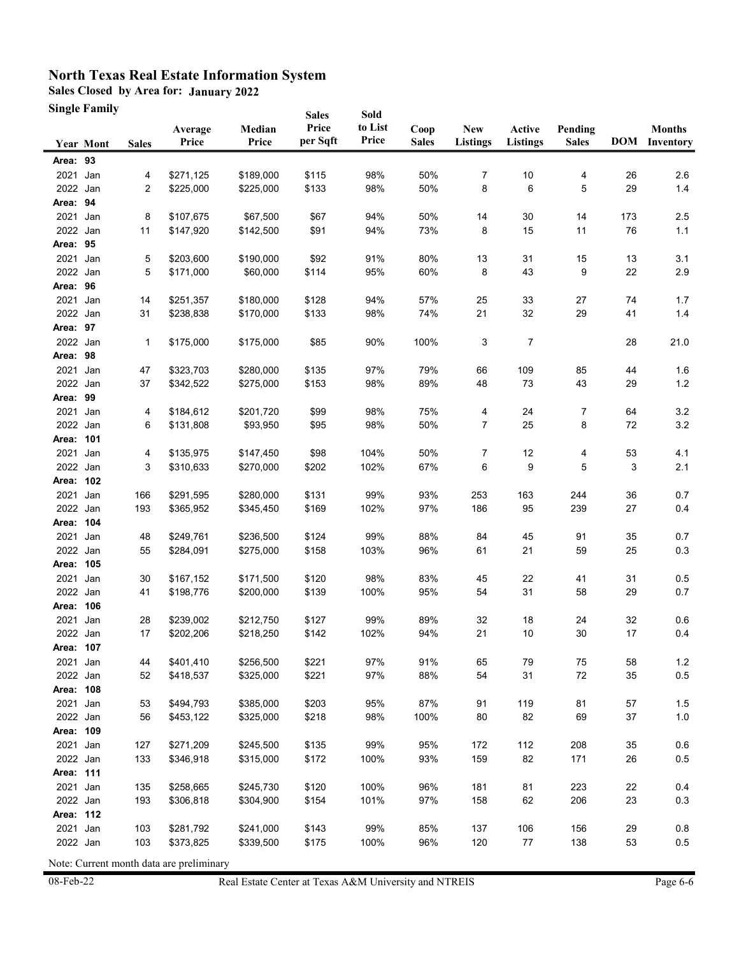**Sales Closed by Area for: January 2022**

| <b>Single Family</b> |
|----------------------|
|                      |

|           | Single Family    |              |                  |                 | <b>Sales</b>      | Sold             |                      |                               |                           |                         |     |                                       |
|-----------|------------------|--------------|------------------|-----------------|-------------------|------------------|----------------------|-------------------------------|---------------------------|-------------------------|-----|---------------------------------------|
|           | <b>Year Mont</b> | <b>Sales</b> | Average<br>Price | Median<br>Price | Price<br>per Sqft | to List<br>Price | Coop<br><b>Sales</b> | <b>New</b><br><b>Listings</b> | Active<br><b>Listings</b> | Pending<br><b>Sales</b> |     | <b>Months</b><br><b>DOM</b> Inventory |
| Area: 93  |                  |              |                  |                 |                   |                  |                      |                               |                           |                         |     |                                       |
| 2021      | Jan              | 4            | \$271,125        | \$189,000       | \$115             | 98%              | 50%                  | 7                             | 10                        | 4                       | 26  | 2.6                                   |
| 2022 Jan  |                  | 2            | \$225,000        | \$225,000       | \$133             | 98%              | 50%                  | 8                             | 6                         | 5                       | 29  | 1.4                                   |
| Area: 94  |                  |              |                  |                 |                   |                  |                      |                               |                           |                         |     |                                       |
| 2021      | Jan              | 8            | \$107,675        | \$67,500        | \$67              | 94%              | 50%                  | 14                            | 30                        | 14                      | 173 | 2.5                                   |
| 2022 Jan  |                  | 11           | \$147,920        | \$142,500       | \$91              | 94%              | 73%                  | 8                             | 15                        | 11                      | 76  | 1.1                                   |
| Area: 95  |                  |              |                  |                 |                   |                  |                      |                               |                           |                         |     |                                       |
| 2021      | Jan              | 5            | \$203,600        | \$190,000       | \$92              | 91%              | 80%                  | 13                            | 31                        | 15                      | 13  | 3.1                                   |
| 2022 Jan  |                  | 5            | \$171,000        | \$60,000        | \$114             | 95%              | 60%                  | 8                             | 43                        | 9                       | 22  | 2.9                                   |
| Area: 96  |                  |              |                  |                 |                   |                  |                      |                               |                           |                         |     |                                       |
| 2021      | Jan              | 14           | \$251,357        | \$180,000       | \$128             | 94%              | 57%                  | 25                            | 33                        | 27                      | 74  | 1.7                                   |
| 2022 Jan  |                  | 31           | \$238,838        | \$170,000       | \$133             | 98%              | 74%                  | 21                            | 32                        | 29                      | 41  | 1.4                                   |
| Area: 97  |                  |              |                  |                 |                   |                  |                      |                               |                           |                         |     |                                       |
| 2022 Jan  |                  | 1            | \$175,000        | \$175,000       | \$85              | 90%              | 100%                 | 3                             | 7                         |                         | 28  | 21.0                                  |
| Area: 98  |                  |              |                  |                 |                   |                  |                      |                               |                           |                         |     |                                       |
| 2021 Jan  |                  | 47           | \$323,703        | \$280,000       | \$135             | 97%              | 79%                  | 66                            | 109                       | 85                      | 44  | 1.6                                   |
| 2022 Jan  |                  | 37           | \$342,522        | \$275,000       | \$153             | 98%              | 89%                  | 48                            | 73                        | 43                      | 29  | 1.2                                   |
| Area: 99  |                  |              |                  |                 |                   |                  |                      |                               |                           |                         |     |                                       |
| 2021 Jan  |                  | 4            | \$184,612        | \$201,720       | \$99              | 98%              | 75%                  | 4                             | 24                        | 7                       | 64  | 3.2                                   |
| 2022 Jan  |                  | 6            | \$131,808        | \$93,950        | \$95              | 98%              | 50%                  | 7                             | 25                        | 8                       | 72  | $3.2\,$                               |
| Area: 101 |                  |              |                  |                 |                   |                  |                      |                               |                           |                         |     |                                       |
| 2021 Jan  |                  | 4            | \$135,975        | \$147,450       | \$98              | 104%             | 50%                  | 7                             | 12                        | 4                       | 53  | 4.1                                   |
| 2022 Jan  |                  | 3            | \$310,633        | \$270,000       | \$202             | 102%             | 67%                  | 6                             | 9                         | 5                       | 3   | 2.1                                   |
| Area: 102 |                  |              |                  |                 |                   |                  |                      |                               |                           |                         |     |                                       |
| 2021      | Jan              | 166          | \$291,595        | \$280,000       | \$131             | 99%              | 93%                  | 253                           | 163                       | 244                     | 36  | 0.7                                   |
| 2022 Jan  |                  | 193          | \$365,952        | \$345,450       | \$169             | 102%             | 97%                  | 186                           | 95                        | 239                     | 27  | 0.4                                   |
| Area: 104 |                  |              |                  |                 |                   |                  |                      |                               |                           |                         |     |                                       |
| 2021 Jan  |                  | 48           | \$249,761        | \$236,500       | \$124             | 99%              | 88%                  | 84                            | 45                        | 91                      | 35  | 0.7                                   |
| 2022 Jan  |                  | 55           | \$284,091        | \$275,000       | \$158             | 103%             | 96%                  | 61                            | 21                        | 59                      | 25  | 0.3                                   |
| Area: 105 |                  |              |                  |                 |                   |                  |                      |                               |                           |                         |     |                                       |
| 2021 Jan  |                  | 30           | \$167,152        | \$171,500       | \$120             | 98%              | 83%                  | 45                            | 22                        | 41                      | 31  | 0.5                                   |
| 2022 Jan  |                  | 41           | \$198,776        | \$200,000       | \$139             | 100%             | 95%                  | 54                            | 31                        | 58                      | 29  | 0.7                                   |
| Area: 106 |                  |              |                  |                 |                   |                  |                      |                               |                           |                         |     |                                       |
| 2021      | Jan              | 28           | \$239,002        | \$212,750       | \$127             | 99%              | 89%                  | 32                            | 18                        | 24                      | 32  | 0.6                                   |
| 2022 Jan  |                  | 17           | \$202,206        | \$218,250       | \$142             | 102%             | 94%                  | 21                            | 10                        | 30                      | 17  | 0.4                                   |
| Area: 107 |                  |              |                  |                 |                   |                  |                      |                               |                           |                         |     |                                       |
| 2021 Jan  |                  | 44           | \$401,410        | \$256,500       | \$221             | 97%              | 91%                  | 65                            | 79                        | 75                      | 58  | 1.2                                   |
| 2022 Jan  |                  | 52           | \$418,537        | \$325,000       | \$221             | 97%              | 88%                  | 54                            | 31                        | $72\,$                  | 35  | 0.5                                   |
| Area: 108 |                  |              |                  |                 |                   |                  |                      |                               |                           |                         |     |                                       |
| 2021 Jan  |                  | 53           | \$494,793        | \$385,000       | \$203             | 95%              | 87%                  | 91                            | 119                       | 81                      | 57  | 1.5                                   |
| 2022 Jan  |                  | 56           | \$453,122        | \$325,000       | \$218             | 98%              | 100%                 | 80                            | 82                        | 69                      | 37  | 1.0                                   |
| Area: 109 |                  |              |                  |                 |                   |                  |                      |                               |                           |                         |     |                                       |
| 2021 Jan  |                  | 127          | \$271,209        | \$245,500       | \$135             | 99%              | 95%                  | 172                           | 112                       | 208                     | 35  | 0.6                                   |
| 2022 Jan  |                  | 133          | \$346,918        | \$315,000       | \$172             | 100%             | 93%                  | 159                           | 82                        | 171                     | 26  | 0.5                                   |
| Area: 111 |                  |              |                  |                 |                   |                  |                      |                               |                           |                         |     |                                       |
| 2021 Jan  |                  | 135          | \$258,665        | \$245,730       | \$120             | 100%             | 96%                  | 181                           | 81                        | 223                     | 22  | 0.4                                   |
| 2022 Jan  |                  | 193          | \$306,818        | \$304,900       | \$154             | 101%             | 97%                  | 158                           | 62                        | 206                     | 23  | 0.3                                   |
| Area: 112 |                  |              |                  |                 |                   |                  |                      |                               |                           |                         |     |                                       |
| 2021 Jan  |                  | 103          | \$281,792        | \$241,000       | \$143             | 99%              | 85%                  | 137                           | 106                       | 156                     | 29  | 0.8                                   |
| 2022 Jan  |                  | 103          | \$373,825        | \$339,500       | \$175             | 100%             | 96%                  | 120                           | 77                        | 138                     | 53  | 0.5                                   |
|           |                  |              |                  |                 |                   |                  |                      |                               |                           |                         |     |                                       |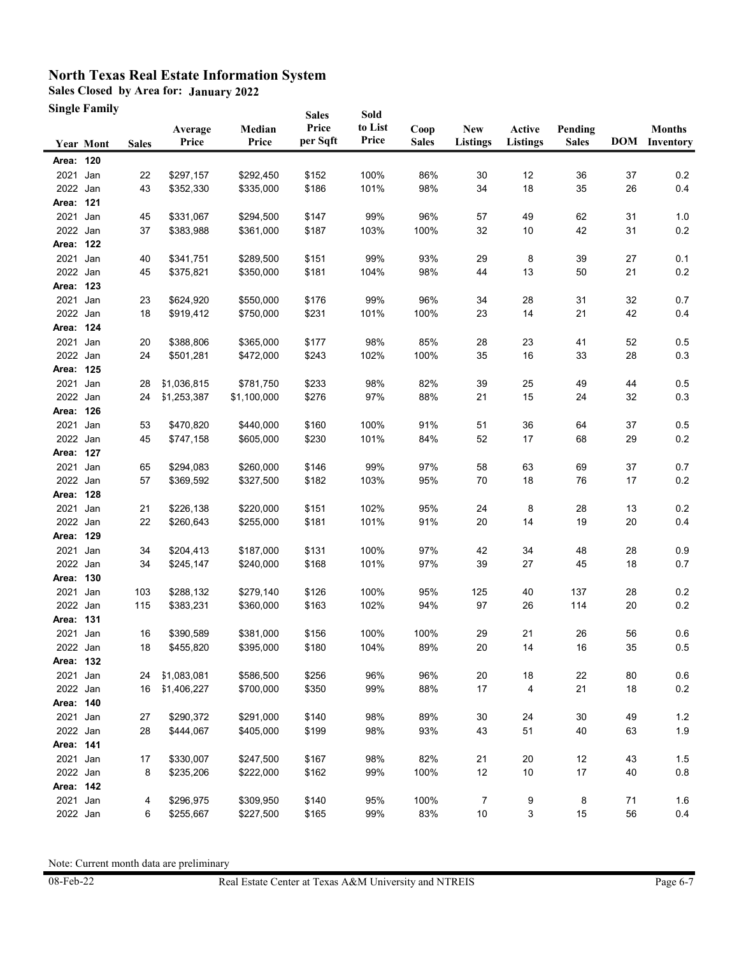**Sales Closed by Area for: January 2022**

**Single Family**

|                       | Single Family    |              |                  |                 | <b>Sales</b>      | Sold             |                      |                               |                           |                         |    |                                       |
|-----------------------|------------------|--------------|------------------|-----------------|-------------------|------------------|----------------------|-------------------------------|---------------------------|-------------------------|----|---------------------------------------|
|                       | <b>Year Mont</b> | <b>Sales</b> | Average<br>Price | Median<br>Price | Price<br>per Sqft | to List<br>Price | Coop<br><b>Sales</b> | <b>New</b><br><b>Listings</b> | Active<br><b>Listings</b> | Pending<br><b>Sales</b> |    | <b>Months</b><br><b>DOM</b> Inventory |
| Area: 120             |                  |              |                  |                 |                   |                  |                      |                               |                           |                         |    |                                       |
| 2021                  | Jan              | 22           | \$297,157        | \$292,450       | \$152             | 100%             | 86%                  | 30                            | 12                        | 36                      | 37 | 0.2                                   |
| 2022 Jan              |                  | 43           | \$352,330        | \$335,000       | \$186             | 101%             | 98%                  | 34                            | 18                        | 35                      | 26 | 0.4                                   |
| Area: 121             |                  |              |                  |                 |                   |                  |                      |                               |                           |                         |    |                                       |
| 2021 Jan              |                  | 45           | \$331,067        | \$294,500       | \$147             | 99%              | 96%                  | 57                            | 49                        | 62                      | 31 | 1.0                                   |
| 2022 Jan              |                  | 37           | \$383,988        | \$361,000       | \$187             | 103%             | 100%                 | 32                            | 10                        | 42                      | 31 | 0.2                                   |
| Area: 122             |                  |              |                  |                 |                   |                  |                      |                               |                           |                         |    |                                       |
| 2021                  | Jan              | 40           | \$341,751        | \$289,500       | \$151             | 99%              | 93%                  | 29                            | 8                         | 39                      | 27 | 0.1                                   |
| 2022 Jan              |                  | 45           | \$375,821        | \$350,000       | \$181             | 104%             | 98%                  | 44                            | 13                        | 50                      | 21 | 0.2                                   |
| Area: 123             |                  |              |                  |                 |                   |                  |                      |                               |                           |                         |    |                                       |
| 2021 Jan              |                  | 23           | \$624,920        | \$550,000       | \$176             | 99%              | 96%                  | 34                            | 28                        | 31                      | 32 | 0.7                                   |
| 2022 Jan              |                  | 18           | \$919,412        | \$750,000       | \$231             | 101%             | 100%                 | 23                            | 14                        | 21                      | 42 | 0.4                                   |
| Area: 124             |                  |              |                  |                 |                   |                  |                      |                               |                           |                         |    |                                       |
| 2021 Jan              |                  | 20           | \$388,806        | \$365,000       | \$177             | 98%              | 85%                  | 28                            | 23                        | 41                      | 52 | 0.5                                   |
| 2022 Jan              |                  | 24           | \$501,281        | \$472,000       | \$243             | 102%             | 100%                 | 35                            | 16                        | 33                      | 28 | 0.3                                   |
| Area: 125             |                  |              |                  |                 |                   |                  |                      |                               |                           |                         |    |                                       |
| 2021 Jan              |                  | 28           | \$1,036,815      | \$781,750       | \$233             | 98%              | 82%                  | 39                            | 25                        | 49                      | 44 | 0.5                                   |
| 2022 Jan              |                  | 24           | \$1,253,387      | \$1,100,000     | \$276             | 97%              | 88%                  | 21                            | 15                        | 24                      | 32 | 0.3                                   |
| Area: 126             |                  |              |                  |                 |                   |                  |                      |                               |                           |                         |    |                                       |
| 2021                  | Jan              | 53           | \$470,820        | \$440,000       | \$160             | 100%             | 91%                  | 51                            | 36                        | 64                      | 37 | 0.5                                   |
| 2022 Jan              |                  | 45           | \$747,158        | \$605,000       | \$230             | 101%             | 84%                  | 52                            | 17                        | 68                      | 29 | 0.2                                   |
| Area: 127             |                  |              |                  |                 |                   |                  |                      |                               |                           |                         |    |                                       |
| 2021                  | Jan              | 65           | \$294,083        | \$260,000       | \$146             | 99%              | 97%                  | 58                            | 63                        | 69                      | 37 | 0.7                                   |
| 2022 Jan<br>Area: 128 |                  | 57           | \$369,592        | \$327,500       | \$182             | 103%             | 95%                  | 70                            | 18                        | 76                      | 17 | 0.2                                   |
| 2021                  | Jan              | 21           | \$226,138        | \$220,000       | \$151             | 102%             | 95%                  | 24                            | 8                         | 28                      | 13 | 0.2                                   |
| 2022 Jan              |                  | 22           | \$260,643        | \$255,000       | \$181             | 101%             | 91%                  | 20                            | 14                        | 19                      | 20 | 0.4                                   |
| Area: 129             |                  |              |                  |                 |                   |                  |                      |                               |                           |                         |    |                                       |
| 2021 Jan              |                  | 34           | \$204,413        | \$187,000       | \$131             | 100%             | 97%                  | 42                            | 34                        | 48                      | 28 | 0.9                                   |
| 2022 Jan              |                  | 34           | \$245,147        | \$240,000       | \$168             | 101%             | 97%                  | 39                            | 27                        | 45                      | 18 | 0.7                                   |
| Area: 130             |                  |              |                  |                 |                   |                  |                      |                               |                           |                         |    |                                       |
| 2021                  | Jan              | 103          | \$288,132        | \$279,140       | \$126             | 100%             | 95%                  | 125                           | 40                        | 137                     | 28 | 0.2                                   |
| 2022 Jan              |                  | 115          | \$383,231        | \$360,000       | \$163             | 102%             | 94%                  | 97                            | 26                        | 114                     | 20 | 0.2                                   |
| Area: 131             |                  |              |                  |                 |                   |                  |                      |                               |                           |                         |    |                                       |
| 2021 Jan              |                  | 16           | \$390,589        | \$381,000       | \$156             | 100%             | 100%                 | 29                            | 21                        | 26                      | 56 | 0.6                                   |
| 2022 Jan              |                  | 18           | \$455,820        | \$395,000       | \$180             | 104%             | 89%                  | 20                            | 14                        | $16\,$                  | 35 | 0.5                                   |
| Area: 132             |                  |              |                  |                 |                   |                  |                      |                               |                           |                         |    |                                       |
| 2021 Jan              |                  | 24           | \$1,083,081      | \$586,500       | \$256             | 96%              | 96%                  | 20                            | $18$                      | 22                      | 80 | 0.6                                   |
| 2022 Jan              |                  | 16           | \$1,406,227      | \$700,000       | \$350             | 99%              | 88%                  | 17                            | 4                         | 21                      | 18 | $0.2\,$                               |
| Area: 140             |                  |              |                  |                 |                   |                  |                      |                               |                           |                         |    |                                       |
| 2021 Jan              |                  | 27           | \$290,372        | \$291,000       | \$140             | 98%              | 89%                  | 30                            | 24                        | 30                      | 49 | $1.2$                                 |
| 2022 Jan              |                  | 28           | \$444,067        | \$405,000       | \$199             | 98%              | 93%                  | 43                            | 51                        | 40                      | 63 | 1.9                                   |
| Area: 141             |                  |              |                  |                 |                   |                  |                      |                               |                           |                         |    |                                       |
| 2021 Jan              |                  | 17           | \$330,007        | \$247,500       | \$167             | 98%              | 82%                  | 21                            | 20                        | 12                      | 43 | 1.5                                   |
| 2022 Jan              |                  | 8            | \$235,206        | \$222,000       | \$162             | 99%              | 100%                 | 12                            | 10                        | 17                      | 40 | $0.8\,$                               |
| Area: 142             |                  |              |                  |                 |                   |                  |                      |                               |                           |                         |    |                                       |
| 2021 Jan              |                  | 4            | \$296,975        | \$309,950       | \$140             | 95%              | 100%                 | $\overline{7}$                | 9                         | 8                       | 71 | 1.6                                   |
| 2022 Jan              |                  | 6            | \$255,667        | \$227,500       | \$165             | 99%              | 83%                  | $10$                          | 3                         | 15                      | 56 | 0.4                                   |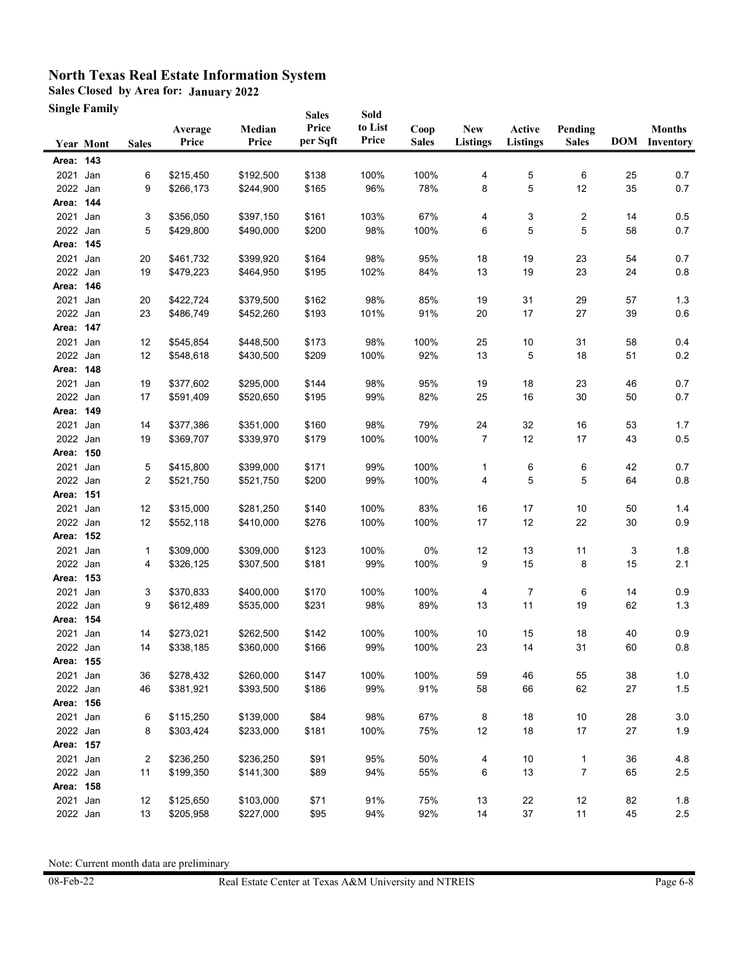**Sales Closed by Area for: January 2022**

**Single Family**

|                  | <b>Single Family</b> |              |                        |                        | <b>Sales</b>      | Sold             |                      |                               |                           |                         |          |                                       |
|------------------|----------------------|--------------|------------------------|------------------------|-------------------|------------------|----------------------|-------------------------------|---------------------------|-------------------------|----------|---------------------------------------|
|                  | <b>Year Mont</b>     | <b>Sales</b> | Average<br>Price       | Median<br>Price        | Price<br>per Sqft | to List<br>Price | Coop<br><b>Sales</b> | <b>New</b><br><b>Listings</b> | Active<br><b>Listings</b> | Pending<br><b>Sales</b> |          | <b>Months</b><br><b>DOM</b> Inventory |
| Area: 143        |                      |              |                        |                        |                   |                  |                      |                               |                           |                         |          |                                       |
| 2021 Jan         |                      | 6            | \$215,450              | \$192,500              | \$138             | 100%             | 100%                 | 4                             | 5                         | 6                       | 25       | 0.7                                   |
| 2022 Jan         |                      | 9            | \$266,173              | \$244,900              | \$165             | 96%              | 78%                  | 8                             | 5                         | 12                      | 35       | 0.7                                   |
| Area: 144        |                      |              |                        |                        |                   |                  |                      |                               |                           |                         |          |                                       |
| 2021 Jan         |                      | 3            | \$356,050              | \$397,150              | \$161             | 103%             | 67%                  | 4                             | 3                         | 2                       | 14       | 0.5                                   |
| 2022 Jan         |                      | 5            | \$429,800              | \$490,000              | \$200             | 98%              | 100%                 | 6                             | 5                         | 5                       | 58       | 0.7                                   |
| Area: 145        |                      |              |                        |                        |                   |                  |                      |                               |                           |                         |          |                                       |
| 2021 Jan         |                      | 20           | \$461,732              | \$399,920              | \$164             | 98%              | 95%                  | 18                            | 19                        | 23                      | 54       | 0.7                                   |
| 2022 Jan         |                      | 19           | \$479,223              | \$464,950              | \$195             | 102%             | 84%                  | 13                            | 19                        | 23                      | 24       | $0.8\,$                               |
| Area: 146        |                      |              |                        |                        |                   |                  |                      |                               |                           |                         |          |                                       |
| 2021 Jan         |                      | 20           | \$422,724              | \$379,500              | \$162             | 98%              | 85%                  | 19                            | 31                        | 29                      | 57       | 1.3                                   |
| 2022 Jan         |                      | 23           | \$486,749              | \$452,260              | \$193             | 101%             | 91%                  | 20                            | 17                        | 27                      | 39       | 0.6                                   |
| Area: 147        |                      |              |                        |                        |                   |                  |                      |                               |                           |                         |          |                                       |
| 2021 Jan         |                      | 12           | \$545,854              | \$448,500              | \$173             | 98%              | 100%                 | 25                            | 10                        | 31                      | 58       | 0.4                                   |
| 2022 Jan         |                      | 12           | \$548,618              | \$430,500              | \$209             | 100%             | 92%                  | 13                            | 5                         | 18                      | 51       | $0.2\,$                               |
| Area: 148        |                      |              |                        |                        |                   |                  |                      |                               |                           |                         |          |                                       |
| 2021 Jan         |                      | 19           | \$377,602              | \$295,000              | \$144             | 98%              | 95%                  | 19                            | 18                        | 23                      | 46       | 0.7                                   |
| 2022 Jan         |                      | 17           | \$591,409              | \$520,650              | \$195             | 99%              | 82%                  | 25                            | 16                        | 30                      | 50       | 0.7                                   |
| Area: 149        |                      |              |                        |                        |                   |                  |                      |                               |                           |                         |          |                                       |
| 2021 Jan         |                      | 14           | \$377,386              | \$351,000<br>\$339,970 | \$160             | 98%              | 79%                  | 24                            | 32                        | 16                      | 53       | 1.7                                   |
| 2022 Jan         |                      | 19           | \$369,707              |                        | \$179             | 100%             | 100%                 | 7                             | 12                        | 17                      | 43       | 0.5                                   |
| Area: 150        |                      |              |                        |                        |                   |                  |                      |                               |                           |                         |          |                                       |
| 2021<br>2022 Jan | Jan                  | 5<br>2       | \$415,800<br>\$521,750 | \$399,000<br>\$521,750 | \$171<br>\$200    | 99%<br>99%       | 100%<br>100%         | 1<br>4                        | 6<br>5                    | 6<br>5                  | 42<br>64 | 0.7<br>0.8                            |
| Area: 151        |                      |              |                        |                        |                   |                  |                      |                               |                           |                         |          |                                       |
| 2021             | Jan                  | 12           | \$315,000              | \$281,250              | \$140             | 100%             | 83%                  | 16                            | 17                        | 10                      | 50       | 1.4                                   |
| 2022 Jan         |                      | 12           | \$552,118              | \$410,000              | \$276             | 100%             | 100%                 | 17                            | 12                        | 22                      | 30       | 0.9                                   |
| Area: 152        |                      |              |                        |                        |                   |                  |                      |                               |                           |                         |          |                                       |
| 2021 Jan         |                      | 1            | \$309,000              | \$309,000              | \$123             | 100%             | 0%                   | 12                            | 13                        | 11                      | 3        | 1.8                                   |
| 2022 Jan         |                      | 4            | \$326,125              | \$307,500              | \$181             | 99%              | 100%                 | 9                             | 15                        | 8                       | 15       | 2.1                                   |
| Area: 153        |                      |              |                        |                        |                   |                  |                      |                               |                           |                         |          |                                       |
| 2021 Jan         |                      | 3            | \$370,833              | \$400,000              | \$170             | 100%             | 100%                 | 4                             | 7                         | 6                       | 14       | 0.9                                   |
| 2022 Jan         |                      | 9            | \$612,489              | \$535,000              | \$231             | 98%              | 89%                  | 13                            | 11                        | 19                      | 62       | $1.3$                                 |
| Area: 154        |                      |              |                        |                        |                   |                  |                      |                               |                           |                         |          |                                       |
| 2021 Jan         |                      | 14           | \$273,021              | \$262,500              | \$142             | 100%             | 100%                 | 10                            | 15                        | 18                      | 40       | 0.9                                   |
| 2022 Jan         |                      | 14           | \$338,185              | \$360,000              | \$166             | 99%              | 100%                 | 23                            | 14                        | 31                      | 60       | $0.8\,$                               |
| Area: 155        |                      |              |                        |                        |                   |                  |                      |                               |                           |                         |          |                                       |
| 2021 Jan         |                      | 36           | \$278,432              | \$260,000              | \$147             | 100%             | 100%                 | 59                            | 46                        | 55                      | 38       | $1.0\,$                               |
| 2022 Jan         |                      | 46           | \$381,921              | \$393,500              | \$186             | 99%              | 91%                  | 58                            | 66                        | 62                      | 27       | $1.5\,$                               |
| Area: 156        |                      |              |                        |                        |                   |                  |                      |                               |                           |                         |          |                                       |
| 2021 Jan         |                      | 6            | \$115,250              | \$139,000              | \$84              | 98%              | 67%                  | 8                             | $18$                      | $10\,$                  | 28       | $3.0\,$                               |
| 2022 Jan         |                      | 8            | \$303,424              | \$233,000              | \$181             | 100%             | 75%                  | 12                            | $18$                      | $17\,$                  | 27       | 1.9                                   |
| Area: 157        |                      |              |                        |                        |                   |                  |                      |                               |                           |                         |          |                                       |
| 2021 Jan         |                      | 2            | \$236,250              | \$236,250              | \$91              | 95%              | 50%                  | 4                             | 10                        | 1                       | 36       | 4.8                                   |
| 2022 Jan         |                      | 11           | \$199,350              | \$141,300              | \$89              | 94%              | 55%                  | 6                             | 13                        | 7                       | 65       | 2.5                                   |
| Area: 158        |                      |              |                        |                        |                   |                  |                      |                               |                           |                         |          |                                       |
| 2021 Jan         |                      | 12           | \$125,650              | \$103,000              | \$71              | 91%              | 75%                  | 13                            | 22                        | 12                      | 82       | 1.8                                   |
| 2022 Jan         |                      | 13           | \$205,958              | \$227,000              | \$95              | 94%              | 92%                  | 14                            | 37                        | 11                      | 45       | 2.5                                   |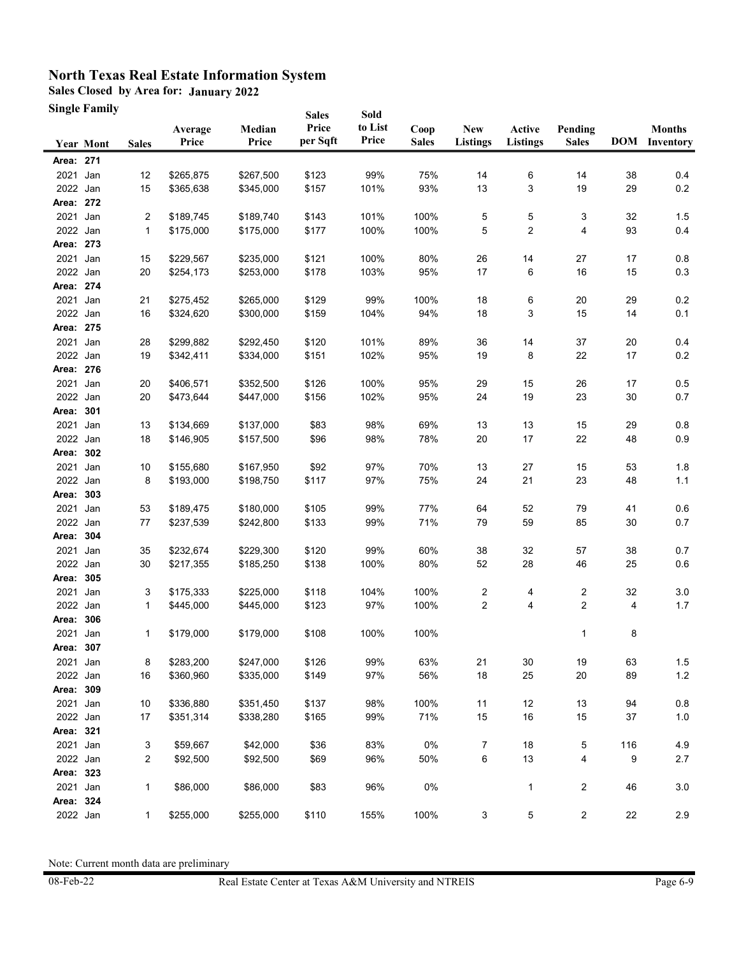**Sales Closed by Area for: January 2022**

**Single Family**

|                       | <b>Single Family</b> |              |                  |                 | <b>Sales</b>      | Sold             |                      |                               |                           |                         |     |                                       |
|-----------------------|----------------------|--------------|------------------|-----------------|-------------------|------------------|----------------------|-------------------------------|---------------------------|-------------------------|-----|---------------------------------------|
|                       | <b>Year Mont</b>     | <b>Sales</b> | Average<br>Price | Median<br>Price | Price<br>per Sqft | to List<br>Price | Coop<br><b>Sales</b> | <b>New</b><br><b>Listings</b> | Active<br><b>Listings</b> | Pending<br><b>Sales</b> |     | <b>Months</b><br><b>DOM</b> Inventory |
| Area: 271             |                      |              |                  |                 |                   |                  |                      |                               |                           |                         |     |                                       |
| 2021 Jan              |                      | 12           | \$265,875        | \$267,500       | \$123             | 99%              | 75%                  | 14                            | 6                         | 14                      | 38  | 0.4                                   |
| 2022 Jan              |                      | 15           | \$365,638        | \$345,000       | \$157             | 101%             | 93%                  | 13                            | 3                         | 19                      | 29  | 0.2                                   |
| Area: 272             |                      |              |                  |                 |                   |                  |                      |                               |                           |                         |     |                                       |
| 2021 Jan              |                      | 2            | \$189,745        | \$189,740       | \$143             | 101%             | 100%                 | 5                             | 5                         | 3                       | 32  | 1.5                                   |
| 2022 Jan              |                      | 1            | \$175,000        | \$175,000       | \$177             | 100%             | 100%                 | 5                             | 2                         | 4                       | 93  | 0.4                                   |
| Area: 273             |                      |              |                  |                 |                   |                  |                      |                               |                           |                         |     |                                       |
| 2021 Jan              |                      | 15           | \$229,567        | \$235,000       | \$121             | 100%             | 80%                  | 26                            | 14                        | 27                      | 17  | 0.8                                   |
| 2022 Jan              |                      | 20           | \$254,173        | \$253,000       | \$178             | 103%             | 95%                  | 17                            | 6                         | 16                      | 15  | $0.3\,$                               |
| Area: 274             |                      |              |                  |                 |                   |                  |                      |                               |                           |                         |     |                                       |
| 2021 Jan              |                      | 21           | \$275,452        | \$265,000       | \$129             | 99%              | 100%                 | 18                            | 6                         | $20\,$                  | 29  | 0.2                                   |
| 2022 Jan              |                      | 16           | \$324,620        | \$300,000       | \$159             | 104%             | 94%                  | 18                            | 3                         | 15                      | 14  | 0.1                                   |
| Area: 275             |                      |              |                  |                 |                   |                  |                      |                               |                           |                         |     |                                       |
| 2021 Jan              |                      | 28           | \$299,882        | \$292,450       | \$120             | 101%             | 89%                  | 36                            | 14                        | 37                      | 20  | 0.4                                   |
| 2022 Jan              |                      | 19           | \$342,411        | \$334,000       | \$151             | 102%             | 95%                  | 19                            | 8                         | 22                      | 17  | 0.2                                   |
| Area: 276             |                      |              |                  |                 |                   |                  |                      |                               |                           |                         |     |                                       |
| 2021 Jan              |                      | 20           | \$406,571        | \$352,500       | \$126             | 100%             | 95%                  | 29                            | 15                        | 26                      | 17  | 0.5                                   |
| 2022 Jan              |                      | 20           | \$473,644        | \$447,000       | \$156             | 102%             | 95%                  | 24                            | 19                        | 23                      | 30  | 0.7                                   |
| Area: 301             |                      |              |                  |                 |                   |                  |                      |                               |                           |                         |     |                                       |
| 2021 Jan              |                      | 13           | \$134,669        | \$137,000       | \$83              | 98%              | 69%                  | 13                            | 13                        | 15                      | 29  | 0.8                                   |
| 2022 Jan              |                      | 18           | \$146,905        | \$157,500       | \$96              | 98%              | 78%                  | 20                            | 17                        | 22                      | 48  | 0.9                                   |
| Area: 302             |                      |              |                  |                 |                   |                  |                      |                               |                           |                         |     |                                       |
| 2021                  | Jan                  | 10           | \$155,680        | \$167,950       | \$92              | 97%              | 70%                  | 13                            | $27\,$                    | 15                      | 53  | 1.8                                   |
| 2022 Jan              |                      | 8            | \$193,000        | \$198,750       | \$117             | 97%              | 75%                  | 24                            | 21                        | 23                      | 48  | 1.1                                   |
| Area:                 | 303                  |              |                  |                 |                   |                  |                      |                               |                           |                         |     |                                       |
| 2021                  | Jan                  | 53           | \$189,475        | \$180,000       | \$105             | 99%              | 77%                  | 64                            | 52                        | 79                      | 41  | 0.6                                   |
| 2022 Jan              |                      | 77           | \$237,539        | \$242,800       | \$133             | 99%              | 71%                  | 79                            | 59                        | 85                      | 30  | 0.7                                   |
| Area: 304             |                      |              |                  |                 |                   |                  |                      |                               |                           |                         |     |                                       |
| 2021                  | Jan                  | 35           | \$232,674        | \$229,300       | \$120             | 99%              | 60%                  | 38                            | 32                        | 57                      | 38  | 0.7                                   |
| 2022 Jan              |                      | 30           | \$217,355        | \$185,250       | \$138             | 100%             | 80%                  | 52                            | 28                        | 46                      | 25  | 0.6                                   |
| Area: 305             |                      |              |                  |                 |                   |                  |                      |                               |                           |                         |     |                                       |
| 2021 Jan              |                      | 3            | \$175,333        | \$225,000       | \$118             | 104%             | 100%                 | 2                             | 4                         | 2                       | 32  | 3.0                                   |
| 2022 Jan              |                      | 1            | \$445,000        | \$445,000       | \$123             | 97%              | 100%                 | $\overline{\mathbf{c}}$       | 4                         | 2                       | 4   | 1.7                                   |
| Area: 306             |                      |              |                  |                 |                   |                  |                      |                               |                           |                         |     |                                       |
| 2021 Jan              |                      | 1            | \$179,000        | \$179,000       | \$108             | 100%             | 100%                 |                               |                           | 1                       | 8   |                                       |
| Area: 307             |                      |              |                  |                 |                   |                  |                      |                               |                           |                         |     |                                       |
| 2021 Jan              |                      | 8            | \$283,200        | \$247,000       | \$126             | 99%              | 63%                  | 21                            | 30                        | 19                      | 63  | 1.5                                   |
| 2022 Jan              |                      | 16           | \$360,960        | \$335,000       | \$149             | 97%              | 56%                  | 18                            | 25                        | $20\,$                  | 89  | $1.2$                                 |
| Area: 309             |                      |              |                  |                 |                   |                  |                      |                               |                           |                         |     |                                       |
| 2021 Jan              |                      | 10           | \$336,880        | \$351,450       | \$137             | 98%              | 100%                 | 11                            | 12                        | 13                      | 94  | $0.8\,$                               |
| 2022 Jan              |                      | 17           | \$351,314        | \$338,280       | \$165             | 99%              | 71%                  | 15                            | $16\,$                    | 15                      | 37  | 1.0                                   |
| Area: 321             |                      |              |                  |                 |                   |                  |                      |                               |                           |                         |     |                                       |
| 2021 Jan              |                      | 3            | \$59,667         | \$42,000        | \$36              | 83%              | 0%                   | 7                             | 18                        | 5                       | 116 | 4.9                                   |
| 2022 Jan              |                      | 2            | \$92,500         | \$92,500        | \$69              | 96%              | 50%                  | 6                             | 13                        | 4                       | 9   | 2.7                                   |
| Area: 323             |                      |              |                  |                 |                   |                  |                      |                               |                           |                         |     |                                       |
| 2021 Jan<br>Area: 324 |                      | 1            | \$86,000         | \$86,000        | \$83              | 96%              | 0%                   |                               | $\mathbf{1}$              | 2                       | 46  | 3.0                                   |
| 2022 Jan              |                      |              | \$255,000        | \$255,000       |                   |                  |                      |                               |                           | $\overline{c}$          |     |                                       |
|                       |                      | 1            |                  |                 | \$110             | 155%             | 100%                 | 3                             | 5                         |                         | 22  | 2.9                                   |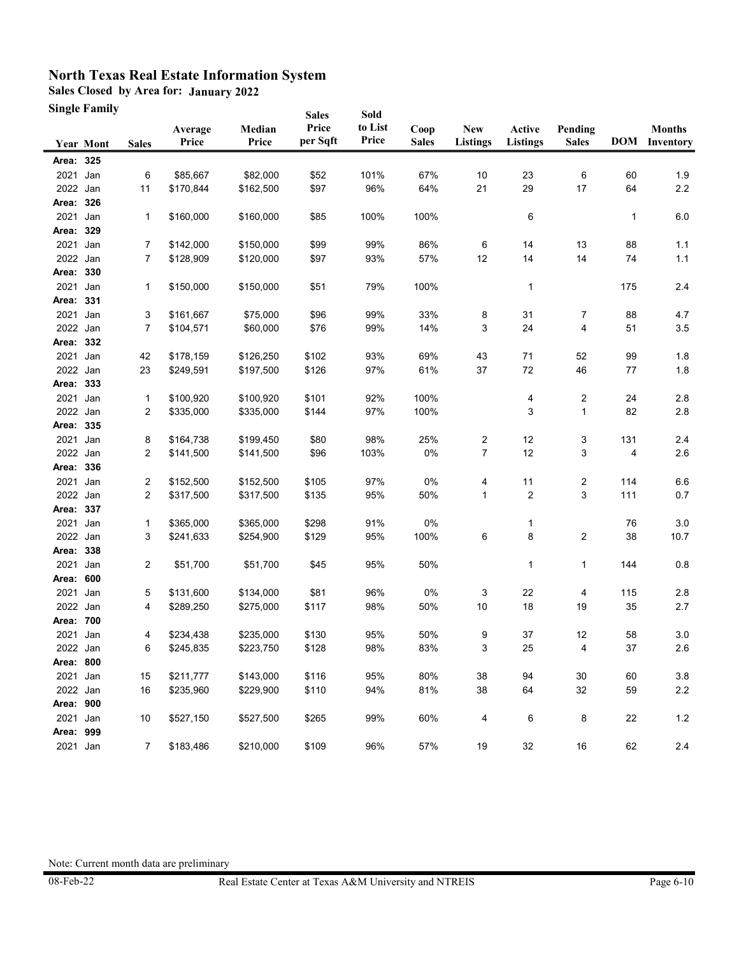**Sales Closed by Area for: January 2022**

**Single Family**

| <b>Single Family</b> |                                                                                                                                                                                                                                                                                                                                                     |                                                                                         |                                                                                                                                                                                                |                                                                                                                                                                                                                         |                                                                                                                                                          |                                                                                                                                      |                                                                                                                    |                                                                   |                                                                                        |                                                                                        |                                                                                                        |
|----------------------|-----------------------------------------------------------------------------------------------------------------------------------------------------------------------------------------------------------------------------------------------------------------------------------------------------------------------------------------------------|-----------------------------------------------------------------------------------------|------------------------------------------------------------------------------------------------------------------------------------------------------------------------------------------------|-------------------------------------------------------------------------------------------------------------------------------------------------------------------------------------------------------------------------|----------------------------------------------------------------------------------------------------------------------------------------------------------|--------------------------------------------------------------------------------------------------------------------------------------|--------------------------------------------------------------------------------------------------------------------|-------------------------------------------------------------------|----------------------------------------------------------------------------------------|----------------------------------------------------------------------------------------|--------------------------------------------------------------------------------------------------------|
| <b>Year Mont</b>     | <b>Sales</b>                                                                                                                                                                                                                                                                                                                                        | Average<br>Price                                                                        | Median<br>Price                                                                                                                                                                                | Price<br>per Sqft                                                                                                                                                                                                       | to List<br>Price                                                                                                                                         | Coop<br><b>Sales</b>                                                                                                                 | <b>New</b><br><b>Listings</b>                                                                                      | Active<br><b>Listings</b>                                         | Pending<br><b>Sales</b>                                                                |                                                                                        | <b>Months</b><br><b>DOM</b> Inventory                                                                  |
| Area: 325            |                                                                                                                                                                                                                                                                                                                                                     |                                                                                         |                                                                                                                                                                                                |                                                                                                                                                                                                                         |                                                                                                                                                          |                                                                                                                                      |                                                                                                                    |                                                                   |                                                                                        |                                                                                        |                                                                                                        |
|                      | 6                                                                                                                                                                                                                                                                                                                                                   | \$85,667                                                                                |                                                                                                                                                                                                | \$52                                                                                                                                                                                                                    |                                                                                                                                                          | 67%                                                                                                                                  | 10                                                                                                                 | 23                                                                |                                                                                        | 60                                                                                     | 1.9                                                                                                    |
| 2022 Jan             | 11                                                                                                                                                                                                                                                                                                                                                  | \$170,844                                                                               | \$162,500                                                                                                                                                                                      | \$97                                                                                                                                                                                                                    | 96%                                                                                                                                                      | 64%                                                                                                                                  | 21                                                                                                                 | 29                                                                | 17                                                                                     | 64                                                                                     | $2.2\,$                                                                                                |
| Area: 326            |                                                                                                                                                                                                                                                                                                                                                     |                                                                                         |                                                                                                                                                                                                |                                                                                                                                                                                                                         |                                                                                                                                                          |                                                                                                                                      |                                                                                                                    |                                                                   |                                                                                        |                                                                                        |                                                                                                        |
| 2021<br>Jan          | 1                                                                                                                                                                                                                                                                                                                                                   | \$160,000                                                                               | \$160,000                                                                                                                                                                                      | \$85                                                                                                                                                                                                                    | 100%                                                                                                                                                     | 100%                                                                                                                                 |                                                                                                                    | 6                                                                 |                                                                                        | 1                                                                                      | 6.0                                                                                                    |
| Area: 329            |                                                                                                                                                                                                                                                                                                                                                     |                                                                                         |                                                                                                                                                                                                |                                                                                                                                                                                                                         |                                                                                                                                                          |                                                                                                                                      |                                                                                                                    |                                                                   |                                                                                        |                                                                                        |                                                                                                        |
| 2021 Jan             | 7                                                                                                                                                                                                                                                                                                                                                   | \$142,000                                                                               | \$150,000                                                                                                                                                                                      | \$99                                                                                                                                                                                                                    | 99%                                                                                                                                                      | 86%                                                                                                                                  | 6                                                                                                                  | 14                                                                | 13                                                                                     | 88                                                                                     | 1.1                                                                                                    |
| 2022 Jan             | 7                                                                                                                                                                                                                                                                                                                                                   | \$128,909                                                                               | \$120,000                                                                                                                                                                                      | \$97                                                                                                                                                                                                                    | 93%                                                                                                                                                      | 57%                                                                                                                                  | 12                                                                                                                 | 14                                                                | 14                                                                                     | 74                                                                                     | 1.1                                                                                                    |
| Area: 330            |                                                                                                                                                                                                                                                                                                                                                     |                                                                                         |                                                                                                                                                                                                |                                                                                                                                                                                                                         |                                                                                                                                                          |                                                                                                                                      |                                                                                                                    |                                                                   |                                                                                        |                                                                                        |                                                                                                        |
| 2021<br>Jan          | 1                                                                                                                                                                                                                                                                                                                                                   | \$150,000                                                                               | \$150,000                                                                                                                                                                                      | \$51                                                                                                                                                                                                                    | 79%                                                                                                                                                      | 100%                                                                                                                                 |                                                                                                                    | 1                                                                 |                                                                                        | 175                                                                                    | 2.4                                                                                                    |
| Area: 331            |                                                                                                                                                                                                                                                                                                                                                     |                                                                                         |                                                                                                                                                                                                |                                                                                                                                                                                                                         |                                                                                                                                                          |                                                                                                                                      |                                                                                                                    |                                                                   |                                                                                        |                                                                                        |                                                                                                        |
| 2021<br>Jan          | 3                                                                                                                                                                                                                                                                                                                                                   | \$161,667                                                                               | \$75,000                                                                                                                                                                                       | \$96                                                                                                                                                                                                                    | 99%                                                                                                                                                      | 33%                                                                                                                                  | 8                                                                                                                  | 31                                                                | 7                                                                                      | 88                                                                                     | 4.7                                                                                                    |
| 2022 Jan             | 7                                                                                                                                                                                                                                                                                                                                                   | \$104,571                                                                               | \$60,000                                                                                                                                                                                       | \$76                                                                                                                                                                                                                    | 99%                                                                                                                                                      | 14%                                                                                                                                  | 3                                                                                                                  | 24                                                                | 4                                                                                      | 51                                                                                     | $3.5\,$                                                                                                |
| Area: 332            |                                                                                                                                                                                                                                                                                                                                                     |                                                                                         |                                                                                                                                                                                                |                                                                                                                                                                                                                         |                                                                                                                                                          |                                                                                                                                      |                                                                                                                    |                                                                   |                                                                                        |                                                                                        |                                                                                                        |
| 2021 Jan             | 42                                                                                                                                                                                                                                                                                                                                                  | \$178,159                                                                               | \$126,250                                                                                                                                                                                      | \$102                                                                                                                                                                                                                   | 93%                                                                                                                                                      | 69%                                                                                                                                  | 43                                                                                                                 | 71                                                                | 52                                                                                     | 99                                                                                     | 1.8                                                                                                    |
| 2022 Jan             | 23                                                                                                                                                                                                                                                                                                                                                  | \$249,591                                                                               | \$197,500                                                                                                                                                                                      | \$126                                                                                                                                                                                                                   |                                                                                                                                                          |                                                                                                                                      |                                                                                                                    |                                                                   |                                                                                        |                                                                                        | 1.8                                                                                                    |
|                      |                                                                                                                                                                                                                                                                                                                                                     |                                                                                         |                                                                                                                                                                                                |                                                                                                                                                                                                                         |                                                                                                                                                          |                                                                                                                                      |                                                                                                                    |                                                                   |                                                                                        |                                                                                        |                                                                                                        |
|                      | 1                                                                                                                                                                                                                                                                                                                                                   |                                                                                         |                                                                                                                                                                                                |                                                                                                                                                                                                                         |                                                                                                                                                          |                                                                                                                                      |                                                                                                                    | 4                                                                 |                                                                                        |                                                                                        | 2.8                                                                                                    |
|                      |                                                                                                                                                                                                                                                                                                                                                     |                                                                                         |                                                                                                                                                                                                |                                                                                                                                                                                                                         |                                                                                                                                                          |                                                                                                                                      |                                                                                                                    |                                                                   |                                                                                        |                                                                                        | 2.8                                                                                                    |
|                      |                                                                                                                                                                                                                                                                                                                                                     |                                                                                         |                                                                                                                                                                                                |                                                                                                                                                                                                                         |                                                                                                                                                          |                                                                                                                                      |                                                                                                                    |                                                                   |                                                                                        |                                                                                        |                                                                                                        |
|                      |                                                                                                                                                                                                                                                                                                                                                     | \$164,738                                                                               |                                                                                                                                                                                                |                                                                                                                                                                                                                         |                                                                                                                                                          |                                                                                                                                      |                                                                                                                    |                                                                   |                                                                                        |                                                                                        | 2.4                                                                                                    |
|                      |                                                                                                                                                                                                                                                                                                                                                     |                                                                                         |                                                                                                                                                                                                |                                                                                                                                                                                                                         |                                                                                                                                                          |                                                                                                                                      |                                                                                                                    |                                                                   |                                                                                        |                                                                                        | 2.6                                                                                                    |
|                      |                                                                                                                                                                                                                                                                                                                                                     |                                                                                         |                                                                                                                                                                                                |                                                                                                                                                                                                                         |                                                                                                                                                          |                                                                                                                                      |                                                                                                                    |                                                                   |                                                                                        |                                                                                        |                                                                                                        |
|                      |                                                                                                                                                                                                                                                                                                                                                     |                                                                                         |                                                                                                                                                                                                |                                                                                                                                                                                                                         |                                                                                                                                                          |                                                                                                                                      |                                                                                                                    |                                                                   |                                                                                        |                                                                                        | 6.6                                                                                                    |
|                      |                                                                                                                                                                                                                                                                                                                                                     |                                                                                         |                                                                                                                                                                                                |                                                                                                                                                                                                                         |                                                                                                                                                          |                                                                                                                                      |                                                                                                                    |                                                                   |                                                                                        |                                                                                        | 0.7                                                                                                    |
|                      |                                                                                                                                                                                                                                                                                                                                                     |                                                                                         |                                                                                                                                                                                                |                                                                                                                                                                                                                         |                                                                                                                                                          |                                                                                                                                      |                                                                                                                    |                                                                   |                                                                                        |                                                                                        |                                                                                                        |
|                      |                                                                                                                                                                                                                                                                                                                                                     |                                                                                         |                                                                                                                                                                                                |                                                                                                                                                                                                                         |                                                                                                                                                          |                                                                                                                                      |                                                                                                                    |                                                                   |                                                                                        |                                                                                        | 3.0                                                                                                    |
|                      |                                                                                                                                                                                                                                                                                                                                                     |                                                                                         |                                                                                                                                                                                                |                                                                                                                                                                                                                         |                                                                                                                                                          |                                                                                                                                      |                                                                                                                    |                                                                   |                                                                                        |                                                                                        | 10.7                                                                                                   |
|                      |                                                                                                                                                                                                                                                                                                                                                     |                                                                                         |                                                                                                                                                                                                |                                                                                                                                                                                                                         |                                                                                                                                                          |                                                                                                                                      |                                                                                                                    |                                                                   |                                                                                        |                                                                                        |                                                                                                        |
|                      |                                                                                                                                                                                                                                                                                                                                                     |                                                                                         |                                                                                                                                                                                                |                                                                                                                                                                                                                         |                                                                                                                                                          |                                                                                                                                      |                                                                                                                    |                                                                   |                                                                                        |                                                                                        | 0.8                                                                                                    |
|                      |                                                                                                                                                                                                                                                                                                                                                     |                                                                                         |                                                                                                                                                                                                |                                                                                                                                                                                                                         |                                                                                                                                                          |                                                                                                                                      |                                                                                                                    |                                                                   |                                                                                        |                                                                                        |                                                                                                        |
|                      |                                                                                                                                                                                                                                                                                                                                                     |                                                                                         |                                                                                                                                                                                                |                                                                                                                                                                                                                         |                                                                                                                                                          |                                                                                                                                      |                                                                                                                    |                                                                   |                                                                                        |                                                                                        | 2.8<br>2.7                                                                                             |
|                      |                                                                                                                                                                                                                                                                                                                                                     |                                                                                         |                                                                                                                                                                                                |                                                                                                                                                                                                                         |                                                                                                                                                          |                                                                                                                                      |                                                                                                                    |                                                                   |                                                                                        |                                                                                        |                                                                                                        |
|                      |                                                                                                                                                                                                                                                                                                                                                     |                                                                                         |                                                                                                                                                                                                |                                                                                                                                                                                                                         |                                                                                                                                                          |                                                                                                                                      |                                                                                                                    |                                                                   |                                                                                        |                                                                                        | 3.0                                                                                                    |
|                      |                                                                                                                                                                                                                                                                                                                                                     |                                                                                         |                                                                                                                                                                                                |                                                                                                                                                                                                                         |                                                                                                                                                          |                                                                                                                                      |                                                                                                                    |                                                                   |                                                                                        |                                                                                        | 2.6                                                                                                    |
|                      |                                                                                                                                                                                                                                                                                                                                                     |                                                                                         |                                                                                                                                                                                                |                                                                                                                                                                                                                         |                                                                                                                                                          |                                                                                                                                      |                                                                                                                    |                                                                   |                                                                                        |                                                                                        |                                                                                                        |
|                      |                                                                                                                                                                                                                                                                                                                                                     |                                                                                         |                                                                                                                                                                                                |                                                                                                                                                                                                                         |                                                                                                                                                          |                                                                                                                                      |                                                                                                                    |                                                                   |                                                                                        |                                                                                        | $3.8\,$                                                                                                |
|                      |                                                                                                                                                                                                                                                                                                                                                     |                                                                                         |                                                                                                                                                                                                |                                                                                                                                                                                                                         |                                                                                                                                                          |                                                                                                                                      |                                                                                                                    |                                                                   |                                                                                        |                                                                                        | $2.2\,$                                                                                                |
|                      |                                                                                                                                                                                                                                                                                                                                                     |                                                                                         |                                                                                                                                                                                                |                                                                                                                                                                                                                         |                                                                                                                                                          |                                                                                                                                      |                                                                                                                    |                                                                   |                                                                                        |                                                                                        |                                                                                                        |
|                      |                                                                                                                                                                                                                                                                                                                                                     |                                                                                         |                                                                                                                                                                                                |                                                                                                                                                                                                                         |                                                                                                                                                          |                                                                                                                                      |                                                                                                                    |                                                                   |                                                                                        |                                                                                        | 1.2                                                                                                    |
|                      |                                                                                                                                                                                                                                                                                                                                                     |                                                                                         |                                                                                                                                                                                                |                                                                                                                                                                                                                         |                                                                                                                                                          |                                                                                                                                      |                                                                                                                    |                                                                   |                                                                                        |                                                                                        |                                                                                                        |
| 2021 Jan             | $\overline{7}$                                                                                                                                                                                                                                                                                                                                      | \$183,486                                                                               | \$210,000                                                                                                                                                                                      | \$109                                                                                                                                                                                                                   | 96%                                                                                                                                                      | 57%                                                                                                                                  | 19                                                                                                                 | 32                                                                | $16\,$                                                                                 | 62                                                                                     | 2.4                                                                                                    |
|                      | 2021 Jan<br>Area: 333<br>2021 Jan<br>2022 Jan<br>Area: 335<br>2021 Jan<br>2022 Jan<br>Area: 336<br>2021<br>Jan<br>2022 Jan<br>Area: 337<br>2021<br>Jan<br>2022 Jan<br>Area: 338<br>2021<br>Jan<br>Area: 600<br>2021 Jan<br>2022 Jan<br>Area: 700<br>2021 Jan<br>2022 Jan<br>Area: 800<br>2021 Jan<br>2022 Jan<br>Area: 900<br>2021 Jan<br>Area: 999 | 2<br>8<br>2<br>2<br>2<br>1<br>3<br>$\overline{2}$<br>5<br>4<br>4<br>6<br>15<br>16<br>10 | \$100,920<br>\$335,000<br>\$141,500<br>\$152,500<br>\$317,500<br>\$365,000<br>\$241,633<br>\$51,700<br>\$131,600<br>\$289,250<br>\$234,438<br>\$245,835<br>\$211,777<br>\$235,960<br>\$527,150 | \$82,000<br>\$100,920<br>\$335,000<br>\$199,450<br>\$141,500<br>\$152,500<br>\$317,500<br>\$365,000<br>\$254,900<br>\$51,700<br>\$134,000<br>\$275,000<br>\$235,000<br>\$223,750<br>\$143,000<br>\$229,900<br>\$527,500 | <b>Sales</b><br>\$101<br>\$144<br>\$80<br>\$96<br>\$105<br>\$135<br>\$298<br>\$129<br>\$45<br>\$81<br>\$117<br>\$130<br>\$128<br>\$116<br>\$110<br>\$265 | Sold<br>101%<br>97%<br>92%<br>97%<br>98%<br>103%<br>97%<br>95%<br>91%<br>95%<br>95%<br>96%<br>98%<br>95%<br>98%<br>95%<br>94%<br>99% | 61%<br>100%<br>100%<br>25%<br>0%<br>0%<br>50%<br>0%<br>100%<br>50%<br>0%<br>50%<br>50%<br>83%<br>80%<br>81%<br>60% | 37<br>2<br>7<br>4<br>1<br>6<br>3<br>10<br>9<br>3<br>38<br>38<br>4 | 72<br>3<br>12<br>12<br>11<br>2<br>1<br>8<br>1<br>22<br>18<br>37<br>25<br>94<br>64<br>6 | 6<br>46<br>2<br>1<br>3<br>3<br>2<br>3<br>2<br>1<br>4<br>19<br>12<br>4<br>30<br>32<br>8 | 77<br>24<br>82<br>131<br>4<br>114<br>111<br>76<br>38<br>144<br>115<br>35<br>58<br>37<br>60<br>59<br>22 |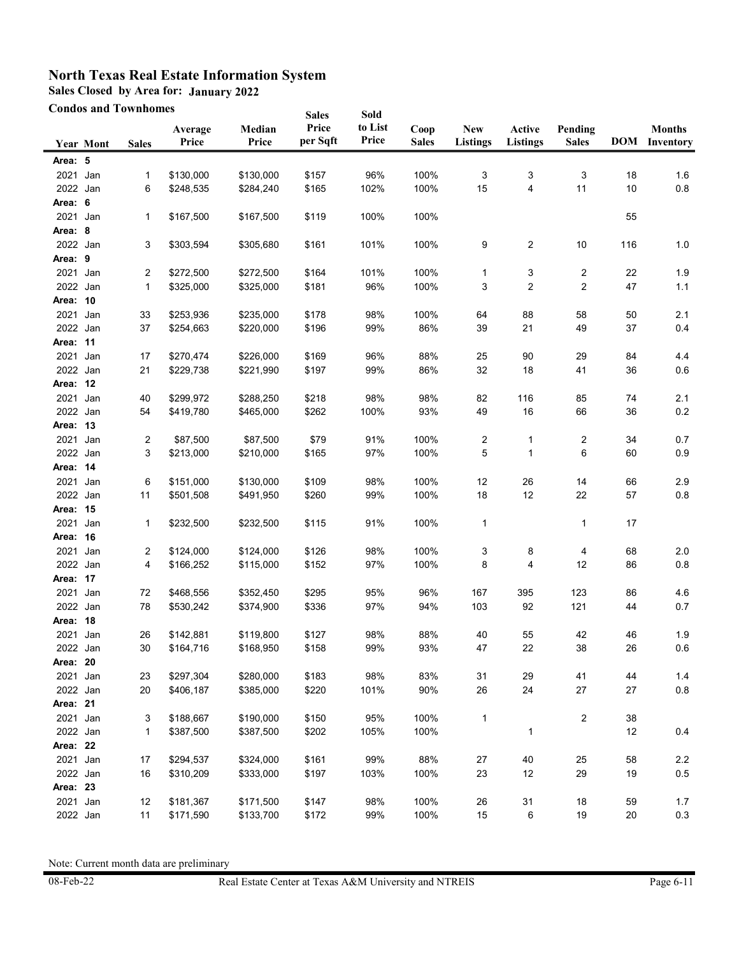**Sales Closed by Area for: January 2022**

**Condos and Townhomes**

| <b>Condos and Townhomes</b> |                  |              |                        | <b>Sales</b>           | Sold              |                  |                      |                               |                           |                         |          |                                       |
|-----------------------------|------------------|--------------|------------------------|------------------------|-------------------|------------------|----------------------|-------------------------------|---------------------------|-------------------------|----------|---------------------------------------|
|                             | <b>Year Mont</b> | <b>Sales</b> | Average<br>Price       | Median<br>Price        | Price<br>per Sqft | to List<br>Price | Coop<br><b>Sales</b> | <b>New</b><br><b>Listings</b> | Active<br><b>Listings</b> | Pending<br><b>Sales</b> |          | <b>Months</b><br><b>DOM</b> Inventory |
| Area: 5                     |                  |              |                        |                        |                   |                  |                      |                               |                           |                         |          |                                       |
| 2021                        | Jan              | 1            | \$130,000              | \$130,000              | \$157             | 96%              | 100%                 | 3                             | 3                         | 3                       | 18       | 1.6                                   |
| 2022 Jan                    |                  | 6            | \$248,535              | \$284,240              | \$165             | 102%             | 100%                 | 15                            | 4                         | 11                      | 10       | 0.8                                   |
| Area: 6                     |                  |              |                        |                        |                   |                  |                      |                               |                           |                         |          |                                       |
| 2021 Jan                    |                  | 1            | \$167,500              | \$167,500              | \$119             | 100%             | 100%                 |                               |                           |                         | 55       |                                       |
| Area: 8                     |                  |              |                        |                        |                   |                  |                      |                               |                           |                         |          |                                       |
| 2022 Jan                    |                  | 3            | \$303,594              | \$305,680              | \$161             | 101%             | 100%                 | 9                             | 2                         | 10                      | 116      | 1.0                                   |
| Area: 9                     |                  |              |                        |                        |                   |                  |                      |                               |                           |                         |          |                                       |
| 2021                        | Jan              | 2            | \$272,500              | \$272,500              | \$164             | 101%             | 100%                 | 1                             | 3                         | 2                       | 22       | 1.9                                   |
| 2022 Jan                    |                  | 1            | \$325,000              | \$325,000              | \$181             | 96%              | 100%                 | 3                             | 2                         | 2                       | 47       | 1.1                                   |
| Area: 10                    |                  |              |                        |                        |                   |                  |                      |                               |                           |                         |          |                                       |
| 2021                        | Jan              | 33           | \$253,936              | \$235,000              | \$178             | 98%              | 100%                 | 64                            | 88                        | 58                      | 50       | 2.1                                   |
| 2022 Jan                    |                  | 37           | \$254,663              | \$220,000              | \$196             | 99%              | 86%                  | 39                            | 21                        | 49                      | 37       | 0.4                                   |
| Area: 11                    |                  |              |                        |                        |                   |                  |                      |                               |                           |                         |          |                                       |
| 2021                        | Jan              | 17           | \$270,474              | \$226,000              | \$169             | 96%              | 88%                  | 25                            | 90                        | 29                      | 84       | 4.4                                   |
| 2022 Jan                    |                  | 21           | \$229,738              | \$221,990              | \$197             | 99%              | 86%                  | 32                            | 18                        | 41                      | 36       | 0.6                                   |
| Area: 12                    |                  |              |                        |                        |                   |                  |                      |                               |                           |                         |          |                                       |
| 2021 Jan                    |                  | 40           | \$299,972              | \$288,250              | \$218             | 98%              | 98%                  | 82                            | 116                       | 85                      | 74       | 2.1                                   |
| 2022 Jan                    |                  | 54           | \$419,780              | \$465,000              | \$262             | 100%             | 93%                  | 49                            | 16                        | 66                      | 36       | 0.2                                   |
| Area: 13                    |                  |              |                        |                        |                   |                  |                      |                               |                           |                         |          |                                       |
| 2021                        | Jan              | 2            | \$87,500               | \$87,500               | \$79              | 91%              | 100%                 | 2                             | 1                         | 2                       | 34       | 0.7                                   |
| 2022 Jan                    |                  | 3            | \$213,000              | \$210,000              | \$165             | 97%              | 100%                 | 5                             | 1                         | 6                       | 60       | 0.9                                   |
| Area: 14                    |                  |              |                        |                        |                   |                  |                      |                               |                           |                         |          |                                       |
| 2021                        | Jan              | 6            | \$151,000              | \$130,000              | \$109             | 98%              | 100%                 | 12                            | 26                        | 14                      | 66       | 2.9                                   |
| 2022 Jan                    |                  | 11           | \$501,508              | \$491,950              | \$260             | 99%              | 100%                 | 18                            | 12                        | 22                      | 57       | 0.8                                   |
| Area: 15                    |                  |              |                        |                        |                   |                  |                      |                               |                           |                         |          |                                       |
| 2021                        | Jan              | 1            | \$232,500              | \$232,500              | \$115             | 91%              | 100%                 | $\mathbf{1}$                  |                           | 1                       | 17       |                                       |
| Area: 16                    |                  |              |                        |                        |                   |                  |                      |                               |                           |                         |          |                                       |
| 2021                        | Jan              | 2            | \$124,000              | \$124,000              | \$126             | 98%              | 100%                 | 3                             | 8                         | 4                       | 68       | 2.0                                   |
| 2022 Jan                    |                  | 4            | \$166,252              | \$115,000              | \$152             | 97%              | 100%                 | 8                             | 4                         | 12                      | 86       | 0.8                                   |
| Area: 17                    |                  |              |                        |                        |                   |                  |                      |                               |                           |                         |          |                                       |
| 2021                        | Jan              | 72           | \$468,556              | \$352,450              | \$295             | 95%              | 96%                  | 167                           | 395                       | 123                     | 86       | 4.6                                   |
| 2022 Jan                    |                  | 78           | \$530,242              | \$374,900              | \$336             | 97%              | 94%                  | 103                           | 92                        | 121                     | 44       | 0.7                                   |
| Area: 18                    |                  |              |                        |                        |                   |                  |                      |                               |                           |                         |          |                                       |
| 2021 Jan                    |                  | 26           | \$142,881              | \$119,800              | \$127             | 98%              | 88%                  | 40                            | 55                        | 42                      | 46       | 1.9                                   |
| 2022 Jan                    |                  | $30\,$       | \$164,716              | \$168,950              | \$158             | 99%              | 93%                  | 47                            | 22                        | 38                      | 26       | $0.6\,$                               |
| Area: 20                    |                  |              |                        |                        |                   |                  |                      |                               |                           |                         |          |                                       |
| 2021 Jan                    |                  | 23           | \$297,304              | \$280,000              | \$183             | 98%              | 83%                  | 31                            | 29<br>24                  | 41                      | 44       | 1.4<br>$0.8\,$                        |
| 2022 Jan                    |                  | 20           | \$406,187              | \$385,000              | \$220             | 101%             | 90%                  | 26                            |                           | 27                      | 27       |                                       |
| Area: 21                    |                  |              |                        |                        |                   |                  |                      |                               |                           |                         |          |                                       |
| 2021 Jan<br>2022 Jan        |                  | 3<br>1       | \$188,667<br>\$387,500 | \$190,000<br>\$387,500 | \$150<br>\$202    | 95%<br>105%      | 100%<br>100%         | 1                             | 1                         | 2                       | 38<br>12 | 0.4                                   |
| Area: 22                    |                  |              |                        |                        |                   |                  |                      |                               |                           |                         |          |                                       |
| 2021 Jan                    |                  | 17           |                        | \$324,000              | \$161             | 99%              | 88%                  |                               | 40                        | 25                      | 58       | $2.2\,$                               |
| 2022 Jan                    |                  | 16           | \$294,537<br>\$310,209 | \$333,000              | \$197             | 103%             | 100%                 | 27<br>23                      | 12                        | 29                      | 19       | $0.5\,$                               |
| Area: 23                    |                  |              |                        |                        |                   |                  |                      |                               |                           |                         |          |                                       |
| 2021                        | Jan              | 12           | \$181,367              | \$171,500              | \$147             | 98%              | 100%                 | $26\,$                        | 31                        | $18$                    | 59       | 1.7                                   |
| 2022 Jan                    |                  | 11           | \$171,590              | \$133,700              | \$172             | 99%              | 100%                 | 15                            | 6                         | 19                      | 20       | 0.3                                   |
|                             |                  |              |                        |                        |                   |                  |                      |                               |                           |                         |          |                                       |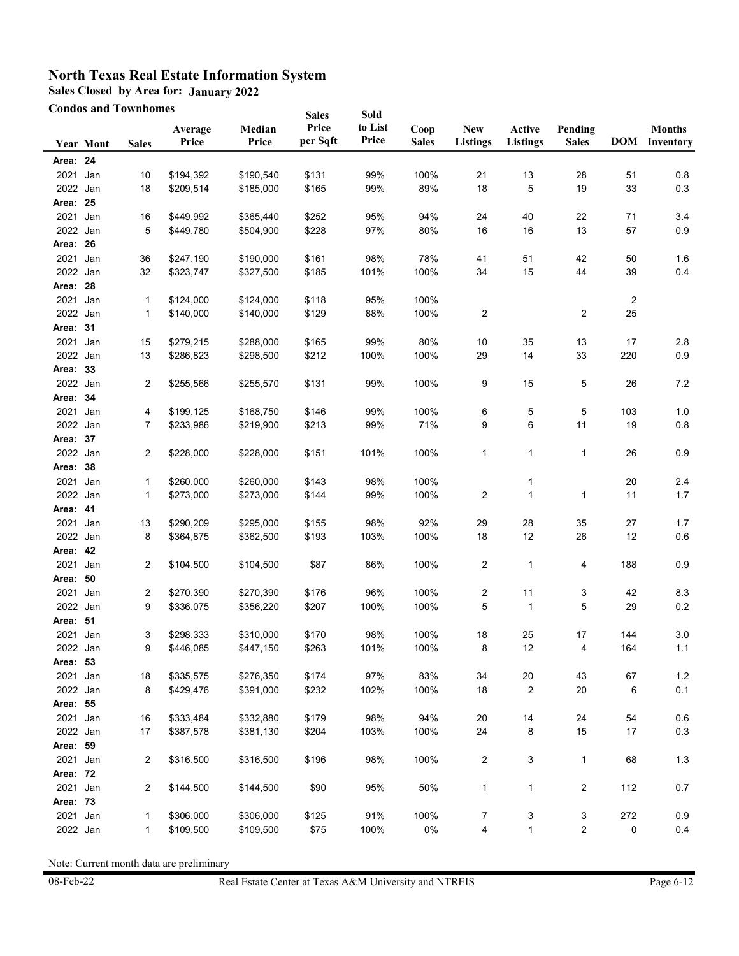**Sales Closed by Area for: January 2022**

**Condos and Townhomes**

| Sold<br><b>Sales</b><br>Price<br>to List<br>Median<br>Coop<br><b>New</b><br>Active<br>Pending<br><b>Months</b><br>Average<br>per Sqft<br>Price<br><b>DOM</b> Inventory<br>Price<br><b>Sales</b><br><b>Listings</b><br>Price<br><b>Listings</b><br><b>Sales</b><br><b>Year Mont</b><br><b>Sales</b><br>Area: 24<br>2021<br>99%<br>100%<br>Jan<br>\$190,540<br>\$131<br>21<br>13<br>28<br>51<br>10<br>\$194,392<br>89%<br>18<br>5<br>33<br>2022 Jan<br>18<br>\$185,000<br>\$165<br>99%<br>19<br>\$209,514<br>Area: 25<br>95%<br>40<br>22<br>2021<br>\$449,992<br>\$365,440<br>\$252<br>94%<br>24<br>71<br>Jan<br>16<br>97%<br>2022 Jan<br>5<br>\$228<br>80%<br>16<br>16<br>13<br>57<br>\$449,780<br>\$504,900<br>Area: 26<br>2021<br>42<br>Jan<br>36<br>\$247,190<br>\$190,000<br>\$161<br>98%<br>78%<br>41<br>51<br>50<br>2022 Jan<br>15<br>32<br>\$185<br>101%<br>100%<br>34<br>44<br>39<br>\$323,747<br>\$327,500<br>Area: 28<br>2021<br>Jan<br>\$124,000<br>\$118<br>95%<br>100%<br>$\overline{c}$<br>1<br>\$124,000<br>2<br>2<br>25<br>2022<br>\$129<br>88%<br>100%<br>Jan<br>1<br>\$140,000<br>\$140,000<br>31<br>Area:<br>2021<br>99%<br>80%<br>35<br>Jan<br>15<br>\$279,215<br>\$288,000<br>\$165<br>10<br>13<br>17<br>100%<br>2022 Jan<br>13<br>\$286,823<br>\$298,500<br>\$212<br>100%<br>29<br>14<br>33<br>220<br>Area: 33<br>2022 Jan<br>2<br>\$255,566<br>\$255,570<br>\$131<br>99%<br>100%<br>9<br>15<br>5<br>26<br>Area: 34<br>100%<br>2021 Jan<br>\$199,125<br>\$168,750<br>\$146<br>99%<br>5<br>103<br>4<br>6<br>5<br>99%<br>71%<br>6<br>2022 Jan<br>\$233,986<br>\$219,900<br>\$213<br>9<br>11<br>19<br>7<br>Area: 37<br>2022 Jan<br>2<br>101%<br>100%<br>1<br>1<br>\$228,000<br>\$228,000<br>\$151<br>1<br>26<br>Area: 38<br>2021<br>98%<br>100%<br>Jan<br>1<br>\$260,000<br>\$260,000<br>\$143<br>20<br>1<br>2022 Jan<br>1<br>\$273,000<br>\$273,000<br>\$144<br>99%<br>100%<br>2<br>1<br>11<br>1<br>Area: 41<br>2021<br>98%<br>92%<br>13<br>\$290,209<br>\$295,000<br>\$155<br>29<br>28<br>35<br>27<br>Jan<br>2022 Jan<br>8<br>\$362,500<br>\$193<br>103%<br>100%<br>18<br>12<br>26<br>12<br>\$364,875<br>Area: 42<br>2021<br>2<br>\$87<br>86%<br>100%<br>2<br>4<br>188<br>Jan<br>\$104,500<br>\$104,500<br>1<br>Area: 50<br>2021<br>\$270,390<br>\$176<br>96%<br>100%<br>11<br>3<br>42<br>Jan<br>2<br>\$270,390<br>2<br>2022 Jan<br>100%<br>100%<br>5<br>5<br>9<br>\$336,075<br>\$356,220<br>\$207<br>29<br>$\mathbf{1}$<br>Area: 51<br>2021 Jan<br>\$310,000<br>\$170<br>98%<br>100%<br>25<br>17<br>3<br>\$298,333<br>18<br>144<br>2022 Jan<br>101%<br>100%<br>164<br>\$446,085<br>\$447,150<br>\$263<br>8<br>12<br>4<br>9<br>Area: 53 |         |
|-------------------------------------------------------------------------------------------------------------------------------------------------------------------------------------------------------------------------------------------------------------------------------------------------------------------------------------------------------------------------------------------------------------------------------------------------------------------------------------------------------------------------------------------------------------------------------------------------------------------------------------------------------------------------------------------------------------------------------------------------------------------------------------------------------------------------------------------------------------------------------------------------------------------------------------------------------------------------------------------------------------------------------------------------------------------------------------------------------------------------------------------------------------------------------------------------------------------------------------------------------------------------------------------------------------------------------------------------------------------------------------------------------------------------------------------------------------------------------------------------------------------------------------------------------------------------------------------------------------------------------------------------------------------------------------------------------------------------------------------------------------------------------------------------------------------------------------------------------------------------------------------------------------------------------------------------------------------------------------------------------------------------------------------------------------------------------------------------------------------------------------------------------------------------------------------------------------------------------------------------------------------------------------------------------------------------------------------------------------------------------------------------------------------------------------------------------------------------------------------------------------------------------------------------------------------------------------------------------------------------------------------------------------|---------|
|                                                                                                                                                                                                                                                                                                                                                                                                                                                                                                                                                                                                                                                                                                                                                                                                                                                                                                                                                                                                                                                                                                                                                                                                                                                                                                                                                                                                                                                                                                                                                                                                                                                                                                                                                                                                                                                                                                                                                                                                                                                                                                                                                                                                                                                                                                                                                                                                                                                                                                                                                                                                                                                             |         |
|                                                                                                                                                                                                                                                                                                                                                                                                                                                                                                                                                                                                                                                                                                                                                                                                                                                                                                                                                                                                                                                                                                                                                                                                                                                                                                                                                                                                                                                                                                                                                                                                                                                                                                                                                                                                                                                                                                                                                                                                                                                                                                                                                                                                                                                                                                                                                                                                                                                                                                                                                                                                                                                             |         |
|                                                                                                                                                                                                                                                                                                                                                                                                                                                                                                                                                                                                                                                                                                                                                                                                                                                                                                                                                                                                                                                                                                                                                                                                                                                                                                                                                                                                                                                                                                                                                                                                                                                                                                                                                                                                                                                                                                                                                                                                                                                                                                                                                                                                                                                                                                                                                                                                                                                                                                                                                                                                                                                             | 0.8     |
|                                                                                                                                                                                                                                                                                                                                                                                                                                                                                                                                                                                                                                                                                                                                                                                                                                                                                                                                                                                                                                                                                                                                                                                                                                                                                                                                                                                                                                                                                                                                                                                                                                                                                                                                                                                                                                                                                                                                                                                                                                                                                                                                                                                                                                                                                                                                                                                                                                                                                                                                                                                                                                                             | 0.3     |
|                                                                                                                                                                                                                                                                                                                                                                                                                                                                                                                                                                                                                                                                                                                                                                                                                                                                                                                                                                                                                                                                                                                                                                                                                                                                                                                                                                                                                                                                                                                                                                                                                                                                                                                                                                                                                                                                                                                                                                                                                                                                                                                                                                                                                                                                                                                                                                                                                                                                                                                                                                                                                                                             |         |
|                                                                                                                                                                                                                                                                                                                                                                                                                                                                                                                                                                                                                                                                                                                                                                                                                                                                                                                                                                                                                                                                                                                                                                                                                                                                                                                                                                                                                                                                                                                                                                                                                                                                                                                                                                                                                                                                                                                                                                                                                                                                                                                                                                                                                                                                                                                                                                                                                                                                                                                                                                                                                                                             |         |
|                                                                                                                                                                                                                                                                                                                                                                                                                                                                                                                                                                                                                                                                                                                                                                                                                                                                                                                                                                                                                                                                                                                                                                                                                                                                                                                                                                                                                                                                                                                                                                                                                                                                                                                                                                                                                                                                                                                                                                                                                                                                                                                                                                                                                                                                                                                                                                                                                                                                                                                                                                                                                                                             | 3.4     |
|                                                                                                                                                                                                                                                                                                                                                                                                                                                                                                                                                                                                                                                                                                                                                                                                                                                                                                                                                                                                                                                                                                                                                                                                                                                                                                                                                                                                                                                                                                                                                                                                                                                                                                                                                                                                                                                                                                                                                                                                                                                                                                                                                                                                                                                                                                                                                                                                                                                                                                                                                                                                                                                             | 0.9     |
|                                                                                                                                                                                                                                                                                                                                                                                                                                                                                                                                                                                                                                                                                                                                                                                                                                                                                                                                                                                                                                                                                                                                                                                                                                                                                                                                                                                                                                                                                                                                                                                                                                                                                                                                                                                                                                                                                                                                                                                                                                                                                                                                                                                                                                                                                                                                                                                                                                                                                                                                                                                                                                                             |         |
|                                                                                                                                                                                                                                                                                                                                                                                                                                                                                                                                                                                                                                                                                                                                                                                                                                                                                                                                                                                                                                                                                                                                                                                                                                                                                                                                                                                                                                                                                                                                                                                                                                                                                                                                                                                                                                                                                                                                                                                                                                                                                                                                                                                                                                                                                                                                                                                                                                                                                                                                                                                                                                                             | 1.6     |
|                                                                                                                                                                                                                                                                                                                                                                                                                                                                                                                                                                                                                                                                                                                                                                                                                                                                                                                                                                                                                                                                                                                                                                                                                                                                                                                                                                                                                                                                                                                                                                                                                                                                                                                                                                                                                                                                                                                                                                                                                                                                                                                                                                                                                                                                                                                                                                                                                                                                                                                                                                                                                                                             | 0.4     |
|                                                                                                                                                                                                                                                                                                                                                                                                                                                                                                                                                                                                                                                                                                                                                                                                                                                                                                                                                                                                                                                                                                                                                                                                                                                                                                                                                                                                                                                                                                                                                                                                                                                                                                                                                                                                                                                                                                                                                                                                                                                                                                                                                                                                                                                                                                                                                                                                                                                                                                                                                                                                                                                             |         |
|                                                                                                                                                                                                                                                                                                                                                                                                                                                                                                                                                                                                                                                                                                                                                                                                                                                                                                                                                                                                                                                                                                                                                                                                                                                                                                                                                                                                                                                                                                                                                                                                                                                                                                                                                                                                                                                                                                                                                                                                                                                                                                                                                                                                                                                                                                                                                                                                                                                                                                                                                                                                                                                             |         |
|                                                                                                                                                                                                                                                                                                                                                                                                                                                                                                                                                                                                                                                                                                                                                                                                                                                                                                                                                                                                                                                                                                                                                                                                                                                                                                                                                                                                                                                                                                                                                                                                                                                                                                                                                                                                                                                                                                                                                                                                                                                                                                                                                                                                                                                                                                                                                                                                                                                                                                                                                                                                                                                             |         |
|                                                                                                                                                                                                                                                                                                                                                                                                                                                                                                                                                                                                                                                                                                                                                                                                                                                                                                                                                                                                                                                                                                                                                                                                                                                                                                                                                                                                                                                                                                                                                                                                                                                                                                                                                                                                                                                                                                                                                                                                                                                                                                                                                                                                                                                                                                                                                                                                                                                                                                                                                                                                                                                             |         |
|                                                                                                                                                                                                                                                                                                                                                                                                                                                                                                                                                                                                                                                                                                                                                                                                                                                                                                                                                                                                                                                                                                                                                                                                                                                                                                                                                                                                                                                                                                                                                                                                                                                                                                                                                                                                                                                                                                                                                                                                                                                                                                                                                                                                                                                                                                                                                                                                                                                                                                                                                                                                                                                             | 2.8     |
|                                                                                                                                                                                                                                                                                                                                                                                                                                                                                                                                                                                                                                                                                                                                                                                                                                                                                                                                                                                                                                                                                                                                                                                                                                                                                                                                                                                                                                                                                                                                                                                                                                                                                                                                                                                                                                                                                                                                                                                                                                                                                                                                                                                                                                                                                                                                                                                                                                                                                                                                                                                                                                                             | 0.9     |
|                                                                                                                                                                                                                                                                                                                                                                                                                                                                                                                                                                                                                                                                                                                                                                                                                                                                                                                                                                                                                                                                                                                                                                                                                                                                                                                                                                                                                                                                                                                                                                                                                                                                                                                                                                                                                                                                                                                                                                                                                                                                                                                                                                                                                                                                                                                                                                                                                                                                                                                                                                                                                                                             |         |
|                                                                                                                                                                                                                                                                                                                                                                                                                                                                                                                                                                                                                                                                                                                                                                                                                                                                                                                                                                                                                                                                                                                                                                                                                                                                                                                                                                                                                                                                                                                                                                                                                                                                                                                                                                                                                                                                                                                                                                                                                                                                                                                                                                                                                                                                                                                                                                                                                                                                                                                                                                                                                                                             | 7.2     |
|                                                                                                                                                                                                                                                                                                                                                                                                                                                                                                                                                                                                                                                                                                                                                                                                                                                                                                                                                                                                                                                                                                                                                                                                                                                                                                                                                                                                                                                                                                                                                                                                                                                                                                                                                                                                                                                                                                                                                                                                                                                                                                                                                                                                                                                                                                                                                                                                                                                                                                                                                                                                                                                             |         |
|                                                                                                                                                                                                                                                                                                                                                                                                                                                                                                                                                                                                                                                                                                                                                                                                                                                                                                                                                                                                                                                                                                                                                                                                                                                                                                                                                                                                                                                                                                                                                                                                                                                                                                                                                                                                                                                                                                                                                                                                                                                                                                                                                                                                                                                                                                                                                                                                                                                                                                                                                                                                                                                             | 1.0     |
|                                                                                                                                                                                                                                                                                                                                                                                                                                                                                                                                                                                                                                                                                                                                                                                                                                                                                                                                                                                                                                                                                                                                                                                                                                                                                                                                                                                                                                                                                                                                                                                                                                                                                                                                                                                                                                                                                                                                                                                                                                                                                                                                                                                                                                                                                                                                                                                                                                                                                                                                                                                                                                                             | 0.8     |
|                                                                                                                                                                                                                                                                                                                                                                                                                                                                                                                                                                                                                                                                                                                                                                                                                                                                                                                                                                                                                                                                                                                                                                                                                                                                                                                                                                                                                                                                                                                                                                                                                                                                                                                                                                                                                                                                                                                                                                                                                                                                                                                                                                                                                                                                                                                                                                                                                                                                                                                                                                                                                                                             |         |
|                                                                                                                                                                                                                                                                                                                                                                                                                                                                                                                                                                                                                                                                                                                                                                                                                                                                                                                                                                                                                                                                                                                                                                                                                                                                                                                                                                                                                                                                                                                                                                                                                                                                                                                                                                                                                                                                                                                                                                                                                                                                                                                                                                                                                                                                                                                                                                                                                                                                                                                                                                                                                                                             | 0.9     |
|                                                                                                                                                                                                                                                                                                                                                                                                                                                                                                                                                                                                                                                                                                                                                                                                                                                                                                                                                                                                                                                                                                                                                                                                                                                                                                                                                                                                                                                                                                                                                                                                                                                                                                                                                                                                                                                                                                                                                                                                                                                                                                                                                                                                                                                                                                                                                                                                                                                                                                                                                                                                                                                             |         |
|                                                                                                                                                                                                                                                                                                                                                                                                                                                                                                                                                                                                                                                                                                                                                                                                                                                                                                                                                                                                                                                                                                                                                                                                                                                                                                                                                                                                                                                                                                                                                                                                                                                                                                                                                                                                                                                                                                                                                                                                                                                                                                                                                                                                                                                                                                                                                                                                                                                                                                                                                                                                                                                             | 2.4     |
|                                                                                                                                                                                                                                                                                                                                                                                                                                                                                                                                                                                                                                                                                                                                                                                                                                                                                                                                                                                                                                                                                                                                                                                                                                                                                                                                                                                                                                                                                                                                                                                                                                                                                                                                                                                                                                                                                                                                                                                                                                                                                                                                                                                                                                                                                                                                                                                                                                                                                                                                                                                                                                                             | 1.7     |
|                                                                                                                                                                                                                                                                                                                                                                                                                                                                                                                                                                                                                                                                                                                                                                                                                                                                                                                                                                                                                                                                                                                                                                                                                                                                                                                                                                                                                                                                                                                                                                                                                                                                                                                                                                                                                                                                                                                                                                                                                                                                                                                                                                                                                                                                                                                                                                                                                                                                                                                                                                                                                                                             |         |
|                                                                                                                                                                                                                                                                                                                                                                                                                                                                                                                                                                                                                                                                                                                                                                                                                                                                                                                                                                                                                                                                                                                                                                                                                                                                                                                                                                                                                                                                                                                                                                                                                                                                                                                                                                                                                                                                                                                                                                                                                                                                                                                                                                                                                                                                                                                                                                                                                                                                                                                                                                                                                                                             | 1.7     |
|                                                                                                                                                                                                                                                                                                                                                                                                                                                                                                                                                                                                                                                                                                                                                                                                                                                                                                                                                                                                                                                                                                                                                                                                                                                                                                                                                                                                                                                                                                                                                                                                                                                                                                                                                                                                                                                                                                                                                                                                                                                                                                                                                                                                                                                                                                                                                                                                                                                                                                                                                                                                                                                             | 0.6     |
|                                                                                                                                                                                                                                                                                                                                                                                                                                                                                                                                                                                                                                                                                                                                                                                                                                                                                                                                                                                                                                                                                                                                                                                                                                                                                                                                                                                                                                                                                                                                                                                                                                                                                                                                                                                                                                                                                                                                                                                                                                                                                                                                                                                                                                                                                                                                                                                                                                                                                                                                                                                                                                                             |         |
|                                                                                                                                                                                                                                                                                                                                                                                                                                                                                                                                                                                                                                                                                                                                                                                                                                                                                                                                                                                                                                                                                                                                                                                                                                                                                                                                                                                                                                                                                                                                                                                                                                                                                                                                                                                                                                                                                                                                                                                                                                                                                                                                                                                                                                                                                                                                                                                                                                                                                                                                                                                                                                                             | 0.9     |
|                                                                                                                                                                                                                                                                                                                                                                                                                                                                                                                                                                                                                                                                                                                                                                                                                                                                                                                                                                                                                                                                                                                                                                                                                                                                                                                                                                                                                                                                                                                                                                                                                                                                                                                                                                                                                                                                                                                                                                                                                                                                                                                                                                                                                                                                                                                                                                                                                                                                                                                                                                                                                                                             |         |
|                                                                                                                                                                                                                                                                                                                                                                                                                                                                                                                                                                                                                                                                                                                                                                                                                                                                                                                                                                                                                                                                                                                                                                                                                                                                                                                                                                                                                                                                                                                                                                                                                                                                                                                                                                                                                                                                                                                                                                                                                                                                                                                                                                                                                                                                                                                                                                                                                                                                                                                                                                                                                                                             |         |
|                                                                                                                                                                                                                                                                                                                                                                                                                                                                                                                                                                                                                                                                                                                                                                                                                                                                                                                                                                                                                                                                                                                                                                                                                                                                                                                                                                                                                                                                                                                                                                                                                                                                                                                                                                                                                                                                                                                                                                                                                                                                                                                                                                                                                                                                                                                                                                                                                                                                                                                                                                                                                                                             | 8.3     |
|                                                                                                                                                                                                                                                                                                                                                                                                                                                                                                                                                                                                                                                                                                                                                                                                                                                                                                                                                                                                                                                                                                                                                                                                                                                                                                                                                                                                                                                                                                                                                                                                                                                                                                                                                                                                                                                                                                                                                                                                                                                                                                                                                                                                                                                                                                                                                                                                                                                                                                                                                                                                                                                             | 0.2     |
|                                                                                                                                                                                                                                                                                                                                                                                                                                                                                                                                                                                                                                                                                                                                                                                                                                                                                                                                                                                                                                                                                                                                                                                                                                                                                                                                                                                                                                                                                                                                                                                                                                                                                                                                                                                                                                                                                                                                                                                                                                                                                                                                                                                                                                                                                                                                                                                                                                                                                                                                                                                                                                                             |         |
|                                                                                                                                                                                                                                                                                                                                                                                                                                                                                                                                                                                                                                                                                                                                                                                                                                                                                                                                                                                                                                                                                                                                                                                                                                                                                                                                                                                                                                                                                                                                                                                                                                                                                                                                                                                                                                                                                                                                                                                                                                                                                                                                                                                                                                                                                                                                                                                                                                                                                                                                                                                                                                                             | 3.0     |
|                                                                                                                                                                                                                                                                                                                                                                                                                                                                                                                                                                                                                                                                                                                                                                                                                                                                                                                                                                                                                                                                                                                                                                                                                                                                                                                                                                                                                                                                                                                                                                                                                                                                                                                                                                                                                                                                                                                                                                                                                                                                                                                                                                                                                                                                                                                                                                                                                                                                                                                                                                                                                                                             | 1.1     |
|                                                                                                                                                                                                                                                                                                                                                                                                                                                                                                                                                                                                                                                                                                                                                                                                                                                                                                                                                                                                                                                                                                                                                                                                                                                                                                                                                                                                                                                                                                                                                                                                                                                                                                                                                                                                                                                                                                                                                                                                                                                                                                                                                                                                                                                                                                                                                                                                                                                                                                                                                                                                                                                             |         |
| 2021<br>Jan<br>\$276,350<br>97%<br>83%<br>34<br>$20\,$<br>43<br>18<br>\$335,575<br>\$174<br>67                                                                                                                                                                                                                                                                                                                                                                                                                                                                                                                                                                                                                                                                                                                                                                                                                                                                                                                                                                                                                                                                                                                                                                                                                                                                                                                                                                                                                                                                                                                                                                                                                                                                                                                                                                                                                                                                                                                                                                                                                                                                                                                                                                                                                                                                                                                                                                                                                                                                                                                                                              | $1.2$   |
| 2022 Jan<br>8<br>\$232<br>102%<br>100%<br>2<br>$20\,$<br>\$429,476<br>\$391,000<br>18<br>6                                                                                                                                                                                                                                                                                                                                                                                                                                                                                                                                                                                                                                                                                                                                                                                                                                                                                                                                                                                                                                                                                                                                                                                                                                                                                                                                                                                                                                                                                                                                                                                                                                                                                                                                                                                                                                                                                                                                                                                                                                                                                                                                                                                                                                                                                                                                                                                                                                                                                                                                                                  | 0.1     |
| Area: 55                                                                                                                                                                                                                                                                                                                                                                                                                                                                                                                                                                                                                                                                                                                                                                                                                                                                                                                                                                                                                                                                                                                                                                                                                                                                                                                                                                                                                                                                                                                                                                                                                                                                                                                                                                                                                                                                                                                                                                                                                                                                                                                                                                                                                                                                                                                                                                                                                                                                                                                                                                                                                                                    |         |
| 2021<br>Jan<br>\$332,880<br>\$179<br>98%<br>94%<br>14<br>24<br>16<br>\$333,484<br>20<br>54                                                                                                                                                                                                                                                                                                                                                                                                                                                                                                                                                                                                                                                                                                                                                                                                                                                                                                                                                                                                                                                                                                                                                                                                                                                                                                                                                                                                                                                                                                                                                                                                                                                                                                                                                                                                                                                                                                                                                                                                                                                                                                                                                                                                                                                                                                                                                                                                                                                                                                                                                                  | $0.6\,$ |
| 2022 Jan<br>17<br>\$204<br>103%<br>100%<br>24<br>8<br>15<br>17<br>\$387,578<br>\$381,130                                                                                                                                                                                                                                                                                                                                                                                                                                                                                                                                                                                                                                                                                                                                                                                                                                                                                                                                                                                                                                                                                                                                                                                                                                                                                                                                                                                                                                                                                                                                                                                                                                                                                                                                                                                                                                                                                                                                                                                                                                                                                                                                                                                                                                                                                                                                                                                                                                                                                                                                                                    | $0.3\,$ |
| Area: 59                                                                                                                                                                                                                                                                                                                                                                                                                                                                                                                                                                                                                                                                                                                                                                                                                                                                                                                                                                                                                                                                                                                                                                                                                                                                                                                                                                                                                                                                                                                                                                                                                                                                                                                                                                                                                                                                                                                                                                                                                                                                                                                                                                                                                                                                                                                                                                                                                                                                                                                                                                                                                                                    |         |
| 2021 Jan<br>\$196<br>$\overline{\mathbf{c}}$<br>3<br>2<br>\$316,500<br>\$316,500<br>98%<br>100%<br>1<br>68                                                                                                                                                                                                                                                                                                                                                                                                                                                                                                                                                                                                                                                                                                                                                                                                                                                                                                                                                                                                                                                                                                                                                                                                                                                                                                                                                                                                                                                                                                                                                                                                                                                                                                                                                                                                                                                                                                                                                                                                                                                                                                                                                                                                                                                                                                                                                                                                                                                                                                                                                  | 1.3     |
| Area: 72                                                                                                                                                                                                                                                                                                                                                                                                                                                                                                                                                                                                                                                                                                                                                                                                                                                                                                                                                                                                                                                                                                                                                                                                                                                                                                                                                                                                                                                                                                                                                                                                                                                                                                                                                                                                                                                                                                                                                                                                                                                                                                                                                                                                                                                                                                                                                                                                                                                                                                                                                                                                                                                    |         |
| 2021<br>\$90<br>95%<br>50%<br>$\mathbf 1$<br>2<br>112<br>Jan<br>2<br>\$144,500<br>\$144,500<br>$\mathbf{1}$                                                                                                                                                                                                                                                                                                                                                                                                                                                                                                                                                                                                                                                                                                                                                                                                                                                                                                                                                                                                                                                                                                                                                                                                                                                                                                                                                                                                                                                                                                                                                                                                                                                                                                                                                                                                                                                                                                                                                                                                                                                                                                                                                                                                                                                                                                                                                                                                                                                                                                                                                 | 0.7     |
| Area: 73                                                                                                                                                                                                                                                                                                                                                                                                                                                                                                                                                                                                                                                                                                                                                                                                                                                                                                                                                                                                                                                                                                                                                                                                                                                                                                                                                                                                                                                                                                                                                                                                                                                                                                                                                                                                                                                                                                                                                                                                                                                                                                                                                                                                                                                                                                                                                                                                                                                                                                                                                                                                                                                    |         |
| 2021<br>Jan<br>3<br>3<br>272<br>\$306,000<br>\$306,000<br>\$125<br>91%<br>100%<br>7<br>1                                                                                                                                                                                                                                                                                                                                                                                                                                                                                                                                                                                                                                                                                                                                                                                                                                                                                                                                                                                                                                                                                                                                                                                                                                                                                                                                                                                                                                                                                                                                                                                                                                                                                                                                                                                                                                                                                                                                                                                                                                                                                                                                                                                                                                                                                                                                                                                                                                                                                                                                                                    | 0.9     |
| 4<br>$\overline{\mathbf{c}}$<br>2022 Jan<br>\$109,500<br>\$75<br>100%<br>$0\%$<br>1<br>0<br>1<br>\$109,500                                                                                                                                                                                                                                                                                                                                                                                                                                                                                                                                                                                                                                                                                                                                                                                                                                                                                                                                                                                                                                                                                                                                                                                                                                                                                                                                                                                                                                                                                                                                                                                                                                                                                                                                                                                                                                                                                                                                                                                                                                                                                                                                                                                                                                                                                                                                                                                                                                                                                                                                                  | 0.4     |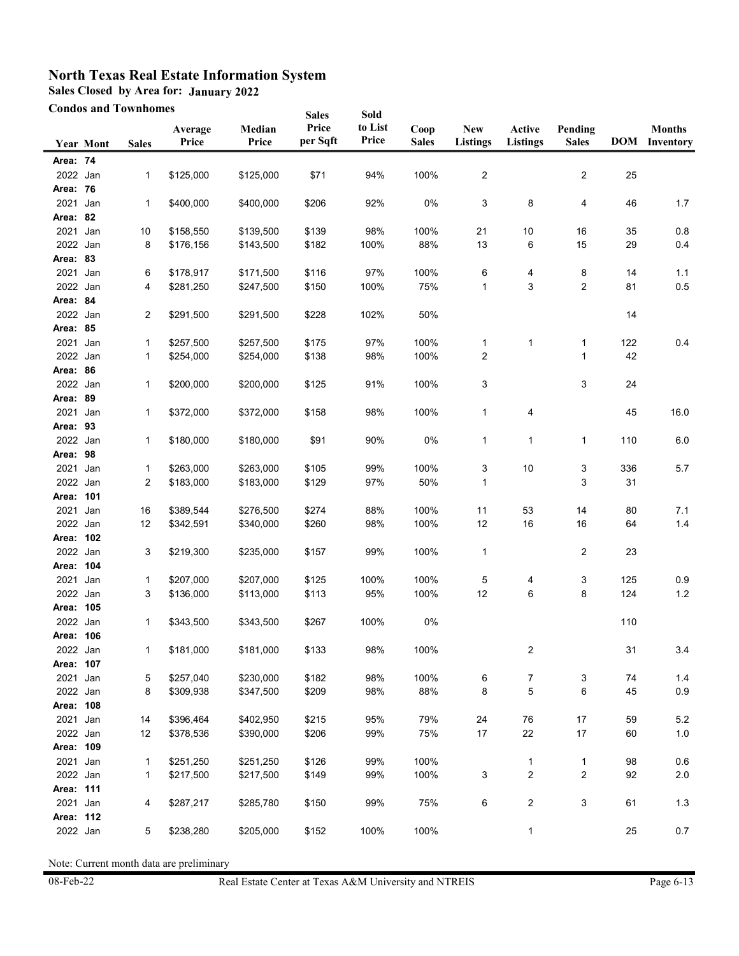**Sales Closed by Area for: January 2022**

**Condos and Townhomes**

| <b>Condos and Townhomes</b> |           |              | <b>Sales</b>     | Sold            |                   |                  |                      |                               |                           |                         |     |                                       |
|-----------------------------|-----------|--------------|------------------|-----------------|-------------------|------------------|----------------------|-------------------------------|---------------------------|-------------------------|-----|---------------------------------------|
|                             | Year Mont | <b>Sales</b> | Average<br>Price | Median<br>Price | Price<br>per Sqft | to List<br>Price | Coop<br><b>Sales</b> | <b>New</b><br><b>Listings</b> | Active<br><b>Listings</b> | Pending<br><b>Sales</b> |     | <b>Months</b><br><b>DOM</b> Inventory |
| Area: 74                    |           |              |                  |                 |                   |                  |                      |                               |                           |                         |     |                                       |
| 2022 Jan                    |           | 1            | \$125,000        | \$125,000       | \$71              | 94%              | 100%                 | $\overline{2}$                |                           | 2                       | 25  |                                       |
| Area: 76                    |           |              |                  |                 |                   |                  |                      |                               |                           |                         |     |                                       |
| 2021                        | Jan       | 1            | \$400,000        | \$400,000       | \$206             | 92%              | 0%                   | 3                             | 8                         | 4                       | 46  | 1.7                                   |
| Area: 82                    |           |              |                  |                 |                   |                  |                      |                               |                           |                         |     |                                       |
| 2021 Jan                    |           | 10           | \$158,550        | \$139,500       | \$139             | 98%              | 100%                 | 21                            | 10                        | 16                      | 35  | 0.8                                   |
| 2022 Jan                    |           | 8            | \$176,156        | \$143,500       | \$182             | 100%             | 88%                  | 13                            | 6                         | 15                      | 29  | 0.4                                   |
| Area: 83                    |           |              |                  |                 |                   |                  |                      |                               |                           |                         |     |                                       |
| 2021                        | Jan       | 6            | \$178,917        | \$171,500       | \$116             | 97%              | 100%                 | 6                             | 4                         | 8                       | 14  | 1.1                                   |
| 2022 Jan                    |           | 4            | \$281,250        | \$247,500       | \$150             | 100%             | 75%                  | 1                             | 3                         | 2                       | 81  | 0.5                                   |
| Area: 84                    |           |              |                  |                 |                   |                  |                      |                               |                           |                         |     |                                       |
| 2022 Jan                    |           | 2            | \$291,500        | \$291,500       | \$228             | 102%             | 50%                  |                               |                           |                         | 14  |                                       |
| Area: 85                    |           |              |                  |                 |                   |                  |                      |                               |                           |                         |     |                                       |
| 2021                        | Jan       | 1            | \$257,500        | \$257,500       | \$175             | 97%              | 100%                 | $\mathbf{1}$                  | $\mathbf{1}$              | 1                       | 122 | 0.4                                   |
| 2022 Jan                    |           | 1            | \$254,000        | \$254,000       | \$138             | 98%              | 100%                 | 2                             |                           | 1                       | 42  |                                       |
| Area: 86                    |           |              |                  |                 |                   |                  |                      |                               |                           |                         |     |                                       |
| 2022 Jan                    |           | 1            | \$200,000        | \$200,000       | \$125             | 91%              | 100%                 | 3                             |                           | 3                       | 24  |                                       |
| Area: 89                    |           |              |                  |                 |                   |                  |                      |                               |                           |                         |     |                                       |
| 2021 Jan                    |           | 1            | \$372,000        | \$372,000       | \$158             | 98%              | 100%                 | 1                             | 4                         |                         | 45  | 16.0                                  |
| Area: 93                    |           |              |                  |                 |                   |                  |                      |                               |                           |                         |     |                                       |
| 2022 Jan                    |           | 1            | \$180,000        | \$180,000       | \$91              | 90%              | 0%                   | 1                             | 1                         | 1                       | 110 | 6.0                                   |
| Area: 98                    |           |              |                  |                 |                   |                  |                      |                               |                           |                         |     |                                       |
| 2021                        | Jan       | 1            | \$263,000        | \$263,000       | \$105             | 99%              | 100%                 | 3                             | 10                        | 3                       | 336 | 5.7                                   |
| 2022 Jan                    |           | 2            | \$183,000        | \$183,000       | \$129             | 97%              | 50%                  | 1                             |                           | 3                       | 31  |                                       |
| Area: 101                   |           |              |                  |                 |                   |                  |                      |                               |                           |                         |     |                                       |
| 2021                        | Jan       | 16           | \$389,544        | \$276,500       | \$274             | 88%              | 100%                 | 11                            | 53                        | 14                      | 80  | 7.1                                   |
| 2022 Jan<br>Area: 102       |           | 12           | \$342,591        | \$340,000       | \$260             | 98%              | 100%                 | 12                            | 16                        | 16                      | 64  | 1.4                                   |
| 2022 Jan                    |           |              |                  | \$235,000       |                   | 99%              | 100%                 |                               |                           |                         | 23  |                                       |
| Area: 104                   |           | 3            | \$219,300        |                 | \$157             |                  |                      | $\mathbf{1}$                  |                           | 2                       |     |                                       |
| 2021                        | Jan       | 1            | \$207,000        | \$207,000       | \$125             | 100%             | 100%                 | 5                             | 4                         | 3                       | 125 | 0.9                                   |
| 2022 Jan                    |           | 3            | \$136,000        | \$113,000       | \$113             | 95%              | 100%                 | 12                            | 6                         | 8                       | 124 | $1.2$                                 |
| Area: 105                   |           |              |                  |                 |                   |                  |                      |                               |                           |                         |     |                                       |
| 2022 Jan                    |           | 1            | \$343,500        | \$343,500       | \$267             | 100%             | 0%                   |                               |                           |                         | 110 |                                       |
| Area: 106                   |           |              |                  |                 |                   |                  |                      |                               |                           |                         |     |                                       |
| 2022 Jan                    |           | 1            | \$181,000        | \$181,000       | \$133             | 98%              | 100%                 |                               | 2                         |                         | 31  | 3.4                                   |
| Area: 107                   |           |              |                  |                 |                   |                  |                      |                               |                           |                         |     |                                       |
| 2021 Jan                    |           | 5            | \$257,040        | \$230,000       | \$182             | 98%              | 100%                 | 6                             | 7                         | 3                       | 74  | 1.4                                   |
| 2022 Jan                    |           | 8            | \$309,938        | \$347,500       | \$209             | 98%              | 88%                  | 8                             | 5                         | 6                       | 45  | 0.9                                   |
| Area: 108                   |           |              |                  |                 |                   |                  |                      |                               |                           |                         |     |                                       |
| 2021 Jan                    |           | 14           | \$396,464        | \$402,950       | \$215             | 95%              | 79%                  | 24                            | 76                        | 17                      | 59  | 5.2                                   |
| 2022 Jan                    |           | 12           | \$378,536        | \$390,000       | \$206             | 99%              | 75%                  | $17$                          | 22                        | $17\,$                  | 60  | $1.0$                                 |
| Area: 109                   |           |              |                  |                 |                   |                  |                      |                               |                           |                         |     |                                       |
| 2021 Jan                    |           | 1            | \$251,250        | \$251,250       | \$126             | 99%              | 100%                 |                               | $\mathbf{1}$              | 1                       | 98  | $0.6\,$                               |
| 2022 Jan                    |           | $\mathbf{1}$ | \$217,500        | \$217,500       | \$149             | 99%              | 100%                 | 3                             | 2                         | 2                       | 92  | 2.0                                   |
| Area: 111                   |           |              |                  |                 |                   |                  |                      |                               |                           |                         |     |                                       |
| 2021 Jan                    |           | 4            | \$287,217        | \$285,780       | \$150             | 99%              | 75%                  | 6                             | 2                         | 3                       | 61  | 1.3                                   |
| Area: 112                   |           |              |                  |                 |                   |                  |                      |                               |                           |                         |     |                                       |
| 2022 Jan                    |           | 5            | \$238,280        | \$205,000       | \$152             | 100%             | 100%                 |                               | $\mathbf{1}$              |                         | 25  | 0.7                                   |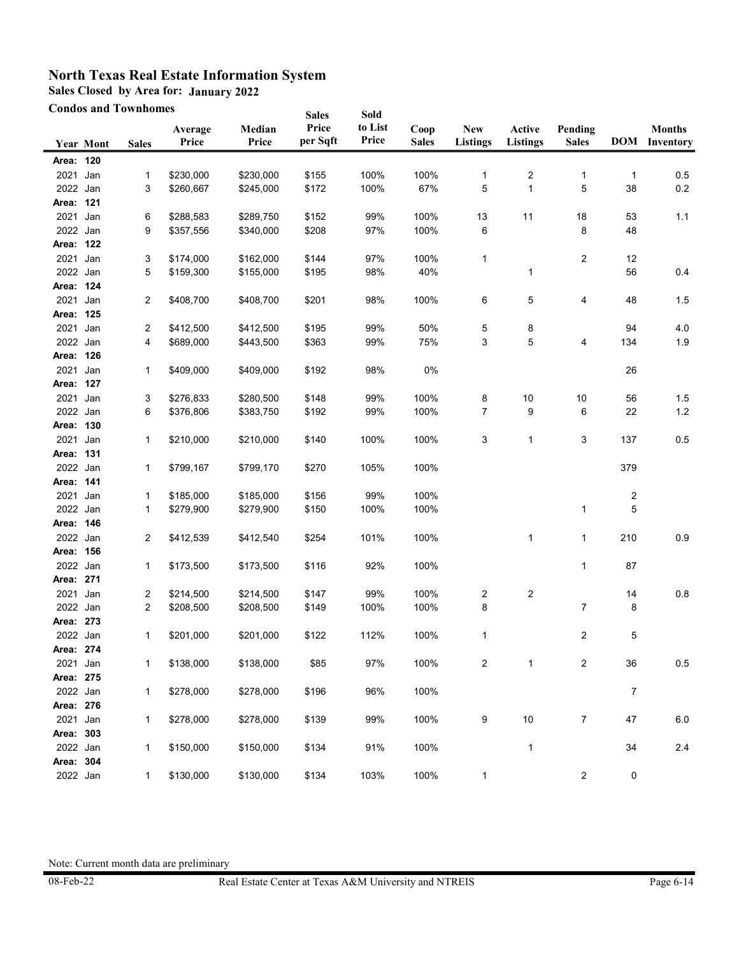**Sales Closed by Area for: January 2022**

**Condos and Townhomes**

|           |           | <b>Condos and Townhomes</b> |                  |                 | <b>Sales</b>      | Sold             |                      |                               |                           |                         |                         |                                       |
|-----------|-----------|-----------------------------|------------------|-----------------|-------------------|------------------|----------------------|-------------------------------|---------------------------|-------------------------|-------------------------|---------------------------------------|
|           | Year Mont | <b>Sales</b>                | Average<br>Price | Median<br>Price | Price<br>per Sqft | to List<br>Price | Coop<br><b>Sales</b> | <b>New</b><br><b>Listings</b> | Active<br><b>Listings</b> | Pending<br><b>Sales</b> |                         | <b>Months</b><br><b>DOM</b> Inventory |
| Area: 120 |           |                             |                  |                 |                   |                  |                      |                               |                           |                         |                         |                                       |
| 2021      | Jan       | $\mathbf{1}$                | \$230,000        | \$230,000       | \$155             | 100%             | 100%                 | 1                             | 2                         | 1                       | 1                       | 0.5                                   |
| 2022 Jan  |           | 3                           | \$260,667        | \$245,000       | \$172             | 100%             | 67%                  | 5                             | 1                         | 5                       | 38                      | 0.2                                   |
| Area: 121 |           |                             |                  |                 |                   |                  |                      |                               |                           |                         |                         |                                       |
| 2021 Jan  |           | 6                           | \$288,583        | \$289,750       | \$152             | 99%              | 100%                 | 13                            | 11                        | 18                      | 53                      | 1.1                                   |
| 2022 Jan  |           | 9                           | \$357,556        | \$340,000       | \$208             | 97%              | 100%                 | 6                             |                           | 8                       | 48                      |                                       |
| Area: 122 |           |                             |                  |                 |                   |                  |                      |                               |                           |                         |                         |                                       |
| 2021      | Jan       | 3                           | \$174,000        | \$162,000       | \$144             | 97%              | 100%                 | 1                             |                           | 2                       | 12                      |                                       |
| 2022 Jan  |           | 5                           | \$159,300        | \$155,000       | \$195             | 98%              | 40%                  |                               | 1                         |                         | 56                      | 0.4                                   |
| Area: 124 |           |                             |                  |                 |                   |                  |                      |                               |                           |                         |                         |                                       |
| 2021 Jan  |           | $\overline{c}$              | \$408,700        | \$408,700       | \$201             | 98%              | 100%                 | 6                             | 5                         | 4                       | 48                      | 1.5                                   |
| Area: 125 |           |                             |                  |                 |                   |                  |                      |                               |                           |                         |                         |                                       |
| 2021 Jan  |           | 2                           | \$412,500        | \$412,500       | \$195             | 99%              | 50%                  | 5                             | 8                         |                         | 94                      | 4.0                                   |
| 2022 Jan  |           | 4                           | \$689,000        | \$443,500       | \$363             | 99%              | 75%                  | 3                             | 5                         | 4                       | 134                     | 1.9                                   |
| Area: 126 |           |                             |                  |                 |                   |                  |                      |                               |                           |                         |                         |                                       |
| 2021 Jan  |           | $\mathbf{1}$                | \$409,000        | \$409,000       | \$192             | 98%              | 0%                   |                               |                           |                         | 26                      |                                       |
| Area: 127 |           |                             |                  |                 |                   |                  |                      |                               |                           |                         |                         |                                       |
| 2021 Jan  |           | 3                           | \$276,833        | \$280,500       | \$148             | 99%              | 100%                 | 8                             | 10                        | 10                      | 56                      | 1.5                                   |
| 2022 Jan  |           | 6                           | \$376,806        | \$383,750       | \$192             | 99%              | 100%                 | 7                             | 9                         | 6                       | 22                      | 1.2                                   |
| Area: 130 |           |                             |                  |                 |                   |                  |                      |                               |                           |                         |                         |                                       |
| 2021      | Jan       | $\mathbf{1}$                | \$210,000        | \$210,000       | \$140             | 100%             | 100%                 | 3                             | 1                         | 3                       | 137                     | 0.5                                   |
| Area: 131 |           |                             |                  |                 |                   |                  |                      |                               |                           |                         |                         |                                       |
| 2022 Jan  |           | 1                           | \$799,167        | \$799,170       | \$270             | 105%             | 100%                 |                               |                           |                         | 379                     |                                       |
| Area: 141 |           |                             |                  |                 |                   |                  |                      |                               |                           |                         |                         |                                       |
| 2021      | Jan       | 1                           | \$185,000        | \$185,000       | \$156             | 99%              | 100%                 |                               |                           |                         | $\overline{\mathbf{c}}$ |                                       |
| 2022      | Jan       | $\mathbf{1}$                | \$279,900        | \$279,900       | \$150             | 100%             | 100%                 |                               |                           | 1                       | 5                       |                                       |
| Area: 146 |           |                             |                  |                 |                   |                  |                      |                               |                           |                         |                         |                                       |
| 2022 Jan  |           | 2                           | \$412,539        | \$412,540       | \$254             | 101%             | 100%                 |                               | 1                         | 1                       | 210                     | 0.9                                   |
| Area: 156 |           |                             |                  |                 |                   |                  |                      |                               |                           |                         |                         |                                       |
| 2022 Jan  |           | $\mathbf{1}$                | \$173,500        | \$173,500       | \$116             | 92%              | 100%                 |                               |                           | 1                       | 87                      |                                       |
| Area: 271 |           |                             |                  |                 |                   |                  |                      |                               |                           |                         |                         |                                       |
| 2021 Jan  |           | 2                           | \$214,500        | \$214,500       | \$147             | 99%              | 100%                 | 2                             | 2                         |                         | 14                      | 0.8                                   |
| 2022 Jan  |           | 2                           | \$208,500        | \$208,500       | \$149             | 100%             | 100%                 | 8                             |                           | 7                       | 8                       |                                       |
| Area: 273 |           |                             |                  |                 |                   |                  |                      |                               |                           |                         |                         |                                       |
| 2022 Jan  |           | 1                           | \$201,000        | \$201,000       | \$122             | 112%             | 100%                 | 1                             |                           | 2                       | 5                       |                                       |
| Area: 274 |           |                             |                  |                 |                   |                  |                      |                               |                           |                         |                         |                                       |
| 2021 Jan  |           | 1                           | \$138,000        | \$138,000       | \$85              | 97%              | 100%                 | 2                             | 1                         | 2                       | 36                      | 0.5                                   |
| Area: 275 |           |                             |                  |                 |                   |                  |                      |                               |                           |                         |                         |                                       |
| 2022 Jan  |           | $\mathbf{1}$                | \$278,000        | \$278,000       | \$196             | 96%              | 100%                 |                               |                           |                         | $\overline{7}$          |                                       |
| Area: 276 |           |                             |                  |                 |                   |                  |                      |                               |                           |                         |                         |                                       |
| 2021      | Jan       | $\mathbf 1$                 | \$278,000        | \$278,000       | \$139             | 99%              | 100%                 | 9                             | $10$                      | $\overline{7}$          | 47                      | 6.0                                   |
| Area: 303 |           |                             |                  |                 |                   |                  |                      |                               |                           |                         |                         |                                       |
| 2022 Jan  |           | $\mathbf{1}$                | \$150,000        | \$150,000       | \$134             | 91%              | 100%                 |                               | 1                         |                         | 34                      | 2.4                                   |
| Area: 304 |           |                             |                  |                 |                   |                  |                      |                               |                           |                         |                         |                                       |
| 2022 Jan  |           | $\mathbf{1}$                | \$130,000        | \$130,000       | \$134             | 103%             | 100%                 | $\mathbf{1}$                  |                           | $\overline{c}$          | 0                       |                                       |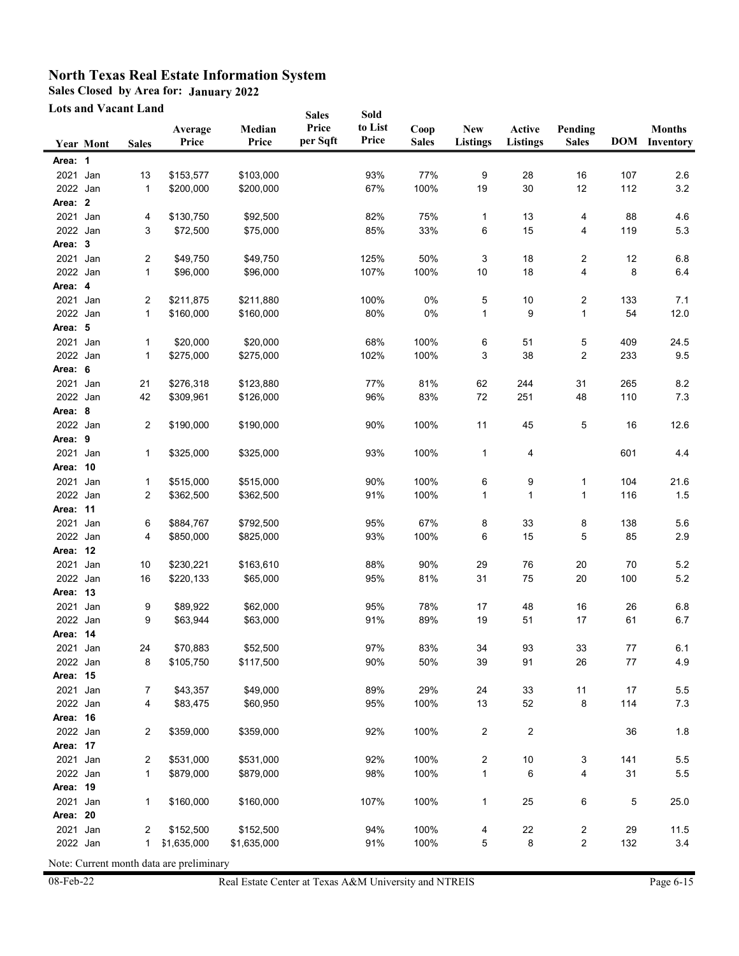**Sales Closed by Area for: January 2022**

**Lots and Vacant Land**

|          |                  | Lots and Vacant Land |                  |                 | <b>Sales</b>      | Sold             |                      |                               |                           |                         |        |                                       |
|----------|------------------|----------------------|------------------|-----------------|-------------------|------------------|----------------------|-------------------------------|---------------------------|-------------------------|--------|---------------------------------------|
|          | <b>Year Mont</b> | <b>Sales</b>         | Average<br>Price | Median<br>Price | Price<br>per Sqft | to List<br>Price | Coop<br><b>Sales</b> | <b>New</b><br><b>Listings</b> | Active<br><b>Listings</b> | Pending<br><b>Sales</b> |        | <b>Months</b><br><b>DOM</b> Inventory |
| Area: 1  |                  |                      |                  |                 |                   |                  |                      |                               |                           |                         |        |                                       |
| 2021     | Jan              | 13                   | \$153,577        | \$103,000       |                   | 93%              | 77%                  | 9                             | 28                        | 16                      | 107    | 2.6                                   |
| 2022 Jan |                  | 1                    | \$200,000        | \$200,000       |                   | 67%              | 100%                 | 19                            | 30                        | 12                      | 112    | $3.2\,$                               |
| Area: 2  |                  |                      |                  |                 |                   |                  |                      |                               |                           |                         |        |                                       |
| 2021 Jan |                  | 4                    | \$130,750        | \$92,500        |                   | 82%              | 75%                  | 1                             | 13                        | 4                       | 88     | 4.6                                   |
| 2022 Jan |                  | 3                    | \$72,500         | \$75,000        |                   | 85%              | 33%                  | 6                             | 15                        | 4                       | 119    | 5.3                                   |
| Area: 3  |                  |                      |                  |                 |                   |                  |                      |                               |                           |                         |        |                                       |
| 2021     | Jan              | 2                    | \$49,750         | \$49,750        |                   | 125%             | 50%                  | 3                             | 18                        | 2                       | 12     | $6.8\,$                               |
| 2022 Jan |                  | 1                    | \$96,000         | \$96,000        |                   | 107%             | 100%                 | 10                            | 18                        | 4                       | 8      | 6.4                                   |
| Area: 4  |                  |                      |                  |                 |                   |                  |                      |                               |                           |                         |        |                                       |
| 2021 Jan |                  | 2                    | \$211,875        | \$211,880       |                   | 100%             | 0%                   | 5                             | 10                        | 2                       | 133    | 7.1                                   |
| 2022 Jan |                  | 1                    | \$160,000        | \$160,000       |                   | 80%              | 0%                   | 1                             | 9                         | 1                       | 54     | 12.0                                  |
| Area: 5  |                  |                      |                  |                 |                   |                  |                      |                               |                           |                         |        |                                       |
| 2021 Jan |                  | 1                    | \$20,000         | \$20,000        |                   | 68%              | 100%                 | 6                             | 51                        | 5                       | 409    | 24.5                                  |
| 2022 Jan |                  | 1                    | \$275,000        | \$275,000       |                   | 102%             | 100%                 | 3                             | 38                        | 2                       | 233    | 9.5                                   |
| Area: 6  |                  |                      |                  |                 |                   |                  |                      |                               |                           |                         |        |                                       |
| 2021 Jan |                  | 21                   | \$276,318        | \$123,880       |                   | 77%              | 81%                  | 62                            | 244                       | 31                      | 265    | 8.2                                   |
| 2022 Jan |                  | 42                   | \$309,961        | \$126,000       |                   | 96%              | 83%                  | 72                            | 251                       | 48                      | 110    | 7.3                                   |
| Area: 8  |                  |                      |                  |                 |                   |                  |                      |                               |                           |                         |        |                                       |
| 2022 Jan |                  | 2                    | \$190,000        | \$190,000       |                   | 90%              | 100%                 | 11                            | 45                        | 5                       | 16     | 12.6                                  |
| Area: 9  |                  |                      |                  |                 |                   |                  |                      |                               |                           |                         |        |                                       |
| 2021     | Jan              | 1                    | \$325,000        | \$325,000       |                   | 93%              | 100%                 | 1                             | 4                         |                         | 601    | 4.4                                   |
| Area: 10 |                  |                      |                  |                 |                   |                  |                      |                               |                           |                         |        |                                       |
| 2021     | Jan              | 1                    | \$515,000        | \$515,000       |                   | 90%              | 100%                 | 6                             | 9                         | 1                       | 104    | 21.6                                  |
| 2022 Jan |                  | 2                    | \$362,500        | \$362,500       |                   | 91%              | 100%                 | 1                             | 1                         | 1                       | 116    | 1.5                                   |
| Area: 11 |                  |                      |                  |                 |                   |                  |                      |                               |                           |                         |        |                                       |
| 2021     | Jan              | 6                    | \$884,767        | \$792,500       |                   | 95%              | 67%                  | 8                             | 33                        | 8                       | 138    | 5.6                                   |
| 2022 Jan |                  | 4                    | \$850,000        | \$825,000       |                   | 93%              | 100%                 | 6                             | 15                        | 5                       | 85     | 2.9                                   |
| Area: 12 |                  |                      |                  |                 |                   |                  |                      |                               |                           |                         |        |                                       |
| 2021 Jan |                  | 10                   | \$230,221        | \$163,610       |                   | 88%              | 90%                  | 29                            | 76                        | $20\,$                  | 70     | 5.2                                   |
| 2022 Jan |                  | 16                   | \$220,133        | \$65,000        |                   | 95%              | 81%                  | 31                            | 75                        | 20                      | 100    | $5.2\,$                               |
| Area: 13 |                  |                      |                  |                 |                   |                  |                      |                               |                           |                         |        |                                       |
| 2021     | Jan              | 9                    | \$89,922         | \$62,000        |                   | 95%              | 78%                  | 17                            | 48                        | $16\,$                  | 26     | 6.8                                   |
| 2022 Jan |                  | 9                    | \$63,944         | \$63,000        |                   | 91%              | 89%                  | 19                            | 51                        | 17                      | 61     | 6.7                                   |
| Area: 14 |                  |                      |                  |                 |                   |                  |                      |                               |                           |                         |        |                                       |
| 2021 Jan |                  | 24                   | \$70,883         | \$52,500        |                   | 97%              | 83%                  | 34                            | 93                        | 33                      | $77\,$ | 6.1                                   |
| 2022 Jan |                  | 8                    | \$105,750        | \$117,500       |                   | 90%              | 50%                  | 39                            | 91                        | 26                      | 77     | 4.9                                   |
| Area: 15 |                  |                      |                  |                 |                   |                  |                      |                               |                           |                         |        |                                       |
| 2021 Jan |                  | 7                    | \$43,357         | \$49,000        |                   | 89%              | 29%                  | 24                            | 33                        | 11                      | 17     | $5.5\,$                               |
| 2022 Jan |                  | 4                    | \$83,475         | \$60,950        |                   | 95%              | 100%                 | 13                            | 52                        | 8                       | 114    | $7.3$                                 |
| Area: 16 |                  |                      |                  |                 |                   |                  |                      |                               |                           |                         |        |                                       |
| 2022 Jan |                  | 2                    | \$359,000        | \$359,000       |                   | 92%              | 100%                 | 2                             | 2                         |                         | 36     | 1.8                                   |
| Area: 17 |                  |                      |                  |                 |                   |                  |                      |                               |                           |                         |        |                                       |
| 2021 Jan |                  | 2                    | \$531,000        | \$531,000       |                   | 92%              | 100%                 | 2                             | 10                        | 3                       | 141    | 5.5                                   |
| 2022 Jan |                  | $\mathbf{1}$         | \$879,000        | \$879,000       |                   | 98%              | 100%                 | 1                             | 6                         | 4                       | 31     | $5.5\,$                               |
| Area: 19 |                  |                      |                  |                 |                   |                  |                      |                               |                           |                         |        |                                       |
| 2021 Jan |                  | 1                    | \$160,000        | \$160,000       |                   | 107%             | 100%                 | 1                             | 25                        | 6                       | 5      | 25.0                                  |
| Area: 20 |                  |                      |                  |                 |                   |                  |                      |                               |                           |                         |        |                                       |
| 2021 Jan |                  | $\overline{2}$       | \$152,500        | \$152,500       |                   | 94%              | 100%                 | 4                             | 22                        | $\overline{\mathbf{c}}$ | 29     | 11.5                                  |
| 2022 Jan |                  | 1                    | \$1,635,000      | \$1,635,000     |                   | 91%              | 100%                 | 5                             | 8                         | 2                       | 132    | 3.4                                   |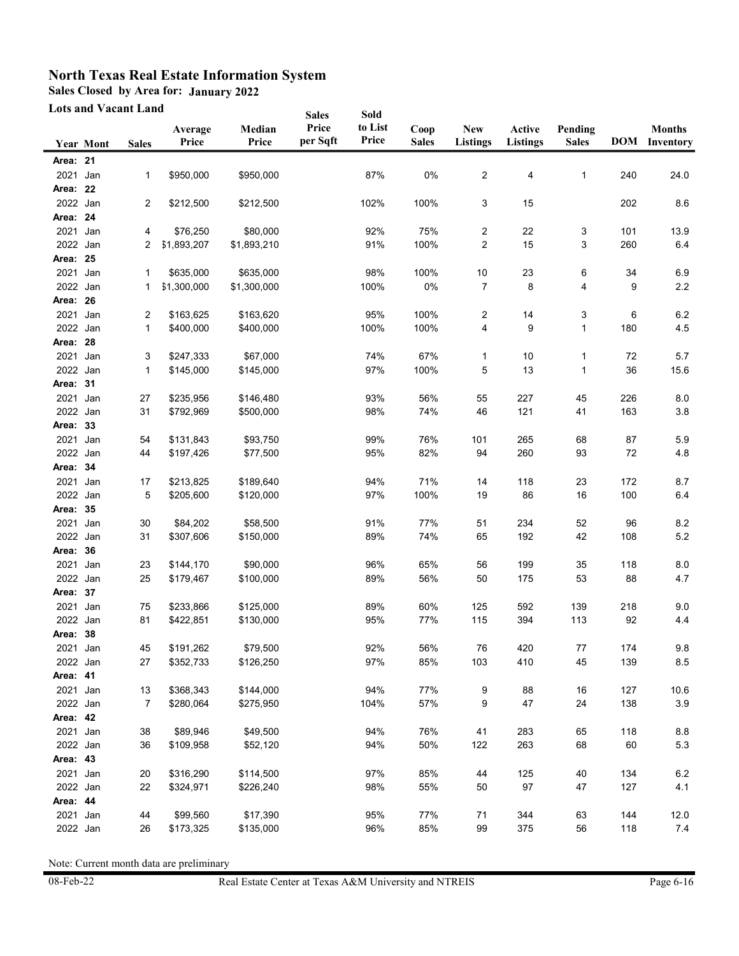**Sales Closed by Area for: January 2022**

**Lots and Vacant Land**

| Lots and Vacant Land |                  |              | <b>Sales</b> | Sold        |          |         |              |                 |                 |              |     |                      |
|----------------------|------------------|--------------|--------------|-------------|----------|---------|--------------|-----------------|-----------------|--------------|-----|----------------------|
|                      |                  |              | Average      | Median      | Price    | to List | Coop         | <b>New</b>      | Active          | Pending      |     | <b>Months</b>        |
|                      | <b>Year Mont</b> | <b>Sales</b> | Price        | Price       | per Sqft | Price   | <b>Sales</b> | <b>Listings</b> | <b>Listings</b> | <b>Sales</b> |     | <b>DOM</b> Inventory |
| Area: 21             |                  |              |              |             |          |         |              |                 |                 |              |     |                      |
| 2021                 | Jan              | 1            | \$950,000    | \$950,000   |          | 87%     | 0%           | 2               | 4               | 1            | 240 | 24.0                 |
| Area: 22             |                  |              |              |             |          |         |              |                 |                 |              |     |                      |
| 2022 Jan             |                  | 2            | \$212,500    | \$212,500   |          | 102%    | 100%         | 3               | 15              |              | 202 | 8.6                  |
| Area: 24             |                  |              |              |             |          |         |              |                 |                 |              |     |                      |
| 2021 Jan             |                  | 4            | \$76,250     | \$80,000    |          | 92%     | 75%          | $\overline{2}$  | 22              | 3            | 101 | 13.9                 |
| 2022 Jan             |                  | 2            | \$1,893,207  | \$1,893,210 |          | 91%     | 100%         | 2               | 15              | 3            | 260 | 6.4                  |
| Area: 25             |                  |              |              |             |          |         |              |                 |                 |              |     |                      |
| 2021                 | Jan              | 1            | \$635,000    | \$635,000   |          | 98%     | 100%         | 10              | 23              | 6            | 34  | 6.9                  |
| 2022 Jan             |                  | 1            | \$1,300,000  | \$1,300,000 |          | 100%    | 0%           | 7               | 8               | 4            | 9   | 2.2                  |
| Area: 26             |                  |              |              |             |          |         |              |                 |                 |              |     |                      |
| 2021                 | Jan              | 2            | \$163,625    | \$163,620   |          | 95%     | 100%         | 2               | 14              | 3            | 6   | $6.2\,$              |
| 2022 Jan             |                  | 1            | \$400,000    | \$400,000   |          | 100%    | 100%         | 4               | 9               | 1            | 180 | 4.5                  |
| Area: 28             |                  |              |              |             |          |         |              |                 |                 |              |     |                      |
| 2021                 | Jan              | 3            | \$247,333    | \$67,000    |          | 74%     | 67%          | 1               | 10              | 1            | 72  | 5.7                  |
| 2022 Jan             |                  | 1            | \$145,000    | \$145,000   |          | 97%     | 100%         | 5               | 13              | 1            | 36  | 15.6                 |
| Area: 31             |                  |              |              |             |          |         |              |                 |                 |              |     |                      |
| 2021 Jan             |                  | 27           | \$235,956    | \$146,480   |          | 93%     | 56%          | 55              | 227             | 45           | 226 | 8.0                  |
| 2022 Jan             |                  | 31           | \$792,969    | \$500,000   |          | 98%     | 74%          | 46              | 121             | 41           | 163 | 3.8                  |
| Area: 33             |                  |              |              |             |          |         |              |                 |                 |              |     |                      |
| 2021                 | Jan              | 54           | \$131,843    | \$93,750    |          | 99%     | 76%          | 101             | 265             | 68           | 87  | 5.9                  |
| 2022 Jan             |                  | 44           | \$197,426    | \$77,500    |          | 95%     | 82%          | 94              | 260             | 93           | 72  | 4.8                  |
| Area: 34             |                  |              |              |             |          |         |              |                 |                 |              |     |                      |
| 2021                 | Jan              | 17           | \$213,825    | \$189,640   |          | 94%     | 71%          | 14              | 118             | 23           | 172 | 8.7                  |
| 2022 Jan             |                  | 5            | \$205,600    | \$120,000   |          | 97%     | 100%         | 19              | 86              | 16           | 100 | 6.4                  |
| Area: 35             |                  |              |              |             |          |         |              |                 |                 |              |     |                      |
| 2021                 | Jan              | 30           | \$84,202     | \$58,500    |          | 91%     | 77%          | 51              | 234             | 52           | 96  | $8.2\,$              |
| 2022 Jan             |                  | 31           | \$307,606    | \$150,000   |          | 89%     | 74%          | 65              | 192             | 42           | 108 | $5.2\,$              |
| Area: 36             |                  |              |              |             |          |         |              |                 |                 |              |     |                      |
| 2021                 | Jan              | 23           | \$144,170    | \$90,000    |          | 96%     | 65%          | 56              | 199             | 35           | 118 | 8.0                  |
| 2022 Jan             |                  | 25           | \$179,467    | \$100,000   |          | 89%     | 56%          | 50              | 175             | 53           | 88  | 4.7                  |
| Area: 37             |                  |              |              |             |          |         |              |                 |                 |              |     |                      |
| 2021                 | Jan              | 75           | \$233,866    | \$125,000   |          | 89%     | 60%          | 125             | 592             | 139          | 218 | 9.0                  |
| 2022 Jan             |                  | 81           | \$422,851    | \$130,000   |          | 95%     | 77%          | 115             | 394             | 113          | 92  | 4.4                  |
| Area: 38             |                  |              |              |             |          |         |              |                 |                 |              |     |                      |
| 2021 Jan             |                  | 45           | \$191,262    | \$79,500    |          | 92%     | 56%          | 76              | 420             | $77\,$       | 174 | 9.8                  |
| 2022 Jan             |                  | 27           | \$352,733    | \$126,250   |          | 97%     | 85%          | 103             | 410             | 45           | 139 | 8.5                  |
| Area: 41             |                  |              |              |             |          |         |              |                 |                 |              |     |                      |
| 2021 Jan             |                  | 13           | \$368,343    | \$144,000   |          | 94%     | 77%          | 9               | 88              | 16           | 127 | 10.6                 |
| 2022 Jan             |                  | 7            | \$280,064    | \$275,950   |          | 104%    | 57%          | 9               | 47              | 24           | 138 | $3.9\,$              |
| Area: 42             |                  |              |              |             |          |         |              |                 |                 |              |     |                      |
| 2021 Jan             |                  | 38           | \$89,946     | \$49,500    |          | 94%     | 76%          | 41              | 283             | 65           | 118 | 8.8                  |
| 2022 Jan             |                  | 36           | \$109,958    | \$52,120    |          | 94%     | 50%          | 122             | 263             | 68           | 60  | 5.3                  |
| Area: 43             |                  |              |              |             |          |         |              |                 |                 |              |     |                      |
| 2021 Jan             |                  | 20           | \$316,290    | \$114,500   |          | 97%     | 85%          | 44              | 125             | 40           | 134 | 6.2                  |
| 2022 Jan             |                  | 22           | \$324,971    | \$226,240   |          | 98%     | 55%          | 50              | 97              | 47           | 127 | 4.1                  |
| Area: 44             |                  |              |              |             |          |         |              |                 |                 |              |     |                      |
| 2021 Jan             |                  | 44           | \$99,560     | \$17,390    |          | 95%     | 77%          | 71              | 344             | 63           | 144 | 12.0                 |
| 2022 Jan             |                  | 26           | \$173,325    | \$135,000   |          | 96%     | 85%          | 99              | 375             | 56           | 118 | 7.4                  |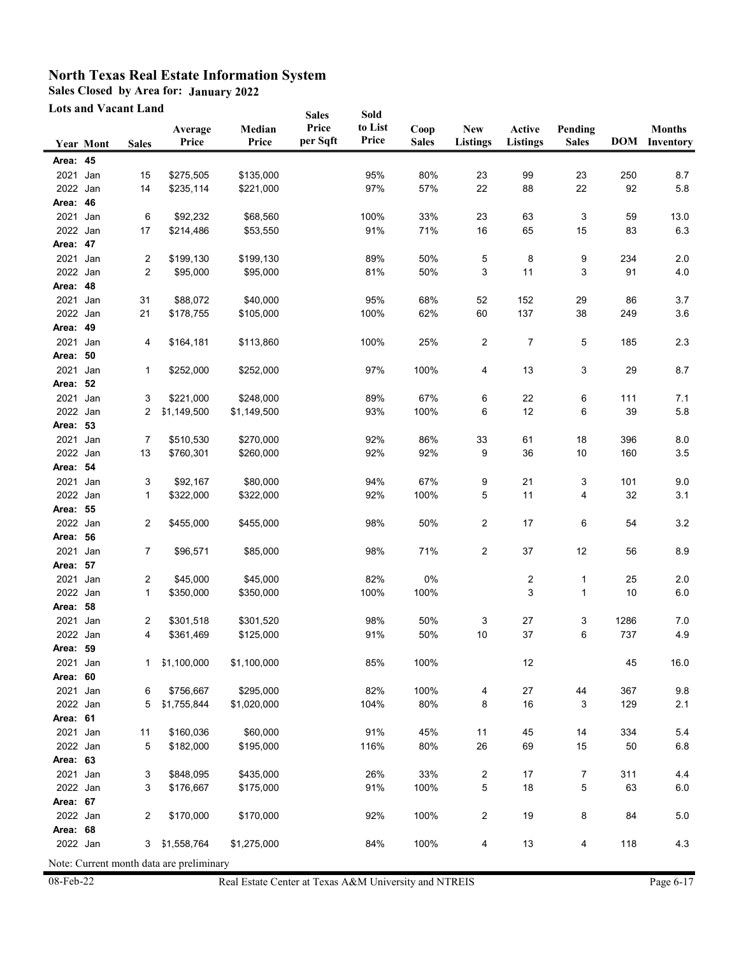**Sales Closed by Area for: January 2022**

**Lots and Vacant Land**

|          |           | Lots and Vacant Land |                                          |                 | <b>Sales</b>      | Sold             |                      |                               |                           |                         |      |                                       |
|----------|-----------|----------------------|------------------------------------------|-----------------|-------------------|------------------|----------------------|-------------------------------|---------------------------|-------------------------|------|---------------------------------------|
|          | Year Mont | <b>Sales</b>         | Average<br>Price                         | Median<br>Price | Price<br>per Sqft | to List<br>Price | Coop<br><b>Sales</b> | <b>New</b><br><b>Listings</b> | Active<br><b>Listings</b> | Pending<br><b>Sales</b> |      | <b>Months</b><br><b>DOM</b> Inventory |
| Area: 45 |           |                      |                                          |                 |                   |                  |                      |                               |                           |                         |      |                                       |
| 2021     | Jan       | 15                   | \$275,505                                | \$135,000       |                   | 95%              | 80%                  | 23                            | 99                        | 23                      | 250  | 8.7                                   |
| 2022 Jan |           | 14                   | \$235,114                                | \$221,000       |                   | 97%              | 57%                  | 22                            | 88                        | 22                      | 92   | 5.8                                   |
| Area: 46 |           |                      |                                          |                 |                   |                  |                      |                               |                           |                         |      |                                       |
| 2021     | Jan       | 6                    | \$92,232                                 | \$68,560        |                   | 100%             | 33%                  | 23                            | 63                        | 3                       | 59   | 13.0                                  |
| 2022 Jan |           | 17                   | \$214,486                                | \$53,550        |                   | 91%              | 71%                  | 16                            | 65                        | 15                      | 83   | 6.3                                   |
| Area: 47 |           |                      |                                          |                 |                   |                  |                      |                               |                           |                         |      |                                       |
| 2021     | Jan       | 2                    | \$199,130                                | \$199,130       |                   | 89%              | 50%                  | 5                             | 8                         | 9                       | 234  | 2.0                                   |
| 2022 Jan |           | 2                    | \$95,000                                 | \$95,000        |                   | 81%              | 50%                  | 3                             | 11                        | 3                       | 91   | 4.0                                   |
| Area: 48 |           |                      |                                          |                 |                   |                  |                      |                               |                           |                         |      |                                       |
| 2021     | Jan       | 31                   | \$88,072                                 | \$40,000        |                   | 95%              | 68%                  | 52                            | 152                       | 29                      | 86   | 3.7                                   |
| 2022 Jan |           | 21                   | \$178,755                                | \$105,000       |                   | 100%             | 62%                  | 60                            | 137                       | 38                      | 249  | 3.6                                   |
| Area: 49 |           |                      |                                          |                 |                   |                  |                      |                               |                           |                         |      |                                       |
| 2021     | Jan       | 4                    | \$164,181                                | \$113,860       |                   | 100%             | 25%                  | $\overline{2}$                | 7                         | 5                       | 185  | 2.3                                   |
| Area: 50 |           |                      |                                          |                 |                   |                  |                      |                               |                           |                         |      |                                       |
| 2021 Jan |           | 1                    | \$252,000                                | \$252,000       |                   | 97%              | 100%                 | 4                             | 13                        | 3                       | 29   | 8.7                                   |
| Area: 52 |           |                      |                                          |                 |                   |                  |                      |                               |                           |                         |      |                                       |
| 2021 Jan |           | 3                    | \$221,000                                | \$248,000       |                   | 89%              | 67%                  | 6                             | 22                        | 6                       | 111  | 7.1                                   |
| 2022 Jan |           | 2                    | \$1,149,500                              | \$1,149,500     |                   | 93%              | 100%                 | 6                             | 12                        | 6                       | 39   | 5.8                                   |
| Area: 53 |           |                      |                                          |                 |                   |                  |                      |                               |                           |                         |      |                                       |
| 2021     | Jan       | 7                    | \$510,530                                | \$270,000       |                   | 92%              | 86%                  | 33                            | 61                        | $18$                    | 396  | 8.0                                   |
| 2022 Jan |           | 13                   | \$760,301                                | \$260,000       |                   | 92%              | 92%                  | 9                             | 36                        | $10$                    | 160  | 3.5                                   |
| Area: 54 |           |                      |                                          |                 |                   |                  |                      |                               |                           |                         |      |                                       |
| 2021     | Jan       | 3                    | \$92,167                                 | \$80,000        |                   | 94%              | 67%                  | 9                             | 21                        | 3                       | 101  | 9.0                                   |
| 2022 Jan |           | 1                    | \$322,000                                | \$322,000       |                   | 92%              | 100%                 | 5                             | 11                        | 4                       | 32   | 3.1                                   |
| Area: 55 |           |                      |                                          |                 |                   |                  |                      |                               |                           |                         |      |                                       |
| 2022 Jan |           | 2                    | \$455,000                                | \$455,000       |                   | 98%              | 50%                  | 2                             | 17                        | 6                       | 54   | $3.2\,$                               |
| Area: 56 |           |                      |                                          |                 |                   |                  |                      |                               |                           |                         |      |                                       |
| 2021     | Jan       | 7                    | \$96,571                                 | \$85,000        |                   | 98%              | 71%                  | $\overline{2}$                | $37\,$                    | 12                      | 56   | 8.9                                   |
| Area: 57 |           |                      |                                          |                 |                   |                  |                      |                               |                           |                         |      |                                       |
| 2021 Jan |           | 2                    | \$45,000                                 | \$45,000        |                   | 82%              | 0%                   |                               | 2                         | 1                       | 25   | 2.0                                   |
| 2022 Jan |           | 1                    | \$350,000                                | \$350,000       |                   | 100%             | 100%                 |                               | 3                         | 1                       | 10   | $6.0\,$                               |
| Area: 58 |           |                      |                                          |                 |                   |                  |                      |                               |                           |                         |      |                                       |
| 2021     | Jan       | 2                    | \$301,518                                | \$301,520       |                   | 98%              | 50%                  | 3                             | 27                        | 3                       | 1286 | 7.0                                   |
| 2022 Jan |           | 4                    | \$361,469                                | \$125,000       |                   | 91%              | 50%                  | 10                            | 37                        | 6                       | 737  | 4.9                                   |
| Area: 59 |           |                      |                                          |                 |                   |                  |                      |                               |                           |                         |      |                                       |
| 2021 Jan |           | 1                    | \$1,100,000                              | \$1,100,000     |                   | 85%              | 100%                 |                               | 12                        |                         | 45   | 16.0                                  |
| Area: 60 |           |                      |                                          |                 |                   |                  |                      |                               |                           |                         |      |                                       |
| 2021 Jan |           | 6                    | \$756,667                                | \$295,000       |                   | 82%              | 100%                 | 4                             | 27                        | 44                      | 367  | 9.8                                   |
| 2022 Jan |           | 5                    | \$1,755,844                              | \$1,020,000     |                   | 104%             | 80%                  | 8                             | 16                        | 3                       | 129  | 2.1                                   |
| Area: 61 |           |                      |                                          |                 |                   |                  |                      |                               |                           |                         |      |                                       |
| 2021 Jan |           | 11                   | \$160,036                                | \$60,000        |                   | 91%              | 45%                  | 11                            | 45                        | 14                      | 334  | 5.4                                   |
| 2022 Jan |           | 5                    | \$182,000                                | \$195,000       |                   | 116%             | 80%                  | 26                            | 69                        | 15                      | 50   | $6.8\,$                               |
| Area: 63 |           |                      |                                          |                 |                   |                  |                      |                               |                           |                         |      |                                       |
| 2021 Jan |           | 3                    | \$848,095                                | \$435,000       |                   | 26%              | 33%                  | 2                             | 17                        | 7                       | 311  | 4.4                                   |
| 2022 Jan |           | 3                    | \$176,667                                | \$175,000       |                   | 91%              | 100%                 | 5                             | 18                        | 5                       | 63   | $6.0\,$                               |
| Area: 67 |           |                      |                                          |                 |                   |                  |                      |                               |                           |                         |      |                                       |
| 2022 Jan |           | 2                    | \$170,000                                | \$170,000       |                   | 92%              | 100%                 | $\overline{2}$                | 19                        | 8                       | 84   | $5.0\,$                               |
| Area: 68 |           |                      |                                          |                 |                   |                  |                      |                               |                           |                         |      |                                       |
| 2022 Jan |           | 3                    | \$1,558,764                              | \$1,275,000     |                   | 84%              | 100%                 | 4                             | $13$                      | 4                       | 118  | 4.3                                   |
|          |           |                      | Note: Current month data are preliminary |                 |                   |                  |                      |                               |                           |                         |      |                                       |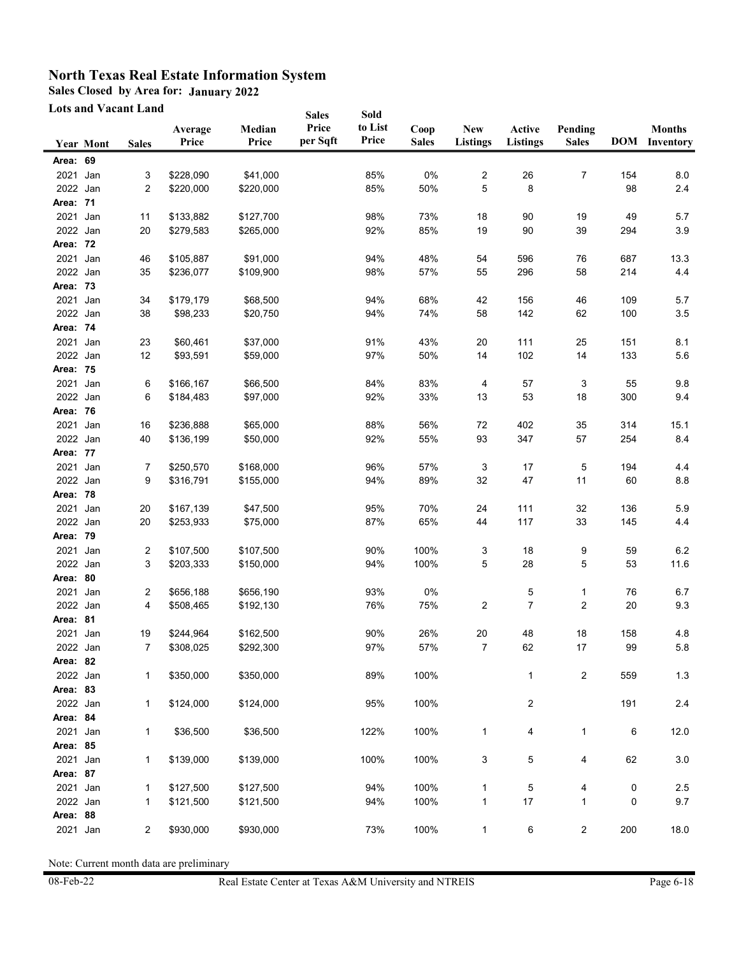**Sales Closed by Area for: January 2022**

**Lots and Vacant Land**

|                      |                  | <b>Lots and Vacant Land</b> |                  |                 | <b>Sales</b>      | Sold             |                      |                               |                           |                         |     |                                       |
|----------------------|------------------|-----------------------------|------------------|-----------------|-------------------|------------------|----------------------|-------------------------------|---------------------------|-------------------------|-----|---------------------------------------|
|                      | <b>Year Mont</b> | <b>Sales</b>                | Average<br>Price | Median<br>Price | Price<br>per Sqft | to List<br>Price | Coop<br><b>Sales</b> | <b>New</b><br><b>Listings</b> | Active<br><b>Listings</b> | Pending<br><b>Sales</b> |     | <b>Months</b><br><b>DOM</b> Inventory |
| Area: 69             |                  |                             |                  |                 |                   |                  |                      |                               |                           |                         |     |                                       |
| 2021 Jan             |                  | 3                           | \$228,090        | \$41,000        |                   | 85%              | 0%                   | 2                             | 26                        | 7                       | 154 | 8.0                                   |
| 2022 Jan             |                  | 2                           | \$220,000        | \$220,000       |                   | 85%              | 50%                  | 5                             | 8                         |                         | 98  | 2.4                                   |
| Area: 71             |                  |                             |                  |                 |                   |                  |                      |                               |                           |                         |     |                                       |
| 2021 Jan             |                  | 11                          | \$133,882        | \$127,700       |                   | 98%              | 73%                  | 18                            | 90                        | 19                      | 49  | 5.7                                   |
| 2022 Jan             |                  | 20                          | \$279,583        | \$265,000       |                   | 92%              | 85%                  | 19                            | 90                        | 39                      | 294 | 3.9                                   |
| Area: 72             |                  |                             |                  |                 |                   |                  |                      |                               |                           |                         |     |                                       |
| 2021 Jan             |                  | 46                          | \$105,887        | \$91,000        |                   | 94%              | 48%                  | 54                            | 596                       | 76                      | 687 | 13.3                                  |
| 2022 Jan             |                  | 35                          | \$236,077        | \$109,900       |                   | 98%              | 57%                  | 55                            | 296                       | 58                      | 214 | 4.4                                   |
| Area: 73             |                  |                             |                  |                 |                   |                  |                      |                               |                           |                         |     |                                       |
| 2021                 | Jan              | 34                          | \$179,179        | \$68,500        |                   | 94%              | 68%                  | 42                            | 156                       | 46                      | 109 | 5.7                                   |
| 2022 Jan             |                  | 38                          | \$98,233         | \$20,750        |                   | 94%              | 74%                  | 58                            | 142                       | 62                      | 100 | 3.5                                   |
| Area: 74             |                  |                             |                  |                 |                   |                  |                      |                               |                           |                         |     |                                       |
| 2021 Jan             |                  | 23                          | \$60,461         | \$37,000        |                   | 91%              | 43%                  | 20                            | 111                       | 25                      | 151 | 8.1                                   |
| 2022 Jan             |                  | 12                          | \$93,591         | \$59,000        |                   | 97%              | 50%                  | 14                            | 102                       | 14                      | 133 | 5.6                                   |
| Area: 75             |                  |                             |                  |                 |                   |                  |                      |                               |                           |                         |     |                                       |
| 2021 Jan             |                  | 6                           | \$166,167        | \$66,500        |                   | 84%              | 83%                  | 4                             | 57                        | 3                       | 55  | 9.8                                   |
| 2022 Jan             |                  | 6                           | \$184,483        | \$97,000        |                   | 92%              | 33%                  | 13                            | 53                        | 18                      | 300 | 9.4                                   |
| Area: 76             |                  |                             |                  |                 |                   |                  |                      |                               |                           |                         |     |                                       |
| 2021 Jan             |                  | 16                          | \$236,888        | \$65,000        |                   | 88%              | 56%                  | 72                            | 402                       | 35                      | 314 | 15.1                                  |
| 2022 Jan             |                  | 40                          | \$136,199        | \$50,000        |                   | 92%              | 55%                  | 93                            | 347                       | 57                      | 254 | 8.4                                   |
| Area: 77             |                  |                             |                  |                 |                   |                  |                      |                               |                           |                         |     |                                       |
| 2021                 | Jan              | 7                           | \$250,570        | \$168,000       |                   | 96%              | 57%                  | 3                             | 17                        | 5                       | 194 | 4.4                                   |
| 2022 Jan             |                  | 9                           | \$316,791        | \$155,000       |                   | 94%              | 89%                  | 32                            | 47                        | 11                      | 60  | 8.8                                   |
| Area: 78             |                  |                             |                  |                 |                   |                  |                      |                               |                           |                         |     |                                       |
| 2021                 | Jan              | 20                          | \$167,139        | \$47,500        |                   | 95%              | 70%                  | 24                            | 111                       | 32                      | 136 | 5.9                                   |
| 2022 Jan             |                  | 20                          | \$253,933        | \$75,000        |                   | 87%              | 65%                  | 44                            | 117                       | 33                      | 145 | 4.4                                   |
| Area: 79             |                  |                             |                  |                 |                   |                  |                      |                               |                           |                         |     |                                       |
| 2021                 | Jan              | 2<br>3                      | \$107,500        | \$107,500       |                   | 90%              | 100%                 | 3                             | 18                        | 9                       | 59  | 6.2                                   |
| 2022 Jan<br>Area: 80 |                  |                             | \$203,333        | \$150,000       |                   | 94%              | 100%                 | 5                             | 28                        | 5                       | 53  | 11.6                                  |
| 2021 Jan             |                  | 2                           | \$656,188        | \$656,190       |                   | 93%              | 0%                   |                               | 5                         | 1                       | 76  | 6.7                                   |
| 2022 Jan             |                  | 4                           | \$508,465        | \$192,130       |                   | 76%              | 75%                  | 2                             | 7                         | 2                       | 20  | 9.3                                   |
| Area: 81             |                  |                             |                  |                 |                   |                  |                      |                               |                           |                         |     |                                       |
| 2021 Jan             |                  | 19                          | \$244,964        | \$162,500       |                   | 90%              | 26%                  | 20                            | 48                        | 18                      | 158 | 4.8                                   |
| 2022 Jan             |                  |                             | \$308,025        | \$292,300       |                   | 97%              | 57%                  | 7                             | 62                        | $17\,$                  | 99  | 5.8                                   |
| Area: 82             |                  |                             |                  |                 |                   |                  |                      |                               |                           |                         |     |                                       |
| 2022 Jan             |                  | 1                           | \$350,000        | \$350,000       |                   | 89%              | 100%                 |                               | 1                         | 2                       | 559 | 1.3                                   |
| Area: 83             |                  |                             |                  |                 |                   |                  |                      |                               |                           |                         |     |                                       |
| 2022 Jan             |                  | 1                           | \$124,000        | \$124,000       |                   | 95%              | 100%                 |                               | 2                         |                         | 191 | 2.4                                   |
| Area: 84             |                  |                             |                  |                 |                   |                  |                      |                               |                           |                         |     |                                       |
| 2021                 | Jan              | 1                           | \$36,500         | \$36,500        |                   | 122%             | 100%                 | 1                             | 4                         | 1                       | 6   | 12.0                                  |
| Area: 85             |                  |                             |                  |                 |                   |                  |                      |                               |                           |                         |     |                                       |
| 2021 Jan             |                  | 1                           | \$139,000        | \$139,000       |                   | 100%             | 100%                 | 3                             | 5                         | 4                       | 62  | 3.0                                   |
| Area: 87             |                  |                             |                  |                 |                   |                  |                      |                               |                           |                         |     |                                       |
| 2021 Jan             |                  | 1                           | \$127,500        | \$127,500       |                   | 94%              | 100%                 | 1                             | 5                         | 4                       | 0   | 2.5                                   |
| 2022 Jan             |                  | 1                           | \$121,500        | \$121,500       |                   | 94%              | 100%                 | 1                             | 17                        | 1                       | 0   | 9.7                                   |
| Area: 88             |                  |                             |                  |                 |                   |                  |                      |                               |                           |                         |     |                                       |
| 2021 Jan             |                  | $\overline{2}$              | \$930,000        | \$930,000       |                   | 73%              | 100%                 | 1                             | 6                         | $\overline{c}$          | 200 | 18.0                                  |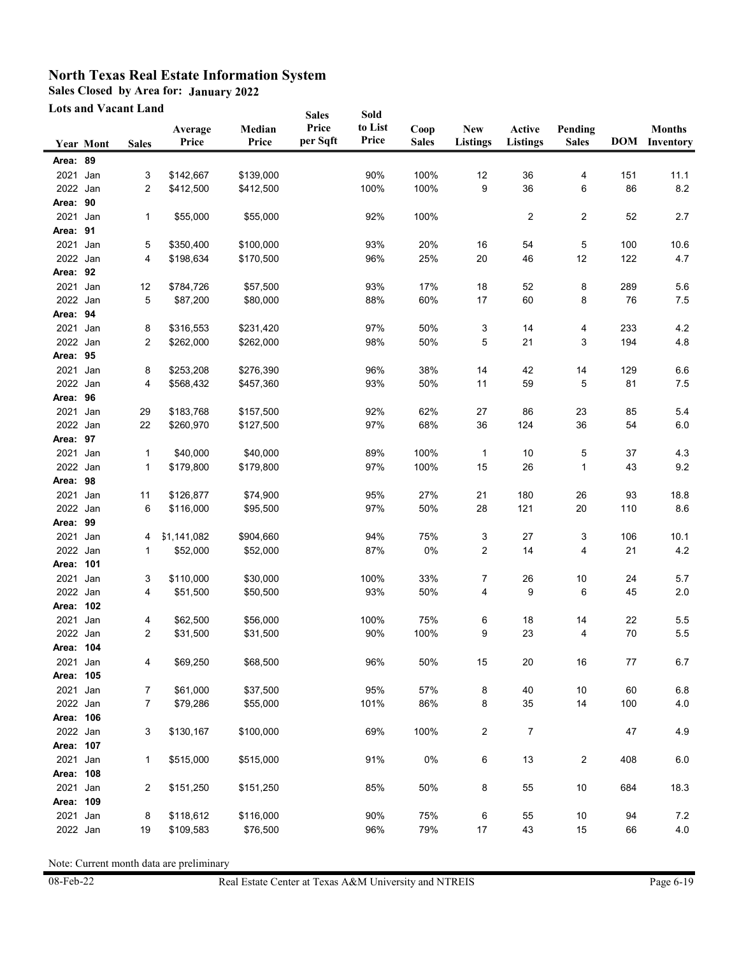**Sales Closed by Area for: January 2022**

**Lots and Vacant Land**

|           | Lots and Vacant Land |                |                  |                 | <b>Sales</b>      | Sold             |                      |                               |                           |                         |     |                                       |
|-----------|----------------------|----------------|------------------|-----------------|-------------------|------------------|----------------------|-------------------------------|---------------------------|-------------------------|-----|---------------------------------------|
|           | Year Mont            | <b>Sales</b>   | Average<br>Price | Median<br>Price | Price<br>per Sqft | to List<br>Price | Coop<br><b>Sales</b> | <b>New</b><br><b>Listings</b> | Active<br><b>Listings</b> | Pending<br><b>Sales</b> |     | <b>Months</b><br><b>DOM</b> Inventory |
| Area: 89  |                      |                |                  |                 |                   |                  |                      |                               |                           |                         |     |                                       |
| 2021      | Jan                  | 3              | \$142,667        | \$139,000       |                   | 90%              | 100%                 |                               | 36                        | 4                       | 151 | 11.1                                  |
| 2022 Jan  |                      | 2              | \$412,500        | \$412,500       |                   | 100%             | 100%                 | 12<br>9                       | 36                        | 6                       | 86  | 8.2                                   |
| Area: 90  |                      |                |                  |                 |                   |                  |                      |                               |                           |                         |     |                                       |
| 2021 Jan  |                      | 1              | \$55,000         | \$55,000        |                   | 92%              | 100%                 |                               | 2                         | 2                       | 52  | 2.7                                   |
| Area: 91  |                      |                |                  |                 |                   |                  |                      |                               |                           |                         |     |                                       |
| 2021 Jan  |                      | 5              | \$350,400        | \$100,000       |                   | 93%              | 20%                  | 16                            | 54                        | 5                       | 100 | 10.6                                  |
| 2022 Jan  |                      | 4              | \$198,634        | \$170,500       |                   | 96%              | 25%                  | 20                            | 46                        | 12                      | 122 | 4.7                                   |
| Area: 92  |                      |                |                  |                 |                   |                  |                      |                               |                           |                         |     |                                       |
| 2021 Jan  |                      | 12             | \$784,726        | \$57,500        |                   | 93%              | 17%                  | 18                            | 52                        | 8                       | 289 | 5.6                                   |
| 2022 Jan  |                      | 5              | \$87,200         | \$80,000        |                   | 88%              | 60%                  | 17                            | 60                        | 8                       | 76  | 7.5                                   |
| Area: 94  |                      |                |                  |                 |                   |                  |                      |                               |                           |                         |     |                                       |
| 2021 Jan  |                      | 8              | \$316,553        | \$231,420       |                   | 97%              | 50%                  | 3                             | 14                        | 4                       | 233 | 4.2                                   |
| 2022 Jan  |                      | 2              | \$262,000        | \$262,000       |                   | 98%              | 50%                  | 5                             | 21                        | 3                       | 194 | 4.8                                   |
| Area: 95  |                      |                |                  |                 |                   |                  |                      |                               |                           |                         |     |                                       |
| 2021 Jan  |                      | 8              | \$253,208        | \$276,390       |                   | 96%              | 38%                  | 14                            | 42                        | 14                      | 129 | $6.6\,$                               |
| 2022 Jan  |                      | 4              | \$568,432        | \$457,360       |                   | 93%              | 50%                  | 11                            | 59                        | 5                       | 81  | 7.5                                   |
| Area: 96  |                      |                |                  |                 |                   |                  |                      |                               |                           |                         |     |                                       |
| 2021 Jan  |                      | 29             | \$183,768        | \$157,500       |                   | 92%              | 62%                  | 27                            | 86                        | 23                      | 85  | 5.4                                   |
| 2022 Jan  |                      | 22             | \$260,970        | \$127,500       |                   | 97%              | 68%                  | 36                            | 124                       | 36                      | 54  | $6.0\,$                               |
| Area: 97  |                      |                |                  |                 |                   |                  |                      |                               |                           |                         |     |                                       |
| 2021      | Jan                  | 1              | \$40,000         | \$40,000        |                   | 89%              | 100%                 | $\mathbf{1}$                  | 10                        | 5                       | 37  | 4.3                                   |
| 2022 Jan  |                      | 1              | \$179,800        | \$179,800       |                   | 97%              | 100%                 | 15                            | $26\,$                    | 1                       | 43  | 9.2                                   |
| Area: 98  |                      |                |                  |                 |                   |                  |                      |                               |                           |                         |     |                                       |
| 2021      | Jan                  | 11             | \$126,877        | \$74,900        |                   | 95%              | 27%                  | 21                            | 180                       | 26                      | 93  | 18.8                                  |
| 2022 Jan  |                      | 6              | \$116,000        | \$95,500        |                   | 97%              | 50%                  | 28                            | 121                       | $20\,$                  | 110 | 8.6                                   |
| Area: 99  |                      |                |                  |                 |                   |                  |                      |                               |                           |                         |     |                                       |
| 2021 Jan  |                      | 4              | \$1,141,082      | \$904,660       |                   | 94%              | 75%                  | 3                             | 27                        | 3                       | 106 | 10.1                                  |
| 2022 Jan  |                      | 1              | \$52,000         | \$52,000        |                   | 87%              | $0\%$                | 2                             | 14                        | 4                       | 21  | 4.2                                   |
| Area: 101 |                      |                |                  |                 |                   |                  |                      |                               |                           |                         |     |                                       |
| 2021 Jan  |                      | 3              | \$110,000        | \$30,000        |                   | 100%             | 33%                  | 7                             | 26                        | 10                      | 24  | 5.7                                   |
| 2022 Jan  |                      | 4              | \$51,500         | \$50,500        |                   | 93%              | 50%                  | 4                             | 9                         | 6                       | 45  | $2.0\,$                               |
| Area: 102 |                      |                |                  |                 |                   |                  |                      |                               |                           |                         |     |                                       |
| 2021      | Jan                  | 4              | \$62,500         | \$56,000        |                   | 100%             | 75%                  | 6                             | 18                        | 14                      | 22  | 5.5                                   |
| 2022 Jan  |                      | 2              | \$31,500         | \$31,500        |                   | 90%              | 100%                 | 9                             | 23                        | 4                       | 70  | 5.5                                   |
| Area: 104 |                      |                |                  |                 |                   |                  |                      |                               |                           |                         |     |                                       |
| 2021 Jan  |                      | 4              | \$69,250         | \$68,500        |                   | 96%              | 50%                  | 15                            | 20                        | $16\,$                  | 77  | 6.7                                   |
| Area: 105 |                      |                |                  |                 |                   |                  |                      |                               |                           |                         |     |                                       |
| 2021      | Jan                  | $\overline{7}$ | \$61,000         | \$37,500        |                   | 95%              | 57%                  | 8                             | 40                        | 10                      | 60  | $6.8\,$                               |
| 2022 Jan  |                      | 7              | \$79,286         | \$55,000        |                   | 101%             | 86%                  | 8                             | $35\,$                    | 14                      | 100 | $4.0$                                 |
| Area: 106 |                      |                |                  |                 |                   |                  |                      |                               |                           |                         |     |                                       |
| 2022 Jan  |                      | 3              | \$130,167        | \$100,000       |                   | 69%              | 100%                 | 2                             | $\overline{7}$            |                         | 47  | 4.9                                   |
| Area: 107 |                      |                |                  |                 |                   |                  |                      |                               |                           |                         |     |                                       |
| 2021      | Jan                  | 1              | \$515,000        | \$515,000       |                   | 91%              | 0%                   | 6                             | 13                        | 2                       | 408 | 6.0                                   |
| Area: 108 |                      |                |                  |                 |                   |                  |                      |                               |                           |                         |     |                                       |
| 2021      | Jan                  | 2              | \$151,250        | \$151,250       |                   | 85%              | 50%                  | 8                             | 55                        | $10$                    | 684 | 18.3                                  |
| Area: 109 |                      |                |                  |                 |                   |                  |                      |                               |                           |                         |     |                                       |
| 2021      | Jan                  | 8              | \$118,612        | \$116,000       |                   | 90%              | 75%                  | 6                             | 55                        | 10                      | 94  | 7.2                                   |
| 2022 Jan  |                      | $19$           | \$109,583        | \$76,500        |                   | 96%              | 79%                  | 17                            | 43                        | 15                      | 66  | $4.0$                                 |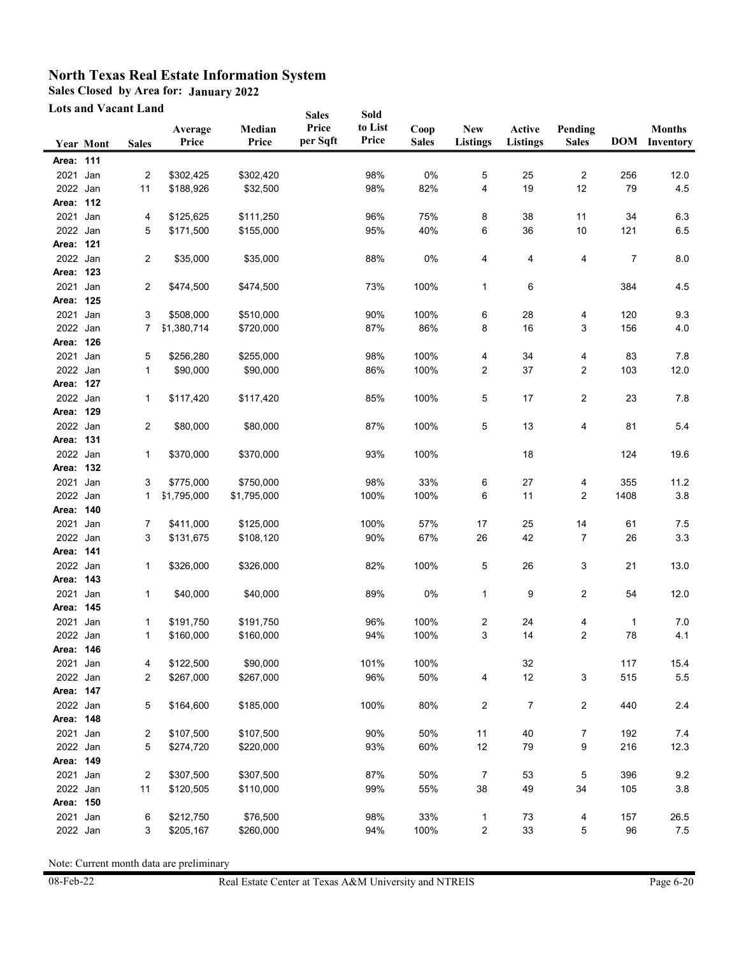**Sales Closed by Area for: January 2022**

**Lots and Vacant Land**

| <b>Lots and Vacant Land</b> |                  |                |                  |                 | <b>Sales</b>      | Sold             |                      |                               |                           |                         |      |                                       |
|-----------------------------|------------------|----------------|------------------|-----------------|-------------------|------------------|----------------------|-------------------------------|---------------------------|-------------------------|------|---------------------------------------|
|                             | <b>Year Mont</b> | <b>Sales</b>   | Average<br>Price | Median<br>Price | Price<br>per Sqft | to List<br>Price | Coop<br><b>Sales</b> | <b>New</b><br><b>Listings</b> | Active<br><b>Listings</b> | Pending<br><b>Sales</b> |      | <b>Months</b><br><b>DOM</b> Inventory |
| Area: 111                   |                  |                |                  |                 |                   |                  |                      |                               |                           |                         |      |                                       |
| 2021                        | Jan              | 2              | \$302,425        | \$302,420       |                   | 98%              | 0%                   | 5                             | 25                        | 2                       | 256  | 12.0                                  |
| 2022 Jan                    |                  | 11             | \$188,926        | \$32,500        |                   | 98%              | 82%                  | 4                             | 19                        | 12                      | 79   | 4.5                                   |
| Area: 112                   |                  |                |                  |                 |                   |                  |                      |                               |                           |                         |      |                                       |
| 2021 Jan                    |                  | 4              | \$125,625        | \$111,250       |                   | 96%              | 75%                  | 8                             | 38                        | 11                      | 34   | 6.3                                   |
| 2022 Jan                    |                  | 5              | \$171,500        | \$155,000       |                   | 95%              | 40%                  | 6                             | 36                        | $10$                    | 121  | 6.5                                   |
| Area: 121                   |                  |                |                  |                 |                   |                  |                      |                               |                           |                         |      |                                       |
| 2022 Jan                    |                  | 2              | \$35,000         | \$35,000        |                   | 88%              | 0%                   | 4                             | 4                         | 4                       | 7    | 8.0                                   |
| Area: 123                   |                  |                |                  |                 |                   |                  |                      |                               |                           |                         |      |                                       |
| 2021                        | Jan              | 2              | \$474,500        | \$474,500       |                   | 73%              | 100%                 | 1                             | 6                         |                         | 384  | 4.5                                   |
| Area: 125                   |                  |                |                  |                 |                   |                  |                      |                               |                           |                         |      |                                       |
| 2021                        | Jan              | 3              | \$508,000        | \$510,000       |                   | 90%              | 100%                 | 6                             | 28                        | 4                       | 120  | 9.3                                   |
| 2022 Jan                    |                  | 7              | \$1,380,714      | \$720,000       |                   | 87%              | 86%                  | 8                             | 16                        | 3                       | 156  | 4.0                                   |
| Area: 126                   |                  |                |                  |                 |                   |                  |                      |                               |                           |                         |      |                                       |
| 2021 Jan                    |                  | 5              | \$256,280        | \$255,000       |                   | 98%              | 100%                 | 4                             | 34                        | 4                       | 83   | 7.8                                   |
| 2022 Jan                    |                  | 1              | \$90,000         | \$90,000        |                   | 86%              | 100%                 | 2                             | 37                        | 2                       | 103  | 12.0                                  |
| Area: 127                   |                  |                |                  |                 |                   |                  |                      |                               |                           |                         |      |                                       |
| 2022 Jan                    |                  | 1              | \$117,420        | \$117,420       |                   | 85%              | 100%                 | 5                             | 17                        | 2                       | 23   | 7.8                                   |
| Area: 129                   |                  |                |                  |                 |                   |                  |                      |                               |                           |                         |      |                                       |
| 2022 Jan                    |                  | $\overline{2}$ | \$80,000         | \$80,000        |                   | 87%              | 100%                 | 5                             | 13                        | 4                       | 81   | 5.4                                   |
| Area: 131                   |                  |                |                  |                 |                   |                  |                      |                               |                           |                         |      |                                       |
| 2022 Jan<br>Area: 132       |                  | 1              | \$370,000        | \$370,000       |                   | 93%              | 100%                 |                               | 18                        |                         | 124  | 19.6                                  |
| 2021                        | Jan              | 3              | \$775,000        | \$750,000       |                   | 98%              | 33%                  | 6                             | 27                        | 4                       | 355  | 11.2                                  |
| 2022 Jan                    |                  | 1              | \$1,795,000      | \$1,795,000     |                   | 100%             | 100%                 | 6                             | 11                        | 2                       | 1408 | 3.8                                   |
| Area: 140                   |                  |                |                  |                 |                   |                  |                      |                               |                           |                         |      |                                       |
| 2021                        | Jan              | 7              | \$411,000        | \$125,000       |                   | 100%             | 57%                  | 17                            | 25                        | 14                      | 61   | 7.5                                   |
| 2022 Jan                    |                  | 3              | \$131,675        | \$108,120       |                   | 90%              | 67%                  | 26                            | 42                        | 7                       | 26   | 3.3                                   |
| Area: 141                   |                  |                |                  |                 |                   |                  |                      |                               |                           |                         |      |                                       |
| 2022 Jan                    |                  | 1              | \$326,000        | \$326,000       |                   | 82%              | 100%                 | 5                             | $26\,$                    | 3                       | 21   | 13.0                                  |
| Area: 143                   |                  |                |                  |                 |                   |                  |                      |                               |                           |                         |      |                                       |
| 2021                        | Jan              | 1              | \$40,000         | \$40,000        |                   | 89%              | 0%                   | 1                             | 9                         | 2                       | 54   | 12.0                                  |
| Area: 145                   |                  |                |                  |                 |                   |                  |                      |                               |                           |                         |      |                                       |
| 2021                        | Jan              | 1              | \$191,750        | \$191,750       |                   | 96%              | 100%                 | 2                             | 24                        | 4                       | 1    | 7.0                                   |
| 2022 Jan                    |                  | 1              | \$160,000        | \$160,000       |                   | 94%              | 100%                 | 3                             | 14                        | 2                       | 78   | 4.1                                   |
| Area: 146                   |                  |                |                  |                 |                   |                  |                      |                               |                           |                         |      |                                       |
| 2021 Jan                    |                  | 4              | \$122,500        | \$90,000        |                   | 101%             | 100%                 |                               | 32                        |                         | 117  | 15.4                                  |
| 2022 Jan                    |                  | $\overline{c}$ | \$267,000        | \$267,000       |                   | 96%              | 50%                  | 4                             | 12                        | 3                       | 515  | 5.5                                   |
| Area: 147                   |                  |                |                  |                 |                   |                  |                      |                               |                           |                         |      |                                       |
| 2022 Jan                    |                  | 5              | \$164,600        | \$185,000       |                   | 100%             | 80%                  | $\sqrt{2}$                    | $\overline{7}$            | $\overline{c}$          | 440  | 2.4                                   |
| Area: 148                   |                  |                |                  |                 |                   |                  |                      |                               |                           |                         |      |                                       |
| 2021 Jan                    |                  | 2              | \$107,500        | \$107,500       |                   | 90%              | 50%                  | 11                            | 40                        | 7                       | 192  | 7.4                                   |
| 2022 Jan                    |                  | 5              | \$274,720        | \$220,000       |                   | 93%              | 60%                  | 12                            | 79                        | 9                       | 216  | 12.3                                  |
| Area: 149                   |                  |                |                  |                 |                   |                  |                      |                               |                           |                         |      |                                       |
| 2021 Jan                    |                  | 2              | \$307,500        | \$307,500       |                   | 87%              | 50%                  | $\overline{7}$                | 53                        | 5                       | 396  | 9.2                                   |
| 2022 Jan                    |                  | 11             | \$120,505        | \$110,000       |                   | 99%              | 55%                  | $38\,$                        | 49                        | 34                      | 105  | $3.8\,$                               |
| Area: 150                   |                  |                |                  |                 |                   |                  |                      |                               |                           |                         |      |                                       |
| 2021 Jan                    |                  | 6              | \$212,750        | \$76,500        |                   | 98%              | 33%                  | 1                             | 73                        | 4                       | 157  | 26.5                                  |
| 2022 Jan                    |                  | 3              | \$205,167        | \$260,000       |                   | 94%              | 100%                 | 2                             | 33                        | 5                       | 96   | 7.5                                   |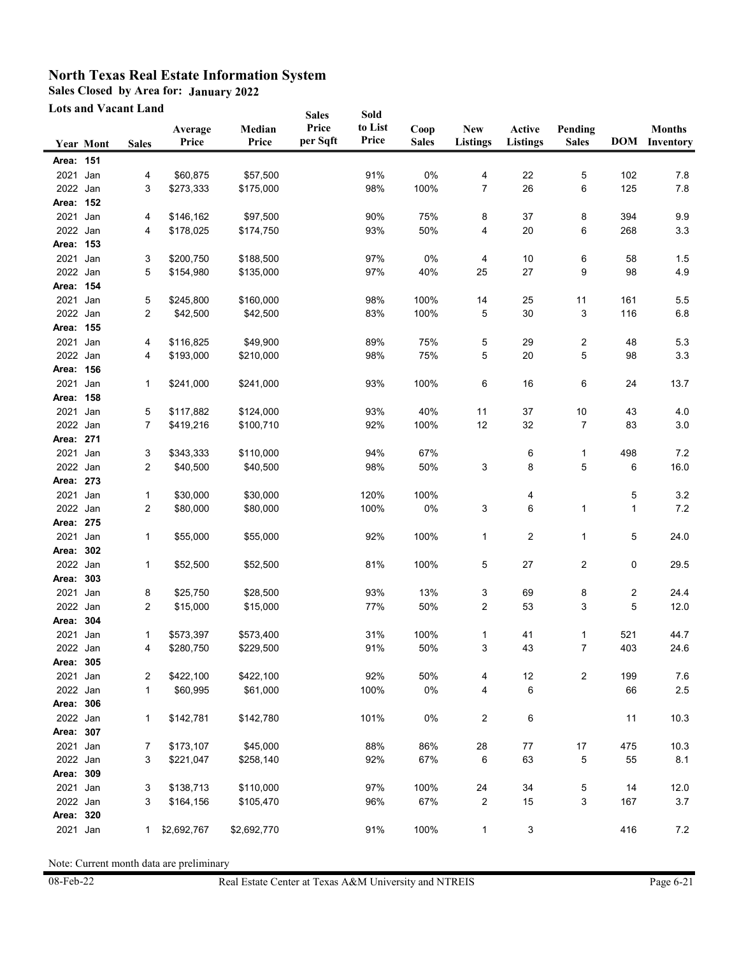**Sales Closed by Area for: January 2022**

**Lots and Vacant Land**

|           | <b>Lots and Vacant Land</b> |                |                  |                 | <b>Sales</b>      | Sold             |                      |                               |                           |                         |     |                                       |
|-----------|-----------------------------|----------------|------------------|-----------------|-------------------|------------------|----------------------|-------------------------------|---------------------------|-------------------------|-----|---------------------------------------|
|           | <b>Year Mont</b>            | <b>Sales</b>   | Average<br>Price | Median<br>Price | Price<br>per Sqft | to List<br>Price | Coop<br><b>Sales</b> | <b>New</b><br><b>Listings</b> | Active<br><b>Listings</b> | Pending<br><b>Sales</b> |     | <b>Months</b><br><b>DOM</b> Inventory |
| Area: 151 |                             |                |                  |                 |                   |                  |                      |                               |                           |                         |     |                                       |
| 2021      | Jan                         | 4              | \$60,875         | \$57,500        |                   | 91%              | 0%                   | 4                             | 22                        | 5                       | 102 | 7.8                                   |
| 2022 Jan  |                             | 3              | \$273,333        | \$175,000       |                   | 98%              | 100%                 | 7                             | 26                        | 6                       | 125 | $7.8$                                 |
| Area: 152 |                             |                |                  |                 |                   |                  |                      |                               |                           |                         |     |                                       |
| 2021 Jan  |                             | 4              | \$146,162        | \$97,500        |                   | 90%              | 75%                  | 8                             | 37                        | 8                       | 394 | 9.9                                   |
| 2022 Jan  |                             | 4              | \$178,025        | \$174,750       |                   | 93%              | 50%                  | 4                             | 20                        | 6                       | 268 | 3.3                                   |
| Area: 153 |                             |                |                  |                 |                   |                  |                      |                               |                           |                         |     |                                       |
| 2021 Jan  |                             | 3              | \$200,750        | \$188,500       |                   | 97%              | 0%                   | 4                             | 10                        | 6                       | 58  | 1.5                                   |
| 2022 Jan  |                             | 5              | \$154,980        | \$135,000       |                   | 97%              | 40%                  | 25                            | 27                        | 9                       | 98  | 4.9                                   |
| Area: 154 |                             |                |                  |                 |                   |                  |                      |                               |                           |                         |     |                                       |
| 2021      | Jan                         | 5              | \$245,800        | \$160,000       |                   | 98%              | 100%                 | 14                            | 25                        | 11                      | 161 | 5.5                                   |
| 2022 Jan  |                             | 2              | \$42,500         | \$42,500        |                   | 83%              | 100%                 | 5                             | 30                        | 3                       | 116 | 6.8                                   |
| Area: 155 |                             |                |                  |                 |                   |                  |                      |                               |                           |                         |     |                                       |
| 2021 Jan  |                             | 4              | \$116,825        | \$49,900        |                   | 89%              | 75%                  | 5                             | 29                        | 2                       | 48  | 5.3                                   |
| 2022 Jan  |                             | 4              | \$193,000        | \$210,000       |                   | 98%              | 75%                  | 5                             | 20                        | 5                       | 98  | 3.3                                   |
| Area: 156 |                             |                |                  |                 |                   |                  |                      |                               |                           |                         |     |                                       |
| 2021 Jan  |                             | 1              | \$241,000        | \$241,000       |                   | 93%              | 100%                 | 6                             | 16                        | 6                       | 24  | 13.7                                  |
| Area: 158 |                             |                |                  |                 |                   |                  |                      |                               |                           |                         |     |                                       |
| 2021 Jan  |                             | 5              | \$117,882        | \$124,000       |                   | 93%              | 40%                  | 11                            | 37                        | $10\,$                  | 43  | 4.0                                   |
| 2022 Jan  |                             | 7              | \$419,216        | \$100,710       |                   | 92%              | 100%                 | 12                            | 32                        | 7                       | 83  | 3.0                                   |
| Area: 271 |                             |                |                  |                 |                   |                  |                      |                               |                           |                         |     |                                       |
| 2021      | Jan                         | 3              | \$343,333        | \$110,000       |                   | 94%              | 67%                  |                               | 6                         | 1                       | 498 | 7.2                                   |
| 2022 Jan  |                             | 2              | \$40,500         | \$40,500        |                   | 98%              | 50%                  | 3                             | 8                         | 5                       | 6   | 16.0                                  |
| Area: 273 |                             |                |                  |                 |                   |                  |                      |                               |                           |                         |     |                                       |
| 2021      | Jan                         | 1              | \$30,000         | \$30,000        |                   | 120%             | 100%                 |                               | 4                         |                         | 5   | $3.2\,$                               |
| 2022 Jan  |                             | 2              | \$80,000         | \$80,000        |                   | 100%             | 0%                   | 3                             | 6                         | 1                       | 1   | 7.2                                   |
| Area: 275 |                             |                |                  |                 |                   |                  |                      |                               |                           |                         |     |                                       |
| 2021      | Jan                         | 1              | \$55,000         | \$55,000        |                   | 92%              | 100%                 | 1                             | 2                         | 1                       | 5   | 24.0                                  |
| Area: 302 |                             |                |                  |                 |                   |                  |                      |                               |                           |                         |     |                                       |
| 2022 Jan  |                             | 1              | \$52,500         | \$52,500        |                   | 81%              | 100%                 | 5                             | 27                        | 2                       | 0   | 29.5                                  |
| Area: 303 |                             |                |                  |                 |                   |                  |                      |                               |                           |                         |     |                                       |
| 2021 Jan  |                             | 8              | \$25,750         | \$28,500        |                   | 93%              | 13%                  | 3                             | 69                        | 8                       | 2   | 24.4                                  |
| 2022 Jan  |                             | 2              | \$15,000         | \$15,000        |                   | 77%              | 50%                  | 2                             | 53                        | 3                       | 5   | 12.0                                  |
| Area: 304 |                             |                |                  |                 |                   |                  |                      |                               |                           |                         |     |                                       |
| 2021 Jan  |                             | 1              | \$573,397        | \$573,400       |                   | 31%              | 100%                 | 1                             | 41                        | 1                       | 521 | 44.7                                  |
| 2022 Jan  |                             | 4              | \$280,750        | \$229,500       |                   | 91%              | 50%                  | 3                             | 43                        | 7                       | 403 | 24.6                                  |
| Area: 305 |                             |                |                  |                 |                   |                  |                      |                               |                           |                         |     |                                       |
| 2021 Jan  |                             | $\overline{c}$ | \$422,100        | \$422,100       |                   | 92%              | 50%                  | 4                             | 12                        | $\overline{2}$          | 199 | 7.6                                   |
| 2022 Jan  |                             | $\mathbf{1}$   | \$60,995         | \$61,000        |                   | 100%             | 0%                   | 4                             | 6                         |                         | 66  | $2.5\,$                               |
| Area: 306 |                             |                |                  |                 |                   |                  |                      |                               |                           |                         |     |                                       |
| 2022 Jan  |                             | 1              | \$142,781        | \$142,780       |                   | 101%             | 0%                   | 2                             | 6                         |                         | 11  | 10.3                                  |
| Area: 307 |                             |                |                  |                 |                   |                  |                      |                               |                           |                         |     |                                       |
| 2021 Jan  |                             | 7              | \$173,107        | \$45,000        |                   | 88%              | 86%                  | 28                            | 77                        | 17                      | 475 | 10.3                                  |
| 2022 Jan  |                             | 3              | \$221,047        | \$258,140       |                   | 92%              | 67%                  | 6                             | 63                        | 5                       | 55  | 8.1                                   |
| Area: 309 |                             |                |                  |                 |                   |                  |                      |                               |                           |                         |     |                                       |
| 2021 Jan  |                             | 3              | \$138,713        | \$110,000       |                   | 97%              | 100%                 | 24                            | 34                        | 5                       | 14  | 12.0                                  |
| 2022 Jan  |                             | 3              | \$164,156        | \$105,470       |                   | 96%              | 67%                  | 2                             | 15                        | 3                       | 167 | $3.7$                                 |
| Area: 320 |                             |                |                  |                 |                   |                  |                      |                               |                           |                         |     |                                       |
| 2021 Jan  |                             | 1              | \$2,692,767      | \$2,692,770     |                   | 91%              | 100%                 | $\mathbf{1}$                  | 3                         |                         | 416 | 7.2                                   |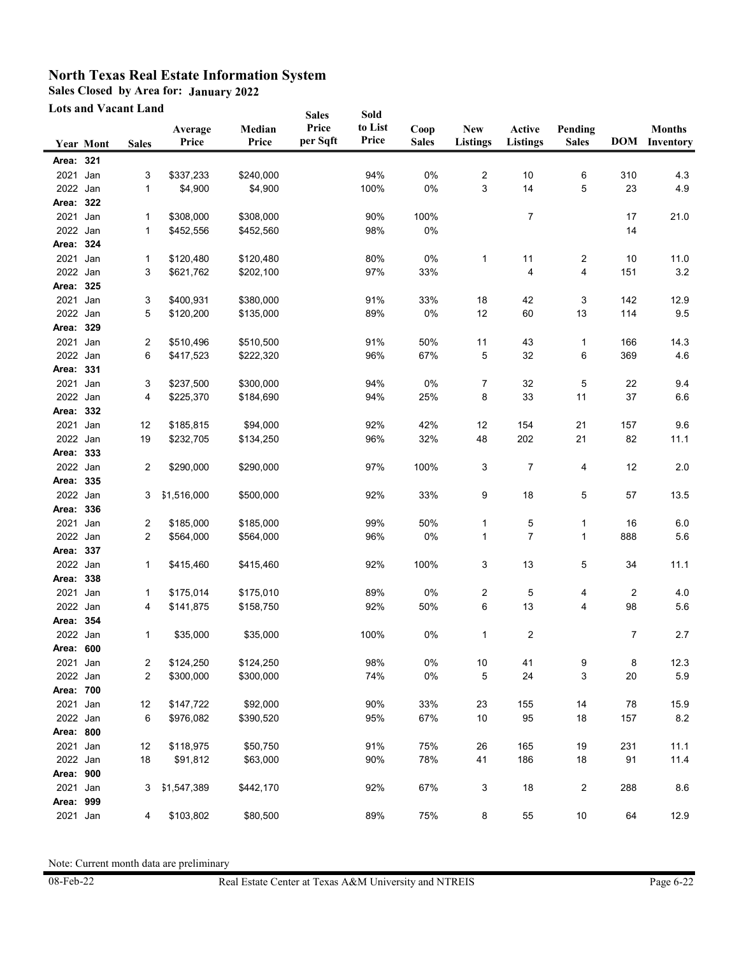**Sales Closed by Area for: January 2022**

**Lots and Vacant Land**

|           | LUIS АНИ 1 АСАНІ LAHU |              |                  |                 | <b>Sales</b>      | Sold             |                      |                         |                           |                         |     |                                       |
|-----------|-----------------------|--------------|------------------|-----------------|-------------------|------------------|----------------------|-------------------------|---------------------------|-------------------------|-----|---------------------------------------|
|           | <b>Year Mont</b>      | <b>Sales</b> | Average<br>Price | Median<br>Price | Price<br>per Sqft | to List<br>Price | Coop<br><b>Sales</b> | New<br><b>Listings</b>  | Active<br><b>Listings</b> | Pending<br><b>Sales</b> |     | <b>Months</b><br><b>DOM</b> Inventory |
| Area: 321 |                       |              |                  |                 |                   |                  |                      |                         |                           |                         |     |                                       |
| 2021      | Jan                   | 3            | \$337,233        | \$240,000       |                   | 94%              | 0%                   | $\overline{\mathbf{c}}$ | 10                        | 6                       | 310 | 4.3                                   |
| 2022 Jan  |                       | $\mathbf{1}$ | \$4,900          | \$4,900         |                   | 100%             | 0%                   | 3                       | 14                        | 5                       | 23  | 4.9                                   |
| Area:     | 322                   |              |                  |                 |                   |                  |                      |                         |                           |                         |     |                                       |
| 2021      | Jan                   | 1            | \$308,000        | \$308,000       |                   | 90%              | 100%                 |                         | 7                         |                         | 17  | 21.0                                  |
| 2022 Jan  |                       | 1            | \$452,556        | \$452,560       |                   | 98%              | 0%                   |                         |                           |                         | 14  |                                       |
| Area: 324 |                       |              |                  |                 |                   |                  |                      |                         |                           |                         |     |                                       |
| 2021 Jan  |                       | 1            | \$120,480        | \$120,480       |                   | 80%              | 0%                   | 1                       | 11                        | 2                       | 10  | 11.0                                  |
| 2022 Jan  |                       | 3            | \$621,762        | \$202,100       |                   | 97%              | 33%                  |                         | 4                         | 4                       | 151 | 3.2                                   |
| Area: 325 |                       |              |                  |                 |                   |                  |                      |                         |                           |                         |     |                                       |
| 2021 Jan  |                       | 3            | \$400,931        | \$380,000       |                   | 91%              | 33%                  | 18                      | 42                        | 3                       | 142 | 12.9                                  |
| 2022 Jan  |                       | 5            | \$120,200        | \$135,000       |                   | 89%              | 0%                   | 12                      | 60                        | 13                      | 114 | 9.5                                   |
| Area: 329 |                       |              |                  |                 |                   |                  |                      |                         |                           |                         |     |                                       |
| 2021      | Jan                   | 2            | \$510,496        | \$510,500       |                   | 91%              | 50%                  | 11                      | 43                        | 1                       | 166 | 14.3                                  |
| 2022 Jan  |                       | 6            | \$417,523        | \$222,320       |                   | 96%              | 67%                  | 5                       | 32                        | 6                       | 369 | 4.6                                   |
| Area: 331 |                       |              |                  |                 |                   |                  |                      |                         |                           |                         |     |                                       |
| 2021      | Jan                   | 3            | \$237,500        | \$300,000       |                   | 94%              | 0%                   | 7                       | 32                        | 5                       | 22  | 9.4                                   |
| 2022 Jan  |                       | 4            | \$225,370        | \$184,690       |                   | 94%              | 25%                  | 8                       | 33                        | 11                      | 37  | $6.6\,$                               |
| Area: 332 |                       |              |                  |                 |                   |                  |                      |                         |                           |                         |     |                                       |
| 2021 Jan  |                       | 12           | \$185,815        | \$94,000        |                   | 92%              | 42%                  | 12                      | 154                       | 21                      | 157 | 9.6                                   |
| 2022 Jan  |                       | 19           | \$232,705        | \$134,250       |                   | 96%              | 32%                  | 48                      | 202                       | 21                      | 82  | 11.1                                  |
| Area: 333 |                       |              |                  |                 |                   |                  |                      |                         |                           |                         |     |                                       |
| 2022 Jan  |                       | 2            | \$290,000        | \$290,000       |                   | 97%              | 100%                 | 3                       | $\overline{7}$            | 4                       | 12  | 2.0                                   |
| Area: 335 |                       |              |                  |                 |                   |                  |                      |                         |                           |                         |     |                                       |
| 2022 Jan  |                       | 3            | \$1,516,000      | \$500,000       |                   | 92%              | 33%                  | 9                       | 18                        | 5                       | 57  | 13.5                                  |
| Area: 336 |                       |              |                  |                 |                   |                  |                      |                         |                           |                         |     |                                       |
| 2021      | Jan                   | 2            | \$185,000        | \$185,000       |                   | 99%              | 50%                  | 1                       | 5                         | 1                       | 16  | 6.0                                   |
| 2022 Jan  |                       | 2            | \$564,000        | \$564,000       |                   | 96%              | 0%                   | 1                       | $\overline{7}$            | 1                       | 888 | 5.6                                   |
| Area: 337 |                       |              |                  |                 |                   |                  |                      |                         |                           |                         |     |                                       |
| 2022 Jan  |                       | $\mathbf{1}$ | \$415,460        | \$415,460       |                   | 92%              | 100%                 | 3                       | 13                        | 5                       | 34  | 11.1                                  |
| Area:     | 338                   |              |                  |                 |                   |                  |                      |                         |                           |                         |     |                                       |
| 2021      | Jan                   | 1            | \$175,014        | \$175,010       |                   | 89%              | 0%                   | 2                       | 5                         | 4                       | 2   | 4.0                                   |
| 2022 Jan  |                       | 4            | \$141,875        | \$158,750       |                   | 92%              | 50%                  | 6                       | 13                        | 4                       | 98  | 5.6                                   |
| Area: 354 |                       |              |                  |                 |                   |                  |                      |                         |                           |                         |     |                                       |
| 2022 Jan  |                       | 1            | \$35,000         | \$35,000        |                   | 100%             | 0%                   | 1                       | $\overline{c}$            |                         | 7   | 2.7                                   |
| Area: 600 |                       |              |                  |                 |                   |                  |                      |                         |                           |                         |     |                                       |
| 2021 Jan  |                       | 2            | \$124,250        | \$124,250       |                   | 98%              | 0%                   | $10\,$                  | 41                        | 9                       | 8   | 12.3                                  |
| 2022 Jan  |                       | 2            | \$300,000        | \$300,000       |                   | 74%              | 0%                   | 5                       | 24                        | 3                       | 20  | 5.9                                   |
| Area: 700 |                       |              |                  |                 |                   |                  |                      |                         |                           |                         |     |                                       |
| 2021 Jan  |                       | 12           | \$147,722        | \$92,000        |                   | 90%              | 33%                  | 23                      | 155                       | 14                      | 78  | 15.9                                  |
| 2022 Jan  |                       | 6            | \$976,082        | \$390,520       |                   | 95%              | 67%                  | $10$                    | 95                        | $18$                    | 157 | 8.2                                   |
| Area: 800 |                       |              |                  |                 |                   |                  |                      |                         |                           |                         |     |                                       |
| 2021 Jan  |                       | 12           | \$118,975        | \$50,750        |                   | 91%              | 75%                  | 26                      | 165                       | 19                      | 231 | 11.1                                  |
| 2022 Jan  |                       | 18           | \$91,812         | \$63,000        |                   | 90%              | 78%                  | 41                      | 186                       | $18$                    | 91  | 11.4                                  |
| Area: 900 |                       |              |                  |                 |                   |                  |                      |                         |                           |                         |     |                                       |
| 2021 Jan  |                       | 3            | \$1,547,389      | \$442,170       |                   | 92%              | 67%                  | 3                       | 18                        | 2                       | 288 | 8.6                                   |
| Area: 999 |                       |              |                  |                 |                   |                  |                      |                         |                           |                         |     |                                       |
| 2021 Jan  |                       | 4            | \$103,802        | \$80,500        |                   | 89%              | 75%                  | 8                       | 55                        | $10\,$                  | 64  | 12.9                                  |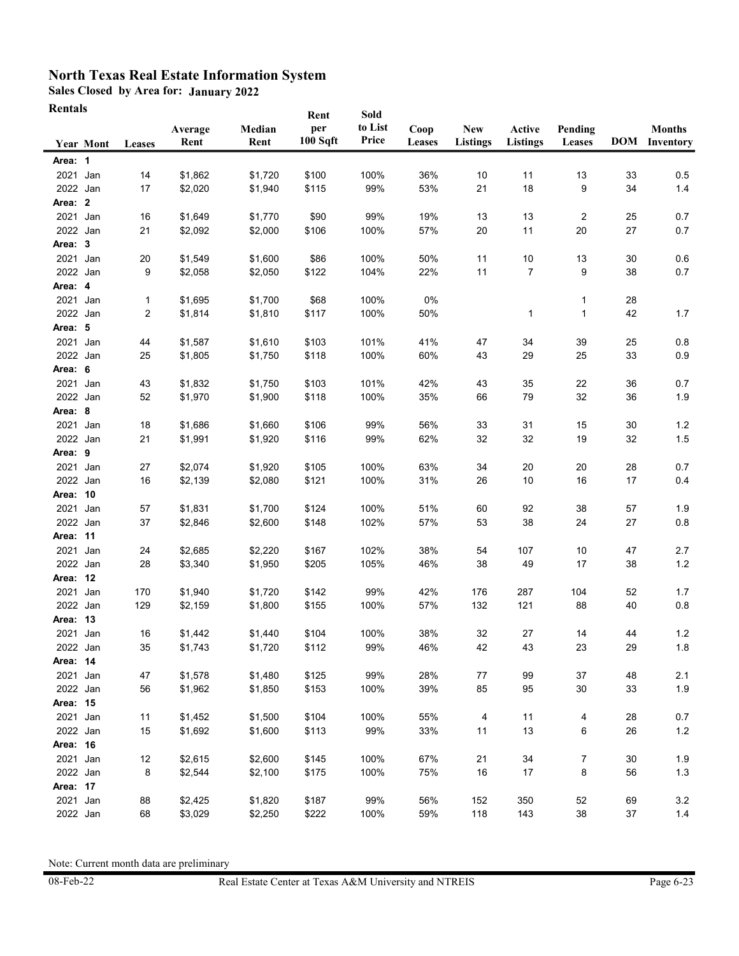**Sales Closed by Area for: January 2022**

| Rentals |
|---------|
|---------|

|          |                  |         |         |         | Rent     | Sold    |        |                 |                 |         |    |                      |
|----------|------------------|---------|---------|---------|----------|---------|--------|-----------------|-----------------|---------|----|----------------------|
|          |                  |         | Average | Median  | per      | to List | Coop   | <b>New</b>      | Active          | Pending |    | <b>Months</b>        |
|          | <b>Year Mont</b> | Leases  | Rent    | Rent    | 100 Sqft | Price   | Leases | <b>Listings</b> | <b>Listings</b> | Leases  |    | <b>DOM</b> Inventory |
| Area: 1  |                  |         |         |         |          |         |        |                 |                 |         |    |                      |
| 2021 Jan |                  | 14      | \$1,862 | \$1,720 | \$100    | 100%    | 36%    | 10              | 11              | 13      | 33 | 0.5                  |
| 2022 Jan |                  | 17      | \$2,020 | \$1,940 | \$115    | 99%     | 53%    | 21              | 18              | 9       | 34 | 1.4                  |
| Area: 2  |                  |         |         |         |          |         |        |                 |                 |         |    |                      |
| 2021     | Jan              | 16      | \$1,649 | \$1,770 | \$90     | 99%     | 19%    | 13              | 13              | 2       | 25 | 0.7                  |
| 2022 Jan |                  | 21      | \$2,092 | \$2,000 | \$106    | 100%    | 57%    | 20              | 11              | 20      | 27 | 0.7                  |
| Area: 3  |                  |         |         |         |          |         |        |                 |                 |         |    |                      |
| 2021 Jan |                  |         | \$1,549 | \$1,600 | \$86     | 100%    | 50%    | 11              | 10              | 13      | 30 | 0.6                  |
| 2022 Jan |                  | 20<br>9 |         | \$2,050 | \$122    | 104%    | 22%    | 11              | $\overline{7}$  | 9       | 38 | 0.7                  |
| Area: 4  |                  |         | \$2,058 |         |          |         |        |                 |                 |         |    |                      |
|          |                  |         |         |         |          |         |        |                 |                 |         |    |                      |
| 2021 Jan |                  | 1       | \$1,695 | \$1,700 | \$68     | 100%    | 0%     |                 |                 | 1       | 28 |                      |
| 2022 Jan |                  | 2       | \$1,814 | \$1,810 | \$117    | 100%    | 50%    |                 | 1               | 1       | 42 | 1.7                  |
| Area: 5  |                  |         |         |         |          |         |        |                 |                 |         |    |                      |
| 2021     | Jan              | 44      | \$1,587 | \$1,610 | \$103    | 101%    | 41%    | 47              | 34              | 39      | 25 | 0.8                  |
| 2022 Jan |                  | 25      | \$1,805 | \$1,750 | \$118    | 100%    | 60%    | 43              | 29              | 25      | 33 | 0.9                  |
| Area: 6  |                  |         |         |         |          |         |        |                 |                 |         |    |                      |
| 2021     | Jan              | 43      | \$1,832 | \$1,750 | \$103    | 101%    | 42%    | 43              | 35              | 22      | 36 | 0.7                  |
| 2022 Jan |                  | 52      | \$1,970 | \$1,900 | \$118    | 100%    | 35%    | 66              | 79              | 32      | 36 | 1.9                  |
| Area: 8  |                  |         |         |         |          |         |        |                 |                 |         |    |                      |
| 2021 Jan |                  | 18      | \$1,686 | \$1,660 | \$106    | 99%     | 56%    | 33              | 31              | 15      | 30 | 1.2                  |
| 2022 Jan |                  | 21      | \$1,991 | \$1,920 | \$116    | 99%     | 62%    | 32              | 32              | 19      | 32 | $1.5$                |
| Area: 9  |                  |         |         |         |          |         |        |                 |                 |         |    |                      |
| 2021     | Jan              | 27      | \$2,074 | \$1,920 | \$105    | 100%    | 63%    | 34              | 20              | 20      | 28 | 0.7                  |
| 2022 Jan |                  | 16      | \$2,139 | \$2,080 | \$121    | 100%    | 31%    | 26              | 10              | 16      | 17 | 0.4                  |
| Area: 10 |                  |         |         |         |          |         |        |                 |                 |         |    |                      |
| 2021     | Jan              | 57      | \$1,831 | \$1,700 | \$124    | 100%    | 51%    | 60              | 92              | 38      | 57 | 1.9                  |
| 2022 Jan |                  | 37      | \$2,846 | \$2,600 | \$148    | 102%    | 57%    | 53              | 38              | 24      | 27 | 0.8                  |
| Area: 11 |                  |         |         |         |          |         |        |                 |                 |         |    |                      |
| 2021     | Jan              | 24      | \$2,685 | \$2,220 | \$167    | 102%    | 38%    | 54              | 107             | 10      | 47 | 2.7                  |
| 2022 Jan |                  | 28      | \$3,340 | \$1,950 | \$205    | 105%    | 46%    | 38              | 49              | 17      | 38 | 1.2                  |
| Area: 12 |                  |         |         |         |          |         |        |                 |                 |         |    |                      |
| 2021 Jan |                  | 170     | \$1,940 | \$1,720 | \$142    | 99%     | 42%    | 176             | 287             | 104     | 52 | 1.7                  |
| 2022 Jan |                  | 129     | \$2,159 | \$1,800 | \$155    | 100%    | 57%    | 132             | 121             | 88      | 40 | 0.8                  |
| Area: 13 |                  |         |         |         |          |         |        |                 |                 |         |    |                      |
| 2021     | Jan              | 16      | \$1,442 | \$1,440 | \$104    | 100%    | 38%    | 32              | 27              | 14      | 44 | 1.2                  |
| 2022 Jan |                  | 35      | \$1,743 | \$1,720 | \$112    | 99%     | 46%    | 42              | 43              | 23      | 29 | 1.8                  |
| Area: 14 |                  |         |         |         |          |         |        |                 |                 |         |    |                      |
| 2021 Jan |                  | 47      | \$1,578 | \$1,480 | \$125    | 99%     | 28%    | 77              | 99              | 37      | 48 | 2.1                  |
| 2022 Jan |                  | 56      | \$1,962 | \$1,850 | \$153    | 100%    | 39%    | 85              | 95              | 30      | 33 | 1.9                  |
| Area: 15 |                  |         |         |         |          |         |        |                 |                 |         |    |                      |
| 2021 Jan |                  | 11      | \$1,452 | \$1,500 | \$104    | 100%    | 55%    | 4               | 11              | 4       | 28 | 0.7                  |
| 2022 Jan |                  | 15      | \$1,692 | \$1,600 | \$113    | 99%     | 33%    | 11              | 13              | 6       | 26 | $1.2$                |
| Area: 16 |                  |         |         |         |          |         |        |                 |                 |         |    |                      |
| 2021 Jan |                  | 12      | \$2,615 | \$2,600 | \$145    | 100%    | 67%    | 21              | 34              | 7       | 30 | 1.9                  |
| 2022 Jan |                  | 8       | \$2,544 | \$2,100 | \$175    | 100%    | 75%    | 16              | 17              | 8       | 56 | 1.3                  |
| Area: 17 |                  |         |         |         |          |         |        |                 |                 |         |    |                      |
| 2021 Jan |                  | 88      | \$2,425 | \$1,820 | \$187    | 99%     | 56%    | 152             | 350             | 52      | 69 | 3.2                  |
| 2022 Jan |                  | 68      | \$3,029 | \$2,250 | \$222    | 100%    | 59%    | 118             | 143             | 38      | 37 | $1.4$                |
|          |                  |         |         |         |          |         |        |                 |                 |         |    |                      |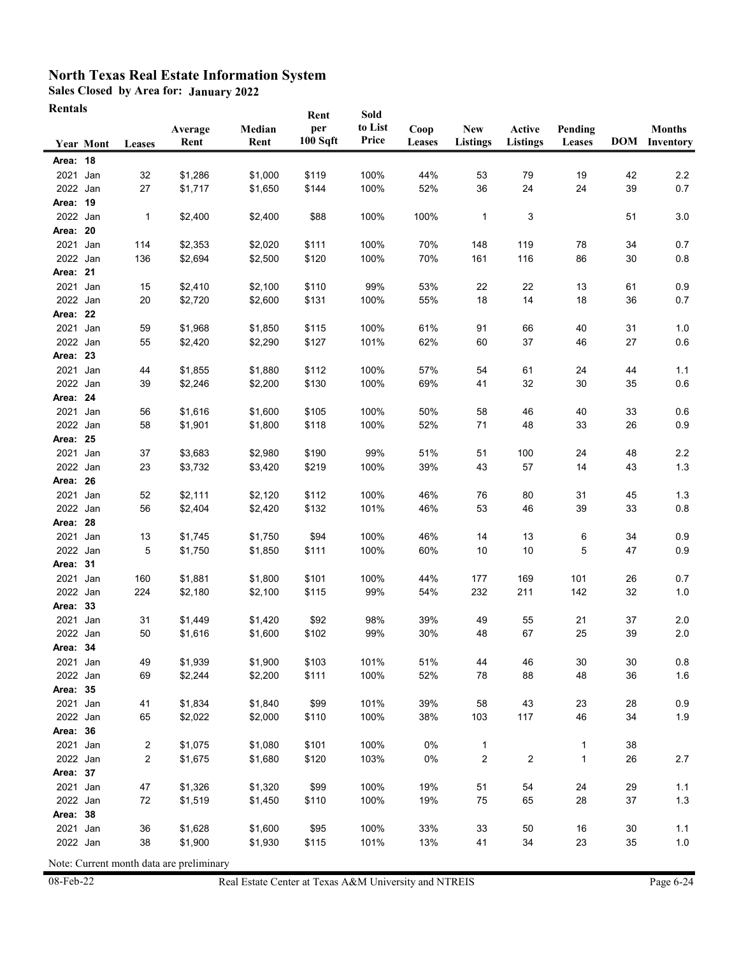**Sales Closed by Area for: January 2022**

| Rentals |
|---------|
|---------|

|                      | <b>Year Mont</b> | Leases   | Average<br>Rent    | Median<br>Rent     | Rent<br>per<br>100 Sqft | Sold<br>to List<br>Price | Coop<br>Leases | <b>New</b><br><b>Listings</b> | Active<br><b>Listings</b> | Pending<br>Leases |          | <b>Months</b><br><b>DOM</b> Inventory |
|----------------------|------------------|----------|--------------------|--------------------|-------------------------|--------------------------|----------------|-------------------------------|---------------------------|-------------------|----------|---------------------------------------|
| Area: 18             |                  |          |                    |                    |                         |                          |                |                               |                           |                   |          |                                       |
| 2021                 | Jan              | 32       | \$1,286            | \$1,000            | \$119                   | 100%                     | 44%            | 53                            | 79                        | 19                | 42       | 2.2                                   |
| 2022 Jan             |                  | 27       | \$1,717            | \$1,650            | \$144                   | 100%                     | 52%            | 36                            | 24                        | 24                | 39       | 0.7                                   |
| Area: 19             |                  |          |                    |                    |                         |                          |                |                               |                           |                   |          |                                       |
| 2022 Jan             |                  | 1        | \$2,400            | \$2,400            | \$88                    | 100%                     | 100%           | 1                             | 3                         |                   | 51       | 3.0                                   |
| Area:                | 20               |          |                    |                    |                         |                          |                |                               |                           |                   |          |                                       |
| 2021                 | Jan              | 114      | \$2,353            | \$2,020            | \$111                   | 100%                     | 70%            | 148                           | 119                       | 78                | 34       | 0.7                                   |
| 2022 Jan             |                  | 136      | \$2,694            | \$2,500            | \$120                   | 100%                     | 70%            | 161                           | 116                       | 86                | 30       | 0.8                                   |
| Area: 21             |                  |          |                    |                    |                         |                          |                |                               |                           |                   |          |                                       |
| 2021 Jan             |                  | 15       | \$2,410            | \$2,100            | \$110                   | 99%                      | 53%            | 22                            | 22                        | 13                | 61       | 0.9                                   |
| 2022 Jan             |                  | 20       | \$2,720            | \$2,600            | \$131                   | 100%                     | 55%            | 18                            | 14                        | 18                | 36       | 0.7                                   |
| Area: 22             |                  |          |                    |                    |                         |                          |                |                               |                           |                   |          |                                       |
| 2021                 | Jan              | 59       | \$1,968            | \$1,850            | \$115                   | 100%                     | 61%            | 91                            | 66                        | 40                | 31       | 1.0                                   |
| 2022 Jan             |                  | 55       | \$2,420            | \$2,290            | \$127                   | 101%                     | 62%            | 60                            | 37                        | 46                | 27       | 0.6                                   |
| Area: 23             |                  |          |                    |                    |                         |                          |                |                               |                           |                   |          |                                       |
| 2021                 | Jan              | 44       | \$1,855            | \$1,880            | \$112                   | 100%                     | 57%            | 54                            | 61                        | 24                | 44       | 1.1                                   |
| 2022 Jan             |                  | 39       | \$2,246            | \$2,200            | \$130                   | 100%                     | 69%            | 41                            | 32                        | 30                | 35       | 0.6                                   |
| Area: 24             |                  |          |                    |                    |                         |                          |                |                               |                           |                   |          |                                       |
| 2021                 | Jan              | 56       | \$1,616            | \$1,600            | \$105                   | 100%                     | 50%            | 58                            | 46                        | 40                | 33       | 0.6                                   |
| 2022 Jan             |                  | 58       | \$1,901            | \$1,800            | \$118                   | 100%                     | 52%            | 71                            | 48                        | 33                | 26       | 0.9                                   |
| Area: 25             |                  |          |                    |                    |                         |                          |                |                               |                           |                   |          |                                       |
| 2021 Jan             |                  | 37       | \$3,683            | \$2,980            | \$190                   | 99%                      | 51%            | 51                            | 100                       | 24                | 48       | 2.2                                   |
| 2022 Jan<br>Area: 26 |                  | 23       | \$3,732            | \$3,420            | \$219                   | 100%                     | 39%            | 43                            | 57                        | 14                | 43       | 1.3                                   |
|                      |                  |          |                    |                    |                         |                          |                |                               |                           |                   |          |                                       |
| 2021<br>2022 Jan     | Jan              | 52<br>56 | \$2,111<br>\$2,404 | \$2,120<br>\$2,420 | \$112<br>\$132          | 100%<br>101%             | 46%<br>46%     | 76<br>53                      | 80<br>46                  | 31<br>39          | 45<br>33 | 1.3<br>0.8                            |
| Area: 28             |                  |          |                    |                    |                         |                          |                |                               |                           |                   |          |                                       |
| 2021                 | Jan              | 13       | \$1,745            | \$1,750            | \$94                    | 100%                     | 46%            | 14                            | 13                        | 6                 | 34       | 0.9                                   |
| 2022                 | Jan              | 5        | \$1,750            | \$1,850            | \$111                   | 100%                     | 60%            | 10                            | 10                        | 5                 | 47       | 0.9                                   |
| Area:                | 31               |          |                    |                    |                         |                          |                |                               |                           |                   |          |                                       |
| 2021                 | Jan              | 160      | \$1,881            | \$1,800            | \$101                   | 100%                     | 44%            | 177                           | 169                       | 101               | 26       | 0.7                                   |
| 2022 Jan             |                  | 224      | \$2,180            | \$2,100            | \$115                   | 99%                      | 54%            | 232                           | 211                       | 142               | 32       | 1.0                                   |
| Area: 33             |                  |          |                    |                    |                         |                          |                |                               |                           |                   |          |                                       |
| 2021 Jan             |                  | 31       | \$1,449            | \$1,420            | \$92                    | 98%                      | 39%            | 49                            | 55                        | 21                | 37       | 2.0                                   |
| 2022 Jan             |                  | 50       | \$1,616            | \$1.600            | \$102                   | 99%                      | 30%            | 48                            | 67                        | 25                | 39       | 2.0                                   |
| Area: 34             |                  |          |                    |                    |                         |                          |                |                               |                           |                   |          |                                       |
| 2021 Jan             |                  | 49       | \$1,939            | \$1,900            | \$103                   | 101%                     | 51%            | 44                            | 46                        | $30\,$            | 30       | 0.8                                   |
| 2022 Jan             |                  | 69       | \$2,244            | \$2,200            | \$111                   | 100%                     | 52%            | 78                            | 88                        | 48                | 36       | 1.6                                   |
| Area: 35             |                  |          |                    |                    |                         |                          |                |                               |                           |                   |          |                                       |
| 2021 Jan             |                  | 41       | \$1,834            | \$1,840            | \$99                    | 101%                     | 39%            | 58                            | 43                        | 23                | 28       | $0.9\,$                               |
| 2022 Jan             |                  | 65       | \$2,022            | \$2,000            | \$110                   | 100%                     | 38%            | 103                           | 117                       | 46                | 34       | 1.9                                   |
| Area: 36             |                  |          |                    |                    |                         |                          |                |                               |                           |                   |          |                                       |
| 2021 Jan             |                  | 2        | \$1,075            | \$1,080            | \$101                   | 100%                     | 0%             | $\mathbf{1}$                  |                           | $\mathbf{1}$      | 38       |                                       |
| 2022 Jan             |                  | 2        | \$1,675            | \$1,680            | \$120                   | 103%                     | 0%             | 2                             | 2                         | 1                 | 26       | 2.7                                   |
| Area: 37             |                  |          |                    |                    |                         |                          |                |                               |                           |                   |          |                                       |
| 2021 Jan             |                  | 47       | \$1,326            | \$1,320            | \$99                    | 100%                     | 19%            | 51                            | 54                        | 24                | 29       | 1.1                                   |
| 2022 Jan             |                  | 72       | \$1,519            | \$1,450            | \$110                   | 100%                     | 19%            | 75                            | 65                        | 28                | 37       | $1.3$                                 |
| Area: 38             |                  |          |                    |                    |                         |                          |                |                               |                           |                   |          |                                       |
| 2021 Jan             |                  | 36       | \$1,628            | \$1,600            | \$95                    | 100%                     | 33%            | 33                            | 50                        | 16                | 30       | 1.1                                   |
| 2022 Jan             |                  | 38       | \$1,900            | \$1,930            | \$115                   | 101%                     | 13%            | 41                            | 34                        | 23                | 35       | 1.0                                   |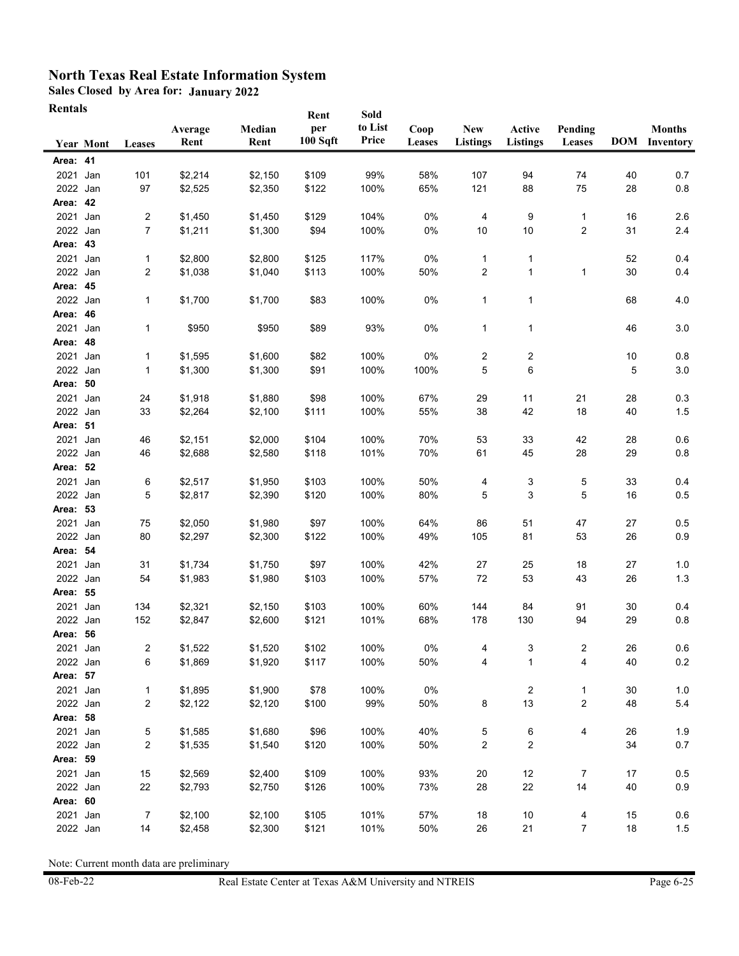**Sales Closed by Area for: January 2022**

| <b>Rentals</b> |                  |              |                 |                | Rent            | Sold             |                |                               |                           |                         |      |                                       |
|----------------|------------------|--------------|-----------------|----------------|-----------------|------------------|----------------|-------------------------------|---------------------------|-------------------------|------|---------------------------------------|
|                | <b>Year Mont</b> | Leases       | Average<br>Rent | Median<br>Rent | per<br>100 Sqft | to List<br>Price | Coop<br>Leases | <b>New</b><br><b>Listings</b> | Active<br><b>Listings</b> | Pending<br>Leases       |      | <b>Months</b><br><b>DOM</b> Inventory |
| Area: 41       |                  |              |                 |                |                 |                  |                |                               |                           |                         |      |                                       |
| 2021 Jan       |                  | 101          | \$2,214         | \$2,150        | \$109           | 99%              | 58%            | 107                           | 94                        | 74                      | 40   | 0.7                                   |
| 2022 Jan       |                  | 97           | \$2,525         | \$2,350        | \$122           | 100%             | 65%            | 121                           | 88                        | 75                      | 28   | 0.8                                   |
| Area: 42       |                  |              |                 |                |                 |                  |                |                               |                           |                         |      |                                       |
| 2021           | Jan              | 2            | \$1,450         | \$1,450        | \$129           | 104%             | 0%             | 4                             | 9                         | 1                       | 16   | 2.6                                   |
| 2022 Jan       |                  | 7            | \$1,211         | \$1,300        | \$94            | 100%             | 0%             | $10$                          | 10                        | 2                       | 31   | 2.4                                   |
| Area: 43       |                  |              |                 |                |                 |                  |                |                               |                           |                         |      |                                       |
| 2021           | Jan              | $\mathbf{1}$ | \$2,800         | \$2,800        | \$125           | 117%             | 0%             | 1                             | $\mathbf{1}$              |                         | 52   | 0.4                                   |
| 2022 Jan       |                  | 2            | \$1,038         | \$1,040        | \$113           | 100%             | 50%            | 2                             | $\mathbf{1}$              | 1                       | 30   | 0.4                                   |
| Area: 45       |                  |              |                 |                |                 |                  |                |                               |                           |                         |      |                                       |
| 2022 Jan       |                  | $\mathbf{1}$ | \$1,700         | \$1,700        | \$83            | 100%             | 0%             | 1                             | 1                         |                         | 68   | 4.0                                   |
| Area: 46       |                  |              |                 |                |                 |                  |                |                               |                           |                         |      |                                       |
| 2021 Jan       |                  | $\mathbf{1}$ | \$950           | \$950          | \$89            | 93%              | 0%             | 1                             | 1                         |                         | 46   | 3.0                                   |
| Area: 48       |                  |              |                 |                |                 |                  |                |                               |                           |                         |      |                                       |
| 2021 Jan       |                  | $\mathbf{1}$ | \$1,595         | \$1,600        | \$82            | 100%             | 0%             | 2                             | 2                         |                         | 10   | 0.8                                   |
| 2022 Jan       |                  | $\mathbf{1}$ | \$1,300         | \$1,300        | \$91            | 100%             | 100%           | 5                             | 6                         |                         | 5    | 3.0                                   |
| Area: 50       |                  |              |                 |                |                 |                  |                |                               |                           |                         |      |                                       |
| 2021           | Jan              | 24           | \$1,918         | \$1,880        | \$98            | 100%             | 67%            | 29                            | 11                        | 21                      | 28   | 0.3                                   |
| 2022 Jan       |                  | 33           | \$2,264         | \$2,100        | \$111           | 100%             | 55%            | 38                            | 42                        | 18                      | 40   | 1.5                                   |
| Area: 51       |                  |              |                 |                |                 |                  |                |                               |                           |                         |      |                                       |
| 2021           | Jan              | 46           | \$2,151         | \$2,000        | \$104           | 100%             | 70%            | 53                            | 33                        | 42                      | 28   | 0.6                                   |
| 2022 Jan       |                  | 46           | \$2,688         | \$2,580        | \$118           | 101%             | 70%            | 61                            | 45                        | 28                      | 29   | 0.8                                   |
| Area: 52       |                  |              |                 |                |                 |                  |                |                               |                           |                         |      |                                       |
| 2021           | Jan              | 6            | \$2,517         | \$1,950        | \$103           | 100%             | 50%            | 4                             | 3                         | 5                       | 33   | 0.4                                   |
| 2022 Jan       |                  | 5            | \$2,817         | \$2,390        | \$120           | 100%             | 80%            | 5                             | 3                         | 5                       | 16   | 0.5                                   |
| Area: 53       |                  |              |                 |                |                 |                  |                |                               |                           |                         |      |                                       |
| 2021 Jan       |                  | 75           | \$2,050         | \$1,980        | \$97            | 100%             | 64%            | 86                            | 51                        | 47                      | 27   | 0.5                                   |
| 2022 Jan       |                  | 80           | \$2,297         | \$2,300        | \$122           | 100%             | 49%            | 105                           | 81                        | 53                      | 26   | 0.9                                   |
| Area: 54       |                  |              |                 |                |                 |                  |                |                               |                           |                         |      |                                       |
| 2021           | Jan              | 31           | \$1,734         | \$1,750        | \$97            | 100%             | 42%            | 27                            | 25                        | 18                      | 27   | 1.0                                   |
| 2022 Jan       |                  | 54           | \$1,983         | \$1,980        | \$103           | 100%             | 57%            | 72                            | 53                        | 43                      | 26   | 1.3                                   |
| Area: 55       |                  |              |                 |                |                 |                  |                |                               |                           |                         |      |                                       |
| 2021           | Jan              | 134          | \$2,321         | \$2,150        | \$103           | 100%             | 60%            | 144                           | 84                        | 91                      | 30   | 0.4                                   |
| 2022           | Jan              | 152          | \$2,847         | \$2,600        | \$121           | 101%             | 68%            | 178                           | 130                       | 94                      | 29   | 0.8                                   |
| Area: 56       |                  |              |                 |                |                 |                  |                |                               |                           |                         |      |                                       |
| 2021 Jan       |                  | 2            | \$1,522         | \$1,520        | \$102           | 100%             | 0%             | 4                             | 3                         | $\overline{\mathbf{c}}$ | 26   | 0.6                                   |
| 2022 Jan       |                  | 6            | \$1,869         | \$1,920        | \$117           | 100%             | 50%            | 4                             | 1                         | 4                       | 40   | $0.2\,$                               |
| Area: 57       |                  |              |                 |                |                 |                  |                |                               |                           |                         |      |                                       |
| 2021 Jan       |                  | $\mathbf{1}$ | \$1,895         | \$1,900        | \$78            | 100%             | 0%             |                               | 2                         | 1                       | 30   | 1.0                                   |
| 2022 Jan       |                  | 2            | \$2,122         | \$2,120        | \$100           | 99%              | 50%            | 8                             | 13                        | 2                       | 48   | 5.4                                   |
| Area: 58       |                  |              |                 |                |                 |                  |                |                               |                           |                         |      |                                       |
| 2021 Jan       |                  | 5            | \$1,585         | \$1,680        | \$96            | 100%             | 40%            | 5                             | 6                         | 4                       | 26   | 1.9                                   |
| 2022 Jan       |                  | 2            | \$1,535         | \$1,540        | \$120           | 100%             | 50%            | 2                             | 2                         |                         | 34   | 0.7                                   |
| Area: 59       |                  |              |                 |                |                 |                  |                |                               |                           |                         |      |                                       |
| 2021 Jan       |                  | 15           | \$2,569         | \$2,400        | \$109           | 100%             | 93%            | 20                            | 12                        | $\overline{7}$          | 17   | 0.5                                   |
| 2022 Jan       |                  | 22           | \$2,793         | \$2,750        | \$126           | 100%             | 73%            | 28                            | 22                        | 14                      | 40   | 0.9                                   |
| Area: 60       |                  |              |                 |                |                 |                  |                |                               |                           |                         |      |                                       |
| 2021 Jan       |                  | 7            | \$2,100         | \$2,100        | \$105           | 101%             | 57%            | 18                            | 10                        | 4                       | 15   | 0.6                                   |
| 2022 Jan       |                  | 14           | \$2,458         | \$2,300        | \$121           | 101%             | 50%            | 26                            | 21                        | $\overline{7}$          | $18$ | 1.5                                   |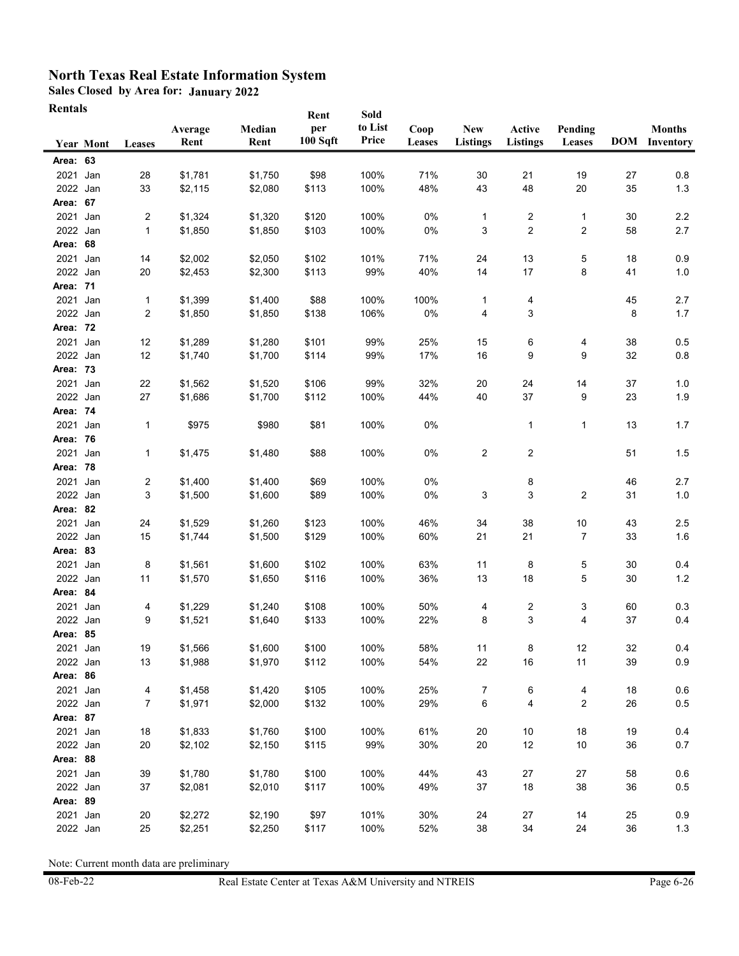**Sales Closed by Area for: January 2022**

| <b>Rentals</b> |                  |                |         |         | Rent     | Sold    |        |                 |                         |              |    |                      |
|----------------|------------------|----------------|---------|---------|----------|---------|--------|-----------------|-------------------------|--------------|----|----------------------|
|                |                  |                | Average | Median  | per      | to List | Coop   | New             | Active                  | Pending      |    | <b>Months</b>        |
|                | <b>Year Mont</b> | Leases         | Rent    | Rent    | 100 Sqft | Price   | Leases | <b>Listings</b> | <b>Listings</b>         | Leases       |    | <b>DOM</b> Inventory |
| Area: 63       |                  |                |         |         |          |         |        |                 |                         |              |    |                      |
| 2021 Jan       |                  | 28             | \$1,781 | \$1,750 | \$98     | 100%    | 71%    | 30              | 21                      | 19           | 27 | 0.8                  |
| 2022 Jan       |                  | 33             | \$2,115 | \$2,080 | \$113    | 100%    | 48%    | 43              | 48                      | 20           | 35 | 1.3                  |
| Area: 67       |                  |                |         |         |          |         |        |                 |                         |              |    |                      |
| 2021 Jan       |                  | 2              | \$1,324 | \$1,320 | \$120    | 100%    | 0%     | 1               | 2                       | $\mathbf{1}$ | 30 | 2.2                  |
| 2022 Jan       |                  | 1              | \$1,850 | \$1,850 | \$103    | 100%    | 0%     | 3               | $\overline{\mathbf{c}}$ | 2            | 58 | 2.7                  |
| Area: 68       |                  |                |         |         |          |         |        |                 |                         |              |    |                      |
| 2021           | Jan              | 14             | \$2,002 | \$2,050 | \$102    | 101%    | 71%    | 24              | 13                      | 5            | 18 | 0.9                  |
| 2022 Jan       |                  | 20             | \$2,453 | \$2,300 | \$113    | 99%     | 40%    | 14              | 17                      | 8            | 41 | 1.0                  |
| Area: 71       |                  |                |         |         |          |         |        |                 |                         |              |    |                      |
| 2021           | Jan              | 1              | \$1,399 | \$1,400 | \$88     | 100%    | 100%   | 1               | 4                       |              | 45 | 2.7                  |
| 2022 Jan       |                  | $\overline{c}$ | \$1,850 | \$1,850 | \$138    | 106%    | $0\%$  | 4               | 3                       |              | 8  | 1.7                  |
| Area: 72       |                  |                |         |         |          |         |        |                 |                         |              |    |                      |
| 2021 Jan       |                  | 12             | \$1,289 | \$1,280 | \$101    | 99%     | 25%    | 15              | 6                       | 4            | 38 | 0.5                  |
| 2022 Jan       |                  | 12             | \$1,740 | \$1,700 | \$114    | 99%     | 17%    | 16              | 9                       | 9            | 32 | 0.8                  |
| Area: 73       |                  |                |         |         |          |         |        |                 |                         |              |    |                      |
| 2021           | Jan              | 22             | \$1,562 | \$1,520 | \$106    | 99%     | 32%    | 20              | 24                      | 14           | 37 | 1.0                  |
| 2022 Jan       |                  | 27             | \$1,686 | \$1,700 | \$112    | 100%    | 44%    | 40              | 37                      | 9            | 23 | 1.9                  |
| Area: 74       |                  |                |         |         |          |         |        |                 |                         |              |    |                      |
| 2021           | Jan              | 1              | \$975   | \$980   | \$81     | 100%    | 0%     |                 | 1                       | $\mathbf{1}$ | 13 | 1.7                  |
| Area: 76       |                  |                |         |         |          |         |        |                 |                         |              |    |                      |
| 2021           | Jan              | 1              | \$1,475 | \$1,480 | \$88     | 100%    | 0%     | 2               | $\overline{c}$          |              | 51 | 1.5                  |
| Area: 78       |                  |                |         |         |          |         |        |                 |                         |              |    |                      |
| 2021           | Jan              | $\overline{c}$ | \$1,400 | \$1,400 | \$69     | 100%    | 0%     |                 | 8                       |              | 46 | 2.7                  |
| 2022 Jan       |                  | 3              | \$1,500 | \$1,600 | \$89     | 100%    | 0%     | 3               | 3                       | 2            | 31 | 1.0                  |
| Area: 82       |                  |                |         |         |          |         |        |                 |                         |              |    |                      |
| 2021 Jan       |                  | 24             | \$1,529 | \$1,260 | \$123    | 100%    | 46%    | 34              | 38                      | $10$         | 43 | 2.5                  |
| 2022 Jan       |                  | 15             | \$1,744 | \$1,500 | \$129    | 100%    | 60%    | 21              | 21                      | 7            | 33 | 1.6                  |
| Area: 83       |                  |                |         |         |          |         |        |                 |                         |              |    |                      |
| 2021 Jan       |                  | 8              | \$1,561 | \$1,600 | \$102    | 100%    | 63%    | 11              | 8                       | 5            | 30 | 0.4                  |
| 2022 Jan       |                  | 11             | \$1,570 | \$1,650 | \$116    | 100%    | 36%    | 13              | 18                      | 5            | 30 | 1.2                  |
| Area: 84       |                  |                |         |         |          |         |        |                 |                         |              |    |                      |
| 2021           | Jan              | 4              | \$1,229 | \$1,240 | \$108    | 100%    | 50%    | 4               | 2                       | 3            | 60 | 0.3                  |
| 2022 Jan       |                  | 9              | \$1,521 | \$1,640 | \$133    | 100%    | 22%    | 8               | 3                       | 4            | 37 | 0.4                  |
| Area: 85       |                  |                |         |         |          |         |        |                 |                         |              |    |                      |
| 2021 Jan       |                  | 19             | \$1,566 | \$1,600 | \$100    | 100%    | 58%    | 11              | 8                       | 12           | 32 | 0.4                  |
| 2022 Jan       |                  | 13             | \$1,988 | \$1,970 | \$112    | 100%    | 54%    | 22              | 16                      | 11           | 39 | 0.9                  |
| Area: 86       |                  |                |         |         |          |         |        |                 |                         |              |    |                      |
| 2021 Jan       |                  | 4              | \$1,458 | \$1,420 | \$105    | 100%    | 25%    | $\overline{7}$  | 6                       | 4            | 18 | 0.6                  |
| 2022 Jan       |                  | 7              | \$1,971 | \$2,000 | \$132    | 100%    | 29%    | 6               | 4                       | 2            | 26 | 0.5                  |
| Area: 87       |                  |                |         |         |          |         |        |                 |                         |              |    |                      |
| 2021 Jan       |                  | 18             | \$1,833 | \$1,760 | \$100    | 100%    | 61%    | 20              | 10                      | 18           | 19 | 0.4                  |
| 2022 Jan       |                  | 20             | \$2,102 | \$2,150 | \$115    | 99%     | 30%    | 20              | 12                      | $10$         | 36 | 0.7                  |
| Area: 88       |                  |                |         |         |          |         |        |                 |                         |              |    |                      |
| 2021 Jan       |                  | 39             | \$1,780 | \$1,780 | \$100    | 100%    | 44%    | 43              | 27                      | 27           | 58 | 0.6                  |
| 2022 Jan       |                  |                |         | \$2,010 | \$117    | 100%    | 49%    | 37              |                         |              | 36 | 0.5                  |
| Area: 89       |                  | 37             | \$2,081 |         |          |         |        |                 | 18                      | 38           |    |                      |
| 2021 Jan       |                  |                |         | \$2,190 |          | 101%    |        | 24              |                         |              |    |                      |
|                |                  | 20             | \$2,272 |         | \$97     |         | 30%    |                 | 27                      | 14           | 25 | 0.9                  |
| 2022 Jan       |                  | 25             | \$2,251 | \$2,250 | \$117    | 100%    | 52%    | $38\,$          | 34                      | 24           | 36 | 1.3                  |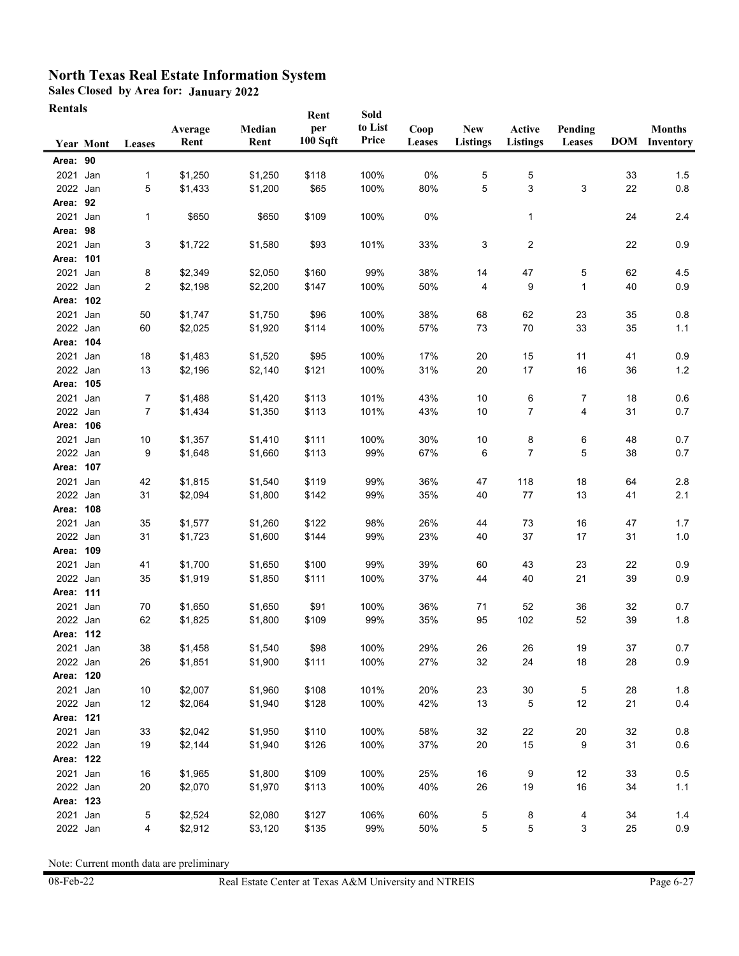**Sales Closed by Area for: January 2022**

| <b>Rentals</b>       |                  |                |                    |                    |               |                 |            |                 |                 |          |          |                      |
|----------------------|------------------|----------------|--------------------|--------------------|---------------|-----------------|------------|-----------------|-----------------|----------|----------|----------------------|
|                      |                  |                | Average            | Median             | Rent<br>per   | Sold<br>to List | Coop       | <b>New</b>      | Active          | Pending  |          | <b>Months</b>        |
|                      | <b>Year Mont</b> | Leases         | Rent               | Rent               | 100 Sqft      | Price           | Leases     | <b>Listings</b> | <b>Listings</b> | Leases   |          | <b>DOM</b> Inventory |
| Area: 90             |                  |                |                    |                    |               |                 |            |                 |                 |          |          |                      |
| 2021 Jan             |                  | $\mathbf{1}$   | \$1,250            | \$1,250            | \$118         | 100%            | 0%         | 5               | 5               |          | 33       | 1.5                  |
| 2022 Jan             |                  | 5              | \$1,433            | \$1,200            | \$65          | 100%            | 80%        | 5               | 3               | 3        | 22       | 0.8                  |
| Area: 92             |                  |                |                    |                    |               |                 |            |                 |                 |          |          |                      |
| 2021 Jan             |                  | $\mathbf{1}$   | \$650              | \$650              | \$109         | 100%            | 0%         |                 | 1               |          | 24       | 2.4                  |
| Area: 98             |                  |                |                    |                    |               |                 |            |                 |                 |          |          |                      |
| 2021                 | Jan              | 3              | \$1,722            | \$1,580            | \$93          | 101%            | 33%        | 3               | 2               |          | 22       | 0.9                  |
| Area: 101            |                  |                |                    |                    |               |                 |            |                 |                 |          |          |                      |
| 2021                 | Jan              | 8              | \$2,349            | \$2,050            | \$160         | 99%             | 38%        | 14              | 47              | 5        | 62       | 4.5                  |
| 2022 Jan             |                  | 2              | \$2,198            | \$2,200            | \$147         | 100%            | 50%        | 4               | 9               | 1        | 40       | 0.9                  |
| Area: 102            |                  |                |                    |                    |               |                 |            |                 |                 |          |          |                      |
| 2021                 | Jan              | 50             | \$1,747            | \$1,750            | \$96          | 100%            | 38%        | 68              | 62              | 23       | 35       | 0.8                  |
| 2022 Jan             |                  | 60             | \$2,025            | \$1,920            | \$114         | 100%            | 57%        | 73              | 70              | 33       | 35       | 1.1                  |
| Area: 104            |                  |                |                    |                    |               |                 |            |                 |                 |          |          |                      |
| 2021 Jan             |                  | 18             | \$1,483            | \$1,520            | \$95          | 100%            | 17%        | 20              | 15              | 11       | 41       | 0.9                  |
| 2022 Jan             |                  | 13             | \$2,196            | \$2,140            | \$121         | 100%            | 31%        | 20              | 17              | 16       | 36       | 1.2                  |
| Area: 105            |                  |                |                    |                    |               |                 |            |                 |                 |          |          |                      |
| 2021 Jan             |                  | 7              | \$1,488            | \$1,420            | \$113         | 101%            | 43%        | 10              | 6               | 7        | 18       | 0.6                  |
| 2022 Jan             |                  | $\overline{7}$ | \$1,434            | \$1,350            | \$113         | 101%            | 43%        | $10$            | 7               | 4        | 31       | 0.7                  |
| Area: 106            |                  |                |                    |                    |               |                 |            |                 |                 |          |          |                      |
| 2021                 | Jan              | 10             | \$1,357            | \$1,410            | \$111         | 100%            | 30%        | 10              | 8               | 6        | 48       | 0.7                  |
| 2022 Jan             |                  | 9              | \$1,648            | \$1,660            | \$113         | 99%             | 67%        | 6               | 7               | 5        | 38       | 0.7                  |
| Area: 107            |                  |                |                    |                    |               |                 |            |                 |                 |          |          |                      |
| 2021 Jan             |                  | 42             | \$1,815            | \$1,540            | \$119         | 99%             | 36%        | 47              | 118             | 18       | 64       | 2.8                  |
| 2022 Jan             |                  | 31             | \$2,094            | \$1,800            | \$142         | 99%             | 35%        | 40              | 77              | 13       | 41       | 2.1                  |
| Area: 108            |                  |                |                    |                    |               |                 |            |                 |                 |          |          |                      |
| 2021 Jan             |                  | 35             | \$1,577            | \$1,260            | \$122         | 98%             | 26%        | 44              | 73              | 16       | 47       | 1.7                  |
| 2022 Jan             |                  | 31             | \$1,723            | \$1,600            | \$144         | 99%             | 23%        | 40              | 37              | 17       | 31       | 1.0                  |
| Area: 109            |                  |                |                    |                    |               |                 |            |                 |                 |          |          |                      |
| 2021 Jan             |                  | 41             | \$1,700            | \$1,650            | \$100         | 99%             | 39%        | 60              | 43              | 23       | 22       | 0.9                  |
| 2022 Jan             |                  | 35             | \$1,919            | \$1,850            | \$111         | 100%            | 37%        | 44              | 40              | 21       | 39       | 0.9                  |
| Area: 111            |                  |                |                    |                    |               |                 |            |                 |                 |          |          |                      |
| 2021                 | Jan              | 70             | \$1,650            | \$1,650            | \$91          | 100%            | 36%        | 71              | 52              | 36       | 32       | 0.7                  |
| 2022 Jan             |                  | 62             | \$1,825            | \$1,800            | \$109         | 99%             | 35%        | 95              | 102             | 52       | 39       | 1.8                  |
| Area: 112            |                  |                |                    |                    |               |                 |            |                 |                 |          |          |                      |
| 2021 Jan<br>2022 Jan |                  | 38<br>26       | \$1,458<br>\$1,851 | \$1,540<br>\$1,900 | \$98<br>\$111 | 100%<br>100%    | 29%<br>27% | 26<br>32        | 26<br>24        | 19<br>18 | 37<br>28 | 0.7<br>0.9           |
| Area: 120            |                  |                |                    |                    |               |                 |            |                 |                 |          |          |                      |
| 2021 Jan             |                  | 10             | \$2,007            | \$1,960            | \$108         | 101%            | 20%        | 23              | $30\,$          | 5        | 28       | 1.8                  |
| 2022 Jan             |                  | 12             | \$2,064            | \$1,940            | \$128         | 100%            | 42%        | 13              | 5               | 12       | 21       | 0.4                  |
| Area: 121            |                  |                |                    |                    |               |                 |            |                 |                 |          |          |                      |
| 2021 Jan             |                  | 33             | \$2,042            | \$1,950            | \$110         | 100%            | 58%        | 32              | 22              | 20       | 32       | 0.8                  |
| 2022 Jan             |                  | 19             | \$2,144            | \$1,940            | \$126         | 100%            | 37%        | 20              | 15              | 9        | 31       | 0.6                  |
| Area: 122            |                  |                |                    |                    |               |                 |            |                 |                 |          |          |                      |
| 2021 Jan             |                  | 16             | \$1,965            | \$1,800            | \$109         | 100%            | 25%        | 16              | 9               | 12       | 33       | 0.5                  |
| 2022 Jan             |                  | 20             | \$2,070            | \$1,970            | \$113         | 100%            | 40%        | 26              | 19              | $16\,$   | 34       | 1.1                  |
| Area: 123            |                  |                |                    |                    |               |                 |            |                 |                 |          |          |                      |
| 2021 Jan             |                  | 5              | \$2,524            | \$2,080            | \$127         | 106%            | 60%        | 5               | 8               | 4        | 34       | 1.4                  |
| 2022 Jan             |                  | 4              | \$2,912            | \$3,120            | \$135         | 99%             | 50%        | 5               | 5               | 3        | 25       | 0.9                  |
|                      |                  |                |                    |                    |               |                 |            |                 |                 |          |          |                      |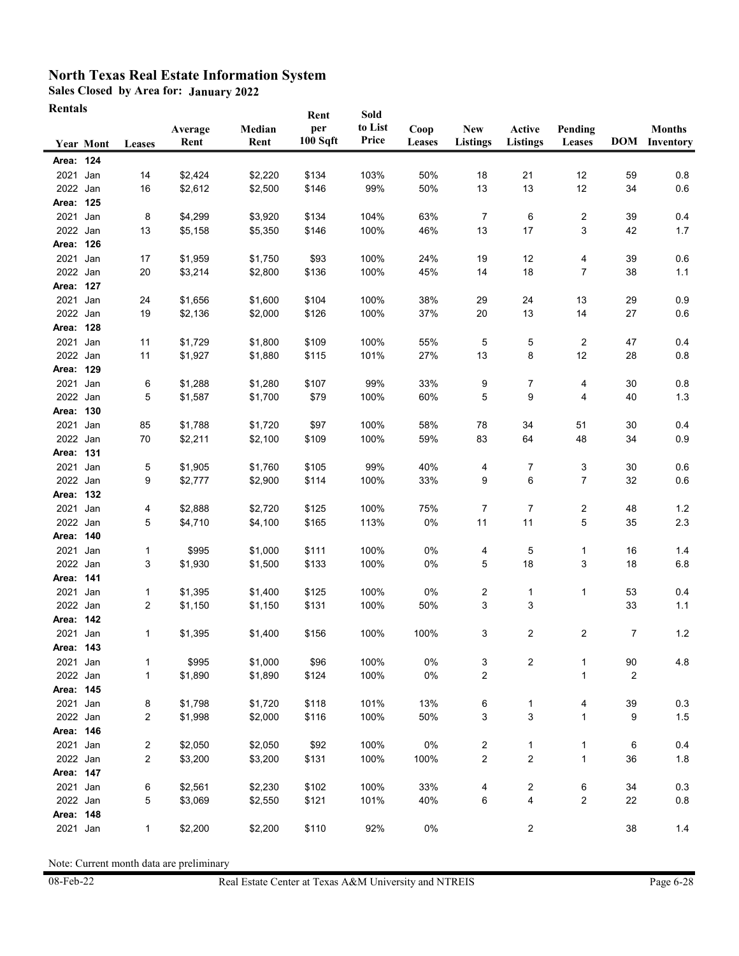**Sales Closed by Area for: January 2022**

**Rentals**

| іхспіаіз  |                  |        | Average | Median  | Rent<br>per<br>100 Sqft | Sold<br>to List<br>Price | Coop   | New             | Active          | Pending                 |        | <b>Months</b>        |
|-----------|------------------|--------|---------|---------|-------------------------|--------------------------|--------|-----------------|-----------------|-------------------------|--------|----------------------|
|           | <b>Year Mont</b> | Leases | Rent    | Rent    |                         |                          | Leases | <b>Listings</b> | <b>Listings</b> | Leases                  |        | <b>DOM</b> Inventory |
| Area: 124 |                  |        |         |         |                         |                          |        |                 |                 |                         |        |                      |
| 2021      | Jan              | 14     | \$2,424 | \$2,220 | \$134                   | 103%                     | 50%    | 18              | 21              | 12                      | 59     | 0.8                  |
| 2022 Jan  |                  | 16     | \$2,612 | \$2,500 | \$146                   | 99%                      | 50%    | 13              | 13              | 12                      | 34     | 0.6                  |
| Area: 125 |                  |        |         |         |                         |                          |        |                 |                 |                         |        |                      |
| 2021      | Jan              | 8      | \$4,299 | \$3,920 | \$134                   | 104%                     | 63%    | $\overline{7}$  | 6               | 2                       | 39     | 0.4                  |
| 2022 Jan  |                  | 13     | \$5,158 | \$5,350 | \$146                   | 100%                     | 46%    | 13              | 17              | 3                       | 42     | 1.7                  |
| Area: 126 |                  |        |         |         |                         |                          |        |                 |                 |                         |        |                      |
| 2021 Jan  |                  | 17     | \$1,959 | \$1,750 | \$93                    | 100%                     | 24%    | 19              | 12              | 4                       | 39     | 0.6                  |
| 2022 Jan  |                  | 20     | \$3,214 | \$2,800 | \$136                   | 100%                     | 45%    | 14              | 18              | 7                       | 38     | 1.1                  |
| Area: 127 |                  |        |         |         |                         |                          |        |                 |                 |                         |        |                      |
| 2021 Jan  |                  | 24     | \$1,656 | \$1,600 | \$104                   | 100%                     | 38%    | 29              | 24              | 13                      | 29     | 0.9                  |
| 2022 Jan  |                  | 19     | \$2,136 | \$2,000 | \$126                   | 100%                     | 37%    | 20              | 13              | 14                      | 27     | 0.6                  |
| Area: 128 |                  |        |         |         |                         |                          |        |                 |                 |                         |        |                      |
| 2021      | Jan              | 11     | \$1,729 | \$1,800 | \$109                   | 100%                     | 55%    | 5               | 5               | 2                       | 47     | 0.4                  |
| 2022 Jan  |                  | 11     | \$1,927 | \$1,880 | \$115                   | 101%                     | 27%    | $13$            | 8               | 12                      | 28     | 0.8                  |
| Area: 129 |                  |        |         |         |                         |                          |        |                 |                 |                         |        |                      |
| 2021      | Jan              | 6      | \$1,288 | \$1,280 | \$107                   | 99%                      | 33%    | 9               | 7               | 4                       | 30     | 0.8                  |
| 2022 Jan  |                  | 5      | \$1,587 | \$1,700 | \$79                    | 100%                     | 60%    | 5               | 9               | 4                       | 40     | 1.3                  |
| Area: 130 |                  |        |         |         |                         |                          |        |                 |                 |                         |        |                      |
| 2021 Jan  |                  | 85     | \$1,788 | \$1,720 | \$97                    | 100%                     | 58%    | 78              | 34              | 51                      | 30     | 0.4                  |
| 2022 Jan  |                  | 70     | \$2,211 | \$2,100 | \$109                   | 100%                     | 59%    | 83              | 64              | 48                      | 34     | 0.9                  |
| Area: 131 |                  |        |         |         |                         |                          |        |                 |                 |                         |        |                      |
| 2021      | Jan              | 5      | \$1,905 | \$1,760 | \$105                   | 99%                      | 40%    | 4               | 7               | 3                       | 30     | 0.6                  |
| 2022 Jan  |                  | 9      | \$2,777 | \$2,900 | \$114                   | 100%                     | 33%    | 9               | 6               | $\overline{7}$          | 32     | $0.6\,$              |
| Area: 132 |                  |        |         |         |                         |                          |        |                 |                 |                         |        |                      |
| 2021      | Jan              | 4      | \$2,888 | \$2,720 | \$125                   | 100%                     | 75%    | $\overline{7}$  | $\overline{7}$  | $\overline{\mathbf{c}}$ | 48     | 1.2                  |
| 2022 Jan  |                  | 5      | \$4,710 | \$4,100 | \$165                   | 113%                     | 0%     | 11              | 11              | 5                       | 35     | 2.3                  |
| Area: 140 |                  |        |         |         |                         |                          |        |                 |                 |                         |        |                      |
| 2021      | Jan              | 1      | \$995   | \$1,000 | \$111                   | 100%                     | 0%     | 4               | 5               | $\mathbf{1}$            | 16     | 1.4                  |
| 2022      | Jan              | 3      | \$1,930 | \$1,500 | \$133                   | 100%                     | 0%     | 5               | 18              | 3                       | 18     | $6.8\,$              |
| Area: 141 |                  |        |         |         |                         |                          |        |                 |                 |                         |        |                      |
| 2021      | Jan              | 1      | \$1,395 | \$1,400 | \$125                   | 100%                     | 0%     | 2               | $\mathbf{1}$    | 1                       | 53     | 0.4                  |
| 2022 Jan  |                  | 2      | \$1,150 | \$1,150 | \$131                   | 100%                     | 50%    | 3               | 3               |                         | 33     | 1.1                  |
| Area: 142 |                  |        |         |         |                         |                          |        |                 |                 |                         |        |                      |
| 2021      | Jan              | 1      | \$1,395 | \$1,400 | \$156                   | 100%                     | 100%   | 3               | $\overline{c}$  | 2                       | 7      | 1.2                  |
| Area: 143 |                  |        |         |         |                         |                          |        |                 |                 |                         |        |                      |
| 2021 Jan  |                  | 1      | \$995   | \$1,000 | \$96                    | 100%                     | 0%     | 3               | 2               | 1                       | $90\,$ | 4.8                  |
| 2022 Jan  |                  | 1      | \$1,890 | \$1,890 | \$124                   | 100%                     | $0\%$  | 2               |                 | 1                       | 2      |                      |
| Area: 145 |                  |        |         |         |                         |                          |        |                 |                 |                         |        |                      |
| 2021 Jan  |                  | 8      | \$1,798 | \$1,720 | \$118                   | 101%                     | 13%    | 6               | 1               | 4                       | 39     | $0.3\,$              |
| 2022 Jan  |                  | 2      | \$1,998 | \$2,000 | \$116                   | 100%                     | 50%    | 3               | 3               | 1                       | 9      | 1.5                  |
| Area: 146 |                  |        |         |         |                         |                          |        |                 |                 |                         |        |                      |
| 2021 Jan  |                  | 2      | \$2,050 | \$2,050 | \$92                    | 100%                     | 0%     | 2               | $\mathbf{1}$    | 1                       | 6      | 0.4                  |
| 2022 Jan  |                  | 2      | \$3,200 | \$3,200 | \$131                   | 100%                     | 100%   | 2               | 2               | 1                       | 36     | 1.8                  |
| Area: 147 |                  |        |         |         |                         |                          |        |                 |                 |                         |        |                      |
| 2021 Jan  |                  | 6      | \$2,561 | \$2,230 | \$102                   | 100%                     | 33%    | 4               | 2               | 6                       | 34     | 0.3                  |
| 2022 Jan  |                  | 5      | \$3,069 | \$2,550 | \$121                   | 101%                     | 40%    | 6               | 4               | $\overline{\mathbf{c}}$ | 22     | $0.8\,$              |
| Area: 148 |                  |        |         |         |                         |                          |        |                 |                 |                         |        |                      |
| 2021 Jan  |                  | 1      | \$2,200 | \$2,200 | \$110                   | 92%                      | $0\%$  |                 | 2               |                         | 38     | 1.4                  |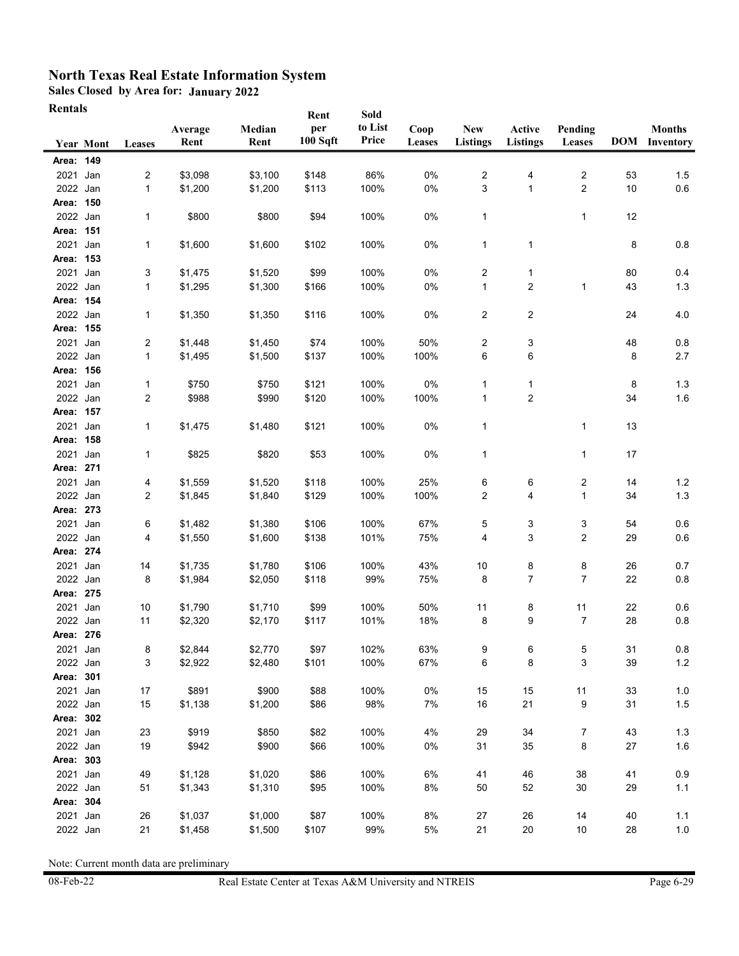**Sales Closed by Area for: January 2022**

| <b>Rentals</b>        |           |                                |         |                    | Rent          | Sold         |             |                 |                         |                         |         |                      |
|-----------------------|-----------|--------------------------------|---------|--------------------|---------------|--------------|-------------|-----------------|-------------------------|-------------------------|---------|----------------------|
|                       |           |                                | Average | Median             | per           | to List      | Coop        | New             | Active                  | Pending                 |         | <b>Months</b>        |
|                       | Year Mont | Leases                         | Rent    | Rent               | 100 Sqft      | Price        | Leases      | <b>Listings</b> | <b>Listings</b>         | Leases                  |         | <b>DOM</b> Inventory |
| Area: 149             |           |                                |         |                    |               |              |             |                 |                         |                         |         |                      |
| 2021 Jan              |           | $\overline{c}$                 | \$3,098 | \$3,100            | \$148         | 86%          | 0%          | 2               | 4                       | 2                       | 53      | 1.5                  |
| 2022 Jan              |           | $\mathbf{1}$                   | \$1,200 | \$1,200            | \$113         | 100%         | 0%          | 3               | $\mathbf{1}$            | $\overline{2}$          | 10      | 0.6                  |
| Area: 150             |           |                                |         |                    |               |              |             |                 |                         |                         |         |                      |
| 2022 Jan              |           | 1                              | \$800   | \$800              | \$94          | 100%         | 0%          | 1               |                         | $\mathbf{1}$            | 12      |                      |
| Area: 151             |           |                                |         |                    |               |              |             |                 |                         |                         |         |                      |
| 2021                  | Jan       | 1                              | \$1,600 | \$1,600            | \$102         | 100%         | 0%          | 1               | 1                       |                         | 8       | 0.8                  |
| Area: 153             |           |                                |         |                    |               |              |             |                 |                         |                         |         |                      |
| 2021                  | Jan       | 3                              | \$1,475 | \$1,520            | \$99          | 100%         | 0%          | 2               | $\mathbf 1$             |                         | 80      | 0.4                  |
| 2022 Jan              |           | 1                              | \$1,295 | \$1,300            | \$166         | 100%         | 0%          | $\mathbf{1}$    | $\overline{\mathbf{c}}$ | $\mathbf{1}$            | 43      | 1.3                  |
| Area: 154             |           |                                |         |                    |               |              |             |                 |                         |                         |         |                      |
| 2022 Jan<br>Area: 155 |           | 1                              | \$1,350 | \$1,350            | \$116         | 100%         | 0%          | 2               | $\overline{\mathbf{c}}$ |                         | 24      | 4.0                  |
|                       | Jan       |                                | \$1,448 |                    |               |              |             |                 |                         |                         |         |                      |
| 2021<br>2022 Jan      |           | $\overline{c}$<br>$\mathbf{1}$ | \$1,495 | \$1,450<br>\$1,500 | \$74<br>\$137 | 100%<br>100% | 50%<br>100% | 2<br>6          | 3<br>6                  |                         | 48<br>8 | 0.8<br>2.7           |
| Area: 156             |           |                                |         |                    |               |              |             |                 |                         |                         |         |                      |
| 2021 Jan              |           | 1                              | \$750   | \$750              | \$121         | 100%         | $0\%$       | 1               | 1                       |                         | 8       | 1.3                  |
| 2022 Jan              |           | 2                              | \$988   | \$990              | \$120         | 100%         | 100%        | 1               | $\overline{2}$          |                         | 34      | 1.6                  |
| Area: 157             |           |                                |         |                    |               |              |             |                 |                         |                         |         |                      |
| 2021                  | Jan       | 1                              | \$1,475 | \$1,480            | \$121         | 100%         | 0%          | 1               |                         | 1                       | 13      |                      |
| Area: 158             |           |                                |         |                    |               |              |             |                 |                         |                         |         |                      |
| 2021                  | Jan       | 1                              | \$825   | \$820              | \$53          | 100%         | 0%          | 1               |                         | 1                       | 17      |                      |
| Area: 271             |           |                                |         |                    |               |              |             |                 |                         |                         |         |                      |
| 2021                  | Jan       | 4                              | \$1,559 | \$1,520            | \$118         | 100%         | 25%         | 6               | 6                       | $\overline{\mathbf{c}}$ | 14      | 1.2                  |
| 2022 Jan              |           | 2                              | \$1,845 | \$1,840            | \$129         | 100%         | 100%        | 2               | 4                       | 1                       | 34      | 1.3                  |
| Area: 273             |           |                                |         |                    |               |              |             |                 |                         |                         |         |                      |
| 2021                  | Jan       | 6                              | \$1,482 | \$1,380            | \$106         | 100%         | 67%         | 5               | 3                       | 3                       | 54      | 0.6                  |
| 2022 Jan              |           | 4                              | \$1,550 | \$1,600            | \$138         | 101%         | 75%         | 4               | 3                       | 2                       | 29      | 0.6                  |
| Area: 274             |           |                                |         |                    |               |              |             |                 |                         |                         |         |                      |
| 2021 Jan              |           | 14                             | \$1,735 | \$1,780            | \$106         | 100%         | 43%         | $10$            | 8                       | 8                       | 26      | 0.7                  |
| 2022 Jan              |           | 8                              | \$1,984 | \$2,050            | \$118         | 99%          | 75%         | 8               | 7                       | 7                       | 22      | 0.8                  |
| Area: 275             |           |                                |         |                    |               |              |             |                 |                         |                         |         |                      |
| 2021                  | Jan       | 10                             | \$1,790 | \$1,710            | \$99          | 100%         | 50%         | 11              | 8                       | 11                      | 22      | 0.6                  |
| 2022 Jan              |           | 11                             | \$2,320 | \$2,170            | \$117         | 101%         | 18%         | 8               | 9                       | 7                       | 28      | 0.8                  |
| Area: 276             |           |                                |         |                    |               |              |             |                 |                         |                         |         |                      |
| 2021 Jan              |           | 8                              | \$2,844 | \$2,770            | \$97          | 102%         | 63%         | 9               | 6                       | 5                       | 31      | 0.8                  |
| 2022 Jan              |           | 3                              | \$2,922 | \$2,480            | \$101         | 100%         | 67%         | 6               | 8                       | 3                       | 39      | $1.2$                |
| Area: 301             |           |                                |         |                    |               |              |             |                 |                         |                         |         |                      |
| 2021 Jan              |           | 17                             | \$891   | \$900              | \$88          | 100%<br>98%  | $0\%$       | 15              | 15                      | 11                      | 33      | $1.0$                |
| 2022 Jan<br>Area: 302 |           | 15                             | \$1,138 | \$1,200            | \$86          |              | 7%          | 16              | 21                      | 9                       | 31      | $1.5$                |
| 2021 Jan              |           | 23                             | \$919   | \$850              | \$82          | 100%         | 4%          | 29              | 34                      |                         | 43      | $1.3$                |
| 2022 Jan              |           | 19                             | \$942   | \$900              | \$66          | 100%         | 0%          | 31              | 35                      | 7<br>8                  | 27      | 1.6                  |
| Area: 303             |           |                                |         |                    |               |              |             |                 |                         |                         |         |                      |
| 2021 Jan              |           | 49                             | \$1,128 | \$1,020            | \$86          | 100%         | 6%          | 41              | 46                      | 38                      | 41      | 0.9                  |
| 2022 Jan              |           | 51                             | \$1,343 | \$1,310            | \$95          | 100%         | 8%          | 50              | 52                      | 30                      | 29      | 1.1                  |
| Area: 304             |           |                                |         |                    |               |              |             |                 |                         |                         |         |                      |
| 2021 Jan              |           | 26                             | \$1,037 | \$1,000            | \$87          | 100%         | 8%          | 27              | 26                      | 14                      | 40      | 1.1                  |
| 2022 Jan              |           | 21                             | \$1,458 | \$1,500            | \$107         | 99%          | 5%          | 21              | $20\,$                  | $10$                    | 28      | $1.0$                |
|                       |           |                                |         |                    |               |              |             |                 |                         |                         |         |                      |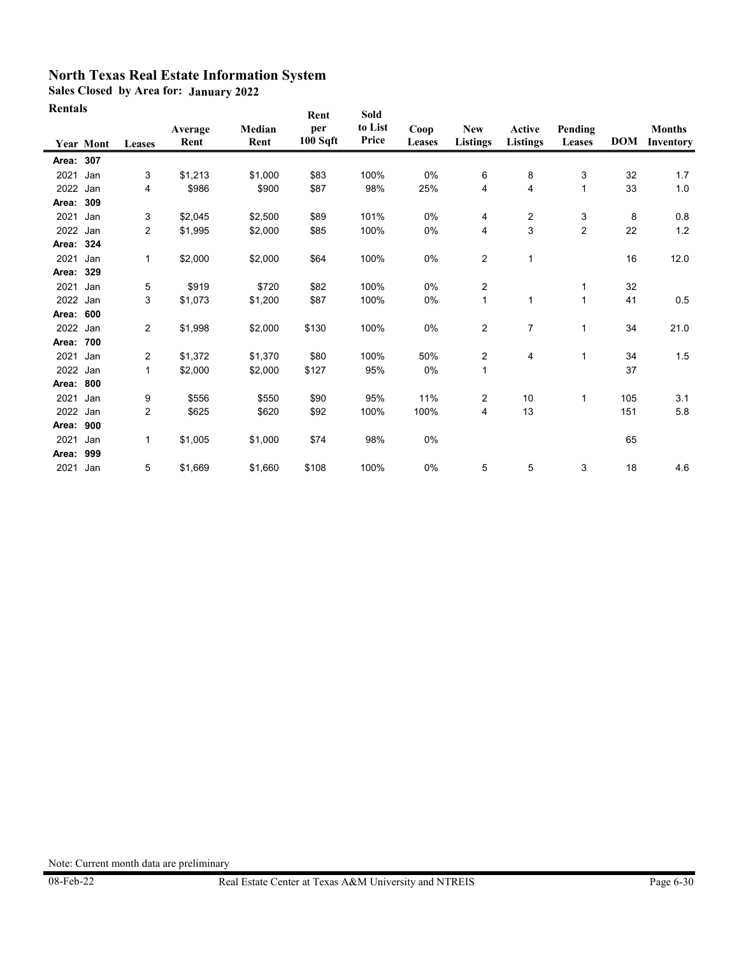**Sales Closed by Area for: January 2022**

| Rentals   |                  |                |                 |                | Rent            | Sold             |                |                               |                           |                   |            |                            |
|-----------|------------------|----------------|-----------------|----------------|-----------------|------------------|----------------|-------------------------------|---------------------------|-------------------|------------|----------------------------|
|           | <b>Year Mont</b> | Leases         | Average<br>Rent | Median<br>Rent | per<br>100 Sqft | to List<br>Price | Coop<br>Leases | <b>New</b><br><b>Listings</b> | Active<br><b>Listings</b> | Pending<br>Leases | <b>DOM</b> | <b>Months</b><br>Inventory |
| Area: 307 |                  |                |                 |                |                 |                  |                |                               |                           |                   |            |                            |
| 2021      | Jan              | 3              | \$1,213         | \$1.000        | \$83            | 100%             | 0%             | 6                             | 8                         | 3                 | 32         | 1.7                        |
| 2022      | Jan              | 4              | \$986           | \$900          | \$87            | 98%              | 25%            | 4                             | 4                         | $\mathbf{1}$      | 33         | 1.0                        |
| Area:     | 309              |                |                 |                |                 |                  |                |                               |                           |                   |            |                            |
| 2021      | Jan              | 3              | \$2,045         | \$2,500        | \$89            | 101%             | 0%             | 4                             | 2                         | 3                 | 8          | 0.8                        |
| 2022      | Jan              | $\overline{2}$ | \$1,995         | \$2,000        | \$85            | 100%             | 0%             | $\overline{4}$                | 3                         | $\overline{2}$    | 22         | 1.2                        |
| Area:     | 324              |                |                 |                |                 |                  |                |                               |                           |                   |            |                            |
| 2021      | Jan              | $\mathbf{1}$   | \$2,000         | \$2,000        | \$64            | 100%             | 0%             | $\overline{2}$                | 1                         |                   | 16         | 12.0                       |
| Area:     | 329              |                |                 |                |                 |                  |                |                               |                           |                   |            |                            |
| 2021      | Jan              | 5              | \$919           | \$720          | \$82            | 100%             | 0%             | $\overline{c}$                |                           | $\mathbf{1}$      | 32         |                            |
| 2022      | Jan              | 3              | \$1,073         | \$1,200        | \$87            | 100%             | 0%             | $\mathbf{1}$                  | 1                         | $\mathbf{1}$      | 41         | 0.5                        |
| Area:     | 600              |                |                 |                |                 |                  |                |                               |                           |                   |            |                            |
| 2022      | Jan              | $\overline{2}$ | \$1,998         | \$2,000        | \$130           | 100%             | $0\%$          | $\overline{c}$                | 7                         | $\mathbf{1}$      | 34         | 21.0                       |
| Area:     | 700              |                |                 |                |                 |                  |                |                               |                           |                   |            |                            |
| 2021      | Jan              | 2              | \$1,372         | \$1,370        | \$80            | 100%             | 50%            | $\overline{2}$                | 4                         | 1                 | 34         | 1.5                        |
| 2022      | Jan              | $\mathbf{1}$   | \$2,000         | \$2,000        | \$127           | 95%              | 0%             | $\mathbf{1}$                  |                           |                   | 37         |                            |
| Area:     | 800              |                |                 |                |                 |                  |                |                               |                           |                   |            |                            |
| 2021      | Jan              | 9              | \$556           | \$550          | \$90            | 95%              | 11%            | 2                             | 10                        | 1                 | 105        | 3.1                        |
| 2022      | Jan              | 2              | \$625           | \$620          | \$92            | 100%             | 100%           | $\overline{4}$                | 13                        |                   | 151        | 5.8                        |
| Area:     | 900              |                |                 |                |                 |                  |                |                               |                           |                   |            |                            |
| 2021      | Jan              | 1              | \$1,005         | \$1,000        | \$74            | 98%              | 0%             |                               |                           |                   | 65         |                            |
| Area:     | 999              |                |                 |                |                 |                  |                |                               |                           |                   |            |                            |
| 2021      | Jan              | 5              | \$1,669         | \$1,660        | \$108           | 100%             | 0%             | 5                             | 5                         | 3                 | 18         | 4.6                        |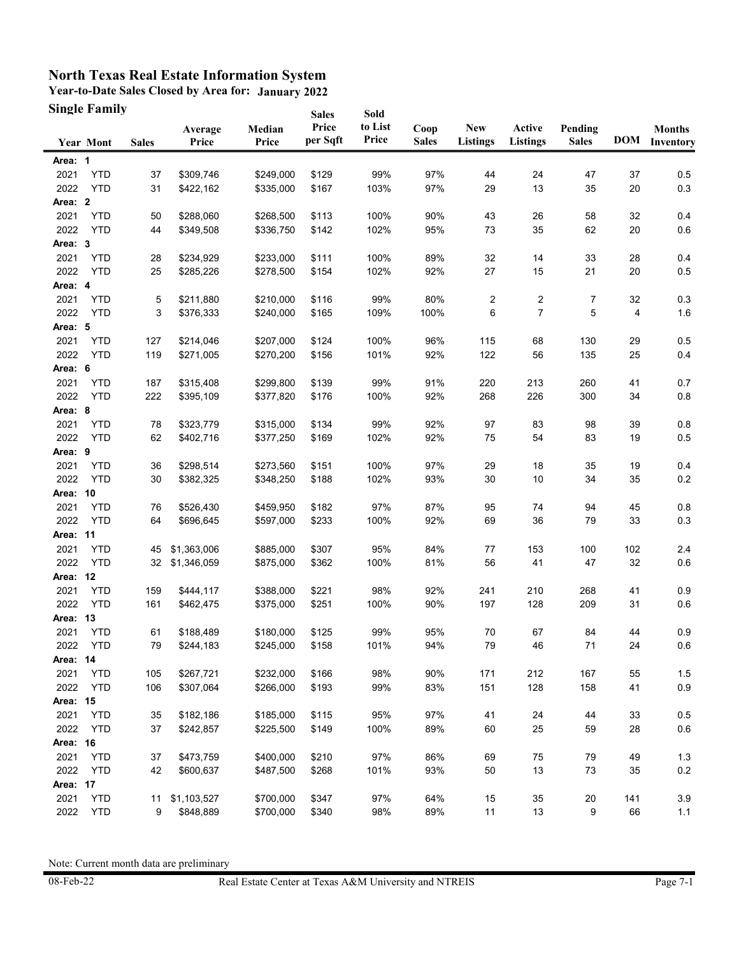**Year-to-Date Sales Closed by Area for: January 2022 Single Family**

|          | <b>Single Family</b> |              |                  |                 | <b>Sales</b>      | Sold             |                      |                               |                           |                         |     |                                |
|----------|----------------------|--------------|------------------|-----------------|-------------------|------------------|----------------------|-------------------------------|---------------------------|-------------------------|-----|--------------------------------|
|          | <b>Year Mont</b>     | <b>Sales</b> | Average<br>Price | Median<br>Price | Price<br>per Sqft | to List<br>Price | Coop<br><b>Sales</b> | <b>New</b><br><b>Listings</b> | Active<br><b>Listings</b> | Pending<br><b>Sales</b> |     | <b>Months</b><br>DOM Inventory |
| Area: 1  |                      |              |                  |                 |                   |                  |                      |                               |                           |                         |     |                                |
| 2021     | <b>YTD</b>           | 37           | \$309,746        | \$249,000       | \$129             | 99%              | 97%                  | 44                            | 24                        | 47                      | 37  | 0.5                            |
| 2022     | <b>YTD</b>           | 31           | \$422,162        | \$335,000       | \$167             | 103%             | 97%                  | 29                            | 13                        | 35                      | 20  | 0.3                            |
| Area: 2  |                      |              |                  |                 |                   |                  |                      |                               |                           |                         |     |                                |
| 2021     | <b>YTD</b>           | 50           | \$288,060        | \$268,500       | \$113             | 100%             | 90%                  | 43                            | 26                        | 58                      | 32  | 0.4                            |
| 2022     | <b>YTD</b>           | 44           | \$349,508        | \$336,750       | \$142             | 102%             | 95%                  | 73                            | 35                        | 62                      | 20  | 0.6                            |
| Area: 3  |                      |              |                  |                 |                   |                  |                      |                               |                           |                         |     |                                |
| 2021     | <b>YTD</b>           | 28           | \$234,929        | \$233,000       | \$111             | 100%             | 89%                  | 32                            | 14                        | 33                      | 28  | 0.4                            |
| 2022     | <b>YTD</b>           | 25           | \$285,226        | \$278,500       | \$154             | 102%             | 92%                  | 27                            | 15                        | 21                      | 20  | 0.5                            |
| Area: 4  |                      |              |                  |                 |                   |                  |                      |                               |                           |                         |     |                                |
| 2021     | <b>YTD</b>           | 5            | \$211,880        | \$210,000       | \$116             | 99%              | 80%                  | $\overline{2}$                | 2                         | 7                       | 32  | 0.3                            |
| 2022     | <b>YTD</b>           | 3            | \$376,333        | \$240,000       | \$165             | 109%             | 100%                 | 6                             | $\overline{7}$            | 5                       | 4   | 1.6                            |
| Area: 5  |                      |              |                  |                 |                   |                  |                      |                               |                           |                         |     |                                |
| 2021     | <b>YTD</b>           | 127          | \$214,046        | \$207,000       | \$124             | 100%             | 96%                  | 115                           | 68                        | 130                     | 29  | 0.5                            |
| 2022     | <b>YTD</b>           | 119          | \$271,005        | \$270,200       | \$156             | 101%             | 92%                  | 122                           | 56                        | 135                     | 25  | 0.4                            |
| Area: 6  |                      |              |                  |                 |                   |                  |                      |                               |                           |                         |     |                                |
| 2021     | <b>YTD</b>           | 187          | \$315,408        | \$299,800       | \$139             | 99%              | 91%                  | 220                           | 213                       | 260                     | 41  | 0.7                            |
| 2022     | <b>YTD</b>           | 222          | \$395,109        | \$377,820       | \$176             | 100%             | 92%                  | 268                           | 226                       | 300                     | 34  | 0.8                            |
| Area: 8  |                      |              |                  |                 |                   |                  |                      |                               |                           |                         |     |                                |
| 2021     | <b>YTD</b>           | 78           | \$323,779        | \$315,000       | \$134             | 99%              | 92%                  | 97                            | 83                        | 98                      | 39  | 0.8                            |
| 2022     | <b>YTD</b>           | 62           | \$402,716        | \$377,250       | \$169             | 102%             | 92%                  | 75                            | 54                        | 83                      | 19  | 0.5                            |
| Area: 9  |                      |              |                  |                 |                   |                  |                      |                               |                           |                         |     |                                |
| 2021     | <b>YTD</b>           | 36           | \$298,514        | \$273,560       | \$151             | 100%             | 97%                  | 29                            | 18                        | 35                      | 19  | 0.4                            |
| 2022     | <b>YTD</b>           | 30           | \$382,325        | \$348,250       | \$188             | 102%             | 93%                  | 30                            | 10                        | 34                      | 35  | $0.2\,$                        |
| Area: 10 |                      |              |                  |                 |                   |                  |                      |                               |                           |                         |     |                                |
| 2021     | <b>YTD</b>           | 76           | \$526,430        | \$459,950       | \$182             | 97%              | 87%                  | 95                            | 74                        | 94                      | 45  | 0.8                            |
| 2022     | <b>YTD</b>           | 64           | \$696,645        | \$597,000       | \$233             | 100%             | 92%                  | 69                            | 36                        | 79                      | 33  | 0.3                            |
| Area: 11 |                      |              |                  |                 |                   |                  |                      |                               |                           |                         |     |                                |
| 2021     | <b>YTD</b>           | 45           | \$1,363,006      | \$885,000       | \$307             | 95%              | 84%                  | 77                            | 153                       | 100                     | 102 | 2.4                            |
| 2022     | <b>YTD</b>           | 32           | \$1,346,059      | \$875,000       | \$362             | 100%             | 81%                  | 56                            | 41                        | 47                      | 32  | 0.6                            |
| Area: 12 |                      |              |                  |                 |                   |                  |                      |                               |                           |                         |     |                                |
| 2021     | <b>YTD</b>           | 159          | \$444,117        | \$388,000       | \$221             | 98%              | 92%                  | 241                           | 210                       | 268                     | 41  | 0.9                            |
| 2022     | <b>YTD</b>           | 161          | \$462,475        | \$375,000       | \$251             | 100%             | 90%                  | 197                           | 128                       | 209                     | 31  | 0.6                            |
| Area: 13 |                      |              |                  |                 |                   |                  |                      |                               |                           |                         |     |                                |
| 2021     | <b>YTD</b>           | 61           | \$188,489        | \$180,000       | \$125             | 99%              | 95%                  | 70                            | 67                        | 84                      | 44  | 0.9                            |
| 2022     | <b>YTD</b>           | 79           | \$244,183        | \$245,000       | \$158             | 101%             | 94%                  | 79                            | 46                        | 71                      | 24  | 0.6                            |
| Area: 14 |                      |              |                  |                 |                   |                  |                      |                               |                           |                         |     |                                |
| 2021     | <b>YTD</b>           | 105          | \$267,721        | \$232,000       | \$166             | 98%              | 90%                  | 171                           | 212                       | 167                     | 55  | 1.5                            |
| 2022     | <b>YTD</b>           | 106          | \$307,064        | \$266,000       | \$193             | 99%              | 83%                  | 151                           | 128                       | 158                     | 41  | $0.9\,$                        |
| Area: 15 |                      |              |                  |                 |                   |                  |                      |                               |                           |                         |     |                                |
| 2021     | <b>YTD</b>           | 35           | \$182,186        | \$185,000       | \$115             | 95%              | 97%                  | 41                            | 24                        | 44                      | 33  | 0.5                            |
| 2022     | <b>YTD</b>           | 37           | \$242,857        | \$225,500       | \$149             | 100%             | 89%                  | 60                            | 25                        | 59                      | 28  | $0.6\,$                        |
| Area: 16 |                      |              |                  |                 |                   |                  |                      |                               |                           |                         |     |                                |
| 2021     | <b>YTD</b>           | 37           | \$473,759        | \$400,000       | \$210             | 97%              | 86%                  | 69                            | 75                        | 79                      | 49  | 1.3                            |
| 2022     | <b>YTD</b>           | 42           | \$600,637        | \$487,500       | \$268             | 101%             | 93%                  | 50                            | 13                        | 73                      | 35  | $0.2\,$                        |
| Area: 17 |                      |              |                  |                 |                   |                  |                      |                               |                           |                         |     |                                |
| 2021     | <b>YTD</b>           | 11           | \$1,103,527      | \$700,000       | \$347             | 97%              | 64%                  | 15                            | 35                        | 20                      | 141 | 3.9                            |
| 2022     | <b>YTD</b>           | 9            | \$848,889        | \$700,000       | \$340             | 98%              | 89%                  | 11                            | 13                        | 9                       | 66  | $1.1$                          |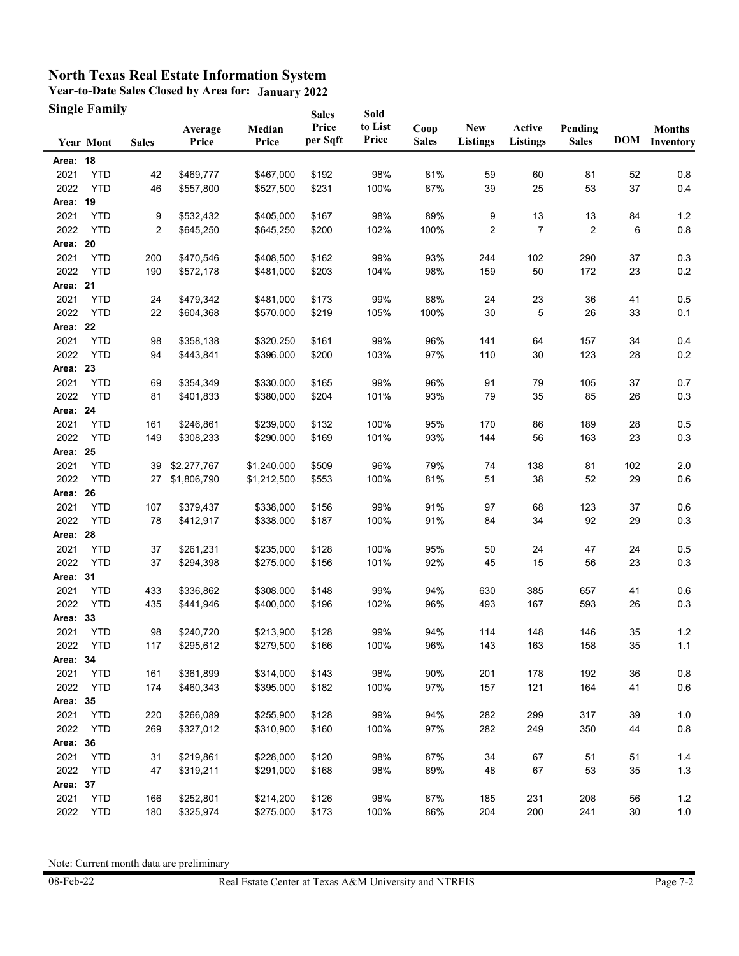**Year-to-Date Sales Closed by Area for: January 2022 Single Family**

|          | <b>Single Family</b> |              |                  |                 | <b>Sales</b>      | Sold             |                      |                               |                           |                         |        |                                |
|----------|----------------------|--------------|------------------|-----------------|-------------------|------------------|----------------------|-------------------------------|---------------------------|-------------------------|--------|--------------------------------|
|          | <b>Year Mont</b>     | <b>Sales</b> | Average<br>Price | Median<br>Price | Price<br>per Sqft | to List<br>Price | Coop<br><b>Sales</b> | <b>New</b><br><b>Listings</b> | Active<br><b>Listings</b> | Pending<br><b>Sales</b> |        | <b>Months</b><br>DOM Inventory |
| Area: 18 |                      |              |                  |                 |                   |                  |                      |                               |                           |                         |        |                                |
| 2021     | <b>YTD</b>           | 42           | \$469,777        | \$467,000       | \$192             | 98%              | 81%                  | 59                            | 60                        | 81                      | 52     | 0.8                            |
| 2022     | <b>YTD</b>           | 46           | \$557,800        | \$527,500       | \$231             | 100%             | 87%                  | 39                            | 25                        | 53                      | 37     | 0.4                            |
| Area: 19 |                      |              |                  |                 |                   |                  |                      |                               |                           |                         |        |                                |
| 2021     | <b>YTD</b>           | 9            | \$532,432        | \$405,000       | \$167             | 98%              | 89%                  | 9                             | 13                        | 13                      | 84     | 1.2                            |
| 2022     | <b>YTD</b>           | 2            | \$645,250        | \$645,250       | \$200             | 102%             | 100%                 | 2                             | $\overline{7}$            | $\overline{2}$          | 6      | 0.8                            |
| Area: 20 |                      |              |                  |                 |                   |                  |                      |                               |                           |                         |        |                                |
| 2021     | <b>YTD</b>           | 200          | \$470,546        | \$408,500       | \$162             | 99%              | 93%                  | 244                           | 102                       | 290                     | 37     | 0.3                            |
| 2022     | <b>YTD</b>           | 190          | \$572,178        | \$481,000       | \$203             | 104%             | 98%                  | 159                           | 50                        | 172                     | 23     | 0.2                            |
| Area: 21 |                      |              |                  |                 |                   |                  |                      |                               |                           |                         |        |                                |
| 2021     | <b>YTD</b>           | 24           | \$479,342        | \$481,000       | \$173             | 99%              | 88%                  | 24                            | 23                        | 36                      | 41     | 0.5                            |
| 2022     | <b>YTD</b>           | 22           | \$604,368        | \$570,000       | \$219             | 105%             | 100%                 | 30                            | 5                         | 26                      | 33     | 0.1                            |
| Area: 22 |                      |              |                  |                 |                   |                  |                      |                               |                           |                         |        |                                |
| 2021     | <b>YTD</b>           | 98           | \$358,138        | \$320,250       | \$161             | 99%              | 96%                  | 141                           | 64                        | 157                     | 34     | 0.4                            |
| 2022     | <b>YTD</b>           | 94           | \$443,841        | \$396,000       | \$200             | 103%             | 97%                  | 110                           | 30                        | 123                     | 28     | 0.2                            |
| Area: 23 |                      |              |                  |                 |                   |                  |                      |                               |                           |                         |        |                                |
| 2021     | <b>YTD</b>           | 69           | \$354,349        | \$330,000       | \$165             | 99%              | 96%                  | 91                            | 79                        | 105                     | 37     | 0.7                            |
| 2022     | <b>YTD</b>           | 81           | \$401,833        | \$380,000       | \$204             | 101%             | 93%                  | 79                            | 35                        | 85                      | 26     | 0.3                            |
| Area: 24 |                      |              |                  |                 |                   |                  |                      |                               |                           |                         |        |                                |
| 2021     | <b>YTD</b>           | 161          | \$246,861        | \$239,000       | \$132             | 100%             | 95%                  | 170                           | 86                        | 189                     | 28     | 0.5                            |
| 2022     | <b>YTD</b>           | 149          | \$308,233        | \$290,000       | \$169             | 101%             | 93%                  | 144                           | 56                        | 163                     | 23     | 0.3                            |
| Area: 25 |                      |              |                  |                 |                   |                  |                      |                               |                           |                         |        |                                |
| 2021     | <b>YTD</b>           | 39           | \$2,277,767      | \$1,240,000     | \$509             | 96%              | 79%                  | 74                            | 138                       | 81                      | 102    | 2.0                            |
| 2022     | <b>YTD</b>           | 27           | \$1,806,790      | \$1,212,500     | \$553             | 100%             | 81%                  | 51                            | 38                        | 52                      | 29     | 0.6                            |
| Area: 26 |                      |              |                  |                 |                   |                  |                      |                               |                           |                         |        |                                |
| 2021     | <b>YTD</b>           | 107          | \$379,437        | \$338,000       | \$156             | 99%              | 91%                  | 97                            | 68                        | 123                     | 37     | 0.6                            |
| 2022     | <b>YTD</b>           | 78           | \$412,917        | \$338,000       | \$187             | 100%             | 91%                  | 84                            | 34                        | 92                      | 29     | 0.3                            |
| Area: 28 |                      |              |                  |                 |                   |                  |                      |                               |                           |                         |        |                                |
| 2021     | <b>YTD</b>           | 37           | \$261,231        | \$235,000       | \$128             | 100%             | 95%                  | 50                            | 24                        | 47                      | 24     | 0.5                            |
| 2022     | <b>YTD</b>           | 37           | \$294,398        | \$275,000       | \$156             | 101%             | 92%                  | 45                            | 15                        | 56                      | 23     | 0.3                            |
| Area: 31 |                      |              |                  |                 |                   |                  |                      |                               |                           |                         |        |                                |
| 2021     | <b>YTD</b>           | 433          | \$336,862        | \$308,000       | \$148             | 99%              | 94%                  | 630                           | 385                       | 657                     | 41     | 0.6                            |
| 2022     | <b>YTD</b>           | 435          | \$441,946        | \$400,000       | \$196             | 102%             | 96%                  | 493                           | 167                       | 593                     | 26     | 0.3                            |
| Area: 33 |                      |              |                  |                 |                   |                  |                      |                               |                           |                         |        |                                |
| 2021     | <b>YTD</b>           | 98           | \$240,720        | \$213,900       | \$128             | 99%              | 94%                  | 114                           | 148                       | 146                     | 35     | $1.2$                          |
| 2022     | YTD                  | 117          | \$295,612        | \$279,500       | \$166             | 100%             | 96%                  | 143                           | 163                       | 158                     | 35     | 1.1                            |
| Area: 34 |                      |              |                  |                 |                   |                  |                      |                               |                           |                         |        |                                |
| 2021     | <b>YTD</b>           | 161          | \$361,899        | \$314,000       | \$143             | 98%              | 90%                  | 201                           | 178                       | 192                     | 36     | $0.8\,$                        |
| 2022     | <b>YTD</b>           | 174          | \$460,343        | \$395,000       | \$182             | 100%             | 97%                  | 157                           | 121                       | 164                     | 41     | $0.6\,$                        |
| Area: 35 |                      |              |                  |                 |                   |                  |                      |                               |                           |                         |        |                                |
| 2021     | <b>YTD</b>           | 220          | \$266,089        | \$255,900       | \$128             | 99%              | 94%                  | 282                           | 299                       | 317                     | 39     | 1.0                            |
| 2022     | <b>YTD</b>           | 269          | \$327,012        | \$310,900       | \$160             | 100%             | 97%                  | 282                           | 249                       | 350                     | 44     | $0.8\,$                        |
| Area: 36 |                      |              |                  |                 |                   |                  |                      |                               |                           |                         |        |                                |
| 2021     | <b>YTD</b>           | 31           | \$219,861        | \$228,000       | \$120             | 98%              | 87%                  | 34                            | 67                        | 51                      | 51     | 1.4                            |
| 2022     | <b>YTD</b>           | 47           | \$319,211        | \$291,000       | \$168             | 98%              | 89%                  | 48                            | 67                        | 53                      | 35     | $1.3$                          |
| Area: 37 |                      |              |                  |                 |                   |                  |                      |                               |                           |                         |        |                                |
| 2021     | <b>YTD</b>           | 166          | \$252,801        | \$214,200       | \$126             | 98%              | 87%                  | 185                           | 231                       | 208                     | 56     | $1.2$                          |
| 2022     | <b>YTD</b>           | 180          | \$325,974        | \$275,000       | \$173             | 100%             | 86%                  | 204                           | 200                       | 241                     | $30\,$ | $1.0\,$                        |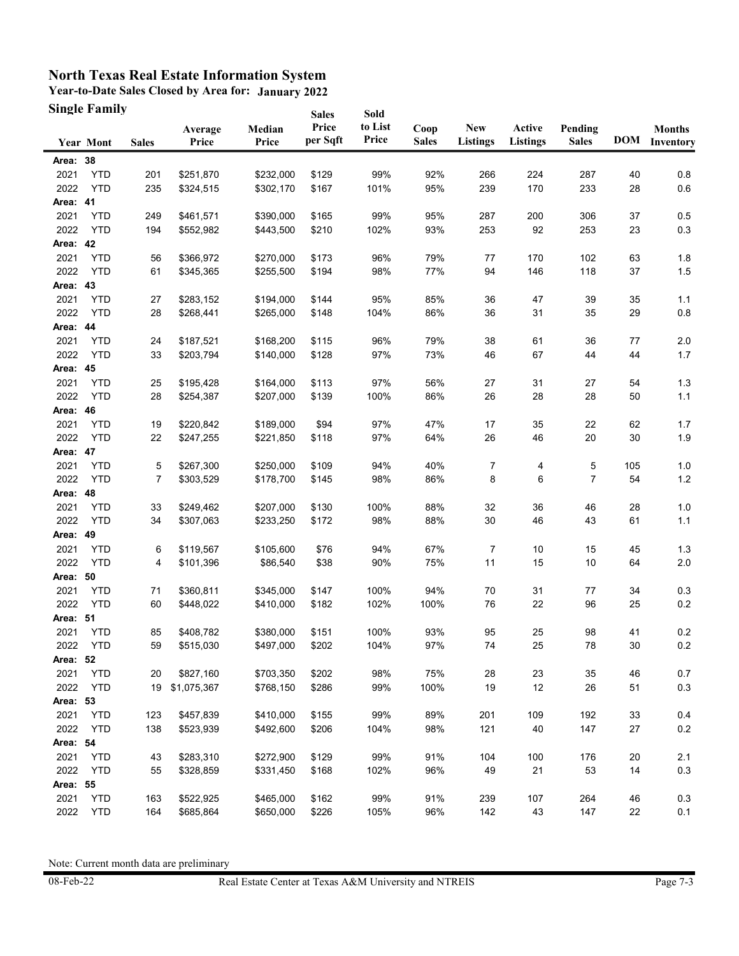**Year-to-Date Sales Closed by Area for: January 2022 Single Family**

|          | <b>Single Family</b> |              |                  |                 | <b>Sales</b>      | Sold             |                      |                               |                           |                         |     |                                |
|----------|----------------------|--------------|------------------|-----------------|-------------------|------------------|----------------------|-------------------------------|---------------------------|-------------------------|-----|--------------------------------|
|          | <b>Year Mont</b>     | <b>Sales</b> | Average<br>Price | Median<br>Price | Price<br>per Sqft | to List<br>Price | Coop<br><b>Sales</b> | <b>New</b><br><b>Listings</b> | Active<br><b>Listings</b> | Pending<br><b>Sales</b> |     | <b>Months</b><br>DOM Inventory |
| Area: 38 |                      |              |                  |                 |                   |                  |                      |                               |                           |                         |     |                                |
| 2021     | <b>YTD</b>           | 201          | \$251,870        | \$232,000       | \$129             | 99%              | 92%                  | 266                           | 224                       | 287                     | 40  | 0.8                            |
| 2022     | <b>YTD</b>           | 235          | \$324,515        | \$302,170       | \$167             | 101%             | 95%                  | 239                           | 170                       | 233                     | 28  | $0.6\,$                        |
| Area: 41 |                      |              |                  |                 |                   |                  |                      |                               |                           |                         |     |                                |
| 2021     | <b>YTD</b>           | 249          | \$461,571        | \$390,000       | \$165             | 99%              | 95%                  | 287                           | 200                       | 306                     | 37  | 0.5                            |
| 2022     | <b>YTD</b>           | 194          | \$552,982        | \$443,500       | \$210             | 102%             | 93%                  | 253                           | 92                        | 253                     | 23  | 0.3                            |
| Area: 42 |                      |              |                  |                 |                   |                  |                      |                               |                           |                         |     |                                |
| 2021     | <b>YTD</b>           | 56           | \$366,972        | \$270,000       | \$173             | 96%              | 79%                  | 77                            | 170                       | 102                     | 63  | 1.8                            |
| 2022     | <b>YTD</b>           | 61           | \$345,365        | \$255,500       | \$194             | 98%              | 77%                  | 94                            | 146                       | 118                     | 37  | $1.5$                          |
| Area: 43 |                      |              |                  |                 |                   |                  |                      |                               |                           |                         |     |                                |
| 2021     | <b>YTD</b>           | 27           | \$283,152        | \$194,000       | \$144             | 95%              | 85%                  | 36                            | 47                        | 39                      | 35  | 1.1                            |
| 2022     | <b>YTD</b>           | 28           | \$268,441        | \$265,000       | \$148             | 104%             | 86%                  | 36                            | 31                        | 35                      | 29  | 0.8                            |
| Area: 44 |                      |              |                  |                 |                   |                  |                      |                               |                           |                         |     |                                |
| 2021     | <b>YTD</b>           | 24           | \$187,521        | \$168,200       | \$115             | 96%              | 79%                  | 38                            | 61                        | 36                      | 77  | 2.0                            |
| 2022     | <b>YTD</b>           | 33           | \$203,794        | \$140,000       | \$128             | 97%              | 73%                  | 46                            | 67                        | 44                      | 44  | 1.7                            |
| Area: 45 |                      |              |                  |                 |                   |                  |                      |                               |                           |                         |     |                                |
| 2021     | <b>YTD</b>           | 25           | \$195,428        | \$164,000       | \$113             | 97%              | 56%                  | 27                            | 31                        | 27                      | 54  | 1.3                            |
| 2022     | <b>YTD</b>           | 28           | \$254,387        | \$207,000       | \$139             | 100%             | 86%                  | 26                            | 28                        | 28                      | 50  | $1.1$                          |
| Area: 46 |                      |              |                  |                 |                   |                  |                      |                               |                           |                         |     |                                |
| 2021     | <b>YTD</b>           | 19           | \$220,842        | \$189,000       | \$94              | 97%              | 47%                  | 17                            | 35                        | 22                      | 62  | 1.7                            |
| 2022     | <b>YTD</b>           | 22           | \$247,255        | \$221,850       | \$118             | 97%              | 64%                  | 26                            | 46                        | 20                      | 30  | 1.9                            |
| Area: 47 |                      |              |                  |                 |                   |                  |                      |                               |                           |                         |     |                                |
| 2021     | <b>YTD</b>           | 5            | \$267,300        | \$250,000       | \$109             | 94%              | 40%                  | 7                             | 4                         | 5                       | 105 | 1.0                            |
| 2022     | <b>YTD</b>           | 7            | \$303,529        | \$178,700       | \$145             | 98%              | 86%                  | 8                             | 6                         | 7                       | 54  | $1.2$                          |
| Area: 48 |                      |              |                  |                 |                   |                  |                      |                               |                           |                         |     |                                |
| 2021     | <b>YTD</b>           | 33           | \$249,462        | \$207,000       | \$130             | 100%             | 88%                  | 32                            | 36                        | 46                      | 28  | 1.0                            |
| 2022     | <b>YTD</b>           | 34           | \$307,063        | \$233,250       | \$172             | 98%              | 88%                  | 30                            | 46                        | 43                      | 61  | 1.1                            |
| Area: 49 |                      |              |                  |                 |                   |                  |                      |                               |                           |                         |     |                                |
| 2021     | YTD                  | 6            | \$119,567        | \$105,600       | \$76              | 94%              | 67%                  | 7                             | 10                        | 15                      | 45  | 1.3                            |
| 2022     | <b>YTD</b>           | 4            | \$101,396        | \$86,540        | \$38              | 90%              | 75%                  | 11                            | 15                        | 10                      | 64  | $2.0\,$                        |
| Area: 50 |                      |              |                  |                 |                   |                  |                      |                               |                           |                         |     |                                |
| 2021     | <b>YTD</b>           | 71           | \$360,811        | \$345,000       | \$147             | 100%             | 94%                  | 70                            | 31                        | 77                      | 34  | 0.3                            |
| 2022     | <b>YTD</b>           | 60           | \$448,022        | \$410,000       | \$182             | 102%             | 100%                 | 76                            | 22                        | 96                      | 25  | 0.2                            |
| Area: 51 |                      |              |                  |                 |                   |                  |                      |                               |                           |                         |     |                                |
| 2021     | <b>YTD</b>           | 85           | \$408,782        | \$380,000       | \$151             | 100%             | 93%                  | 95                            | 25                        | 98                      | 41  | 0.2                            |
| 2022     | YTD                  | 59           | \$515,030        | \$497,000       | \$202             | 104%             | 97%                  | 74                            | 25                        | 78                      | 30  | $0.2\,$                        |
| Area: 52 |                      |              |                  |                 |                   |                  |                      |                               |                           |                         |     |                                |
| 2021     | <b>YTD</b>           | 20           | \$827,160        | \$703,350       | \$202             | 98%              | 75%                  | 28                            | 23                        | 35                      | 46  | 0.7                            |
| 2022     | <b>YTD</b>           | 19           | \$1,075,367      | \$768,150       | \$286             | 99%              | 100%                 | 19                            | 12                        | 26                      | 51  | $0.3\,$                        |
| Area: 53 |                      |              |                  |                 |                   |                  |                      |                               |                           |                         |     |                                |
| 2021     | <b>YTD</b>           | 123          | \$457,839        | \$410,000       | \$155             | 99%              | 89%                  | 201                           | 109                       | 192                     | 33  | 0.4                            |
| 2022     | <b>YTD</b>           | 138          | \$523,939        | \$492,600       | \$206             | 104%             | 98%                  | 121                           | 40                        | 147                     | 27  | $0.2\,$                        |
| Area: 54 |                      |              |                  |                 |                   |                  |                      |                               |                           |                         |     |                                |
| 2021     | <b>YTD</b>           | 43           | \$283,310        | \$272,900       | \$129             | 99%              | 91%                  | 104                           | 100                       | 176                     | 20  | 2.1                            |
| 2022     | <b>YTD</b>           | 55           | \$328,859        | \$331,450       | \$168             | 102%             | 96%                  | 49                            | 21                        | 53                      | 14  | $0.3\,$                        |
| Area: 55 |                      |              |                  |                 |                   |                  |                      |                               |                           |                         |     |                                |
| 2021     | <b>YTD</b>           | 163          | \$522,925        | \$465,000       | \$162             | 99%              | 91%                  | 239                           | 107                       | 264                     | 46  | 0.3                            |
| 2022     | <b>YTD</b>           | 164          | \$685,864        | \$650,000       | \$226             | 105%             | 96%                  | 142                           | 43                        | 147                     | 22  | 0.1                            |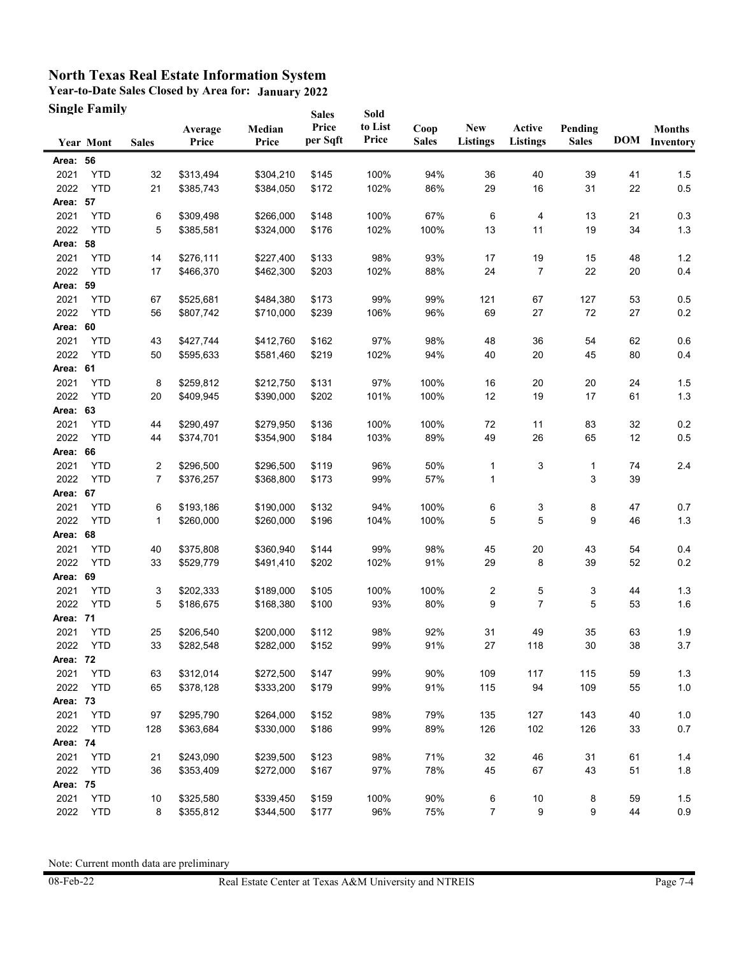**Year-to-Date Sales Closed by Area for: January 2022 Single Family**

|          | <b>Single Family</b> |              |                  |                 | <b>Sales</b>      | Sold             |                      |                               |                           |                         |    |                                |
|----------|----------------------|--------------|------------------|-----------------|-------------------|------------------|----------------------|-------------------------------|---------------------------|-------------------------|----|--------------------------------|
|          | <b>Year Mont</b>     | <b>Sales</b> | Average<br>Price | Median<br>Price | Price<br>per Sqft | to List<br>Price | Coop<br><b>Sales</b> | <b>New</b><br><b>Listings</b> | Active<br><b>Listings</b> | Pending<br><b>Sales</b> |    | <b>Months</b><br>DOM Inventory |
| Area: 56 |                      |              |                  |                 |                   |                  |                      |                               |                           |                         |    |                                |
| 2021     | <b>YTD</b>           | 32           | \$313,494        | \$304,210       | \$145             | 100%             | 94%                  | 36                            | 40                        | 39                      | 41 | 1.5                            |
| 2022     | <b>YTD</b>           | 21           | \$385,743        | \$384,050       | \$172             | 102%             | 86%                  | 29                            | 16                        | 31                      | 22 | $0.5\,$                        |
| Area: 57 |                      |              |                  |                 |                   |                  |                      |                               |                           |                         |    |                                |
| 2021     | <b>YTD</b>           | 6            | \$309,498        | \$266,000       | \$148             | 100%             | 67%                  | 6                             | 4                         | 13                      | 21 | 0.3                            |
| 2022     | <b>YTD</b>           | 5            | \$385,581        | \$324,000       | \$176             | 102%             | 100%                 | 13                            | 11                        | 19                      | 34 | 1.3                            |
| Area: 58 |                      |              |                  |                 |                   |                  |                      |                               |                           |                         |    |                                |
| 2021     | <b>YTD</b>           | 14           | \$276,111        | \$227,400       | \$133             | 98%              | 93%                  | 17                            | 19                        | 15                      | 48 | $1.2$                          |
| 2022     | <b>YTD</b>           | 17           | \$466,370        | \$462,300       | \$203             | 102%             | 88%                  | 24                            | 7                         | 22                      | 20 | 0.4                            |
| Area: 59 |                      |              |                  |                 |                   |                  |                      |                               |                           |                         |    |                                |
| 2021     | <b>YTD</b>           | 67           | \$525,681        | \$484,380       | \$173             | 99%              | 99%                  | 121                           | 67                        | 127                     | 53 | 0.5                            |
| 2022     | <b>YTD</b>           | 56           | \$807,742        | \$710,000       | \$239             | 106%             | 96%                  | 69                            | 27                        | 72                      | 27 | 0.2                            |
| Area: 60 |                      |              |                  |                 |                   |                  |                      |                               |                           |                         |    |                                |
| 2021     | <b>YTD</b>           | 43           | \$427,744        | \$412,760       | \$162             | 97%              | 98%                  | 48                            | 36                        | 54                      | 62 | 0.6                            |
| 2022     | <b>YTD</b>           | 50           | \$595,633        | \$581,460       | \$219             | 102%             | 94%                  | 40                            | 20                        | 45                      | 80 | 0.4                            |
| Area: 61 |                      |              |                  |                 |                   |                  |                      |                               |                           |                         |    |                                |
| 2021     | <b>YTD</b>           | 8            | \$259,812        | \$212,750       | \$131             | 97%              | 100%                 | 16                            | 20                        | 20                      | 24 | 1.5                            |
| 2022     | <b>YTD</b>           | 20           | \$409.945        | \$390,000       | \$202             | 101%             | 100%                 | 12                            | 19                        | 17                      | 61 | 1.3                            |
| Area: 63 |                      |              |                  |                 |                   |                  |                      |                               |                           |                         |    |                                |
| 2021     | <b>YTD</b>           | 44           | \$290,497        | \$279,950       | \$136             | 100%             | 100%                 | 72                            | 11                        | 83                      | 32 | 0.2                            |
| 2022     | <b>YTD</b>           | 44           | \$374,701        | \$354,900       | \$184             | 103%             | 89%                  | 49                            | 26                        | 65                      | 12 | 0.5                            |
| Area: 66 |                      |              |                  |                 |                   |                  |                      |                               |                           |                         |    |                                |
| 2021     | <b>YTD</b>           | 2            | \$296,500        | \$296,500       | \$119             | 96%              | 50%                  | 1                             | 3                         | 1                       | 74 | 2.4                            |
| 2022     | <b>YTD</b>           | 7            | \$376,257        | \$368,800       | \$173             | 99%              | 57%                  | 1                             |                           | 3                       | 39 |                                |
| Area: 67 |                      |              |                  |                 |                   |                  |                      |                               |                           |                         |    |                                |
| 2021     | <b>YTD</b>           | 6            | \$193,186        | \$190,000       | \$132             | 94%              | 100%                 | 6                             | 3                         | 8                       | 47 | 0.7                            |
| 2022     | <b>YTD</b>           | 1            | \$260,000        | \$260,000       | \$196             | 104%             | 100%                 | 5                             | 5                         | 9                       | 46 | $1.3$                          |
| Area: 68 |                      |              |                  |                 |                   |                  |                      |                               |                           |                         |    |                                |
| 2021     | YTD                  | 40           | \$375,808        | \$360,940       | \$144             | 99%              | 98%                  | 45                            | 20                        | 43                      | 54 | 0.4                            |
| 2022     | <b>YTD</b>           | 33           | \$529,779        | \$491,410       | \$202             | 102%             | 91%                  | 29                            | 8                         | 39                      | 52 | 0.2                            |
| Area: 69 |                      |              |                  |                 |                   |                  |                      |                               |                           |                         |    |                                |
| 2021     | <b>YTD</b>           | 3            | \$202,333        | \$189,000       | \$105             | 100%             | 100%                 | 2                             | 5                         | 3                       | 44 | 1.3                            |
| 2022     | <b>YTD</b>           | 5            | \$186,675        | \$168,380       | \$100             | 93%              | 80%                  | 9                             | 7                         | 5                       | 53 | 1.6                            |
| Area: 71 |                      |              |                  |                 |                   |                  |                      |                               |                           |                         |    |                                |
| 2021     | <b>YTD</b>           | 25           | \$206,540        | \$200,000       | \$112             | 98%              | 92%                  | 31                            | 49                        | 35                      | 63 | 1.9                            |
| 2022     | <b>YTD</b>           | 33           | \$282,548        | \$282,000       | \$152             | 99%              | 91%                  | 27                            | 118                       | 30                      | 38 | 3.7                            |
| Area: 72 |                      |              |                  |                 |                   |                  |                      |                               |                           |                         |    |                                |
| 2021     | <b>YTD</b>           | 63           | \$312,014        | \$272,500       | \$147             | 99%              | 90%                  | 109                           | 117                       | 115                     | 59 | $1.3$                          |
| 2022     | <b>YTD</b>           | 65           | \$378,128        | \$333,200       | \$179             | 99%              | 91%                  | 115                           | 94                        | 109                     | 55 | $1.0\,$                        |
| Area: 73 |                      |              |                  |                 |                   |                  |                      |                               |                           |                         |    |                                |
| 2021     | <b>YTD</b>           | 97           | \$295,790        | \$264,000       | \$152             | 98%              | 79%                  | 135                           | 127                       | 143                     | 40 | 1.0                            |
| 2022     | <b>YTD</b>           | 128          | \$363,684        | \$330,000       | \$186             | 99%              | 89%                  | 126                           | 102                       | 126                     | 33 | 0.7                            |
| Area: 74 |                      |              |                  |                 |                   |                  |                      |                               |                           |                         |    |                                |
| 2021     | <b>YTD</b>           | 21           | \$243,090        | \$239,500       | \$123             | 98%              | 71%                  | 32                            | 46                        | 31                      | 61 | 1.4                            |
| 2022     | <b>YTD</b>           | 36           | \$353,409        | \$272,000       | \$167             | 97%              | 78%                  | 45                            | 67                        | 43                      | 51 | 1.8                            |
| Area: 75 |                      |              |                  |                 |                   |                  |                      |                               |                           |                         |    |                                |
| 2021     | <b>YTD</b>           | 10           | \$325,580        | \$339,450       | \$159             | 100%             | 90%                  | 6                             | 10                        | 8                       | 59 | 1.5                            |
| 2022     | <b>YTD</b>           | 8            | \$355,812        | \$344,500       | \$177             | 96%              | 75%                  | $\overline{7}$                | 9                         | 9                       | 44 | 0.9                            |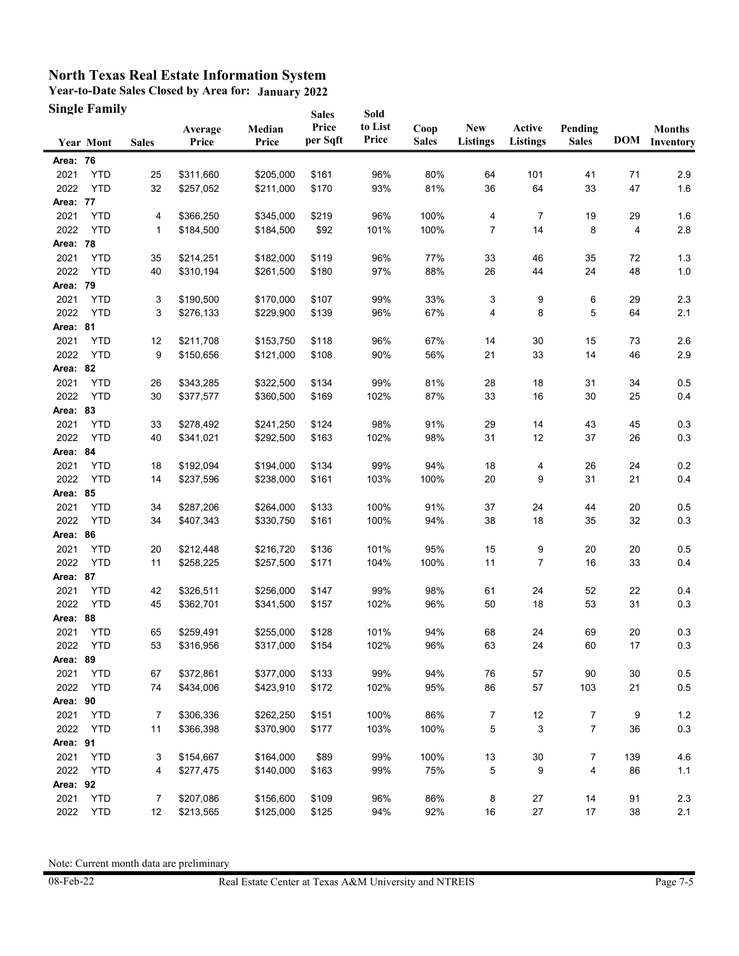**Year-to-Date Sales Closed by Area for: January 2022 Single Family**

|          | <b>Single Family</b> |              |                  |                 | <b>Sales</b>      | Sold             |                      |                               |                           |                         |     |                                |
|----------|----------------------|--------------|------------------|-----------------|-------------------|------------------|----------------------|-------------------------------|---------------------------|-------------------------|-----|--------------------------------|
|          | <b>Year Mont</b>     | <b>Sales</b> | Average<br>Price | Median<br>Price | Price<br>per Sqft | to List<br>Price | Coop<br><b>Sales</b> | <b>New</b><br><b>Listings</b> | Active<br><b>Listings</b> | Pending<br><b>Sales</b> |     | <b>Months</b><br>DOM Inventory |
| Area: 76 |                      |              |                  |                 |                   |                  |                      |                               |                           |                         |     |                                |
| 2021     | <b>YTD</b>           | 25           | \$311,660        | \$205,000       | \$161             | 96%              | 80%                  | 64                            | 101                       | 41                      | 71  | 2.9                            |
| 2022     | <b>YTD</b>           | 32           | \$257,052        | \$211,000       | \$170             | 93%              | 81%                  | 36                            | 64                        | 33                      | 47  | 1.6                            |
| Area: 77 |                      |              |                  |                 |                   |                  |                      |                               |                           |                         |     |                                |
| 2021     | <b>YTD</b>           | 4            | \$366,250        | \$345,000       | \$219             | 96%              | 100%                 | 4                             | 7                         | 19                      | 29  | 1.6                            |
| 2022     | <b>YTD</b>           | 1            | \$184,500        | \$184,500       | \$92              | 101%             | 100%                 | 7                             | 14                        | 8                       | 4   | 2.8                            |
| Area: 78 |                      |              |                  |                 |                   |                  |                      |                               |                           |                         |     |                                |
| 2021     | <b>YTD</b>           | 35           | \$214,251        | \$182,000       | \$119             | 96%              | 77%                  | 33                            | 46                        | 35                      | 72  | 1.3                            |
| 2022     | <b>YTD</b>           | 40           | \$310,194        | \$261,500       | \$180             | 97%              | 88%                  | 26                            | 44                        | 24                      | 48  | 1.0                            |
| Area: 79 |                      |              |                  |                 |                   |                  |                      |                               |                           |                         |     |                                |
| 2021     | <b>YTD</b>           | 3            | \$190,500        | \$170,000       | \$107             | 99%              | 33%                  | 3                             | 9                         | 6                       | 29  | 2.3                            |
| 2022     | <b>YTD</b>           | 3            | \$276,133        | \$229,900       | \$139             | 96%              | 67%                  | 4                             | 8                         | 5                       | 64  | 2.1                            |
| Area: 81 |                      |              |                  |                 |                   |                  |                      |                               |                           |                         |     |                                |
| 2021     | <b>YTD</b>           | 12           | \$211,708        | \$153,750       | \$118             | 96%              | 67%                  | 14                            | 30                        | 15                      | 73  | 2.6                            |
| 2022     | <b>YTD</b>           | 9            | \$150,656        | \$121,000       | \$108             | 90%              | 56%                  | 21                            | 33                        | 14                      | 46  | 2.9                            |
| Area: 82 |                      |              |                  |                 |                   |                  |                      |                               |                           |                         |     |                                |
| 2021     | <b>YTD</b>           | 26           | \$343,285        | \$322,500       | \$134             | 99%              | 81%                  | 28                            | 18                        | 31                      | 34  | 0.5                            |
| 2022     | <b>YTD</b>           | 30           | \$377,577        | \$360,500       | \$169             | 102%             | 87%                  | 33                            | 16                        | 30                      | 25  | 0.4                            |
| Area: 83 |                      |              |                  |                 |                   |                  |                      |                               |                           |                         |     |                                |
| 2021     | <b>YTD</b>           | 33           | \$278,492        | \$241,250       | \$124             | 98%              | 91%                  | 29                            | 14                        | 43                      | 45  | 0.3                            |
| 2022     | <b>YTD</b>           | 40           | \$341,021        | \$292,500       | \$163             | 102%             | 98%                  | 31                            | 12                        | 37                      | 26  | 0.3                            |
| Area: 84 |                      |              |                  |                 |                   |                  |                      |                               |                           |                         |     |                                |
| 2021     | <b>YTD</b>           | 18           | \$192,094        | \$194,000       | \$134             | 99%              | 94%                  | 18                            | 4                         | 26                      | 24  | 0.2                            |
| 2022     | <b>YTD</b>           | 14           | \$237,596        | \$238,000       | \$161             | 103%             | 100%                 | 20                            | 9                         | 31                      | 21  | 0.4                            |
| Area: 85 |                      |              |                  |                 |                   |                  |                      |                               |                           |                         |     |                                |
| 2021     | <b>YTD</b>           | 34           | \$287,206        | \$264,000       | \$133             | 100%             | 91%                  | 37                            | 24                        | 44                      | 20  | 0.5                            |
| 2022     | <b>YTD</b>           | 34           | \$407,343        | \$330,750       | \$161             | 100%             | 94%                  | 38                            | 18                        | 35                      | 32  | 0.3                            |
| Area: 86 |                      |              |                  |                 |                   |                  |                      |                               |                           |                         |     |                                |
| 2021     | <b>YTD</b>           | 20           | \$212,448        | \$216,720       | \$136             | 101%             | 95%                  | 15                            | 9                         | 20                      | 20  | 0.5                            |
| 2022     | <b>YTD</b>           | 11           | \$258,225        | \$257,500       | \$171             | 104%             | 100%                 | 11                            | 7                         | 16                      | 33  | 0.4                            |
| Area: 87 |                      |              |                  |                 |                   |                  |                      |                               |                           |                         |     |                                |
| 2021     | <b>YTD</b>           | 42           | \$326,511        | \$256,000       | \$147             | 99%              | 98%                  | 61                            | 24                        | 52                      | 22  | 0.4                            |
| 2022     | <b>YTD</b>           | 45           | \$362,701        | \$341,500       | \$157             | 102%             | 96%                  | 50                            | 18                        | 53                      | 31  | 0.3                            |
| Area: 88 |                      |              |                  |                 |                   |                  |                      |                               |                           |                         |     |                                |
| 2021     | <b>YTD</b>           | 65           | \$259,491        | \$255,000       | \$128             | 101%             | 94%                  | 68                            | 24                        | 69                      | 20  | 0.3                            |
| 2022     | YTD                  | 53           | \$316,956        | \$317,000       | \$154             | 102%             | 96%                  | 63                            | 24                        | 60                      | 17  | 0.3                            |
| Area: 89 |                      |              |                  |                 |                   |                  |                      |                               |                           |                         |     |                                |
| 2021     | <b>YTD</b>           | 67           | \$372,861        | \$377,000       | \$133             | 99%              | 94%                  | 76                            | 57                        | 90                      | 30  | $0.5\,$                        |
| 2022     | <b>YTD</b>           | 74           | \$434,006        | \$423,910       | \$172             | 102%             | 95%                  | 86                            | 57                        | 103                     | 21  | $0.5\,$                        |
| Area: 90 |                      |              |                  |                 |                   |                  |                      |                               |                           |                         |     |                                |
| 2021     | <b>YTD</b>           | 7            | \$306,336        | \$262,250       | \$151             | 100%             | 86%                  | 7                             | 12                        | 7                       | 9   | $1.2$                          |
| 2022     | <b>YTD</b>           | 11           | \$366,398        | \$370,900       | \$177             | 103%             | 100%                 | 5                             | 3                         | 7                       | 36  | 0.3                            |
| Area: 91 |                      |              |                  |                 |                   |                  |                      |                               |                           |                         |     |                                |
| 2021     | <b>YTD</b>           | 3            | \$154,667        | \$164,000       | \$89              | 99%              | 100%                 | 13                            | 30                        | 7                       | 139 | 4.6                            |
| 2022     | <b>YTD</b>           | 4            | \$277,475        | \$140,000       | \$163             | 99%              | 75%                  | 5                             | 9                         | 4                       | 86  | $1.1$                          |
| Area: 92 |                      |              |                  |                 |                   |                  |                      |                               |                           |                         |     |                                |
| 2021     | <b>YTD</b>           | 7            | \$207,086        | \$156,600       | \$109             | 96%              | 86%                  | 8                             | 27                        | 14                      | 91  | 2.3                            |
| 2022     | <b>YTD</b>           | 12           | \$213,565        | \$125,000       | \$125             | 94%              | 92%                  | 16                            | 27                        | 17                      | 38  | 2.1                            |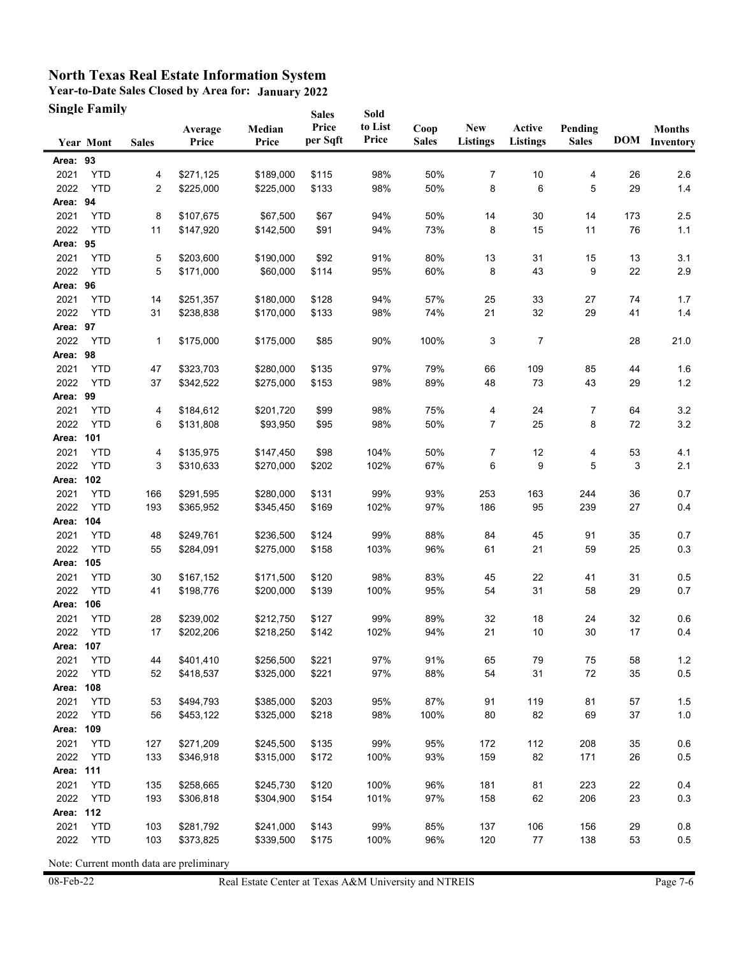**Year-to-Date Sales Closed by Area for: January 2022 Single Family**

|                   | <b>Single Family</b> |              |                        |                 | <b>Sales</b>      | Sold             |                      |                               |                           |                         |     |                                |
|-------------------|----------------------|--------------|------------------------|-----------------|-------------------|------------------|----------------------|-------------------------------|---------------------------|-------------------------|-----|--------------------------------|
|                   | <b>Year Mont</b>     | <b>Sales</b> | Average<br>Price       | Median<br>Price | Price<br>per Sqft | to List<br>Price | Coop<br><b>Sales</b> | <b>New</b><br><b>Listings</b> | Active<br><b>Listings</b> | Pending<br><b>Sales</b> |     | <b>Months</b><br>DOM Inventory |
| Area: 93          |                      |              |                        |                 |                   |                  |                      |                               |                           |                         |     |                                |
| 2021              | <b>YTD</b>           | 4            | \$271,125              | \$189,000       | \$115             | 98%              | 50%                  | 7                             | 10                        | 4                       | 26  | 2.6                            |
| 2022              | <b>YTD</b>           | 2            | \$225,000              | \$225,000       | \$133             | 98%              | 50%                  | 8                             | 6                         | 5                       | 29  | $1.4$                          |
| Area: 94          |                      |              |                        |                 |                   |                  |                      |                               |                           |                         |     |                                |
| 2021              | <b>YTD</b>           | 8            | \$107,675              | \$67,500        | \$67              | 94%              | 50%                  | 14                            | 30                        | 14                      | 173 | $2.5\,$                        |
| 2022              | <b>YTD</b>           | 11           | \$147,920              | \$142,500       | \$91              | 94%              | 73%                  | 8                             | 15                        | 11                      | 76  | $1.1$                          |
| Area: 95          |                      |              |                        |                 |                   |                  |                      |                               |                           |                         |     |                                |
| 2021              | <b>YTD</b>           | 5            | \$203,600              | \$190,000       | \$92              | 91%              | 80%                  | 13                            | 31                        | 15                      | 13  | 3.1                            |
| 2022              | <b>YTD</b>           | 5            | \$171,000              | \$60,000        | \$114             | 95%              | 60%                  | 8                             | 43                        | 9                       | 22  | 2.9                            |
| Area: 96          |                      |              |                        |                 |                   |                  |                      |                               |                           |                         |     |                                |
| 2021              | <b>YTD</b>           | 14           | \$251,357              | \$180,000       | \$128             | 94%              | 57%                  | 25                            | 33                        | 27                      | 74  | 1.7                            |
| 2022              | <b>YTD</b>           | 31           | \$238,838              | \$170,000       | \$133             | 98%              | 74%                  | 21                            | 32                        | 29                      | 41  | 1.4                            |
| Area: 97          |                      |              |                        |                 |                   |                  |                      |                               |                           |                         |     |                                |
| 2022              | <b>YTD</b>           | 1            | \$175,000              | \$175,000       | \$85              | 90%              | 100%                 | 3                             | 7                         |                         | 28  | 21.0                           |
| Area: 98          |                      |              |                        |                 |                   |                  |                      |                               |                           |                         |     |                                |
| 2021              | <b>YTD</b>           | 47           | \$323,703              | \$280,000       | \$135             | 97%              | 79%                  | 66                            | 109                       | 85                      | 44  | 1.6                            |
| 2022              | <b>YTD</b>           | 37           | \$342,522              | \$275,000       | \$153             | 98%              | 89%                  | 48                            | 73                        | 43                      | 29  | $1.2$                          |
| Area: 99          |                      |              |                        |                 |                   |                  |                      |                               |                           |                         |     |                                |
| 2021              | <b>YTD</b>           | 4            | \$184,612              | \$201,720       | \$99              | 98%              | 75%                  | 4                             | 24                        | 7                       | 64  | $3.2\,$                        |
| 2022              | <b>YTD</b>           | 6            | \$131,808              | \$93,950        | \$95              | 98%              | 50%                  | $\overline{7}$                | 25                        | 8                       | 72  | $3.2\,$                        |
| Area:             | 101                  |              |                        |                 |                   |                  |                      |                               |                           |                         |     |                                |
| 2021              | <b>YTD</b>           | 4            | \$135,975              | \$147,450       | \$98              | 104%             | 50%                  | 7                             | 12                        | 4                       | 53  | 4.1                            |
| 2022              | <b>YTD</b>           | 3            | \$310,633              | \$270,000       | \$202             | 102%             | 67%                  | 6                             | 9                         | 5                       | 3   | 2.1                            |
| Area: 102         |                      |              |                        |                 |                   |                  |                      |                               |                           |                         |     |                                |
| 2021              | <b>YTD</b>           | 166          | \$291,595              | \$280,000       | \$131             | 99%              | 93%                  | 253                           | 163                       | 244                     | 36  | 0.7                            |
| 2022              | <b>YTD</b>           | 193          | \$365,952              | \$345,450       | \$169             | 102%             | 97%                  | 186                           | 95                        | 239                     | 27  | 0.4                            |
| Area: 104         |                      |              |                        |                 |                   |                  |                      |                               |                           |                         |     |                                |
| 2021              | <b>YTD</b>           | 48           | \$249,761              | \$236,500       | \$124             | 99%              | 88%                  | 84                            | 45                        | 91                      | 35  | 0.7                            |
| 2022              | <b>YTD</b>           | 55           | \$284,091              | \$275,000       | \$158             | 103%             | 96%                  | 61                            | 21                        | 59                      | 25  | 0.3                            |
| Area: 105         |                      |              |                        |                 |                   |                  |                      |                               |                           |                         |     |                                |
| 2021              | <b>YTD</b>           | 30           | \$167,152              | \$171,500       | \$120             | 98%              | 83%                  | 45                            | 22                        | 41                      | 31  | 0.5                            |
| 2022              | <b>YTD</b>           | 41           | \$198,776              | \$200,000       | \$139             | 100%             | 95%                  | 54                            | 31                        | 58                      | 29  | 0.7                            |
| Area: 106         |                      |              |                        |                 |                   |                  |                      |                               |                           |                         |     |                                |
| 2021              | <b>YTD</b>           | 28           | \$239,002              | \$212,750       | \$127             | 99%              | 89%                  | 32                            | 18                        | 24                      | 32  | 0.6                            |
| 2022              | <b>YTD</b>           | 17           | \$202,206              | \$218,250       | \$142             | 102%             | 94%                  | 21                            | 10                        | 30                      | 17  | 0.4                            |
| Area: 107         |                      |              |                        |                 |                   |                  |                      |                               |                           |                         |     |                                |
| 2021              | <b>YTD</b>           | 44           | \$401,410<br>\$418,537 | \$256,500       | \$221             | 97%              | 91%                  | 65                            | 79                        | ${\bf 75}$              | 58  | $1.2$                          |
| 2022<br>Area: 108 | <b>YTD</b>           | 52           |                        | \$325,000       | \$221             | 97%              | 88%                  | 54                            | 31                        | 72                      | 35  | $0.5\,$                        |
| 2021              | <b>YTD</b>           | 53           | \$494,793              | \$385,000       | \$203             | 95%              | 87%                  | 91                            | 119                       | 81                      | 57  | $1.5$                          |
| 2022              | <b>YTD</b>           | 56           | \$453,122              | \$325,000       | \$218             | 98%              | 100%                 | 80                            | 82                        | 69                      | 37  | $1.0\,$                        |
| Area: 109         |                      |              |                        |                 |                   |                  |                      |                               |                           |                         |     |                                |
| 2021              | <b>YTD</b>           | 127          | \$271,209              | \$245,500       | \$135             | 99%              | 95%                  | 172                           | 112                       | 208                     | 35  | $0.6\,$                        |
| 2022              | <b>YTD</b>           | 133          | \$346,918              | \$315,000       | \$172             | 100%             | 93%                  | 159                           | 82                        | 171                     | 26  | $0.5\,$                        |
| Area: 111         |                      |              |                        |                 |                   |                  |                      |                               |                           |                         |     |                                |
| 2021              | <b>YTD</b>           | 135          | \$258,665              | \$245,730       | \$120             | 100%             | 96%                  | 181                           | 81                        | 223                     | 22  | 0.4                            |
| 2022              | <b>YTD</b>           | 193          | \$306,818              | \$304,900       | \$154             | 101%             | 97%                  | 158                           | 62                        | 206                     | 23  | $0.3\,$                        |
| Area:             | 112                  |              |                        |                 |                   |                  |                      |                               |                           |                         |     |                                |
| 2021              | <b>YTD</b>           | 103          | \$281,792              | \$241,000       | \$143             | 99%              | 85%                  | 137                           | 106                       | 156                     | 29  | $0.8\,$                        |
| 2022              | <b>YTD</b>           | 103          | \$373,825              | \$339,500       | \$175             | 100%             | 96%                  | 120                           | 77                        | 138                     | 53  | $0.5\,$                        |
|                   |                      |              |                        |                 |                   |                  |                      |                               |                           |                         |     |                                |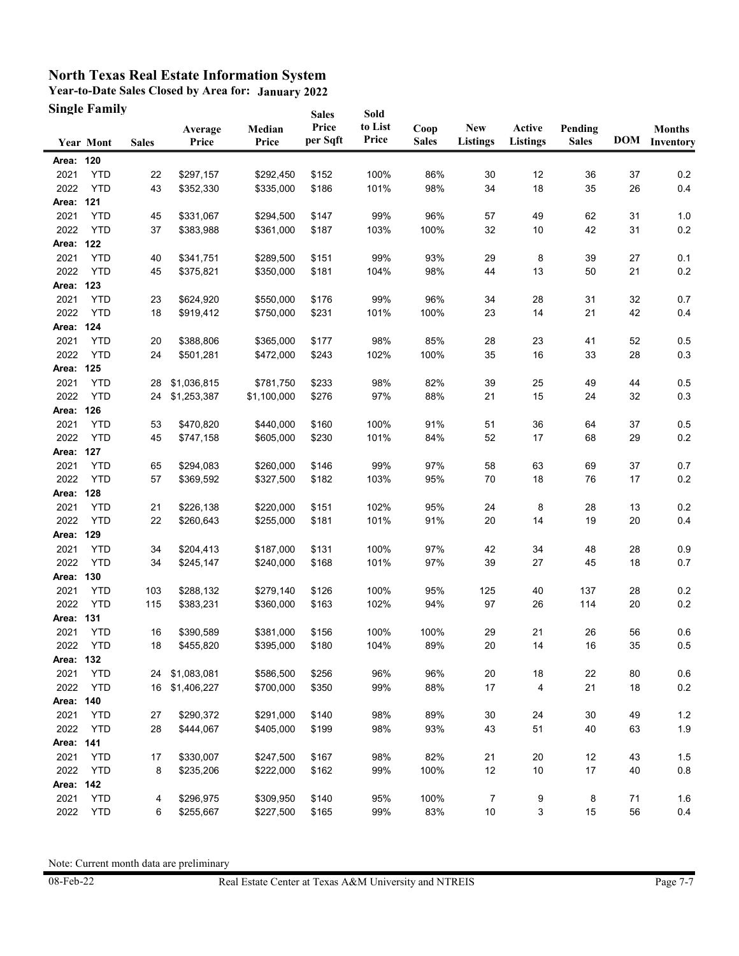**Year-to-Date Sales Closed by Area for: January 2022 Single Family**

|              | <b>Single Family</b> |              |                  |                        | <b>Sales</b>      | Sold             |                      |                               |                           |                         |    |                                       |
|--------------|----------------------|--------------|------------------|------------------------|-------------------|------------------|----------------------|-------------------------------|---------------------------|-------------------------|----|---------------------------------------|
|              | <b>Year Mont</b>     | <b>Sales</b> | Average<br>Price | Median<br>Price        | Price<br>per Sqft | to List<br>Price | Coop<br><b>Sales</b> | <b>New</b><br><b>Listings</b> | Active<br><b>Listings</b> | Pending<br><b>Sales</b> |    | <b>Months</b><br><b>DOM</b> Inventory |
| Area: 120    |                      |              |                  |                        |                   |                  |                      |                               |                           |                         |    |                                       |
| 2021         | <b>YTD</b>           | 22           | \$297,157        | \$292,450              | \$152             | 100%             | 86%                  | 30                            | 12                        | 36                      | 37 | 0.2                                   |
| 2022         | <b>YTD</b>           | 43           | \$352,330        | \$335,000              | \$186             | 101%             | 98%                  | 34                            | 18                        | 35                      | 26 | 0.4                                   |
| Area: 121    |                      |              |                  |                        |                   |                  |                      |                               |                           |                         |    |                                       |
| 2021         | <b>YTD</b>           | 45           | \$331,067        | \$294,500              | \$147             | 99%              | 96%                  | 57                            | 49                        | 62                      | 31 | 1.0                                   |
| 2022         | <b>YTD</b>           | 37           | \$383,988        | \$361,000              | \$187             | 103%             | 100%                 | 32                            | 10                        | 42                      | 31 | $0.2\,$                               |
| Area: 122    |                      |              |                  |                        |                   |                  |                      |                               |                           |                         |    |                                       |
| 2021         | <b>YTD</b>           | 40           | \$341,751        | \$289,500              | \$151             | 99%              | 93%                  | 29                            | 8                         | 39                      | 27 | 0.1                                   |
| 2022         | <b>YTD</b>           | 45           | \$375,821        | \$350,000              | \$181             | 104%             | 98%                  | 44                            | 13                        | 50                      | 21 | 0.2                                   |
| Area: 123    |                      |              |                  |                        |                   |                  |                      |                               |                           |                         |    |                                       |
| 2021         | <b>YTD</b>           | 23           | \$624,920        | \$550,000              | \$176             | 99%              | 96%                  | 34                            | 28                        | 31                      | 32 | 0.7                                   |
| 2022         | <b>YTD</b>           | 18           | \$919,412        | \$750,000              | \$231             | 101%             | 100%                 | 23                            | 14                        | 21                      | 42 | 0.4                                   |
| Area: 124    |                      |              |                  |                        |                   |                  |                      |                               |                           |                         |    |                                       |
| 2021         | <b>YTD</b>           | 20           | \$388,806        | \$365,000              | \$177             | 98%              | 85%                  | 28                            | 23                        | 41                      | 52 | 0.5                                   |
| 2022         | <b>YTD</b>           | 24           | \$501,281        | \$472,000              | \$243             | 102%             | 100%                 | 35                            | 16                        | 33                      | 28 | 0.3                                   |
| Area: 125    |                      |              |                  |                        |                   |                  |                      |                               |                           |                         |    |                                       |
| 2021         | <b>YTD</b>           | 28           | \$1,036,815      | \$781,750              | \$233             | 98%              | 82%                  | 39                            | 25                        | 49                      | 44 | 0.5                                   |
| 2022         | <b>YTD</b>           | 24           | \$1,253,387      | \$1,100,000            | \$276             | 97%              | 88%                  | 21                            | 15                        | 24                      | 32 | 0.3                                   |
| Area: 126    |                      |              |                  |                        |                   |                  |                      |                               |                           |                         |    |                                       |
| 2021         | <b>YTD</b>           | 53           | \$470,820        | \$440,000              | \$160             | 100%             | 91%                  | 51                            | 36                        | 64                      | 37 | 0.5                                   |
| 2022         | <b>YTD</b>           | 45           | \$747,158        | \$605,000              | \$230             | 101%             | 84%                  | 52                            | 17                        | 68                      | 29 | 0.2                                   |
| Area: 127    |                      |              |                  |                        |                   |                  |                      |                               |                           |                         |    |                                       |
| 2021         | <b>YTD</b>           | 65           | \$294,083        | \$260,000              | \$146             | 99%              | 97%                  | 58                            | 63                        | 69                      | 37 | 0.7                                   |
| 2022         | <b>YTD</b>           | 57           | \$369,592        | \$327,500              | \$182             | 103%             | 95%                  | 70                            | 18                        | 76                      | 17 | $0.2\,$                               |
| Area: 128    |                      |              |                  |                        |                   |                  |                      |                               |                           |                         |    |                                       |
| 2021         | <b>YTD</b>           | 21           | \$226,138        | \$220,000              | \$151             | 102%             | 95%                  | 24                            | 8                         | 28                      | 13 | 0.2                                   |
| 2022         | <b>YTD</b>           | 22           | \$260,643        | \$255,000              | \$181             | 101%             | 91%                  | 20                            | 14                        | 19                      | 20 | 0.4                                   |
| Area: 129    |                      |              |                  |                        |                   |                  |                      |                               |                           |                         |    |                                       |
| 2021         | <b>YTD</b>           | 34           | \$204,413        | \$187,000              | \$131             | 100%             | 97%                  | 42                            | 34                        | 48                      | 28 | 0.9                                   |
| 2022         | <b>YTD</b>           | 34           | \$245,147        | \$240,000              | \$168             | 101%             | 97%                  | 39                            | 27                        | 45                      | 18 | 0.7                                   |
| Area: 130    |                      |              |                  |                        |                   |                  |                      |                               |                           |                         |    |                                       |
| 2021         | <b>YTD</b>           | 103          | \$288,132        | \$279,140              | \$126             | 100%             | 95%                  | 125                           | 40                        | 137                     | 28 | 0.2                                   |
| 2022         | <b>YTD</b>           | 115          | \$383,231        | \$360,000              | \$163             | 102%             | 94%                  | 97                            | 26                        | 114                     | 20 | $0.2\,$                               |
| Area: 131    |                      |              |                  |                        |                   |                  |                      |                               |                           |                         |    |                                       |
| 2021         | <b>YTD</b>           | 16           | \$390,589        | \$381,000              | \$156             | 100%             | 100%                 | 29                            | 21                        | 26                      | 56 | 0.6                                   |
| 2022         | <b>YTD</b>           | 18           | \$455,820        | \$395,000              | \$180             | 104%             | 89%                  | $20\,$                        | 14                        | $16\,$                  | 35 | $0.5\,$                               |
| Area: 132    |                      |              |                  |                        |                   |                  |                      |                               |                           |                         |    |                                       |
| 2021         | <b>YTD</b>           | 24           | \$1,083,081      | \$586,500              | \$256             | 96%              | 96%                  | 20                            | 18                        | 22                      | 80 | $0.6\,$                               |
| 2022         | <b>YTD</b>           | 16           | \$1,406,227      | \$700,000              | \$350             | 99%              | 88%                  | 17                            | 4                         | 21                      | 18 | $0.2\,$                               |
| Area: 140    |                      |              |                  |                        |                   |                  |                      |                               |                           |                         |    |                                       |
| 2021         | <b>YTD</b>           | 27           | \$290,372        | \$291,000              | \$140             | 98%              | 89%                  | 30                            | 24                        | 30                      | 49 | $1.2$                                 |
| 2022         | <b>YTD</b>           | 28           | \$444,067        | \$405,000              | \$199             | 98%              | 93%                  | 43                            | 51                        | 40                      | 63 | 1.9                                   |
| Area: 141    |                      |              |                  |                        |                   |                  |                      |                               |                           |                         |    |                                       |
| 2021         | <b>YTD</b>           | 17           | \$330,007        | \$247,500<br>\$222,000 | \$167             | 98%              | 82%                  | 21                            | 20                        | 12                      | 43 | 1.5                                   |
| 2022         | <b>YTD</b>           | 8            | \$235,206        |                        | \$162             | 99%              | 100%                 | 12                            | 10                        | 17                      | 40 | $0.8\,$                               |
| Area: 142    |                      |              |                  |                        |                   |                  |                      |                               |                           |                         |    |                                       |
| 2021<br>2022 | <b>YTD</b>           | 4            | \$296,975        | \$309,950              | \$140             | 95%              | 100%                 | 7                             | 9                         | 8                       | 71 | 1.6                                   |
|              | <b>YTD</b>           | 6            | \$255,667        | \$227,500              | \$165             | 99%              | 83%                  | 10                            | 3                         | 15                      | 56 | 0.4                                   |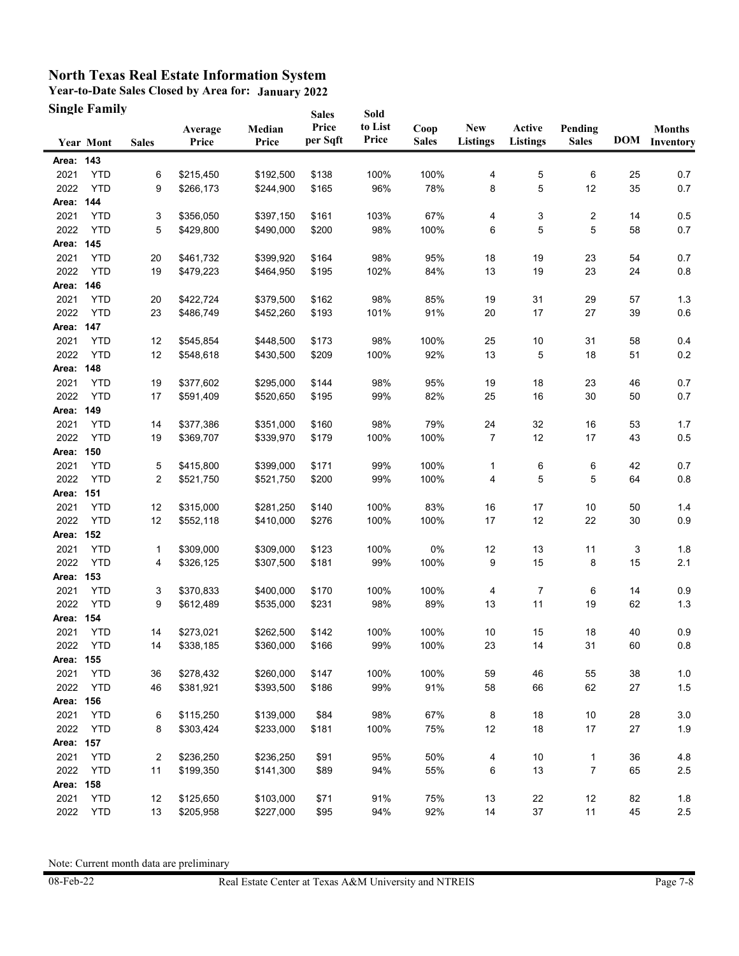**Year-to-Date Sales Closed by Area for: January 2022 Single Family**

|           | <b>Single Family</b> |              |                  |                 | <b>Sales</b>      | Sold             |                      |                               |                           |                         |    |                                |
|-----------|----------------------|--------------|------------------|-----------------|-------------------|------------------|----------------------|-------------------------------|---------------------------|-------------------------|----|--------------------------------|
|           | <b>Year Mont</b>     | <b>Sales</b> | Average<br>Price | Median<br>Price | Price<br>per Sqft | to List<br>Price | Coop<br><b>Sales</b> | <b>New</b><br><b>Listings</b> | Active<br><b>Listings</b> | Pending<br><b>Sales</b> |    | <b>Months</b><br>DOM Inventory |
| Area: 143 |                      |              |                  |                 |                   |                  |                      |                               |                           |                         |    |                                |
| 2021      | <b>YTD</b>           | 6            | \$215,450        | \$192,500       | \$138             | 100%             | 100%                 | 4                             | 5                         | 6                       | 25 | 0.7                            |
| 2022      | <b>YTD</b>           | 9            | \$266,173        | \$244,900       | \$165             | 96%              | 78%                  | 8                             | 5                         | 12                      | 35 | 0.7                            |
| Area: 144 |                      |              |                  |                 |                   |                  |                      |                               |                           |                         |    |                                |
| 2021      | <b>YTD</b>           | 3            | \$356,050        | \$397,150       | \$161             | 103%             | 67%                  | 4                             | 3                         | 2                       | 14 | 0.5                            |
| 2022      | <b>YTD</b>           | 5            | \$429,800        | \$490,000       | \$200             | 98%              | 100%                 | 6                             | 5                         | 5                       | 58 | 0.7                            |
| Area: 145 |                      |              |                  |                 |                   |                  |                      |                               |                           |                         |    |                                |
| 2021      | <b>YTD</b>           | 20           | \$461,732        | \$399,920       | \$164             | 98%              | 95%                  | 18                            | 19                        | 23                      | 54 | 0.7                            |
| 2022      | <b>YTD</b>           | 19           | \$479,223        | \$464,950       | \$195             | 102%             | 84%                  | 13                            | 19                        | 23                      | 24 | 0.8                            |
| Area: 146 |                      |              |                  |                 |                   |                  |                      |                               |                           |                         |    |                                |
| 2021      | <b>YTD</b>           | 20           | \$422,724        | \$379,500       | \$162             | 98%              | 85%                  | 19                            | 31                        | 29                      | 57 | 1.3                            |
| 2022      | <b>YTD</b>           | 23           | \$486,749        | \$452,260       | \$193             | 101%             | 91%                  | 20                            | 17                        | 27                      | 39 | 0.6                            |
| Area: 147 |                      |              |                  |                 |                   |                  |                      |                               |                           |                         |    |                                |
| 2021      | <b>YTD</b>           | 12           | \$545,854        | \$448,500       | \$173             | 98%              | 100%                 | 25                            | 10                        | 31                      | 58 | 0.4                            |
| 2022      | <b>YTD</b>           | 12           | \$548,618        | \$430,500       | \$209             | 100%             | 92%                  | 13                            | 5                         | 18                      | 51 | 0.2                            |
| Area: 148 |                      |              |                  |                 |                   |                  |                      |                               |                           |                         |    |                                |
| 2021      | <b>YTD</b>           | 19           | \$377,602        | \$295,000       | \$144             | 98%              | 95%                  | 19                            | 18                        | 23                      | 46 | 0.7                            |
| 2022      | <b>YTD</b>           | 17           | \$591,409        | \$520,650       | \$195             | 99%              | 82%                  | 25                            | 16                        | 30                      | 50 | 0.7                            |
| Area:     | 149                  |              |                  |                 |                   |                  |                      |                               |                           |                         |    |                                |
| 2021      | <b>YTD</b>           | 14           | \$377,386        | \$351,000       | \$160             | 98%              | 79%                  | 24                            | 32                        | 16                      | 53 | 1.7                            |
| 2022      | <b>YTD</b>           | 19           | \$369,707        | \$339,970       | \$179             | 100%             | 100%                 | $\overline{7}$                | 12                        | 17                      | 43 | 0.5                            |
| Area: 150 |                      |              |                  |                 |                   |                  |                      |                               |                           |                         |    |                                |
| 2021      | <b>YTD</b>           | 5            | \$415,800        | \$399,000       | \$171             | 99%              | 100%                 | 1                             | 6                         | 6                       | 42 | 0.7                            |
| 2022      | <b>YTD</b>           | 2            | \$521,750        | \$521,750       | \$200             | 99%              | 100%                 | 4                             | 5                         | 5                       | 64 | 0.8                            |
| Area: 151 |                      |              |                  |                 |                   |                  |                      |                               |                           |                         |    |                                |
| 2021      | <b>YTD</b>           | 12           | \$315,000        | \$281,250       | \$140             | 100%             | 83%                  | 16                            | 17                        | 10                      | 50 | 1.4                            |
| 2022      | <b>YTD</b>           | 12           | \$552,118        | \$410,000       | \$276             | 100%             | 100%                 | 17                            | 12                        | 22                      | 30 | 0.9                            |
| Area: 152 |                      |              |                  |                 |                   |                  |                      |                               |                           |                         |    |                                |
| 2021      | <b>YTD</b>           | 1            | \$309,000        | \$309,000       | \$123             | 100%             | 0%                   | 12                            | 13                        | 11                      | 3  | 1.8                            |
| 2022      | <b>YTD</b>           | 4            | \$326,125        | \$307,500       | \$181             | 99%              | 100%                 | 9                             | 15                        | 8                       | 15 | 2.1                            |
| Area: 153 |                      |              |                  |                 |                   |                  |                      |                               |                           |                         |    |                                |
| 2021      | <b>YTD</b>           | 3            | \$370,833        | \$400,000       | \$170             | 100%             | 100%                 | 4                             | 7                         | 6                       | 14 | 0.9                            |
| 2022      | <b>YTD</b>           | 9            | \$612,489        | \$535,000       | \$231             | 98%              | 89%                  | 13                            | 11                        | 19                      | 62 | 1.3                            |
| Area: 154 |                      |              |                  |                 |                   |                  |                      |                               |                           |                         |    |                                |
| 2021      | <b>YTD</b>           | 14           | \$273,021        | \$262,500       | \$142             | 100%             | 100%                 | 10                            | 15                        | 18                      | 40 | 0.9                            |
| 2022      | <b>YTD</b>           | 14           | \$338,185        | \$360,000       | \$166             | 99%              | 100%                 | 23                            | 14                        | 31                      | 60 | $0.8\,$                        |
| Area: 155 |                      |              |                  |                 |                   |                  |                      |                               |                           |                         |    |                                |
| 2021      | <b>YTD</b>           | 36           | \$278,432        | \$260,000       | \$147             | 100%             | 100%                 | 59                            | 46                        | 55                      | 38 | 1.0                            |
| 2022      | <b>YTD</b>           | 46           | \$381,921        | \$393,500       | \$186             | 99%              | 91%                  | 58                            | 66                        | 62                      | 27 | $1.5$                          |
| Area: 156 |                      |              |                  |                 |                   |                  |                      |                               |                           |                         |    |                                |
| 2021      | <b>YTD</b>           | 6            | \$115,250        | \$139,000       | \$84              | 98%              | 67%                  | 8                             | 18                        | 10                      | 28 | 3.0                            |
| 2022      | <b>YTD</b>           | 8            | \$303,424        | \$233,000       | \$181             | 100%             | 75%                  | 12                            | 18                        | 17                      | 27 | 1.9                            |
| Area: 157 |                      |              |                  |                 |                   |                  |                      |                               |                           |                         |    |                                |
| 2021      | <b>YTD</b>           | 2            | \$236,250        | \$236,250       | \$91              | 95%              | 50%                  | 4                             | 10                        | 1                       | 36 | 4.8                            |
| 2022      | <b>YTD</b>           | 11           | \$199,350        | \$141,300       | \$89              | 94%              | 55%                  | 6                             | 13                        | 7                       | 65 | $2.5\,$                        |
| Area: 158 |                      |              |                  |                 |                   |                  |                      |                               |                           |                         |    |                                |
| 2021      | <b>YTD</b>           | 12           | \$125,650        | \$103,000       | \$71              | 91%              | 75%                  | 13                            | 22                        | 12                      | 82 | 1.8                            |
| 2022      | <b>YTD</b>           | 13           | \$205,958        | \$227,000       | \$95              | 94%              | 92%                  | 14                            | 37                        | 11                      | 45 | $2.5\,$                        |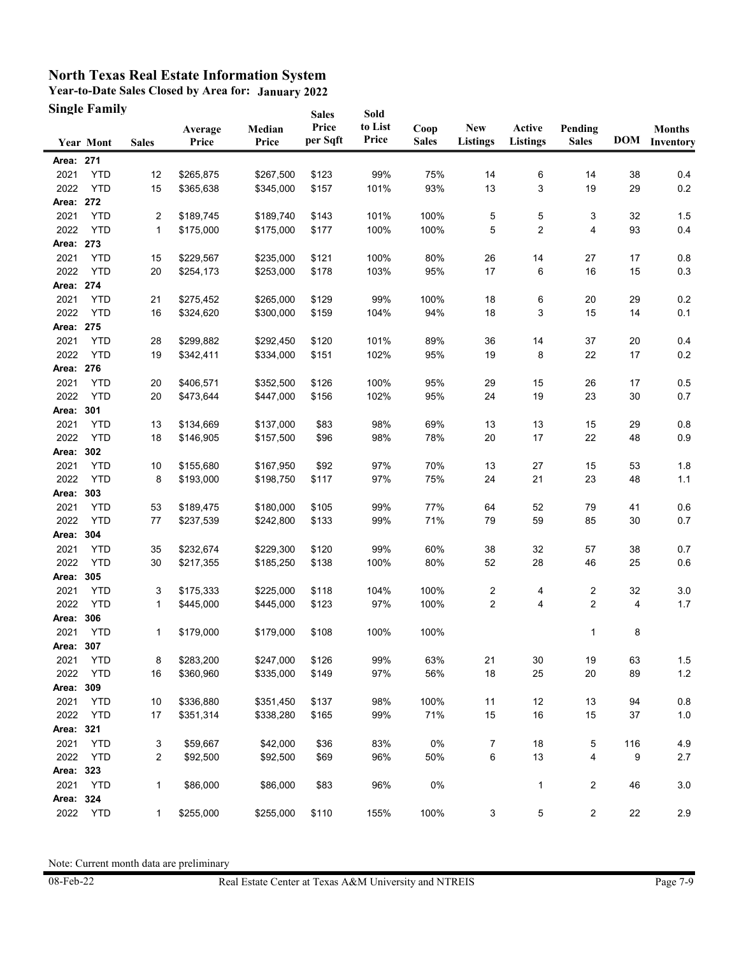**Year-to-Date Sales Closed by Area for: January 2022 Single Family**

|           | <b>Single Family</b> |              |                  |                 | <b>Sales</b>      | Sold             |                      |                                           |                           |                         |     |                                |
|-----------|----------------------|--------------|------------------|-----------------|-------------------|------------------|----------------------|-------------------------------------------|---------------------------|-------------------------|-----|--------------------------------|
|           | Year Mont            | <b>Sales</b> | Average<br>Price | Median<br>Price | Price<br>per Sqft | to List<br>Price | Coop<br><b>Sales</b> | <b>New</b><br><b>Listings</b>             | Active<br><b>Listings</b> | Pending<br><b>Sales</b> |     | <b>Months</b><br>DOM Inventory |
| Area: 271 |                      |              |                  |                 |                   |                  |                      |                                           |                           |                         |     |                                |
| 2021      | <b>YTD</b>           | 12           | \$265,875        | \$267,500       | \$123             | 99%              | 75%                  | 14                                        | 6                         | 14                      | 38  | 0.4                            |
| 2022      | <b>YTD</b>           | 15           | \$365,638        | \$345,000       | \$157             | 101%             | 93%                  | 13                                        | 3                         | 19                      | 29  | $0.2\,$                        |
| Area: 272 |                      |              |                  |                 |                   |                  |                      |                                           |                           |                         |     |                                |
| 2021      | <b>YTD</b>           | 2            | \$189,745        | \$189,740       | \$143             | 101%             | 100%                 | 5                                         | 5                         | 3                       | 32  | 1.5                            |
| 2022      | <b>YTD</b>           | 1            | \$175,000        | \$175,000       | \$177             | 100%             | 100%                 | 5                                         | $\overline{2}$            | 4                       | 93  | 0.4                            |
| Area: 273 |                      |              |                  |                 |                   |                  |                      |                                           |                           |                         |     |                                |
| 2021      | <b>YTD</b>           | 15           | \$229,567        | \$235,000       | \$121             | 100%             | 80%                  | 26                                        | 14                        | 27                      | 17  | 0.8                            |
| 2022      | <b>YTD</b>           | 20           | \$254,173        | \$253,000       | \$178             | 103%             | 95%                  | 17                                        | 6                         | 16                      | 15  | 0.3                            |
| Area: 274 |                      |              |                  |                 |                   |                  |                      |                                           |                           |                         |     |                                |
| 2021      | <b>YTD</b>           | 21           | \$275,452        | \$265,000       | \$129             | 99%              | 100%                 | 18                                        | 6                         | 20                      | 29  | $0.2\,$                        |
| 2022      | <b>YTD</b>           | 16           | \$324,620        | \$300,000       | \$159             | 104%             | 94%                  | 18                                        | 3                         | 15                      | 14  | 0.1                            |
| Area: 275 |                      |              |                  |                 |                   |                  |                      |                                           |                           |                         |     |                                |
| 2021      | <b>YTD</b>           | 28           | \$299,882        | \$292,450       | \$120             | 101%             | 89%                  | 36                                        | 14                        | 37                      | 20  | 0.4                            |
| 2022      | <b>YTD</b>           | 19           | \$342,411        | \$334,000       | \$151             | 102%             | 95%                  | 19                                        | 8                         | 22                      | 17  | 0.2                            |
| Area: 276 |                      |              |                  |                 |                   |                  |                      |                                           |                           |                         |     |                                |
| 2021      | <b>YTD</b>           | 20           | \$406,571        | \$352,500       | \$126             | 100%             | 95%                  | 29                                        | 15                        | 26                      | 17  | 0.5                            |
| 2022      | <b>YTD</b>           | 20           | \$473,644        | \$447,000       | \$156             | 102%             | 95%                  | 24                                        | 19                        | 23                      | 30  | 0.7                            |
| Area:     | 301                  |              |                  |                 |                   |                  |                      |                                           |                           |                         |     |                                |
| 2021      | <b>YTD</b>           | 13           | \$134,669        | \$137,000       | \$83              | 98%              | 69%                  | 13                                        | 13                        | 15                      | 29  | 0.8                            |
| 2022      | <b>YTD</b>           | 18           | \$146,905        | \$157,500       | \$96              | 98%              | 78%                  | 20                                        | 17                        | 22                      | 48  | 0.9                            |
| Area: 302 |                      |              |                  |                 |                   |                  |                      |                                           |                           |                         |     |                                |
| 2021      | <b>YTD</b>           | 10           | \$155,680        | \$167,950       | \$92              | 97%              | 70%                  | 13                                        | 27                        | 15                      | 53  | 1.8                            |
| 2022      | <b>YTD</b>           | 8            | \$193,000        | \$198,750       | \$117             | 97%              | 75%                  | 24                                        | 21                        | 23                      | 48  | 1.1                            |
| Area:     | 303                  |              |                  |                 |                   |                  |                      |                                           |                           |                         |     |                                |
| 2021      | <b>YTD</b>           | 53           | \$189,475        | \$180,000       | \$105             | 99%              | 77%                  | 64                                        | 52                        | 79                      | 41  | 0.6                            |
| 2022      | <b>YTD</b>           | 77           | \$237,539        | \$242,800       | \$133             | 99%              | 71%                  | 79                                        | 59                        | 85                      | 30  | 0.7                            |
| Area: 304 |                      |              |                  |                 |                   |                  |                      |                                           |                           |                         |     |                                |
| 2021      | <b>YTD</b>           | 35           | \$232,674        | \$229,300       | \$120             | 99%              | 60%                  | 38                                        | 32                        | 57                      | 38  | 0.7                            |
| 2022      | <b>YTD</b>           | 30           | \$217,355        | \$185,250       | \$138             | 100%             | 80%                  | 52                                        | 28                        | 46                      | 25  | $0.6\,$                        |
| Area: 305 |                      |              |                  |                 |                   |                  |                      |                                           |                           |                         |     |                                |
| 2021      | <b>YTD</b>           | 3            | \$175,333        | \$225,000       | \$118             |                  | 100%                 |                                           | 4                         |                         | 32  |                                |
| 2022      | <b>YTD</b>           | 1            | \$445,000        | \$445,000       | \$123             | 104%<br>97%      | 100%                 | $\overline{\mathbf{c}}$<br>$\overline{c}$ | $\overline{4}$            | 2<br>$\overline{2}$     | 4   | 3.0<br>1.7                     |
| Area: 306 |                      |              |                  |                 |                   |                  |                      |                                           |                           |                         |     |                                |
| 2021      | <b>YTD</b>           | 1            | \$179,000        | \$179,000       | \$108             | 100%             | 100%                 |                                           |                           | 1                       |     |                                |
| Area: 307 |                      |              |                  |                 |                   |                  |                      |                                           |                           |                         | 8   |                                |
|           |                      |              |                  |                 |                   |                  |                      |                                           |                           |                         |     |                                |
| 2021      | <b>YTD</b>           | 8            | \$283,200        | \$247,000       | \$126             | 99%              | 63%                  | 21                                        | 30                        | 19                      | 63  | 1.5                            |
| 2022      | <b>YTD</b>           | 16           | \$360,960        | \$335,000       | \$149             | 97%              | 56%                  | 18                                        | 25                        | 20                      | 89  | $1.2$                          |
| Area:     | 309                  |              |                  | \$351,450       |                   |                  |                      |                                           |                           |                         |     |                                |
| 2021      | <b>YTD</b>           | 10           | \$336,880        |                 | \$137             | 98%              | 100%                 | 11                                        | 12                        | 13                      | 94  | 0.8                            |
| 2022      | <b>YTD</b>           | 17           | \$351,314        | \$338,280       | \$165             | 99%              | 71%                  | 15                                        | 16                        | 15                      | 37  | 1.0                            |
| Area: 321 |                      |              |                  |                 |                   |                  |                      |                                           |                           |                         |     |                                |
| 2021      | <b>YTD</b>           | 3            | \$59,667         | \$42,000        | \$36              | 83%              | $0\%$                | 7                                         | $18$                      | 5                       | 116 | 4.9                            |
| 2022      | <b>YTD</b>           | 2            | \$92,500         | \$92,500        | \$69              | 96%              | 50%                  | 6                                         | 13                        | 4                       | 9   | 2.7                            |
| Area: 323 |                      |              |                  |                 |                   |                  |                      |                                           |                           |                         |     |                                |
| 2021      | <b>YTD</b>           | 1            | \$86,000         | \$86,000        | \$83              | 96%              | 0%                   |                                           | 1                         | 2                       | 46  | $3.0\,$                        |
| Area: 324 |                      |              |                  |                 |                   |                  |                      |                                           |                           |                         |     |                                |
| 2022      | <b>YTD</b>           | 1            | \$255,000        | \$255,000       | \$110             | 155%             | 100%                 | 3                                         | 5                         | $\overline{2}$          | 22  | 2.9                            |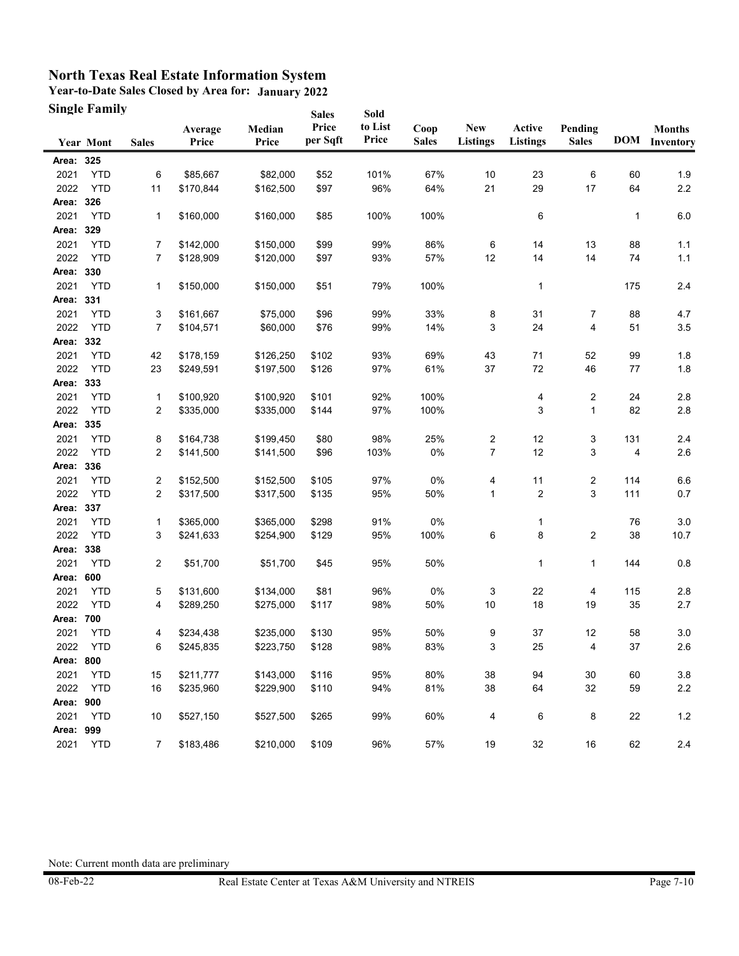**Year-to-Date Sales Closed by Area for: January 2022 Single Family**  $S = 1$ 

|           | <b>Single Family</b><br><b>Year Mont</b> | <b>Sales</b>   | Average<br>Price | Median<br>Price | <b>Sales</b><br>Price<br>per Sqft | Sold<br>to List<br>Price | Coop<br><b>Sales</b> | <b>New</b><br><b>Listings</b> | Active<br><b>Listings</b> | Pending<br><b>Sales</b> | <b>DOM</b> | <b>Months</b><br>Inventory |
|-----------|------------------------------------------|----------------|------------------|-----------------|-----------------------------------|--------------------------|----------------------|-------------------------------|---------------------------|-------------------------|------------|----------------------------|
| Area: 325 |                                          |                |                  |                 |                                   |                          |                      |                               |                           |                         |            |                            |
| 2021      | <b>YTD</b>                               | 6              | \$85,667         | \$82,000        | \$52                              | 101%                     | 67%                  | 10                            | 23                        | 6                       | 60         | 1.9                        |
| 2022      | <b>YTD</b>                               | 11             | \$170,844        | \$162,500       | \$97                              | 96%                      | 64%                  | 21                            | 29                        | 17                      | 64         | $2.2\,$                    |
| Area: 326 |                                          |                |                  |                 |                                   |                          |                      |                               |                           |                         |            |                            |
| 2021      | <b>YTD</b>                               | 1              | \$160,000        | \$160,000       | \$85                              | 100%                     | 100%                 |                               | 6                         |                         | 1          | 6.0                        |
| Area: 329 |                                          |                |                  |                 |                                   |                          |                      |                               |                           |                         |            |                            |
| 2021      | <b>YTD</b>                               | 7              | \$142,000        | \$150,000       | \$99                              | 99%                      | 86%                  | 6                             | 14                        | 13                      | 88         | 1.1                        |
| 2022      | <b>YTD</b>                               | 7              | \$128,909        | \$120,000       | \$97                              | 93%                      | 57%                  | 12                            | 14                        | 14                      | 74         | 1.1                        |
| Area: 330 |                                          |                |                  |                 |                                   |                          |                      |                               |                           |                         |            |                            |
| 2021      | <b>YTD</b>                               | 1              | \$150,000        | \$150,000       | \$51                              | 79%                      | 100%                 |                               | 1                         |                         | 175        | 2.4                        |
| Area: 331 |                                          |                |                  |                 |                                   |                          |                      |                               |                           |                         |            |                            |
| 2021      | <b>YTD</b>                               | 3              | \$161,667        | \$75,000        | \$96                              | 99%                      | 33%                  | 8                             | 31                        | 7                       | 88         | 4.7                        |
| 2022      | <b>YTD</b>                               | $\overline{7}$ | \$104,571        | \$60,000        | \$76                              | 99%                      | 14%                  | 3                             | 24                        | 4                       | 51         | 3.5                        |
| Area:     | 332                                      |                |                  |                 |                                   |                          |                      |                               |                           |                         |            |                            |
| 2021      | <b>YTD</b>                               | 42             | \$178,159        | \$126,250       | \$102                             | 93%                      | 69%                  | 43                            | 71                        | 52                      | 99         | 1.8                        |
| 2022      | <b>YTD</b>                               | 23             | \$249,591        | \$197,500       | \$126                             | 97%                      | 61%                  | 37                            | 72                        | 46                      | 77         | 1.8                        |
| Area: 333 |                                          |                |                  |                 |                                   |                          |                      |                               |                           |                         |            |                            |
| 2021      | <b>YTD</b>                               | 1              | \$100,920        | \$100,920       | \$101                             | 92%                      | 100%                 |                               | 4                         | 2                       | 24         | 2.8                        |
| 2022      | <b>YTD</b>                               | 2              | \$335,000        | \$335,000       | \$144                             | 97%                      | 100%                 |                               | 3                         | $\mathbf{1}$            | 82         | 2.8                        |
| Area:     | 335                                      |                |                  |                 |                                   |                          |                      |                               |                           |                         |            |                            |
| 2021      | <b>YTD</b>                               | 8              | \$164,738        | \$199,450       | \$80                              | 98%                      | 25%                  | 2                             | 12                        | 3                       | 131        | 2.4                        |
| 2022      | <b>YTD</b>                               | 2              | \$141,500        | \$141,500       | \$96                              | 103%                     | 0%                   | 7                             | 12                        | 3                       | 4          | 2.6                        |
| Area: 336 |                                          |                |                  |                 |                                   |                          |                      |                               |                           |                         |            |                            |
| 2021      | <b>YTD</b>                               | 2              | \$152,500        | \$152,500       | \$105                             | 97%                      | 0%                   | 4                             | 11                        | 2                       | 114        | 6.6                        |
| 2022      | <b>YTD</b>                               | 2              | \$317,500        | \$317,500       | \$135                             | 95%                      | 50%                  | 1                             | $\boldsymbol{2}$          | 3                       | 111        | 0.7                        |
| Area: 337 |                                          |                |                  |                 |                                   |                          |                      |                               |                           |                         |            |                            |
| 2021      | <b>YTD</b>                               | 1              | \$365,000        | \$365,000       | \$298                             | 91%                      | 0%                   |                               | 1                         |                         | 76         | 3.0                        |
| 2022      | <b>YTD</b>                               | 3              | \$241,633        | \$254,900       | \$129                             | 95%                      | 100%                 | 6                             | 8                         | $\overline{c}$          | 38         | 10.7                       |
| Area: 338 |                                          |                |                  |                 |                                   |                          |                      |                               |                           |                         |            |                            |
| 2021      | <b>YTD</b>                               | 2              | \$51,700         | \$51,700        | \$45                              | 95%                      | 50%                  |                               | $\mathbf 1$               | $\mathbf{1}$            | 144        | 0.8                        |
| Area: 600 |                                          |                |                  |                 |                                   |                          |                      |                               |                           |                         |            |                            |
| 2021      | <b>YTD</b>                               | 5              | \$131,600        | \$134,000       | \$81                              | 96%                      | $0\%$                | 3                             | 22                        | 4                       | 115        | 2.8                        |
| 2022      | <b>YTD</b>                               | 4              | \$289,250        | \$275,000       | \$117                             | 98%                      | 50%                  | 10                            | 18                        | 19                      | 35         | 2.7                        |
| Area: 700 |                                          |                |                  |                 |                                   |                          |                      |                               |                           |                         |            |                            |
| 2021      | <b>YTD</b>                               | 4              | \$234,438        | \$235,000       | \$130                             | 95%                      | 50%                  | 9                             | 37                        | 12                      | 58         | 3.0                        |
| 2022      | <b>YTD</b>                               | 6              | \$245,835        | \$223,750       | \$128                             | 98%                      | 83%                  | 3                             | 25                        | 4                       | 37         | 2.6                        |
| Area: 800 |                                          |                |                  |                 |                                   |                          |                      |                               |                           |                         |            |                            |
| 2021      | <b>YTD</b>                               | 15             | \$211,777        | \$143,000       | \$116                             | 95%                      | 80%                  | 38                            | 94                        | 30                      | 60         | 3.8                        |
| 2022      | <b>YTD</b>                               | 16             | \$235,960        | \$229,900       | \$110                             | 94%                      | 81%                  | 38                            | 64                        | 32                      | 59         | 2.2                        |
| Area: 900 |                                          |                |                  |                 |                                   |                          |                      |                               |                           |                         |            |                            |
| 2021      | <b>YTD</b>                               | 10             | \$527,150        | \$527,500       | \$265                             | 99%                      | 60%                  | 4                             | 6                         | 8                       | 22         | $1.2$                      |
| Area: 999 |                                          |                |                  |                 |                                   |                          |                      |                               |                           |                         |            |                            |
| 2021      | <b>YTD</b>                               | $\mathbf{7}$   | \$183,486        | \$210,000       | \$109                             | 96%                      | 57%                  | 19                            | 32                        | 16                      | 62         | $2.4\,$                    |
|           |                                          |                |                  |                 |                                   |                          |                      |                               |                           |                         |            |                            |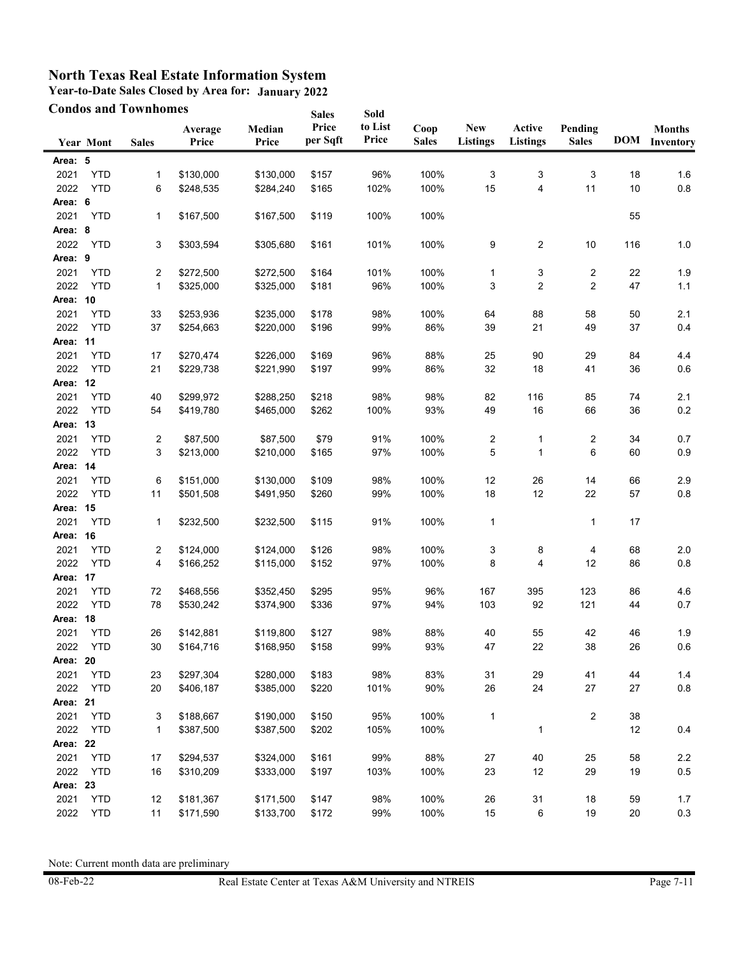**Year-to-Date Sales Closed by Area for: January 2022**

|          | <b>Condos and Townhomes</b> |              |                  |                 | <b>Sales</b>      | Sold             |                      |                               |                           |                         |            |                            |
|----------|-----------------------------|--------------|------------------|-----------------|-------------------|------------------|----------------------|-------------------------------|---------------------------|-------------------------|------------|----------------------------|
|          | <b>Year Mont</b>            | <b>Sales</b> | Average<br>Price | Median<br>Price | Price<br>per Sqft | to List<br>Price | Coop<br><b>Sales</b> | <b>New</b><br><b>Listings</b> | Active<br><b>Listings</b> | Pending<br><b>Sales</b> | <b>DOM</b> | <b>Months</b><br>Inventory |
| Area: 5  |                             |              |                  |                 |                   |                  |                      |                               |                           |                         |            |                            |
| 2021     | <b>YTD</b>                  | 1            | \$130,000        | \$130,000       | \$157             | 96%              | 100%                 | 3                             | 3                         | 3                       | 18         | 1.6                        |
| 2022     | <b>YTD</b>                  | 6            | \$248,535        | \$284,240       | \$165             | 102%             | 100%                 | 15                            | 4                         | 11                      | 10         | 0.8                        |
| Area: 6  |                             |              |                  |                 |                   |                  |                      |                               |                           |                         |            |                            |
| 2021     | <b>YTD</b>                  | 1            | \$167,500        | \$167,500       | \$119             | 100%             | 100%                 |                               |                           |                         | 55         |                            |
| Area: 8  |                             |              |                  |                 |                   |                  |                      |                               |                           |                         |            |                            |
| 2022     | <b>YTD</b>                  | 3            | \$303,594        | \$305,680       | \$161             | 101%             | 100%                 | 9                             | 2                         | 10                      | 116        | $1.0$                      |
| Area: 9  |                             |              |                  |                 |                   |                  |                      |                               |                           |                         |            |                            |
| 2021     | <b>YTD</b>                  | 2            | \$272,500        | \$272,500       | \$164             | 101%             | 100%                 | 1                             | 3                         | 2                       | 22         | 1.9                        |
| 2022     | <b>YTD</b>                  | $\mathbf{1}$ | \$325,000        | \$325,000       | \$181             | 96%              | 100%                 | 3                             | 2                         | 2                       | 47         | $1.1$                      |
| Area: 10 |                             |              |                  |                 |                   |                  |                      |                               |                           |                         |            |                            |
| 2021     | <b>YTD</b>                  | 33           | \$253,936        | \$235,000       | \$178             | 98%              | 100%                 | 64                            | 88                        | 58                      | 50         | 2.1                        |
| 2022     | <b>YTD</b>                  | 37           | \$254,663        | \$220,000       | \$196             | 99%              | 86%                  | 39                            | 21                        | 49                      | 37         | 0.4                        |
| Area: 11 |                             |              |                  |                 |                   |                  |                      |                               |                           |                         |            |                            |
| 2021     | <b>YTD</b>                  | 17           | \$270,474        | \$226,000       | \$169             | 96%              | 88%                  | 25                            | 90                        | 29                      | 84         | 4.4                        |
| 2022     | <b>YTD</b>                  | 21           | \$229,738        | \$221,990       | \$197             | 99%              | 86%                  | 32                            | 18                        | 41                      | 36         | 0.6                        |
| Area: 12 |                             |              |                  |                 |                   |                  |                      |                               |                           |                         |            |                            |
| 2021     | <b>YTD</b>                  | 40           | \$299,972        | \$288,250       | \$218             | 98%              | 98%                  | 82                            | 116                       | 85                      | 74         | 2.1                        |
| 2022     | <b>YTD</b>                  | 54           | \$419,780        | \$465,000       | \$262             | 100%             | 93%                  | 49                            | 16                        | 66                      | 36         | 0.2                        |
| Area: 13 |                             |              |                  |                 |                   |                  |                      |                               |                           |                         |            |                            |
| 2021     | <b>YTD</b>                  | 2            | \$87,500         | \$87,500        | \$79              | 91%              | 100%                 | $\overline{\mathbf{c}}$       | 1                         | 2                       | 34         | 0.7                        |
| 2022     | <b>YTD</b>                  | 3            | \$213,000        | \$210,000       | \$165             | 97%              | 100%                 | 5                             | 1                         | 6                       | 60         | 0.9                        |
| Area: 14 |                             |              |                  |                 |                   |                  |                      |                               |                           |                         |            |                            |
| 2021     | <b>YTD</b>                  | 6            | \$151,000        | \$130,000       | \$109             | 98%              | 100%                 | 12                            | 26                        | 14                      | 66         | 2.9                        |
| 2022     | <b>YTD</b>                  | 11           | \$501,508        | \$491,950       | \$260             | 99%              | 100%                 | 18                            | 12                        | 22                      | 57         | 0.8                        |
| Area: 15 |                             |              |                  |                 |                   |                  |                      |                               |                           |                         |            |                            |
| 2021     | <b>YTD</b>                  | 1            | \$232,500        | \$232,500       | \$115             | 91%              | 100%                 | $\mathbf{1}$                  |                           | 1                       | 17         |                            |
| Area: 16 |                             |              |                  |                 |                   |                  |                      |                               |                           |                         |            |                            |
| 2021     | <b>YTD</b>                  | 2            | \$124,000        | \$124,000       | \$126             | 98%              | 100%                 | 3                             | 8                         | 4                       | 68         | 2.0                        |
| 2022     | <b>YTD</b>                  | 4            | \$166,252        | \$115,000       | \$152             | 97%              | 100%                 | 8                             | 4                         | 12                      | 86         | 0.8                        |
| Area: 17 |                             |              |                  |                 |                   |                  |                      |                               |                           |                         |            |                            |
| 2021     | <b>YTD</b>                  | 72           | \$468,556        | \$352,450       | \$295             | 95%              | 96%                  | 167                           | 395                       | 123                     | 86         | 4.6                        |
| 2022     | <b>YTD</b>                  | 78           | \$530,242        | \$374,900       | \$336             | 97%              | 94%                  | 103                           | 92                        | 121                     | 44         | 0.7                        |
| Area:    | 18                          |              |                  |                 |                   |                  |                      |                               |                           |                         |            |                            |
| 2021     | <b>YTD</b>                  | 26           | \$142,881        | \$119,800       | \$127             | 98%              | 88%                  | 40                            | 55                        | 42                      | 46         | 1.9                        |
| 2022     | YTD                         | 30           | \$164,716        | \$168,950       | \$158             | 99%              | 93%                  | 47                            | 22                        | 38                      | 26         | 0.6                        |
| Area: 20 |                             |              |                  |                 |                   |                  |                      |                               |                           |                         |            |                            |
| 2021     | <b>YTD</b>                  | 23           | \$297,304        | \$280,000       | \$183             | 98%              | 83%                  | 31                            | 29                        | 41                      | 44         | 1.4                        |
| 2022     | <b>YTD</b>                  | 20           | \$406,187        | \$385,000       | \$220             | 101%             | 90%                  | 26                            | 24                        | 27                      | 27         | $0.8\,$                    |
| Area: 21 |                             |              |                  |                 |                   |                  |                      |                               |                           |                         |            |                            |
| 2021     | <b>YTD</b>                  | 3            | \$188,667        | \$190,000       | \$150             | 95%              | 100%                 | $\mathbf{1}$                  |                           | 2                       | $38\,$     |                            |
| 2022     | <b>YTD</b>                  | 1            | \$387,500        | \$387,500       | \$202             | 105%             | 100%                 |                               | 1                         |                         | 12         | 0.4                        |
| Area: 22 |                             |              |                  |                 |                   |                  |                      |                               |                           |                         |            |                            |
| 2021     | <b>YTD</b>                  | 17           | \$294,537        | \$324,000       | \$161             | 99%              | 88%                  | 27                            | 40                        | 25                      | 58         | $2.2\,$                    |
| 2022     | <b>YTD</b>                  | 16           | \$310,209        | \$333,000       | \$197             | 103%             | 100%                 | 23                            | 12                        | 29                      | 19         | $0.5\,$                    |
| Area: 23 |                             |              |                  |                 |                   |                  |                      |                               |                           |                         |            |                            |
| 2021     | <b>YTD</b>                  | 12           | \$181,367        | \$171,500       | \$147             | 98%              | 100%                 | 26                            | 31                        | 18                      | 59         | 1.7                        |
| 2022     | <b>YTD</b>                  | 11           | \$171,590        | \$133,700       | \$172             | 99%              | 100%                 | 15                            | 6                         | 19                      | 20         | $0.3\,$                    |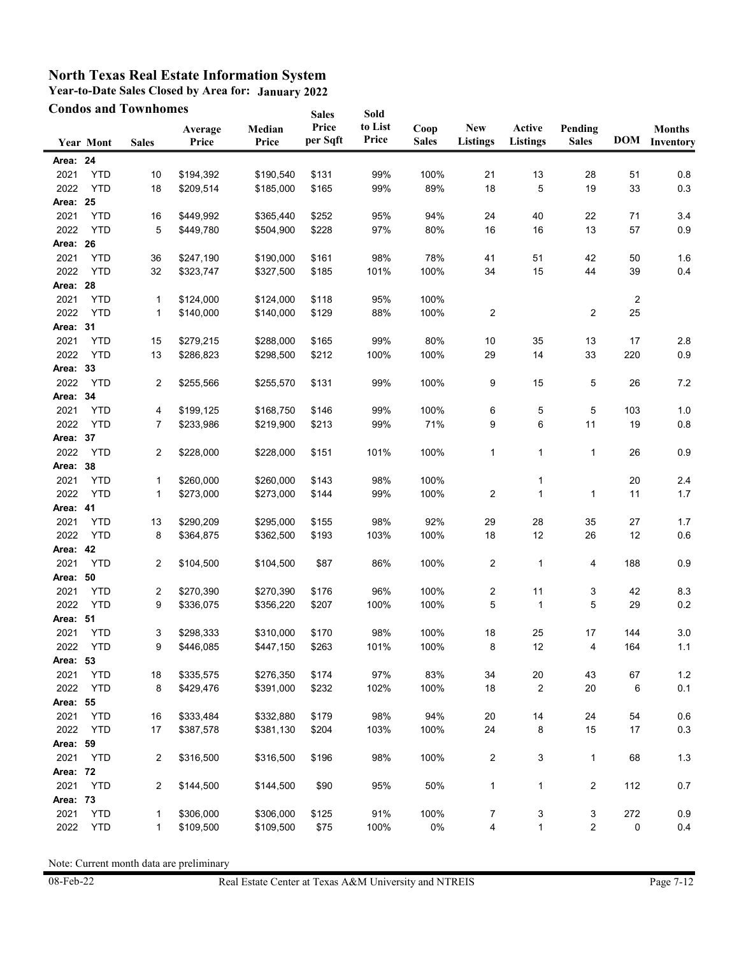**Year-to-Date Sales Closed by Area for: January 2022**

|          |                  | <b>Condos and Townhomes</b> |                  |                 | <b>Sales</b>      | Sold             |                      |                               |                           |                         |        |                            |
|----------|------------------|-----------------------------|------------------|-----------------|-------------------|------------------|----------------------|-------------------------------|---------------------------|-------------------------|--------|----------------------------|
|          | <b>Year Mont</b> | <b>Sales</b>                | Average<br>Price | Median<br>Price | Price<br>per Sqft | to List<br>Price | Coop<br><b>Sales</b> | <b>New</b><br><b>Listings</b> | Active<br><b>Listings</b> | Pending<br><b>Sales</b> | DOM    | <b>Months</b><br>Inventory |
| Area: 24 |                  |                             |                  |                 |                   |                  |                      |                               |                           |                         |        |                            |
| 2021     | <b>YTD</b>       | 10                          | \$194,392        | \$190,540       | \$131             | 99%              | 100%                 | 21                            | 13                        | 28                      | 51     | 0.8                        |
| 2022     | <b>YTD</b>       | 18                          | \$209,514        | \$185,000       | \$165             | 99%              | 89%                  | 18                            | 5                         | 19                      | 33     | 0.3                        |
| Area: 25 |                  |                             |                  |                 |                   |                  |                      |                               |                           |                         |        |                            |
| 2021     | <b>YTD</b>       | 16                          | \$449,992        | \$365,440       | \$252             | 95%              | 94%                  | 24                            | 40                        | 22                      | 71     | 3.4                        |
| 2022     | <b>YTD</b>       | 5                           | \$449,780        | \$504,900       | \$228             | 97%              | 80%                  | 16                            | 16                        | 13                      | 57     | 0.9                        |
| Area: 26 |                  |                             |                  |                 |                   |                  |                      |                               |                           |                         |        |                            |
| 2021     | <b>YTD</b>       | 36                          | \$247,190        | \$190,000       | \$161             | 98%              | 78%                  | 41                            | 51                        | 42                      | 50     | 1.6                        |
| 2022     | <b>YTD</b>       | 32                          | \$323,747        | \$327,500       | \$185             | 101%             | 100%                 | 34                            | 15                        | 44                      | 39     | 0.4                        |
| Area: 28 |                  |                             |                  |                 |                   |                  |                      |                               |                           |                         |        |                            |
| 2021     | <b>YTD</b>       | $\mathbf{1}$                | \$124,000        | \$124,000       | \$118             | 95%              | 100%                 |                               |                           |                         | 2      |                            |
| 2022     | <b>YTD</b>       | $\mathbf{1}$                | \$140,000        | \$140,000       | \$129             | 88%              | 100%                 | 2                             |                           | 2                       | 25     |                            |
| Area: 31 |                  |                             |                  |                 |                   |                  |                      |                               |                           |                         |        |                            |
| 2021     | <b>YTD</b>       | 15                          | \$279,215        | \$288,000       | \$165             | 99%              | 80%                  | 10                            | 35                        | 13                      | 17     | 2.8                        |
| 2022     | <b>YTD</b>       | 13                          | \$286,823        | \$298,500       | \$212             | 100%             | 100%                 | 29                            | 14                        | 33                      | 220    | $0.9\,$                    |
| Area: 33 |                  |                             |                  |                 |                   |                  |                      |                               |                           |                         |        |                            |
| 2022     | <b>YTD</b>       | $\overline{c}$              | \$255,566        | \$255,570       | \$131             | 99%              | 100%                 | 9                             | 15                        | 5                       | 26     | 7.2                        |
| Area: 34 |                  |                             |                  |                 |                   |                  |                      |                               |                           |                         |        |                            |
| 2021     | <b>YTD</b>       | 4                           | \$199,125        | \$168,750       | \$146             | 99%              | 100%                 | 6                             | 5                         | 5                       | 103    | 1.0                        |
| 2022     | <b>YTD</b>       | 7                           | \$233,986        | \$219,900       | \$213             | 99%              | 71%                  | 9                             | 6                         | 11                      | 19     | 0.8                        |
| Area: 37 |                  |                             |                  |                 |                   |                  |                      |                               |                           |                         |        |                            |
| 2022     | <b>YTD</b>       | 2                           | \$228,000        | \$228,000       | \$151             | 101%             | 100%                 | 1                             | 1                         | 1                       | 26     | 0.9                        |
| Area: 38 |                  |                             |                  |                 |                   |                  |                      |                               |                           |                         |        |                            |
| 2021     | <b>YTD</b>       | $\mathbf{1}$                | \$260,000        | \$260,000       | \$143             | 98%              | 100%                 |                               | 1                         |                         | $20\,$ | 2.4                        |
| 2022     | <b>YTD</b>       | $\mathbf{1}$                | \$273,000        | \$273,000       | \$144             | 99%              | 100%                 | 2                             | 1                         | 1                       | 11     | 1.7                        |
| Area: 41 |                  |                             |                  |                 |                   |                  |                      |                               |                           |                         |        |                            |
| 2021     | <b>YTD</b>       | 13                          | \$290,209        | \$295,000       | \$155             | 98%              | 92%                  | 29                            | 28                        | 35                      | 27     | 1.7                        |
| 2022     | <b>YTD</b>       | 8                           | \$364,875        | \$362,500       | \$193             | 103%             | 100%                 | 18                            | 12                        | 26                      | 12     | 0.6                        |
| Area: 42 |                  |                             |                  |                 |                   |                  |                      |                               |                           |                         |        |                            |
| 2021     | <b>YTD</b>       | $\overline{c}$              | \$104,500        | \$104,500       | \$87              | 86%              | 100%                 | 2                             | 1                         | 4                       | 188    | 0.9                        |
| Area:    | 50               |                             |                  |                 |                   |                  |                      |                               |                           |                         |        |                            |
| 2021     | <b>YTD</b>       | 2                           | \$270,390        | \$270,390       | \$176             | 96%              | 100%                 | 2                             | 11                        | 3                       | 42     | 8.3                        |
| 2022     | <b>YTD</b>       | 9                           | \$336,075        | \$356,220       | \$207             | 100%             | 100%                 | 5                             | 1                         | 5                       | 29     | 0.2                        |
| Area: 51 |                  |                             |                  |                 |                   |                  |                      |                               |                           |                         |        |                            |
| 2021     | <b>YTD</b>       | 3                           | \$298,333        | \$310,000       | \$170             | 98%              | 100%                 | 18                            | 25                        | 17                      | 144    | $3.0\,$                    |
| 2022     | YTD              | 9                           | \$446,085        | \$447,150       | \$263             | 101%             | 100%                 | 8                             | 12                        | 4                       | 164    | 1.1                        |
| Area: 53 |                  |                             |                  |                 |                   |                  |                      |                               |                           |                         |        |                            |
| 2021     | <b>YTD</b>       | 18                          | \$335,575        | \$276,350       | \$174             | 97%              | 83%                  | 34                            | $20\,$                    | 43                      | 67     | 1.2                        |
| 2022     | <b>YTD</b>       | 8                           | \$429,476        | \$391,000       | \$232             | 102%             | 100%                 | 18                            | 2                         | 20                      | 6      | 0.1                        |
| Area: 55 |                  |                             |                  |                 |                   |                  |                      |                               |                           |                         |        |                            |
| 2021     | <b>YTD</b>       | 16                          | \$333,484        | \$332,880       | \$179             | 98%              | 94%                  | 20                            | 14                        | 24                      | 54     | 0.6                        |
| 2022     | <b>YTD</b>       | 17                          | \$387,578        | \$381,130       | \$204             | 103%             | 100%                 | 24                            | 8                         | 15                      | 17     | 0.3                        |
| Area: 59 |                  |                             |                  |                 |                   |                  |                      |                               |                           |                         |        |                            |
| 2021     | YTD              | 2                           | \$316,500        | \$316,500       | \$196             | 98%              | 100%                 | 2                             | 3                         | 1                       | 68     | 1.3                        |
| Area: 72 |                  |                             |                  |                 |                   |                  |                      |                               |                           |                         |        |                            |
| 2021     | <b>YTD</b>       | 2                           | \$144,500        | \$144,500       | \$90              | 95%              | 50%                  | 1                             | 1                         | 2                       | 112    | 0.7                        |
| Area: 73 |                  |                             |                  |                 |                   |                  |                      |                               |                           |                         |        |                            |
| 2021     | <b>YTD</b>       | 1                           | \$306,000        | \$306,000       | \$125             | 91%              | 100%                 | 7                             | 3                         | 3                       | 272    | 0.9                        |
| 2022     | <b>YTD</b>       | $\mathbf{1}$                | \$109,500        | \$109,500       | \$75              | 100%             | 0%                   | 4                             | 1                         | 2                       | 0      | 0.4                        |
|          |                  |                             |                  |                 |                   |                  |                      |                               |                           |                         |        |                            |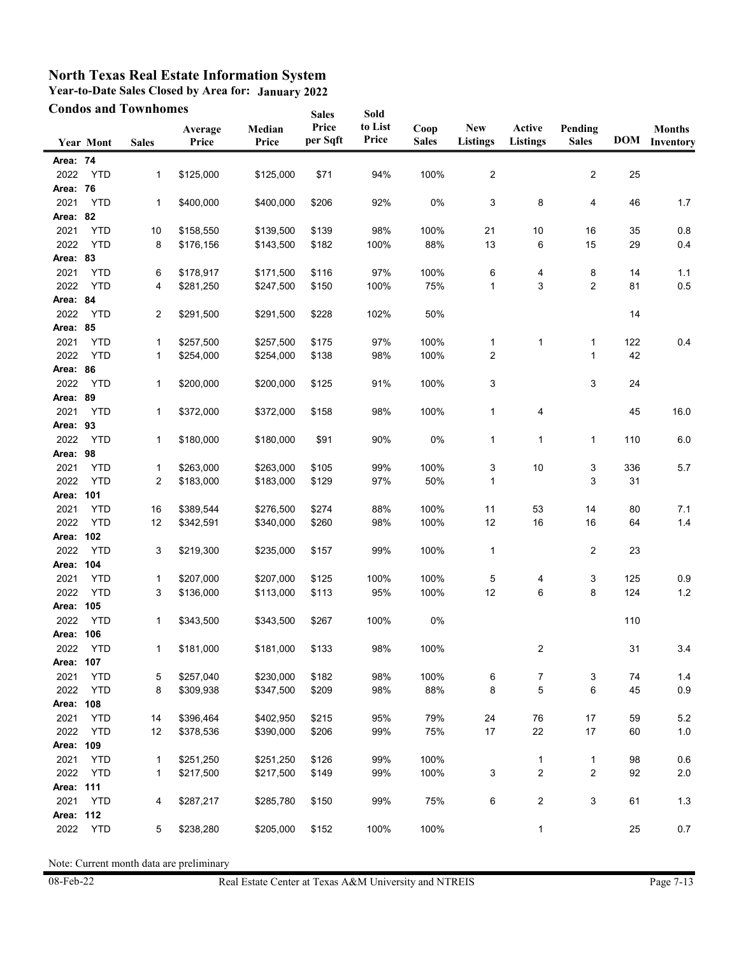**Year-to-Date Sales Closed by Area for: January 2022**

|           |                  | <b>Condos and Townhomes</b> |                  |                 | <b>Sales</b>      | Sold             |                      |                               |                           |                         |            |                            |
|-----------|------------------|-----------------------------|------------------|-----------------|-------------------|------------------|----------------------|-------------------------------|---------------------------|-------------------------|------------|----------------------------|
|           | <b>Year Mont</b> | <b>Sales</b>                | Average<br>Price | Median<br>Price | Price<br>per Sqft | to List<br>Price | Coop<br><b>Sales</b> | <b>New</b><br><b>Listings</b> | Active<br><b>Listings</b> | Pending<br><b>Sales</b> | <b>DOM</b> | <b>Months</b><br>Inventory |
| Area: 74  |                  |                             |                  |                 |                   |                  |                      |                               |                           |                         |            |                            |
| 2022      | <b>YTD</b>       | 1                           | \$125,000        | \$125,000       | \$71              | 94%              | 100%                 | $\overline{\mathbf{c}}$       |                           | $\overline{c}$          | 25         |                            |
| Area: 76  |                  |                             |                  |                 |                   |                  |                      |                               |                           |                         |            |                            |
| 2021      | <b>YTD</b>       | 1                           | \$400,000        | \$400,000       | \$206             | 92%              | 0%                   | 3                             | 8                         | 4                       | 46         | 1.7                        |
| Area: 82  |                  |                             |                  |                 |                   |                  |                      |                               |                           |                         |            |                            |
| 2021      | <b>YTD</b>       | 10                          | \$158,550        | \$139,500       | \$139             | 98%              | 100%                 | 21                            | 10                        | 16                      | 35         | 0.8                        |
| 2022      | <b>YTD</b>       | 8                           | \$176,156        | \$143,500       | \$182             | 100%             | 88%                  | 13                            | 6                         | 15                      | 29         | 0.4                        |
| Area: 83  |                  |                             |                  |                 |                   |                  |                      |                               |                           |                         |            |                            |
| 2021      | <b>YTD</b>       | 6                           | \$178,917        | \$171,500       | \$116             | 97%              | 100%                 | 6                             | 4                         | 8                       | 14         | 1.1                        |
| 2022      | <b>YTD</b>       | 4                           | \$281,250        | \$247,500       | \$150             | 100%             | 75%                  | $\mathbf{1}$                  | 3                         | $\overline{2}$          | 81         | 0.5                        |
| Area: 84  |                  |                             |                  |                 |                   |                  |                      |                               |                           |                         |            |                            |
| 2022      | <b>YTD</b>       | 2                           | \$291,500        | \$291,500       | \$228             | 102%             | 50%                  |                               |                           |                         | 14         |                            |
| Area: 85  |                  |                             |                  |                 |                   |                  |                      |                               |                           |                         |            |                            |
| 2021      | <b>YTD</b>       | 1                           | \$257,500        | \$257,500       | \$175             | 97%              | 100%                 | 1                             | 1                         | $\mathbf{1}$            | 122        | 0.4                        |
| 2022      | <b>YTD</b>       | 1                           | \$254,000        | \$254,000       | \$138             | 98%              | 100%                 | 2                             |                           | $\mathbf{1}$            | 42         |                            |
| Area: 86  |                  |                             |                  |                 |                   |                  |                      |                               |                           |                         |            |                            |
| 2022      | <b>YTD</b>       | 1                           | \$200,000        | \$200,000       | \$125             | 91%              | 100%                 | 3                             |                           | 3                       | 24         |                            |
| Area: 89  |                  |                             |                  |                 |                   |                  |                      |                               |                           |                         |            |                            |
| 2021      | <b>YTD</b>       | 1                           | \$372,000        | \$372,000       | \$158             | 98%              | 100%                 | $\mathbf{1}$                  | 4                         |                         | 45         | 16.0                       |
| Area: 93  |                  |                             |                  |                 |                   |                  |                      |                               |                           |                         |            |                            |
| 2022      | <b>YTD</b>       | 1                           | \$180,000        | \$180,000       | \$91              | 90%              | 0%                   | 1                             | $\mathbf{1}$              | $\mathbf{1}$            | 110        | 6.0                        |
| Area: 98  |                  |                             |                  |                 |                   |                  |                      |                               |                           |                         |            |                            |
| 2021      | <b>YTD</b>       | 1                           | \$263,000        | \$263,000       | \$105             | 99%              | 100%                 | 3                             | 10                        | 3                       | 336        | 5.7                        |
| 2022      | <b>YTD</b>       | 2                           | \$183,000        | \$183,000       | \$129             | 97%              | 50%                  | $\mathbf{1}$                  |                           | 3                       | 31         |                            |
| Area: 101 |                  |                             |                  |                 |                   |                  |                      |                               |                           |                         |            |                            |
| 2021      | <b>YTD</b>       | 16                          | \$389,544        | \$276,500       | \$274             | 88%              | 100%                 | 11                            | 53                        | 14                      | 80         | 7.1                        |
| 2022      | <b>YTD</b>       | 12                          | \$342,591        | \$340,000       | \$260             | 98%              | 100%                 | 12                            | 16                        | 16                      | 64         | 1.4                        |
| Area: 102 |                  |                             |                  |                 |                   |                  |                      |                               |                           |                         |            |                            |
| 2022      | <b>YTD</b>       | 3                           | \$219,300        | \$235,000       | \$157             | 99%              | 100%                 | 1                             |                           | $\overline{c}$          | 23         |                            |
| Area:     | 104              |                             |                  |                 |                   |                  |                      |                               |                           |                         |            |                            |
| 2021      | <b>YTD</b>       | 1                           | \$207,000        | \$207,000       | \$125             | 100%             | 100%                 | 5                             | 4                         | 3                       | 125        | 0.9                        |
| 2022      | <b>YTD</b>       | 3                           | \$136,000        | \$113,000       | \$113             | 95%              | 100%                 | 12                            | 6                         | 8                       | 124        | $1.2$                      |
| Area:     | 105              |                             |                  |                 |                   |                  |                      |                               |                           |                         |            |                            |
| 2022      | <b>YTD</b>       | 1                           | \$343,500        | \$343,500       | \$267             | 100%             | 0%                   |                               |                           |                         | 110        |                            |
| Area: 106 |                  |                             |                  |                 |                   |                  |                      |                               |                           |                         |            |                            |
| 2022      | YTD              | 1                           | \$181,000        | \$181,000       | \$133             | 98%              | 100%                 |                               | $\overline{c}$            |                         | 31         | 3.4                        |
| Area:     | 107              |                             |                  |                 |                   |                  |                      |                               |                           |                         |            |                            |
| 2021      | <b>YTD</b>       | 5                           | \$257,040        | \$230,000       | \$182             | 98%              | 100%                 | $\,6\,$                       | 7                         | 3                       | 74         | 1.4                        |
| 2022      | <b>YTD</b>       | 8                           | \$309,938        | \$347,500       | \$209             | 98%              | 88%                  | 8                             | 5                         | 6                       | 45         | 0.9                        |
| Area: 108 |                  |                             |                  |                 |                   |                  |                      |                               |                           |                         |            |                            |
| 2021      | <b>YTD</b>       | 14                          | \$396,464        | \$402,950       | \$215             | 95%              | 79%                  | 24                            | 76                        | 17                      | 59         | 5.2                        |
| 2022      | <b>YTD</b>       | 12                          | \$378,536        | \$390,000       | \$206             | 99%              | 75%                  | 17                            | 22                        | 17                      | 60         | 1.0                        |
| Area: 109 |                  |                             |                  |                 |                   |                  |                      |                               |                           |                         |            |                            |
| 2021      | <b>YTD</b>       | 1                           | \$251,250        | \$251,250       | \$126             | 99%              | 100%                 |                               | 1                         | 1                       | 98         | 0.6                        |
| 2022      | <b>YTD</b>       | 1                           | \$217,500        | \$217,500       | \$149             | 99%              | 100%                 | 3                             | $\boldsymbol{2}$          | $\overline{\mathbf{c}}$ | 92         | 2.0                        |
| Area: 111 |                  |                             |                  |                 |                   |                  |                      |                               |                           |                         |            |                            |
| 2021      | <b>YTD</b>       | 4                           | \$287,217        | \$285,780       | \$150             | 99%              | 75%                  | 6                             | $\overline{\mathbf{c}}$   | 3                       | 61         | $1.3$                      |
| Area: 112 |                  |                             |                  |                 |                   |                  |                      |                               |                           |                         |            |                            |
| 2022      | <b>YTD</b>       | 5                           | \$238,280        | \$205,000       | \$152             | 100%             | 100%                 |                               | 1                         |                         | 25         | 0.7                        |
|           |                  |                             |                  |                 |                   |                  |                      |                               |                           |                         |            |                            |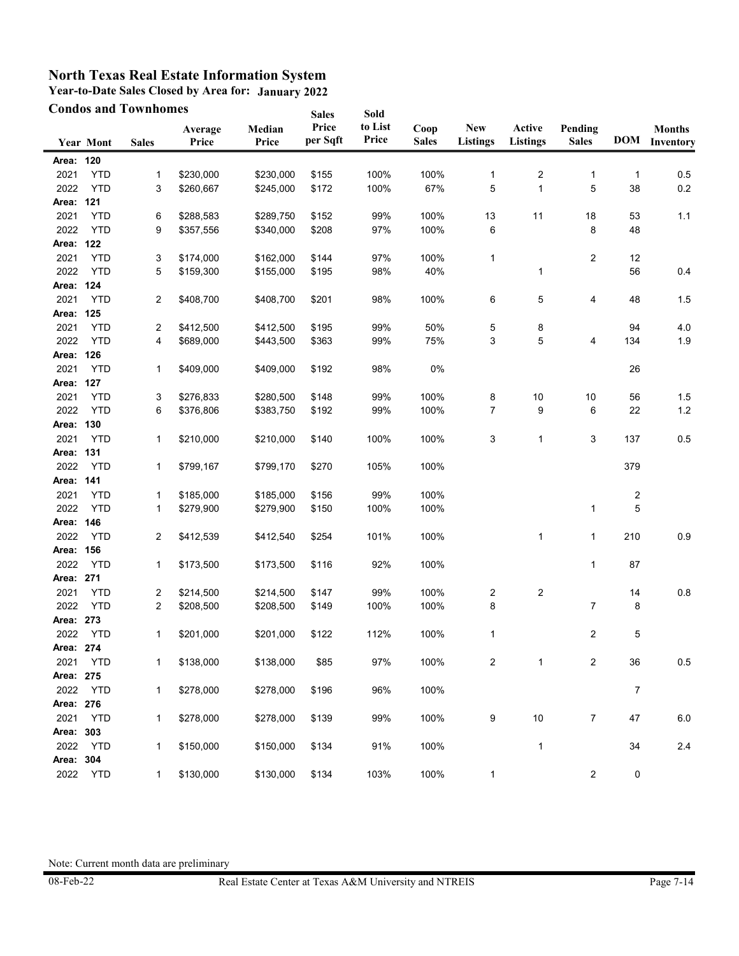**Year-to-Date Sales Closed by Area for: January 2022**

|                   |                  | <b>Condos and Townhomes</b> |                  |                 | <b>Sales</b>      | Sold             |                      |                               |                           |                         |                  |                            |
|-------------------|------------------|-----------------------------|------------------|-----------------|-------------------|------------------|----------------------|-------------------------------|---------------------------|-------------------------|------------------|----------------------------|
|                   | <b>Year Mont</b> | <b>Sales</b>                | Average<br>Price | Median<br>Price | Price<br>per Sqft | to List<br>Price | Coop<br><b>Sales</b> | <b>New</b><br><b>Listings</b> | Active<br><b>Listings</b> | Pending<br><b>Sales</b> | <b>DOM</b>       | <b>Months</b><br>Inventory |
| Area: 120         |                  |                             |                  |                 |                   |                  |                      |                               |                           |                         |                  |                            |
| 2021              | <b>YTD</b>       | 1                           | \$230,000        | \$230,000       | \$155             | 100%             | 100%                 | 1                             | 2                         | 1                       | 1                | 0.5                        |
| 2022              | <b>YTD</b>       | 3                           | \$260,667        | \$245,000       | \$172             | 100%             | 67%                  | 5                             | 1                         | 5                       | 38               | $0.2\,$                    |
| Area: 121         |                  |                             |                  |                 |                   |                  |                      |                               |                           |                         |                  |                            |
| 2021              | <b>YTD</b>       | 6                           | \$288,583        | \$289,750       | \$152             | 99%              | 100%                 | 13                            | 11                        | 18                      | 53               | 1.1                        |
| 2022              | <b>YTD</b>       | 9                           | \$357,556        | \$340,000       | \$208             | 97%              | 100%                 | 6                             |                           | 8                       | 48               |                            |
| Area: 122         |                  |                             |                  |                 |                   |                  |                      |                               |                           |                         |                  |                            |
| 2021              | <b>YTD</b>       | 3                           | \$174,000        | \$162,000       | \$144             | 97%              | 100%                 | $\mathbf 1$                   |                           | 2                       | 12               |                            |
| 2022              | <b>YTD</b>       | 5                           | \$159,300        | \$155,000       | \$195             | 98%              | 40%                  |                               | 1                         |                         | 56               | 0.4                        |
| Area: 124         |                  |                             |                  |                 |                   |                  |                      |                               |                           |                         |                  |                            |
| 2021              | <b>YTD</b>       | $\overline{c}$              | \$408,700        | \$408,700       | \$201             | 98%              | 100%                 | 6                             | 5                         | 4                       | 48               | 1.5                        |
| Area: 125         |                  |                             |                  |                 |                   |                  |                      |                               |                           |                         |                  |                            |
| 2021              | <b>YTD</b>       | 2                           | \$412,500        | \$412,500       | \$195             | 99%              | 50%                  | 5                             | 8                         |                         | 94               | 4.0                        |
| 2022              | <b>YTD</b>       | 4                           | \$689,000        | \$443,500       | \$363             | 99%              | 75%                  | 3                             | 5                         | 4                       | 134              | 1.9                        |
| Area: 126         |                  |                             |                  |                 |                   |                  |                      |                               |                           |                         |                  |                            |
| 2021              | <b>YTD</b>       | 1                           | \$409,000        | \$409,000       | \$192             | 98%              | $0\%$                |                               |                           |                         | 26               |                            |
| Area:             | 127              |                             |                  |                 |                   |                  |                      |                               |                           |                         |                  |                            |
| 2021              | <b>YTD</b>       | 3                           | \$276,833        | \$280,500       | \$148             | 99%              | 100%                 | 8                             | 10                        | 10                      | 56               | $1.5$                      |
| 2022              | <b>YTD</b>       | 6                           | \$376,806        | \$383,750       | \$192             | 99%              | 100%                 | 7                             | 9                         | 6                       | 22               | $1.2$                      |
| Area: 130         |                  |                             |                  |                 |                   |                  |                      |                               |                           |                         |                  |                            |
| 2021              | <b>YTD</b>       | 1                           | \$210,000        | \$210,000       | \$140             | 100%             | 100%                 | 3                             | 1                         | 3                       | 137              | 0.5                        |
| Area: 131         |                  |                             |                  |                 |                   |                  |                      |                               |                           |                         |                  |                            |
| 2022              | <b>YTD</b>       | 1                           | \$799,167        | \$799,170       | \$270             | 105%             | 100%                 |                               |                           |                         | 379              |                            |
| Area: 141         |                  |                             |                  |                 |                   |                  |                      |                               |                           |                         |                  |                            |
| 2021              | <b>YTD</b>       | 1                           | \$185,000        | \$185,000       | \$156             | 99%              | 100%                 |                               |                           |                         | 2                |                            |
| 2022              | <b>YTD</b>       | 1                           | \$279,900        | \$279,900       | \$150             | 100%             | 100%                 |                               |                           | 1                       | 5                |                            |
| Area: 146         |                  |                             |                  |                 |                   |                  |                      |                               |                           |                         |                  |                            |
| 2022              | <b>YTD</b>       | $\overline{c}$              | \$412,539        | \$412,540       | \$254             | 101%             | 100%                 |                               | 1                         | 1                       | 210              | 0.9                        |
| Area:             | 156              |                             |                  |                 |                   |                  |                      |                               |                           |                         |                  |                            |
| 2022              | <b>YTD</b>       | 1                           | \$173,500        | \$173,500       | \$116             | 92%              | 100%                 |                               |                           | 1                       | 87               |                            |
| Area: 271         |                  |                             |                  |                 |                   |                  |                      |                               |                           |                         |                  |                            |
| 2021              | <b>YTD</b>       | 2                           | \$214,500        | \$214,500       | \$147             | 99%              | 100%                 | 2                             | 2                         |                         | 14               | $0.8\,$                    |
| 2022              | <b>YTD</b>       | 2                           | \$208,500        | \$208,500       | \$149             | 100%             | 100%                 | 8                             |                           | 7                       | 8                |                            |
| Area: 273         |                  |                             |                  |                 |                   |                  |                      |                               |                           |                         |                  |                            |
| 2022              | <b>YTD</b>       | 1                           | \$201,000        | \$201,000       | \$122             | 112%             | 100%                 | 1                             |                           | 2                       | 5                |                            |
|                   |                  |                             |                  |                 |                   |                  |                      |                               |                           |                         |                  |                            |
| Area: 274<br>2021 | <b>YTD</b>       | 1                           | \$138,000        | \$138,000       | \$85              | 97%              | 100%                 | 2                             | 1                         | 2                       | $36\,$           | $0.5\,$                    |
| Area: 275         |                  |                             |                  |                 |                   |                  |                      |                               |                           |                         |                  |                            |
|                   | <b>YTD</b>       |                             |                  |                 |                   |                  |                      |                               |                           |                         |                  |                            |
| 2022              |                  | 1                           | \$278,000        | \$278,000       | \$196             | 96%              | 100%                 |                               |                           |                         | $\boldsymbol{7}$ |                            |
| Area: 276         |                  |                             |                  |                 |                   |                  |                      |                               |                           |                         |                  |                            |
| 2021              | <b>YTD</b>       | 1                           | \$278,000        | \$278,000       | \$139             | 99%              | 100%                 | 9                             | $10$                      | $\overline{7}$          | 47               | $6.0\,$                    |
| Area: 303         |                  |                             |                  |                 |                   |                  |                      |                               |                           |                         |                  |                            |
| 2022              | <b>YTD</b>       | 1                           | \$150,000        | \$150,000       | \$134             | 91%              | 100%                 |                               | 1                         |                         | 34               | 2.4                        |
| Area:             | 304              |                             |                  |                 |                   |                  |                      |                               |                           |                         |                  |                            |
| 2022              | <b>YTD</b>       | 1                           | \$130,000        | \$130,000       | \$134             | 103%             | 100%                 | $\mathbf{1}$                  |                           | 2                       | 0                |                            |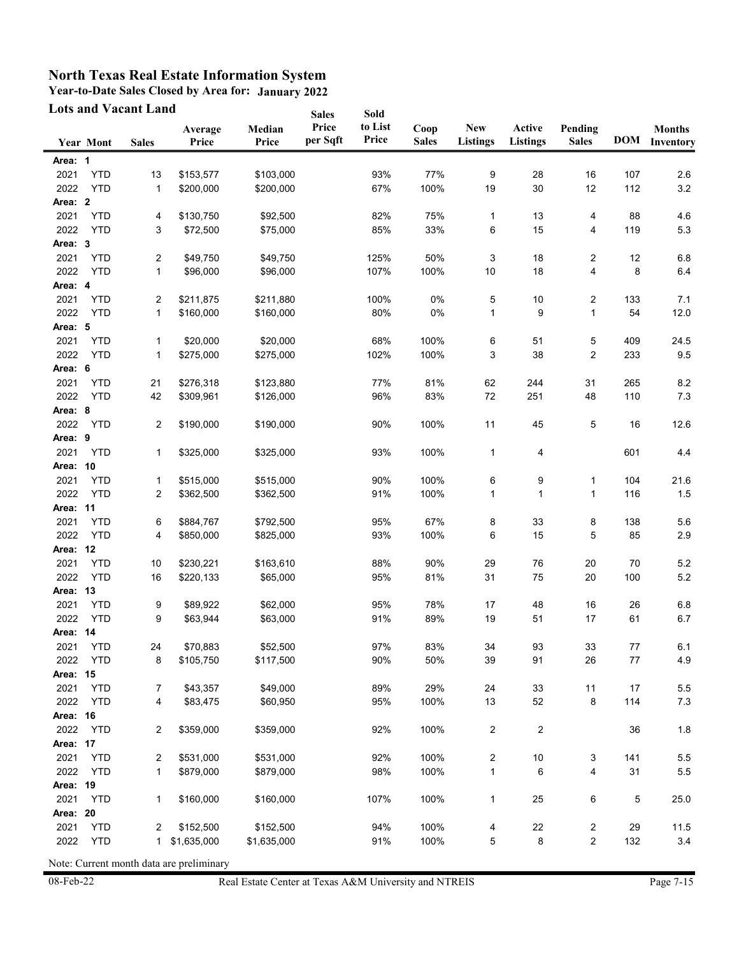**Year-to-Date Sales Closed by Area for: January 2022**

| <b>Lots and Vacant Land</b> |                  |              |                          | <b>Sales</b>    | Sold              |                  |                      |                               |                           |                         |            |                            |
|-----------------------------|------------------|--------------|--------------------------|-----------------|-------------------|------------------|----------------------|-------------------------------|---------------------------|-------------------------|------------|----------------------------|
|                             | <b>Year Mont</b> | <b>Sales</b> | Average<br>Price         | Median<br>Price | Price<br>per Sqft | to List<br>Price | Coop<br><b>Sales</b> | <b>New</b><br><b>Listings</b> | Active<br><b>Listings</b> | Pending<br><b>Sales</b> | <b>DOM</b> | <b>Months</b><br>Inventory |
| Area: 1                     |                  |              |                          |                 |                   |                  |                      |                               |                           |                         |            |                            |
| 2021                        | <b>YTD</b>       | 13           | \$153,577                | \$103,000       |                   | 93%              | 77%                  | 9                             | 28                        | 16                      | 107        | 2.6                        |
| 2022                        | <b>YTD</b>       | $\mathbf{1}$ | \$200,000                | \$200,000       |                   | 67%              | 100%                 | 19                            | 30                        | 12                      | 112        | 3.2                        |
| Area: 2                     |                  |              |                          |                 |                   |                  |                      |                               |                           |                         |            |                            |
| 2021                        | <b>YTD</b>       | 4            | \$130,750                | \$92,500        |                   | 82%              | 75%                  | $\mathbf{1}$                  | 13                        | 4                       | 88         | 4.6                        |
| 2022                        | <b>YTD</b>       | 3            | \$72,500                 | \$75,000        |                   | 85%              | 33%                  | 6                             | 15                        | 4                       | 119        | 5.3                        |
| Area: 3                     |                  |              |                          |                 |                   |                  |                      |                               |                           |                         |            |                            |
| 2021                        | <b>YTD</b>       | 2            | \$49,750                 | \$49,750        |                   | 125%             | 50%                  | 3                             | 18                        | 2                       | 12         | 6.8                        |
| 2022                        | <b>YTD</b>       | $\mathbf{1}$ | \$96,000                 | \$96,000        |                   | 107%             | 100%                 | 10                            | 18                        | 4                       | 8          | 6.4                        |
| Area: 4                     |                  |              |                          |                 |                   |                  |                      |                               |                           |                         |            |                            |
| 2021                        | <b>YTD</b>       | 2            | \$211,875                | \$211,880       |                   | 100%             | 0%                   | 5                             | 10                        | 2                       | 133        | 7.1                        |
| 2022                        | <b>YTD</b>       | 1            | \$160,000                | \$160,000       |                   | 80%              | 0%                   | 1                             | 9                         | $\mathbf{1}$            | 54         | 12.0                       |
| Area: 5                     |                  |              |                          |                 |                   |                  |                      |                               |                           |                         |            |                            |
| 2021                        | <b>YTD</b>       | $\mathbf{1}$ | \$20,000                 | \$20,000        |                   | 68%              | 100%                 | 6                             | 51                        | 5                       | 409        | 24.5                       |
| 2022                        | <b>YTD</b>       | 1            | \$275,000                | \$275,000       |                   | 102%             | 100%                 | 3                             | 38                        | 2                       | 233        | 9.5                        |
| Area: 6                     |                  |              |                          |                 |                   |                  |                      |                               |                           |                         |            |                            |
| 2021                        | <b>YTD</b>       | 21           | \$276,318                | \$123,880       |                   | 77%              | 81%                  | 62                            | 244                       | 31                      | 265        | 8.2                        |
| 2022                        | <b>YTD</b>       | 42           | \$309,961                | \$126,000       |                   | 96%              | 83%                  | 72                            | 251                       | 48                      | 110        | 7.3                        |
| Area: 8                     |                  |              |                          |                 |                   |                  |                      |                               |                           |                         |            |                            |
| 2022                        | <b>YTD</b>       | 2            | \$190,000                | \$190.000       |                   | 90%              | 100%                 | 11                            | 45                        | 5                       | 16         | 12.6                       |
| Area: 9                     |                  |              |                          |                 |                   |                  |                      |                               |                           |                         |            |                            |
| 2021                        | <b>YTD</b>       | 1            | \$325,000                | \$325,000       |                   | 93%              | 100%                 | $\mathbf{1}$                  | 4                         |                         | 601        | 4.4                        |
| Area: 10                    |                  |              |                          |                 |                   |                  |                      |                               |                           |                         |            |                            |
| 2021                        | <b>YTD</b>       | $\mathbf{1}$ | \$515,000                | \$515,000       |                   | 90%              | 100%                 | 6                             | 9                         | 1                       | 104        | 21.6                       |
| 2022                        | <b>YTD</b>       | 2            | \$362,500                | \$362,500       |                   | 91%              | 100%                 | 1                             | $\mathbf 1$               | $\mathbf{1}$            | 116        | 1.5                        |
| Area: 11                    |                  |              |                          |                 |                   |                  |                      |                               |                           |                         |            |                            |
| 2021                        | <b>YTD</b>       | 6            | \$884,767                | \$792,500       |                   | 95%              | 67%                  | 8                             | 33                        | 8                       | 138        | 5.6                        |
| 2022                        | <b>YTD</b>       | 4            | \$850,000                | \$825,000       |                   | 93%              | 100%                 | 6                             | 15                        | 5                       | 85         | 2.9                        |
| Area: 12                    |                  |              |                          |                 |                   |                  |                      |                               |                           |                         |            |                            |
| 2021                        | <b>YTD</b>       | 10           | \$230,221                | \$163,610       |                   | 88%              | 90%                  | 29                            | 76                        | 20                      | 70         | 5.2                        |
| 2022                        | <b>YTD</b>       | 16           | \$220,133                | \$65,000        |                   | 95%              | 81%                  | 31                            | 75                        | 20                      | 100        | 5.2                        |
| Area: 13                    |                  |              |                          |                 |                   |                  |                      |                               |                           |                         |            |                            |
| 2021                        | <b>YTD</b>       | 9            | \$89,922                 | \$62,000        |                   | 95%              | 78%                  | 17                            | 48                        | 16                      | 26         | 6.8                        |
| 2022                        | <b>YTD</b>       | 9            | \$63,944                 | \$63,000        |                   | 91%              | 89%                  | 19                            | 51                        | 17                      | 61         | 6.7                        |
| Area: 14                    |                  |              |                          |                 |                   |                  |                      |                               |                           |                         |            |                            |
| 2021                        | <b>YTD</b>       | 24           | \$70,883                 | \$52,500        |                   | 97%              | 83%                  | 34                            | 93                        | 33                      | 77         | 6.1                        |
| 2022                        | <b>YTD</b>       | 8            | \$105,750                | \$117,500       |                   | 90%              | 50%                  | 39                            | 91                        | 26                      | $77 \,$    | 4.9                        |
| Area: 15                    |                  |              |                          |                 |                   |                  |                      |                               |                           |                         |            |                            |
| 2021                        | <b>YTD</b>       | 7            | \$43,357                 | \$49,000        |                   | 89%              | 29%                  | 24                            | 33                        | 11                      | 17         | 5.5                        |
| 2022                        | <b>YTD</b>       | 4            | \$83,475                 | \$60,950        |                   | 95%              | 100%                 | 13                            | 52                        | 8                       | 114        | 7.3                        |
| Area: 16                    |                  |              |                          |                 |                   |                  |                      |                               |                           |                         |            |                            |
| 2022                        | YTD              | 2            | \$359,000                | \$359,000       |                   | 92%              | 100%                 | 2                             | $\overline{\mathbf{c}}$   |                         | 36         | 1.8                        |
| Area: 17                    |                  |              |                          |                 |                   |                  |                      |                               |                           |                         |            |                            |
| 2021                        | <b>YTD</b>       | 2            | \$531,000                | \$531,000       |                   | 92%              | 100%                 | 2                             | 10                        | 3                       | 141        | 5.5                        |
| 2022                        | <b>YTD</b>       | 1            | \$879,000                | \$879,000       |                   | 98%              | 100%                 | $\mathbf{1}$                  | 6                         | 4                       | 31         | $5.5\,$                    |
| Area: 19                    |                  |              |                          |                 |                   |                  |                      |                               |                           |                         |            |                            |
| 2021                        | <b>YTD</b>       | 1            | \$160,000                | \$160,000       |                   | 107%             | 100%                 | $\mathbf{1}$                  | 25                        | 6                       | 5          | 25.0                       |
| Area: 20                    |                  |              |                          |                 |                   |                  |                      |                               |                           |                         |            |                            |
| 2021                        | <b>YTD</b>       |              |                          | \$152,500       |                   | 94%              | 100%                 |                               |                           |                         |            |                            |
| 2022                        | <b>YTD</b>       | 2<br>1       | \$152,500<br>\$1,635,000 | \$1,635,000     |                   | 91%              | 100%                 | 4<br>5                        | 22<br>8                   | 2<br>2                  | 29<br>132  | 11.5<br>3.4                |
|                             |                  |              |                          |                 |                   |                  |                      |                               |                           |                         |            |                            |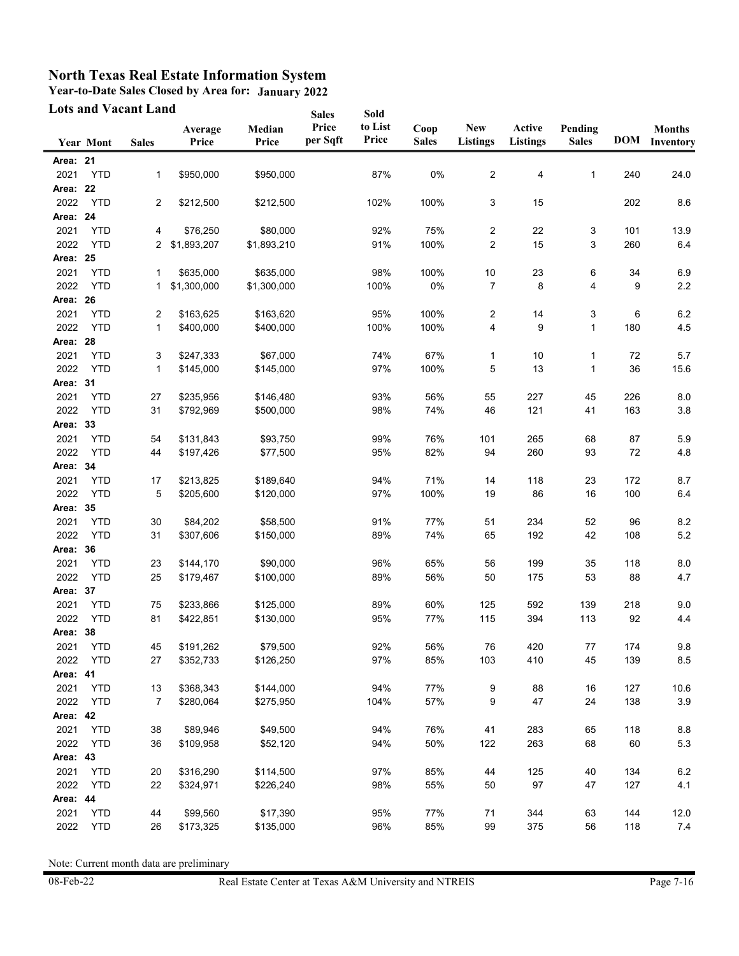**Year-to-Date Sales Closed by Area for: January 2022**

|          | <b>Lots and Vacant Land</b> |                      |                  | <b>Sales</b>    | Sold              |                  |                      |                               |                           |                         |     |                                |
|----------|-----------------------------|----------------------|------------------|-----------------|-------------------|------------------|----------------------|-------------------------------|---------------------------|-------------------------|-----|--------------------------------|
|          | <b>Year Mont</b>            | <b>Sales</b>         | Average<br>Price | Median<br>Price | Price<br>per Sqft | to List<br>Price | Coop<br><b>Sales</b> | <b>New</b><br><b>Listings</b> | Active<br><b>Listings</b> | Pending<br><b>Sales</b> |     | <b>Months</b><br>DOM Inventory |
| Area: 21 |                             |                      |                  |                 |                   |                  |                      |                               |                           |                         |     |                                |
| 2021     | <b>YTD</b>                  | 1                    | \$950,000        | \$950,000       |                   | 87%              | $0\%$                | $\overline{c}$                | 4                         | $\mathbf{1}$            | 240 | 24.0                           |
| Area: 22 |                             |                      |                  |                 |                   |                  |                      |                               |                           |                         |     |                                |
| 2022     | <b>YTD</b>                  | 2                    | \$212,500        | \$212,500       |                   | 102%             | 100%                 | 3                             | 15                        |                         | 202 | 8.6                            |
| Area: 24 |                             |                      |                  |                 |                   |                  |                      |                               |                           |                         |     |                                |
| 2021     | <b>YTD</b>                  | 4                    | \$76,250         | \$80,000        |                   | 92%              | 75%                  | $\overline{\mathbf{c}}$       | 22                        | 3                       | 101 | 13.9                           |
| 2022     | <b>YTD</b>                  | $\mathbf{2}^{\circ}$ | \$1,893,207      | \$1,893,210     |                   | 91%              | 100%                 | $\overline{2}$                | 15                        | 3                       | 260 | 6.4                            |
| Area: 25 |                             |                      |                  |                 |                   |                  |                      |                               |                           |                         |     |                                |
| 2021     | <b>YTD</b>                  | 1                    | \$635,000        | \$635,000       |                   | 98%              | 100%                 | 10                            | 23                        | 6                       | 34  | 6.9                            |
| 2022     | <b>YTD</b>                  | 1                    | \$1,300,000      | \$1,300,000     |                   | 100%             | 0%                   | 7                             | 8                         | 4                       | 9   | 2.2                            |
| Area: 26 |                             |                      |                  |                 |                   |                  |                      |                               |                           |                         |     |                                |
| 2021     | <b>YTD</b>                  | 2                    | \$163,625        | \$163,620       |                   | 95%              | 100%                 | $\overline{2}$                | 14                        | 3                       | 6   | 6.2                            |
| 2022     | <b>YTD</b>                  | 1                    | \$400,000        | \$400,000       |                   | 100%             | 100%                 | 4                             | 9                         | 1                       | 180 | 4.5                            |
| Area: 28 |                             |                      |                  |                 |                   |                  |                      |                               |                           |                         |     |                                |
| 2021     | <b>YTD</b>                  | 3                    | \$247,333        | \$67,000        |                   | 74%              | 67%                  | $\mathbf{1}$                  | 10                        | 1                       | 72  | 5.7                            |
| 2022     | <b>YTD</b>                  | $\mathbf{1}$         | \$145,000        | \$145,000       |                   | 97%              | 100%                 | 5                             | 13                        | $\mathbf{1}$            | 36  | 15.6                           |
| Area: 31 |                             |                      |                  |                 |                   |                  |                      |                               |                           |                         |     |                                |
| 2021     | <b>YTD</b>                  | 27                   | \$235,956        | \$146,480       |                   | 93%              | 56%                  | 55                            | 227                       | 45                      | 226 | 8.0                            |
| 2022     | <b>YTD</b>                  | 31                   | \$792,969        | \$500,000       |                   | 98%              | 74%                  | 46                            | 121                       | 41                      | 163 | 3.8                            |
| Area: 33 |                             |                      |                  |                 |                   |                  |                      |                               |                           |                         |     |                                |
| 2021     | <b>YTD</b>                  | 54                   | \$131,843        | \$93,750        |                   | 99%              | 76%                  | 101                           | 265                       | 68                      | 87  | 5.9                            |
| 2022     | <b>YTD</b>                  | 44                   | \$197,426        | \$77,500        |                   | 95%              | 82%                  | 94                            | 260                       | 93                      | 72  | 4.8                            |
| Area: 34 |                             |                      |                  |                 |                   |                  |                      |                               |                           |                         |     |                                |
| 2021     | <b>YTD</b>                  | 17                   | \$213,825        | \$189,640       |                   | 94%              | 71%                  | 14                            | 118                       | 23                      | 172 | 8.7                            |
| 2022     | <b>YTD</b>                  | 5                    | \$205,600        | \$120,000       |                   | 97%              | 100%                 | 19                            | 86                        | 16                      | 100 | 6.4                            |
| Area: 35 |                             |                      |                  |                 |                   |                  |                      |                               |                           |                         |     |                                |
| 2021     | <b>YTD</b>                  | 30                   | \$84,202         | \$58,500        |                   | 91%              | 77%                  | 51                            | 234                       | 52                      | 96  | 8.2                            |
| 2022     | <b>YTD</b>                  | 31                   | \$307,606        | \$150,000       |                   | 89%              | 74%                  | 65                            | 192                       | 42                      | 108 | 5.2                            |
| Area: 36 |                             |                      |                  |                 |                   |                  |                      |                               |                           |                         |     |                                |
| 2021     | <b>YTD</b>                  | 23                   | \$144,170        | \$90,000        |                   | 96%              | 65%                  | 56                            | 199                       | 35                      | 118 | 8.0                            |
| 2022     | <b>YTD</b>                  | 25                   | \$179,467        | \$100,000       |                   | 89%              | 56%                  | 50                            | 175                       | 53                      | 88  | 4.7                            |
| Area: 37 |                             |                      |                  |                 |                   |                  |                      |                               |                           |                         |     |                                |
| 2021     | <b>YTD</b>                  | 75                   | \$233,866        | \$125,000       |                   | 89%              | 60%                  | 125                           | 592                       | 139                     | 218 | 9.0                            |
| 2022     | <b>YTD</b>                  | 81                   | \$422,851        | \$130,000       |                   | 95%              | 77%                  | 115                           | 394                       | 113                     | 92  | 4.4                            |
| Area: 38 |                             |                      |                  |                 |                   |                  |                      |                               |                           |                         |     |                                |
| 2021     | <b>YTD</b>                  | 45                   | \$191,262        | \$79,500        |                   | 92%              | 56%                  | 76                            | 420                       | 77                      | 174 | $9.8\,$                        |
| 2022     | <b>YTD</b>                  | 27                   | \$352,733        | \$126,250       |                   | 97%              | 85%                  | 103                           | 410                       | 45                      | 139 | $\bf 8.5$                      |
| Area: 41 |                             |                      |                  |                 |                   |                  |                      |                               |                           |                         |     |                                |
| 2021     | <b>YTD</b>                  | 13                   | \$368,343        | \$144,000       |                   | 94%              | 77%                  | 9                             | 88                        | 16                      | 127 | 10.6                           |
| 2022     | <b>YTD</b>                  | 7                    | \$280,064        | \$275,950       |                   | 104%             | 57%                  | 9                             | 47                        | 24                      | 138 | $3.9\,$                        |
| Area: 42 |                             |                      |                  |                 |                   |                  |                      |                               |                           |                         |     |                                |
| 2021     | <b>YTD</b>                  | 38                   | \$89,946         | \$49,500        |                   | 94%              | 76%                  | 41                            | 283                       | 65                      | 118 | 8.8                            |
| 2022     | <b>YTD</b>                  | 36                   | \$109,958        | \$52,120        |                   | 94%              | 50%                  | 122                           | 263                       | 68                      | 60  | 5.3                            |
| Area: 43 |                             |                      |                  |                 |                   |                  |                      |                               |                           |                         |     |                                |
| 2021     | <b>YTD</b>                  | 20                   | \$316,290        | \$114,500       |                   | 97%              | 85%                  | 44                            | 125                       | 40                      | 134 | 6.2                            |
| 2022     | <b>YTD</b>                  | 22                   | \$324,971        | \$226,240       |                   | 98%              | 55%                  | 50                            | 97                        | 47                      | 127 | 4.1                            |
| Area: 44 |                             |                      |                  |                 |                   |                  |                      |                               |                           |                         |     |                                |
| 2021     | <b>YTD</b>                  | 44                   | \$99,560         | \$17,390        |                   | 95%              | 77%                  | 71                            | 344                       | 63                      | 144 | 12.0                           |
| 2022     | <b>YTD</b>                  | 26                   | \$173,325        | \$135,000       |                   | 96%              | 85%                  | 99                            | 375                       | 56                      | 118 | 7.4                            |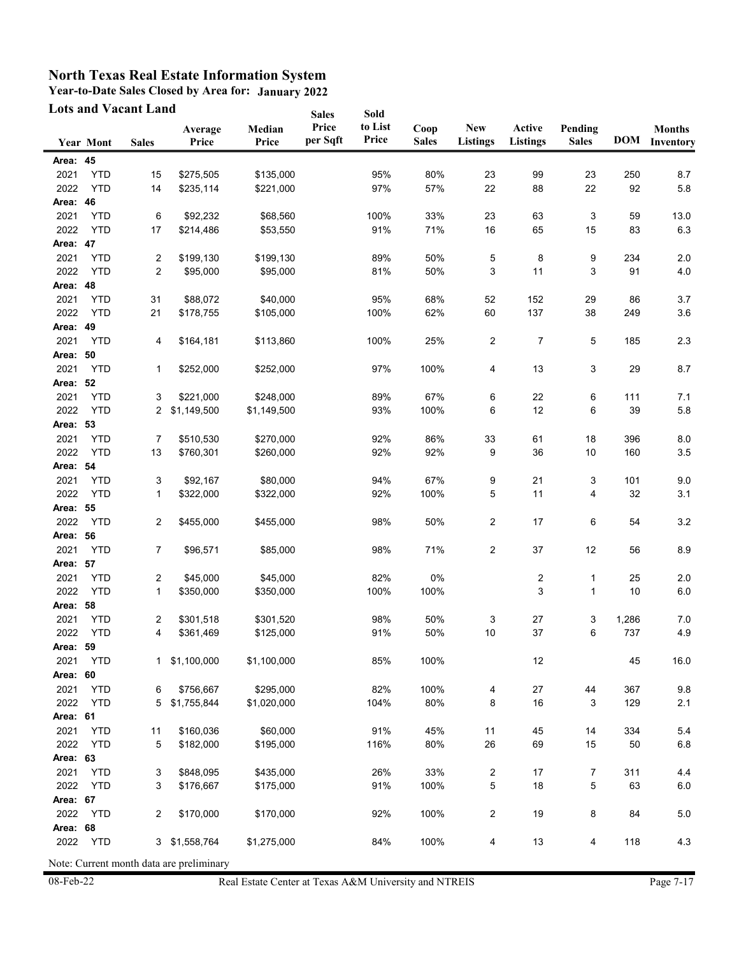**Year-to-Date Sales Closed by Area for: January 2022**

| Pending<br><b>Sales</b><br>23<br>22 | <b>DOM</b><br>250                 | <b>Months</b><br>Inventory                                           |
|-------------------------------------|-----------------------------------|----------------------------------------------------------------------|
|                                     |                                   |                                                                      |
|                                     |                                   |                                                                      |
|                                     |                                   | 8.7                                                                  |
|                                     | 92                                | 5.8                                                                  |
|                                     |                                   |                                                                      |
| 3                                   | 59                                | 13.0                                                                 |
| 15                                  | 83                                | 6.3                                                                  |
|                                     |                                   |                                                                      |
| 9                                   | 234                               | 2.0                                                                  |
| 3                                   | 91                                | 4.0                                                                  |
|                                     |                                   |                                                                      |
| 29                                  | 86                                | 3.7                                                                  |
| 38                                  | 249                               | 3.6                                                                  |
|                                     |                                   |                                                                      |
| 5                                   | 185                               | 2.3                                                                  |
|                                     |                                   |                                                                      |
| 3                                   | 29                                | 8.7                                                                  |
|                                     |                                   |                                                                      |
| 6                                   | 111                               | 7.1                                                                  |
| 6                                   | 39                                | 5.8                                                                  |
|                                     |                                   |                                                                      |
| 18                                  | 396                               | 8.0                                                                  |
| 10                                  | 160                               | 3.5                                                                  |
|                                     |                                   |                                                                      |
| 3                                   | 101                               | 9.0                                                                  |
| 4                                   | 32                                | 3.1                                                                  |
|                                     |                                   |                                                                      |
| 6                                   | 54                                | 3.2                                                                  |
|                                     |                                   |                                                                      |
| 12                                  | 56                                | 8.9                                                                  |
|                                     |                                   |                                                                      |
| 1                                   | 25                                | 2.0                                                                  |
| 1                                   |                                   | 6.0                                                                  |
|                                     |                                   |                                                                      |
| 3                                   | 1,286                             | 7.0                                                                  |
|                                     |                                   | 4.9                                                                  |
|                                     |                                   |                                                                      |
|                                     |                                   | 16.0                                                                 |
|                                     |                                   |                                                                      |
| 44                                  |                                   | 9.8                                                                  |
|                                     |                                   | 2.1                                                                  |
|                                     |                                   |                                                                      |
|                                     |                                   | 5.4                                                                  |
|                                     |                                   | $6.8\,$                                                              |
|                                     |                                   |                                                                      |
|                                     |                                   | 4.4                                                                  |
|                                     |                                   | $6.0\,$                                                              |
|                                     |                                   |                                                                      |
|                                     |                                   | $5.0\,$                                                              |
|                                     |                                   |                                                                      |
| 4                                   |                                   | 4.3                                                                  |
|                                     | 6<br>3<br>14<br>15<br>7<br>5<br>8 | 10<br>737<br>45<br>367<br>129<br>334<br>50<br>311<br>63<br>84<br>118 |

08-Feb-22 Real Estate Center at Texas A&M University and NTREIS Page 7-17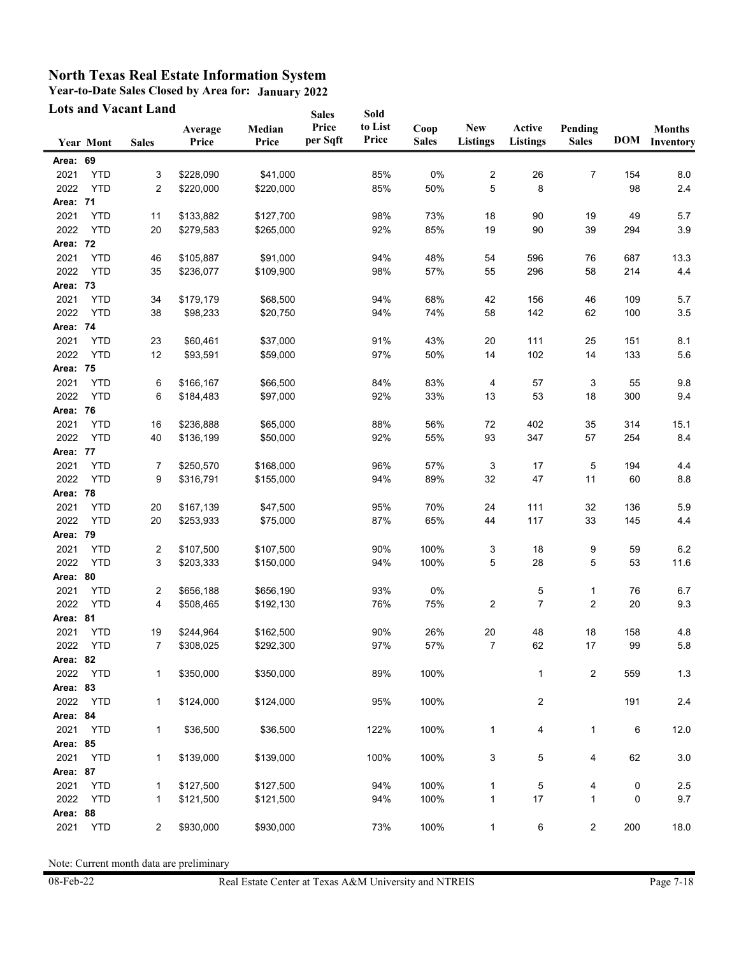**Year-to-Date Sales Closed by Area for: January 2022**

|          |                  | <b>Lots and Vacant Land</b> |                  |                 | <b>Sales</b>      | Sold             |                      |                               |                           |                         |            |                            |
|----------|------------------|-----------------------------|------------------|-----------------|-------------------|------------------|----------------------|-------------------------------|---------------------------|-------------------------|------------|----------------------------|
|          | <b>Year Mont</b> | <b>Sales</b>                | Average<br>Price | Median<br>Price | Price<br>per Sqft | to List<br>Price | Coop<br><b>Sales</b> | <b>New</b><br><b>Listings</b> | Active<br><b>Listings</b> | Pending<br><b>Sales</b> | <b>DOM</b> | <b>Months</b><br>Inventory |
| Area: 69 |                  |                             |                  |                 |                   |                  |                      |                               |                           |                         |            |                            |
| 2021     | <b>YTD</b>       | 3                           | \$228,090        | \$41,000        |                   | 85%              | 0%                   | 2                             | 26                        | 7                       | 154        | 8.0                        |
| 2022     | <b>YTD</b>       | 2                           | \$220,000        | \$220,000       |                   | 85%              | 50%                  | 5                             | 8                         |                         | 98         | 2.4                        |
| Area: 71 |                  |                             |                  |                 |                   |                  |                      |                               |                           |                         |            |                            |
| 2021     | <b>YTD</b>       | 11                          | \$133,882        | \$127,700       |                   | 98%              | 73%                  | 18                            | 90                        | 19                      | 49         | 5.7                        |
| 2022     | <b>YTD</b>       | 20                          | \$279,583        | \$265,000       |                   | 92%              | 85%                  | 19                            | 90                        | 39                      | 294        | 3.9                        |
| Area: 72 |                  |                             |                  |                 |                   |                  |                      |                               |                           |                         |            |                            |
| 2021     | <b>YTD</b>       | 46                          | \$105,887        | \$91,000        |                   | 94%              | 48%                  | 54                            | 596                       | 76                      | 687        | 13.3                       |
| 2022     | <b>YTD</b>       | 35                          | \$236,077        | \$109,900       |                   | 98%              | 57%                  | 55                            | 296                       | 58                      | 214        | 4.4                        |
| Area: 73 |                  |                             |                  |                 |                   |                  |                      |                               |                           |                         |            |                            |
| 2021     | <b>YTD</b>       | 34                          | \$179,179        | \$68,500        |                   | 94%              | 68%                  | 42                            | 156                       | 46                      | 109        | 5.7                        |
| 2022     | <b>YTD</b>       | 38                          | \$98,233         | \$20,750        |                   | 94%              | 74%                  | 58                            | 142                       | 62                      | 100        | $3.5\,$                    |
| Area: 74 |                  |                             |                  |                 |                   |                  |                      |                               |                           |                         |            |                            |
| 2021     | <b>YTD</b>       | 23                          | \$60,461         | \$37,000        |                   | 91%              | 43%                  | 20                            | 111                       | 25                      | 151        | 8.1                        |
| 2022     | <b>YTD</b>       | 12                          | \$93,591         | \$59,000        |                   | 97%              | 50%                  | 14                            | 102                       | 14                      | 133        | 5.6                        |
| Area: 75 |                  |                             |                  |                 |                   |                  |                      |                               |                           |                         |            |                            |
| 2021     | <b>YTD</b>       | 6                           | \$166,167        | \$66,500        |                   | 84%              | 83%                  | 4                             | 57                        | 3                       | 55         | 9.8                        |
| 2022     | <b>YTD</b>       | 6                           | \$184,483        | \$97,000        |                   | 92%              | 33%                  | 13                            | 53                        | 18                      | 300        | 9.4                        |
| Area: 76 |                  |                             |                  |                 |                   |                  |                      |                               |                           |                         |            |                            |
| 2021     | <b>YTD</b>       | 16                          | \$236,888        | \$65,000        |                   | 88%              | 56%                  | 72                            | 402                       | 35                      | 314        | 15.1                       |
| 2022     | <b>YTD</b>       | 40                          | \$136,199        | \$50,000        |                   | 92%              | 55%                  | 93                            | 347                       | 57                      | 254        | 8.4                        |
| Area: 77 |                  |                             |                  |                 |                   |                  |                      |                               |                           |                         |            |                            |
| 2021     | <b>YTD</b>       | 7                           | \$250,570        | \$168,000       |                   | 96%              | 57%                  | 3                             | 17                        | 5                       | 194        | 4.4                        |
| 2022     | <b>YTD</b>       | 9                           | \$316,791        | \$155,000       |                   | 94%              | 89%                  | 32                            | 47                        | 11                      | 60         | $8.8\,$                    |
| Area: 78 |                  |                             |                  |                 |                   |                  |                      |                               |                           |                         |            |                            |
| 2021     | <b>YTD</b>       | 20                          | \$167,139        | \$47,500        |                   | 95%              | 70%                  | 24                            | 111                       | 32                      | 136        | 5.9                        |
| 2022     | <b>YTD</b>       | 20                          | \$253,933        | \$75,000        |                   | 87%              | 65%                  | 44                            | 117                       | 33                      | 145        | 4.4                        |
| Area: 79 |                  |                             |                  |                 |                   |                  |                      |                               |                           |                         |            |                            |
| 2021     | <b>YTD</b>       | 2                           | \$107,500        | \$107,500       |                   | 90%              | 100%                 | 3                             | 18                        | 9                       | 59         | 6.2                        |
| 2022     | <b>YTD</b>       | 3                           | \$203,333        | \$150,000       |                   | 94%              | 100%                 | 5                             | 28                        | 5                       | 53         | 11.6                       |
| Area: 80 |                  |                             |                  |                 |                   |                  |                      |                               |                           |                         |            |                            |
| 2021     | <b>YTD</b>       | 2                           | \$656,188        | \$656,190       |                   | 93%              | 0%                   |                               | 5                         | 1                       | 76         | 6.7                        |
| 2022     | <b>YTD</b>       | 4                           | \$508,465        | \$192,130       |                   | 76%              | 75%                  | $\overline{2}$                | $\overline{7}$            | $\overline{2}$          | 20         | 9.3                        |
| Area: 81 |                  |                             |                  |                 |                   |                  |                      |                               |                           |                         |            |                            |
| 2021     | <b>YTD</b>       | 19                          | \$244,964        | \$162,500       |                   | 90%              | 26%                  | 20                            | 48                        | 18                      | 158        | 4.8                        |
|          | 2022 YTD         | 7                           | \$308,025        | \$292,300       |                   | 97%              | 57%                  | $\overline{7}$                | 62                        | 17                      | 99         | 5.8                        |
| Area: 82 |                  |                             |                  |                 |                   |                  |                      |                               |                           |                         |            |                            |
| 2022     | <b>YTD</b>       | 1                           | \$350,000        | \$350,000       |                   | 89%              | 100%                 |                               | 1                         | $\overline{\mathbf{c}}$ | 559        | $1.3$                      |
| Area: 83 |                  |                             |                  |                 |                   |                  |                      |                               |                           |                         |            |                            |
| 2022     | <b>YTD</b>       | 1                           | \$124,000        | \$124,000       |                   | 95%              | 100%                 |                               | 2                         |                         | 191        | 2.4                        |
| Area: 84 |                  |                             |                  |                 |                   |                  |                      |                               |                           |                         |            |                            |
| 2021     | <b>YTD</b>       | 1                           |                  | \$36,500        |                   | 122%             | 100%                 | $\mathbf 1$                   | 4                         | $\mathbf{1}$            |            |                            |
| Area: 85 |                  |                             | \$36,500         |                 |                   |                  |                      |                               |                           |                         | 6          | 12.0                       |
|          |                  |                             |                  |                 |                   |                  |                      |                               |                           |                         |            |                            |
| 2021     | <b>YTD</b>       | 1                           | \$139,000        | \$139,000       |                   | 100%             | 100%                 | 3                             | 5                         | 4                       | 62         | 3.0                        |
| Area: 87 |                  |                             |                  |                 |                   |                  |                      |                               |                           |                         |            |                            |
| 2021     | <b>YTD</b>       | 1                           | \$127,500        | \$127,500       |                   | 94%              | 100%                 | $\mathbf{1}$                  | 5                         | 4                       | 0          | 2.5                        |
| 2022     | <b>YTD</b>       | 1                           | \$121,500        | \$121,500       |                   | 94%              | 100%                 | 1                             | 17                        | $\mathbf{1}$            | 0          | 9.7                        |
| Area: 88 |                  |                             |                  |                 |                   |                  |                      |                               |                           |                         |            |                            |
| 2021     | <b>YTD</b>       | 2                           | \$930,000        | \$930,000       |                   | 73%              | 100%                 | $\mathbf 1$                   | 6                         | 2                       | 200        | 18.0                       |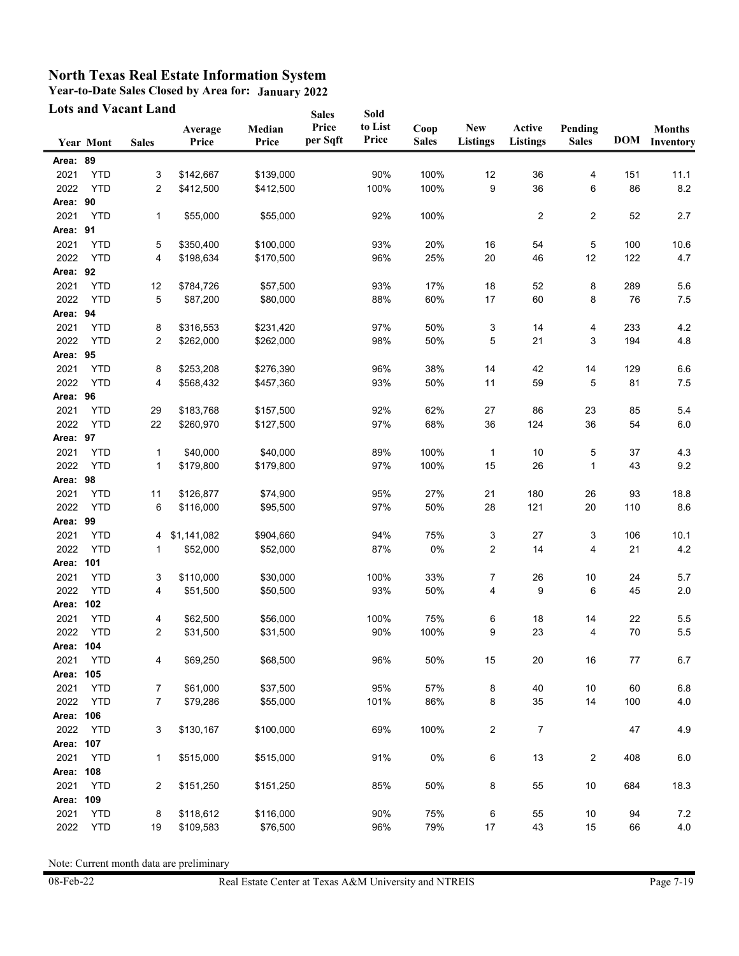**Year-to-Date Sales Closed by Area for: January 2022**

| <b>Lots and Vacant Land</b> |                  |              |                  | <b>Sales</b>    | Sold              |                  |                      |                               |                           |                         |            |                            |
|-----------------------------|------------------|--------------|------------------|-----------------|-------------------|------------------|----------------------|-------------------------------|---------------------------|-------------------------|------------|----------------------------|
|                             | <b>Year Mont</b> | <b>Sales</b> | Average<br>Price | Median<br>Price | Price<br>per Sqft | to List<br>Price | Coop<br><b>Sales</b> | <b>New</b><br><b>Listings</b> | Active<br><b>Listings</b> | Pending<br><b>Sales</b> | <b>DOM</b> | <b>Months</b><br>Inventory |
| Area: 89                    |                  |              |                  |                 |                   |                  |                      |                               |                           |                         |            |                            |
| 2021                        | <b>YTD</b>       | 3            | \$142,667        | \$139,000       |                   | 90%              | 100%                 | 12                            | 36                        | 4                       | 151        | 11.1                       |
| 2022                        | <b>YTD</b>       | 2            | \$412,500        | \$412,500       |                   | 100%             | 100%                 | 9                             | 36                        | 6                       | 86         | 8.2                        |
| Area: 90                    |                  |              |                  |                 |                   |                  |                      |                               |                           |                         |            |                            |
| 2021                        | <b>YTD</b>       | 1            | \$55,000         | \$55,000        |                   | 92%              | 100%                 |                               | 2                         | 2                       | 52         | 2.7                        |
| Area: 91                    |                  |              |                  |                 |                   |                  |                      |                               |                           |                         |            |                            |
| 2021                        | <b>YTD</b>       | 5            | \$350,400        | \$100,000       |                   | 93%              | 20%                  | 16                            | 54                        | 5                       | 100        | 10.6                       |
| 2022                        | <b>YTD</b>       | 4            | \$198,634        | \$170,500       |                   | 96%              | 25%                  | 20                            | 46                        | 12                      | 122        | 4.7                        |
| Area: 92                    |                  |              |                  |                 |                   |                  |                      |                               |                           |                         |            |                            |
| 2021                        | <b>YTD</b>       | 12           | \$784,726        | \$57,500        |                   | 93%              | 17%                  | 18                            | 52                        | 8                       | 289        | 5.6                        |
| 2022                        | <b>YTD</b>       | 5            | \$87,200         | \$80,000        |                   | 88%              | 60%                  | 17                            | 60                        | 8                       | 76         | 7.5                        |
| Area: 94                    |                  |              |                  |                 |                   |                  |                      |                               |                           |                         |            |                            |
| 2021                        | <b>YTD</b>       | 8            | \$316,553        | \$231,420       |                   | 97%              | 50%                  | 3                             | 14                        | 4                       | 233        | $4.2\,$                    |
| 2022                        | <b>YTD</b>       | 2            | \$262,000        | \$262,000       |                   | 98%              | 50%                  | 5                             | 21                        | 3                       | 194        | 4.8                        |
| Area: 95                    |                  |              |                  |                 |                   |                  |                      |                               |                           |                         |            |                            |
| 2021                        | <b>YTD</b>       | 8            | \$253,208        | \$276,390       |                   | 96%              | 38%                  | 14                            | 42                        | 14                      | 129        | 6.6                        |
| 2022                        | <b>YTD</b>       | 4            | \$568,432        | \$457,360       |                   | 93%              | 50%                  | 11                            | 59                        | 5                       | 81         | 7.5                        |
| Area: 96                    |                  |              |                  |                 |                   |                  |                      |                               |                           |                         |            |                            |
| 2021                        | <b>YTD</b>       | 29           | \$183,768        | \$157,500       |                   | 92%              | 62%                  | 27                            | 86                        | 23                      | 85         | 5.4                        |
| 2022                        | <b>YTD</b>       | 22           | \$260,970        | \$127,500       |                   | 97%              | 68%                  | 36                            | 124                       | 36                      | 54         | 6.0                        |
| Area: 97                    |                  |              |                  |                 |                   |                  |                      |                               |                           |                         |            |                            |
| 2021                        | <b>YTD</b>       | $\mathbf{1}$ | \$40,000         | \$40,000        |                   | 89%              | 100%                 | $\mathbf{1}$                  | 10                        | 5                       | 37         | 4.3                        |
| 2022                        | <b>YTD</b>       | 1            | \$179,800        | \$179,800       |                   | 97%              | 100%                 | 15                            | 26                        | $\mathbf 1$             | 43         | 9.2                        |
| Area: 98                    |                  |              |                  |                 |                   |                  |                      |                               |                           |                         |            |                            |
| 2021                        | <b>YTD</b>       | 11           | \$126,877        | \$74,900        |                   | 95%              | 27%                  | 21                            | 180                       | 26                      | 93         | 18.8                       |
| 2022                        | <b>YTD</b>       | 6            | \$116,000        | \$95,500        |                   | 97%              | 50%                  | 28                            | 121                       | 20                      | 110        | 8.6                        |
| Area: 99                    |                  |              |                  |                 |                   |                  |                      |                               |                           |                         |            |                            |
| 2021                        | <b>YTD</b>       | 4            | \$1,141,082      | \$904,660       |                   | 94%              | 75%                  | 3                             | 27                        | 3                       | 106        | 10.1                       |
| 2022                        | <b>YTD</b>       | 1            | \$52,000         | \$52,000        |                   | 87%              | 0%                   | $\boldsymbol{2}$              | 14                        | 4                       | 21         | 4.2                        |
| Area:                       | 101              |              |                  |                 |                   |                  |                      |                               |                           |                         |            |                            |
| 2021                        | <b>YTD</b>       | 3            | \$110,000        | \$30,000        |                   | 100%             | 33%                  | 7                             | 26                        | 10                      | 24         | 5.7                        |
| 2022                        | <b>YTD</b>       | 4            | \$51,500         | \$50,500        |                   | 93%              | 50%                  | 4                             | 9                         | 6                       | 45         | 2.0                        |
| Area:                       | 102              |              |                  |                 |                   |                  |                      |                               |                           |                         |            |                            |
| 2021                        | <b>YTD</b>       | 4            | \$62,500         | \$56,000        |                   | 100%             | 75%                  | 6                             | 18                        | 14                      | 22         | 5.5                        |
| 2022                        | <b>YTD</b>       | 2            | \$31,500         | \$31,500        |                   | 90%              | 100%                 | 9                             | 23                        | 4                       | 70         | 5.5                        |
| Area: 104                   |                  |              |                  |                 |                   |                  |                      |                               |                           |                         |            |                            |
| 2021                        | <b>YTD</b>       | 4            | \$69,250         | \$68,500        |                   | 96%              | 50%                  | 15                            | 20                        | 16                      | 77         | 6.7                        |
| Area: 105                   |                  |              |                  |                 |                   |                  |                      |                               |                           |                         |            |                            |
| 2021                        | <b>YTD</b>       | 7            | \$61,000         | \$37,500        |                   | 95%              | 57%                  | 8                             | 40                        | $10$                    | 60         | 6.8                        |
| 2022                        | <b>YTD</b>       | 7            | \$79,286         | \$55,000        |                   | 101%             | 86%                  | 8                             | 35                        | 14                      | 100        | 4.0                        |
| Area: 106                   |                  |              |                  |                 |                   |                  |                      |                               |                           |                         |            |                            |
| 2022                        | <b>YTD</b>       | 3            | \$130,167        | \$100,000       |                   | 69%              | 100%                 | 2                             | 7                         |                         | 47         | 4.9                        |
| Area: 107                   |                  |              |                  |                 |                   |                  |                      |                               |                           |                         |            |                            |
| 2021                        | <b>YTD</b>       | 1            | \$515,000        | \$515,000       |                   | 91%              | $0\%$                | 6                             | 13                        | 2                       | 408        | 6.0                        |
| Area: 108                   |                  |              |                  |                 |                   |                  |                      |                               |                           |                         |            |                            |
|                             |                  |              |                  |                 |                   |                  |                      |                               |                           |                         |            |                            |
| 2021                        | <b>YTD</b>       | 2            | \$151,250        | \$151,250       |                   | 85%              | 50%                  | 8                             | 55                        | 10                      | 684        | 18.3                       |
| Area:                       | 109              |              |                  |                 |                   |                  |                      |                               |                           |                         |            |                            |
| 2021                        | <b>YTD</b>       | 8            | \$118,612        | \$116,000       |                   | 90%              | 75%                  | 6                             | 55                        | 10                      | 94         | $7.2\,$                    |
| 2022                        | <b>YTD</b>       | 19           | \$109,583        | \$76,500        |                   | 96%              | 79%                  | 17                            | 43                        | 15                      | 66         | $4.0\,$                    |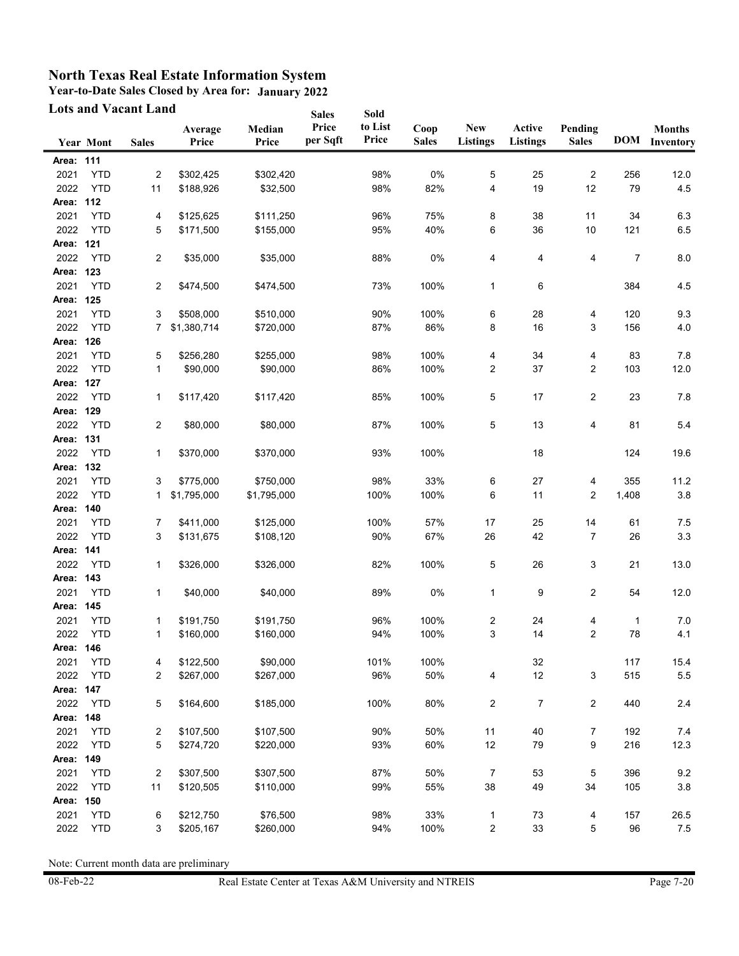**Year-to-Date Sales Closed by Area for: January 2022**

|                   | <b>Lots and Vacant Land</b> |                |                  | <b>Sales</b>    | Sold              |                  |                      |                               |                           |                         |           |                                |
|-------------------|-----------------------------|----------------|------------------|-----------------|-------------------|------------------|----------------------|-------------------------------|---------------------------|-------------------------|-----------|--------------------------------|
|                   | <b>Year Mont</b>            | <b>Sales</b>   | Average<br>Price | Median<br>Price | Price<br>per Sqft | to List<br>Price | Coop<br><b>Sales</b> | <b>New</b><br><b>Listings</b> | Active<br><b>Listings</b> | Pending<br><b>Sales</b> |           | <b>Months</b><br>DOM Inventory |
| Area: 111         |                             |                |                  |                 |                   |                  |                      |                               |                           |                         |           |                                |
|                   |                             |                |                  | \$302,420       |                   |                  |                      |                               |                           |                         |           |                                |
| 2021              | <b>YTD</b>                  | $\overline{c}$ | \$302,425        |                 |                   | 98%              | 0%                   | 5<br>4                        | 25<br>19                  | 2<br>12                 | 256<br>79 | 12.0                           |
| 2022<br>Area: 112 | <b>YTD</b>                  | 11             | \$188,926        | \$32,500        |                   | 98%              | 82%                  |                               |                           |                         |           | 4.5                            |
|                   |                             |                |                  |                 |                   |                  |                      |                               |                           |                         |           |                                |
| 2021              | <b>YTD</b><br><b>YTD</b>    | 4              | \$125,625        | \$111,250       |                   | 96%              | 75%                  | 8<br>6                        | 38                        | 11                      | 34        | 6.3                            |
| 2022<br>Area: 121 |                             | 5              | \$171,500        | \$155,000       |                   | 95%              | 40%                  |                               | 36                        | 10                      | 121       | 6.5                            |
|                   |                             |                |                  |                 |                   |                  |                      |                               |                           |                         |           |                                |
| 2022              | <b>YTD</b>                  | 2              | \$35,000         | \$35,000        |                   | 88%              | 0%                   | 4                             | 4                         | 4                       | 7         | 8.0                            |
| Area: 123         |                             |                |                  |                 |                   |                  |                      |                               |                           |                         |           |                                |
| 2021              | <b>YTD</b>                  | 2              | \$474,500        | \$474,500       |                   | 73%              | 100%                 | $\mathbf{1}$                  | 6                         |                         | 384       | 4.5                            |
| Area: 125         |                             |                |                  |                 |                   |                  |                      |                               |                           |                         |           |                                |
| 2021              | <b>YTD</b>                  | 3              | \$508,000        | \$510,000       |                   | 90%              | 100%                 | 6                             | 28                        | 4                       | 120       | 9.3                            |
| 2022              | <b>YTD</b>                  | 7              | \$1,380,714      | \$720,000       |                   | 87%              | 86%                  | 8                             | 16                        | 3                       | 156       | 4.0                            |
| Area: 126         |                             |                |                  |                 |                   |                  |                      |                               |                           |                         |           |                                |
| 2021              | <b>YTD</b>                  | 5              | \$256,280        | \$255,000       |                   | 98%              | 100%                 | 4                             | 34                        | 4                       | 83        | 7.8                            |
| 2022              | <b>YTD</b>                  | $\mathbf{1}$   | \$90,000         | \$90,000        |                   | 86%              | 100%                 | $\overline{c}$                | 37                        | 2                       | 103       | 12.0                           |
| Area: 127         |                             |                |                  |                 |                   |                  |                      |                               |                           |                         |           |                                |
| 2022              | <b>YTD</b>                  | 1              | \$117,420        | \$117,420       |                   | 85%              | 100%                 | 5                             | 17                        | 2                       | 23        | 7.8                            |
| Area: 129         |                             |                |                  |                 |                   |                  |                      |                               |                           |                         |           |                                |
| 2022              | <b>YTD</b>                  | 2              | \$80,000         | \$80,000        |                   | 87%              | 100%                 | 5                             | 13                        | 4                       | 81        | 5.4                            |
| Area: 131         |                             |                |                  |                 |                   |                  |                      |                               |                           |                         |           |                                |
| 2022              | <b>YTD</b>                  | 1              | \$370,000        | \$370,000       |                   | 93%              | 100%                 |                               | 18                        |                         | 124       | 19.6                           |
| Area: 132         |                             |                |                  |                 |                   |                  |                      |                               |                           |                         |           |                                |
| 2021              | <b>YTD</b>                  | 3              | \$775,000        | \$750,000       |                   | 98%              | 33%                  | 6                             | 27                        | 4                       | 355       | 11.2                           |
| 2022              | <b>YTD</b>                  | 1              | \$1,795,000      | \$1,795,000     |                   | 100%             | 100%                 | 6                             | 11                        | 2                       | 1,408     | 3.8                            |
| Area: 140         |                             |                |                  |                 |                   |                  |                      |                               |                           |                         |           |                                |
| 2021              | <b>YTD</b>                  | 7              | \$411,000        | \$125,000       |                   | 100%             | 57%                  | 17                            | 25                        | 14                      | 61        | 7.5                            |
| 2022              | <b>YTD</b>                  | 3              | \$131,675        | \$108,120       |                   | 90%              | 67%                  | 26                            | 42                        | $\overline{7}$          | 26        | 3.3                            |
| Area: 141         |                             |                |                  |                 |                   |                  |                      |                               |                           |                         |           |                                |
| 2022              | <b>YTD</b>                  | 1              | \$326,000        | \$326,000       |                   | 82%              | 100%                 | 5                             | 26                        | 3                       | 21        | 13.0                           |
| Area: 143         |                             |                |                  |                 |                   |                  |                      |                               |                           |                         |           |                                |
| 2021              | <b>YTD</b>                  | 1              | \$40,000         | \$40,000        |                   | 89%              | 0%                   | $\mathbf 1$                   | 9                         | 2                       | 54        | 12.0                           |
| Area: 145         |                             |                |                  |                 |                   |                  |                      |                               |                           |                         |           |                                |
| 2021              | <b>YTD</b>                  | 1              | \$191,750        | \$191,750       |                   | 96%              | 100%                 | $\overline{\mathbf{c}}$       | 24                        | 4                       | 1         | 7.0                            |
| 2022              | <b>YTD</b>                  | 1              | \$160,000        | \$160,000       |                   | 94%              | 100%                 | 3                             | 14                        | 2                       | 78        | 4.1                            |
| Area: 146         |                             |                |                  |                 |                   |                  |                      |                               |                           |                         |           |                                |
| 2021              | <b>YTD</b>                  | 4              | \$122,500        | \$90,000        |                   | 101%             | 100%                 |                               | 32                        |                         | 117       | 15.4                           |
| 2022              | <b>YTD</b>                  | 2              | \$267,000        | \$267,000       |                   | 96%              | 50%                  | 4                             | 12                        | 3                       | 515       | 5.5                            |
| Area:             | 147                         |                |                  |                 |                   |                  |                      |                               |                           |                         |           |                                |
| 2022              | <b>YTD</b>                  | 5              | \$164,600        | \$185,000       |                   | 100%             | 80%                  | $\overline{c}$                | 7                         | $\overline{2}$          | 440       | 2.4                            |
| Area:             | 148                         |                |                  |                 |                   |                  |                      |                               |                           |                         |           |                                |
| 2021              | <b>YTD</b>                  | 2              | \$107,500        | \$107,500       |                   | 90%              | 50%                  | 11                            | 40                        | 7                       | 192       | 7.4                            |
| 2022              | <b>YTD</b>                  | 5              | \$274,720        | \$220,000       |                   | 93%              | 60%                  | 12                            | 79                        | 9                       | 216       | 12.3                           |
| Area: 149         |                             |                |                  |                 |                   |                  |                      |                               |                           |                         |           |                                |
| 2021              | <b>YTD</b>                  | 2              | \$307,500        | \$307,500       |                   | 87%              | 50%                  | 7                             | 53                        | 5                       | 396       | 9.2                            |
| 2022              | <b>YTD</b>                  | 11             | \$120,505        | \$110,000       |                   | 99%              | 55%                  | 38                            | 49                        | 34                      | 105       | $3.8\,$                        |
| Area:             | 150                         |                |                  |                 |                   |                  |                      |                               |                           |                         |           |                                |
| 2021              | <b>YTD</b>                  | 6              | \$212,750        | \$76,500        |                   | 98%              | 33%                  | 1                             | 73                        | 4                       | 157       | 26.5                           |
| 2022              | <b>YTD</b>                  | 3              | \$205,167        | \$260,000       |                   | 94%              | 100%                 | $\overline{\mathbf{c}}$       | 33                        | 5                       | 96        | 7.5                            |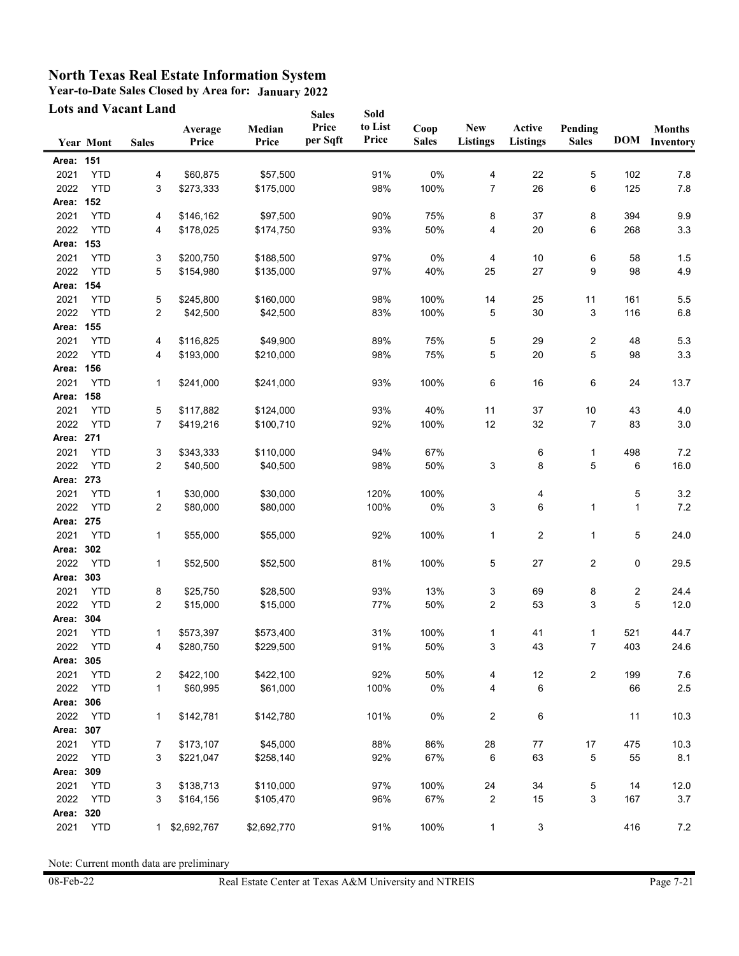**Year-to-Date Sales Closed by Area for: January 2022**

|           | <b>Lots and Vacant Land</b> |              |                  |                 | <b>Sales</b>      | Sold             |                      |                               |                           |                         |     |                                |
|-----------|-----------------------------|--------------|------------------|-----------------|-------------------|------------------|----------------------|-------------------------------|---------------------------|-------------------------|-----|--------------------------------|
|           | <b>Year Mont</b>            | <b>Sales</b> | Average<br>Price | Median<br>Price | Price<br>per Sqft | to List<br>Price | Coop<br><b>Sales</b> | <b>New</b><br><b>Listings</b> | Active<br><b>Listings</b> | Pending<br><b>Sales</b> |     | <b>Months</b><br>DOM Inventory |
|           |                             |              |                  |                 |                   |                  |                      |                               |                           |                         |     |                                |
| Area: 151 |                             |              |                  |                 |                   |                  |                      |                               |                           |                         |     |                                |
| 2021      | <b>YTD</b>                  | 4            | \$60,875         | \$57,500        |                   | 91%              | 0%                   | 4                             | 22                        | 5                       | 102 | 7.8                            |
| 2022      | <b>YTD</b>                  | 3            | \$273,333        | \$175,000       |                   | 98%              | 100%                 | $\overline{7}$                | 26                        | 6                       | 125 | 7.8                            |
| Area: 152 |                             |              |                  |                 |                   |                  |                      |                               |                           |                         |     |                                |
| 2021      | <b>YTD</b>                  | 4            | \$146,162        | \$97,500        |                   | 90%              | 75%                  | 8                             | 37                        | 8                       | 394 | 9.9                            |
| 2022      | <b>YTD</b>                  | 4            | \$178,025        | \$174,750       |                   | 93%              | 50%                  | 4                             | 20                        | 6                       | 268 | 3.3                            |
| Area: 153 |                             |              |                  |                 |                   |                  |                      |                               |                           |                         |     |                                |
| 2021      | <b>YTD</b>                  | 3            | \$200,750        | \$188,500       |                   | 97%              | 0%                   | 4                             | 10                        | 6                       | 58  | 1.5                            |
| 2022      | <b>YTD</b>                  | 5            | \$154,980        | \$135,000       |                   | 97%              | 40%                  | 25                            | 27                        | 9                       | 98  | 4.9                            |
| Area: 154 |                             |              |                  |                 |                   |                  |                      |                               |                           |                         |     |                                |
| 2021      | <b>YTD</b>                  | 5            | \$245,800        | \$160,000       |                   | 98%              | 100%                 | 14                            | 25                        | 11                      | 161 | 5.5                            |
| 2022      | <b>YTD</b>                  | 2            | \$42,500         | \$42,500        |                   | 83%              | 100%                 | 5                             | 30                        | 3                       | 116 | 6.8                            |
| Area: 155 |                             |              |                  |                 |                   |                  |                      |                               |                           |                         |     |                                |
| 2021      | <b>YTD</b>                  | 4            | \$116,825        | \$49,900        |                   | 89%              | 75%                  | 5                             | 29                        | 2                       | 48  | 5.3                            |
| 2022      | <b>YTD</b>                  | 4            | \$193,000        | \$210,000       |                   | 98%              | 75%                  | 5                             | 20                        | 5                       | 98  | 3.3                            |
| Area: 156 |                             |              |                  |                 |                   |                  |                      |                               |                           |                         |     |                                |
| 2021      | <b>YTD</b>                  | 1            | \$241,000        | \$241,000       |                   | 93%              | 100%                 | 6                             | 16                        | 6                       | 24  | 13.7                           |
| Area: 158 |                             |              |                  |                 |                   |                  |                      |                               |                           |                         |     |                                |
| 2021      | <b>YTD</b>                  | 5            | \$117,882        | \$124,000       |                   | 93%              | 40%                  | 11                            | 37                        | 10                      | 43  | 4.0                            |
| 2022      | <b>YTD</b>                  | 7            | \$419,216        | \$100,710       |                   | 92%              | 100%                 | 12                            | 32                        | 7                       | 83  | $3.0\,$                        |
| Area: 271 |                             |              |                  |                 |                   |                  |                      |                               |                           |                         |     |                                |
| 2021      | <b>YTD</b>                  | 3            | \$343,333        | \$110,000       |                   | 94%              | 67%                  |                               | 6                         | 1                       | 498 | 7.2                            |
| 2022      | <b>YTD</b>                  | 2            | \$40,500         | \$40,500        |                   | 98%              | 50%                  | 3                             | 8                         | 5                       | 6   | 16.0                           |
| Area: 273 |                             |              |                  |                 |                   |                  |                      |                               |                           |                         |     |                                |
| 2021      | <b>YTD</b>                  | 1            | \$30,000         | \$30,000        |                   | 120%             | 100%                 |                               | 4                         |                         | 5   | $3.2\,$                        |
| 2022      | <b>YTD</b>                  | 2            | \$80,000         | \$80,000        |                   | 100%             | 0%                   | 3                             | 6                         | 1                       | 1   | $7.2\,$                        |
| Area: 275 |                             |              |                  |                 |                   |                  |                      |                               |                           |                         |     |                                |
| 2021      | <b>YTD</b>                  | 1            | \$55,000         | \$55,000        |                   | 92%              | 100%                 | $\mathbf 1$                   | 2                         | 1                       | 5   | 24.0                           |
| Area: 302 |                             |              |                  |                 |                   |                  |                      |                               |                           |                         |     |                                |
| 2022      | <b>YTD</b>                  | 1            | \$52,500         | \$52,500        |                   | 81%              | 100%                 | 5                             | 27                        | 2                       | 0   | 29.5                           |
| Area: 303 |                             |              |                  |                 |                   |                  |                      |                               |                           |                         |     |                                |
| 2021      | <b>YTD</b>                  | 8            | \$25,750         | \$28,500        |                   | 93%              | 13%                  | 3                             | 69                        | 8                       | 2   | 24.4                           |
| 2022      | <b>YTD</b>                  | 2            | \$15,000         | \$15,000        |                   | 77%              | 50%                  | $\overline{2}$                | 53                        | 3                       | 5   | 12.0                           |
| Area:     | 304                         |              |                  |                 |                   |                  |                      |                               |                           |                         |     |                                |
| 2021      | <b>YTD</b>                  | 1            | \$573,397        | \$573,400       |                   | 31%              | 100%                 | $\mathbf 1$                   | 41                        | $\mathbf{1}$            | 521 | 44.7                           |
| 2022      | YTD                         | 4            | \$280,750        | \$229,500       |                   | 91%              | 50%                  | 3                             | 43                        | $\overline{7}$          | 403 | 24.6                           |
| Area: 305 |                             |              |                  |                 |                   |                  |                      |                               |                           |                         |     |                                |
| 2021      | <b>YTD</b>                  | 2            | \$422,100        | \$422,100       |                   | 92%              | 50%                  | 4                             | 12                        | 2                       | 199 | 7.6                            |
| 2022      | <b>YTD</b>                  | 1            | \$60,995         | \$61,000        |                   | 100%             | 0%                   | 4                             | 6                         |                         | 66  | $2.5\,$                        |
| Area: 306 |                             |              |                  |                 |                   |                  |                      |                               |                           |                         |     |                                |
| 2022      | <b>YTD</b>                  | 1            | \$142,781        | \$142,780       |                   | 101%             | 0%                   | $\overline{\mathbf{c}}$       | 6                         |                         | 11  | 10.3                           |
| Area: 307 |                             |              |                  |                 |                   |                  |                      |                               |                           |                         |     |                                |
| 2021      | <b>YTD</b>                  | 7            | \$173,107        | \$45,000        |                   | 88%              | 86%                  | 28                            | 77                        | 17                      | 475 | 10.3                           |
| 2022      | <b>YTD</b>                  | 3            | \$221,047        | \$258,140       |                   | 92%              | 67%                  | 6                             | 63                        | 5                       | 55  | 8.1                            |
| Area: 309 |                             |              |                  |                 |                   |                  |                      |                               |                           |                         |     |                                |
| 2021      | <b>YTD</b>                  | 3            | \$138,713        | \$110,000       |                   | 97%              | 100%                 | 24                            | 34                        | 5                       | 14  | 12.0                           |
| 2022      | <b>YTD</b>                  | 3            | \$164,156        | \$105,470       |                   | 96%              | 67%                  | $\overline{2}$                | 15                        | 3                       | 167 | 3.7                            |
| Area: 320 |                             |              |                  |                 |                   |                  |                      |                               |                           |                         |     |                                |
| 2021      | <b>YTD</b>                  |              | 1 \$2,692,767    | \$2,692,770     |                   | 91%              | 100%                 | $\mathbf{1}$                  | 3                         |                         | 416 | 7.2                            |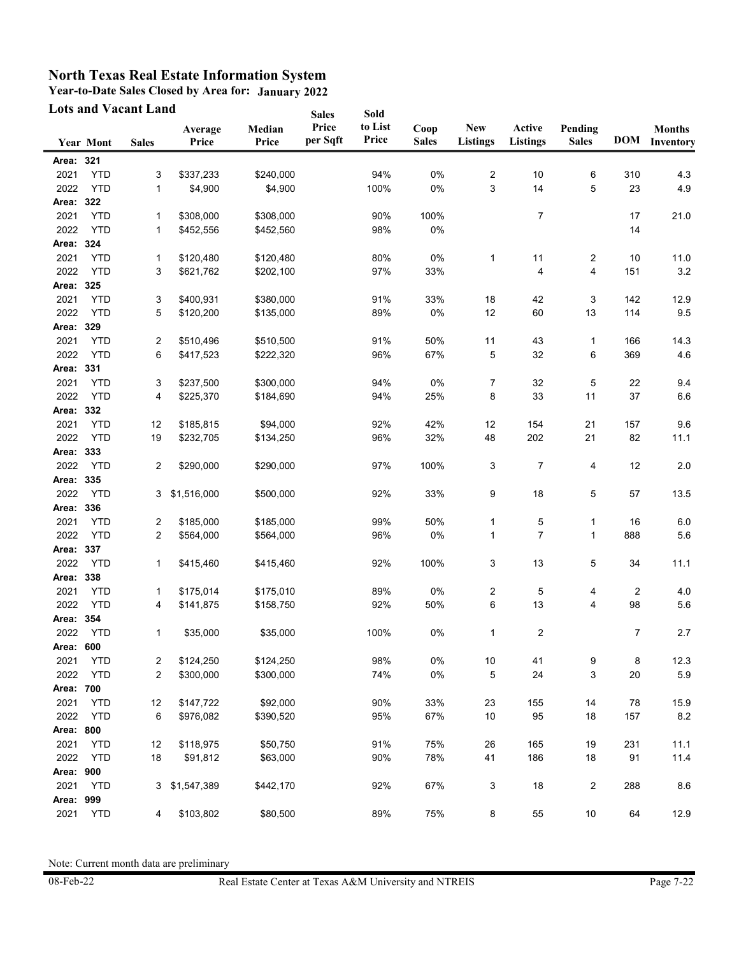**Year-to-Date Sales Closed by Area for: January 2022 Lots and Vacant Land**

|              |                          | Lots and Vacant Land |                  |                 | <b>Sales</b>      | Sold             |                      |                               |                           |                         |            |                            |
|--------------|--------------------------|----------------------|------------------|-----------------|-------------------|------------------|----------------------|-------------------------------|---------------------------|-------------------------|------------|----------------------------|
|              | Year Mont                | <b>Sales</b>         | Average<br>Price | Median<br>Price | Price<br>per Sqft | to List<br>Price | Coop<br><b>Sales</b> | <b>New</b><br><b>Listings</b> | Active<br><b>Listings</b> | Pending<br><b>Sales</b> | <b>DOM</b> | <b>Months</b><br>Inventory |
| Area: 321    |                          |                      |                  |                 |                   |                  |                      |                               |                           |                         |            |                            |
| 2021         | <b>YTD</b>               | 3                    | \$337,233        | \$240,000       |                   | 94%              | 0%                   | $\overline{\mathbf{c}}$       | 10                        | 6                       | 310        | 4.3                        |
| 2022         | <b>YTD</b>               | 1                    | \$4,900          | \$4,900         |                   | 100%             | 0%                   | 3                             | 14                        | 5                       | 23         | 4.9                        |
| Area: 322    |                          |                      |                  |                 |                   |                  |                      |                               |                           |                         |            |                            |
|              |                          |                      |                  |                 |                   |                  |                      |                               |                           |                         |            |                            |
| 2021<br>2022 | <b>YTD</b><br><b>YTD</b> | 1                    | \$308,000        | \$308,000       |                   | 90%              | 100%<br>$0\%$        |                               | 7                         |                         | 17         | 21.0                       |
|              |                          | 1                    | \$452,556        | \$452,560       |                   | 98%              |                      |                               |                           |                         | 14         |                            |
| Area: 324    |                          |                      |                  |                 |                   |                  |                      |                               |                           |                         |            |                            |
| 2021         | <b>YTD</b>               | 1                    | \$120,480        | \$120,480       |                   | 80%              | $0\%$                | $\mathbf 1$                   | 11                        | 2                       | 10         | 11.0                       |
| 2022         | <b>YTD</b>               | 3                    | \$621,762        | \$202,100       |                   | 97%              | 33%                  |                               | 4                         | $\overline{4}$          | 151        | 3.2                        |
| Area:        | 325                      |                      |                  |                 |                   |                  |                      |                               |                           |                         |            |                            |
| 2021         | <b>YTD</b>               | 3                    | \$400,931        | \$380,000       |                   | 91%              | 33%                  | 18                            | 42                        | 3                       | 142        | 12.9                       |
| 2022         | <b>YTD</b>               | 5                    | \$120,200        | \$135,000       |                   | 89%              | 0%                   | 12                            | 60                        | 13                      | 114        | 9.5                        |
| Area: 329    |                          |                      |                  |                 |                   |                  |                      |                               |                           |                         |            |                            |
| 2021         | <b>YTD</b>               | 2                    | \$510,496        | \$510,500       |                   | 91%              | 50%                  | 11                            | 43                        | 1                       | 166        | 14.3                       |
| 2022         | <b>YTD</b>               | 6                    | \$417,523        | \$222,320       |                   | 96%              | 67%                  | 5                             | 32                        | 6                       | 369        | 4.6                        |
| Area:        | 331                      |                      |                  |                 |                   |                  |                      |                               |                           |                         |            |                            |
| 2021         | <b>YTD</b>               | 3                    | \$237,500        | \$300,000       |                   | 94%              | 0%                   | 7                             | 32                        | 5                       | 22         | 9.4                        |
| 2022         | <b>YTD</b>               | 4                    | \$225,370        | \$184,690       |                   | 94%              | 25%                  | 8                             | 33                        | 11                      | 37         | 6.6                        |
| Area: 332    |                          |                      |                  |                 |                   |                  |                      |                               |                           |                         |            |                            |
| 2021         | <b>YTD</b>               | 12                   | \$185,815        | \$94,000        |                   | 92%              | 42%                  | 12                            | 154                       | 21                      | 157        | 9.6                        |
| 2022         | <b>YTD</b>               | 19                   | \$232,705        | \$134,250       |                   | 96%              | 32%                  | 48                            | 202                       | 21                      | 82         | 11.1                       |
| Area: 333    |                          |                      |                  |                 |                   |                  |                      |                               |                           |                         |            |                            |
| 2022         | <b>YTD</b>               | 2                    | \$290,000        | \$290,000       |                   | 97%              | 100%                 | 3                             | 7                         | 4                       | 12         | $2.0\,$                    |
| Area: 335    |                          |                      |                  |                 |                   |                  |                      |                               |                           |                         |            |                            |
| 2022         | <b>YTD</b>               | 3                    | \$1,516,000      | \$500,000       |                   | 92%              | 33%                  | 9                             | 18                        | 5                       | 57         | 13.5                       |
| Area: 336    |                          |                      |                  |                 |                   |                  |                      |                               |                           |                         |            |                            |
| 2021         | <b>YTD</b>               | 2                    | \$185,000        | \$185,000       |                   | 99%              | 50%                  | $\mathbf{1}$                  | 5                         | 1                       | 16         | $6.0\,$                    |
| 2022         | <b>YTD</b>               | 2                    | \$564,000        | \$564,000       |                   | 96%              | 0%                   | $\mathbf{1}$                  | $\overline{7}$            | $\mathbf{1}$            | 888        | 5.6                        |
| Area: 337    |                          |                      |                  |                 |                   |                  |                      |                               |                           |                         |            |                            |
| 2022         | <b>YTD</b>               | 1                    | \$415,460        | \$415,460       |                   | 92%              | 100%                 | 3                             | 13                        | 5                       | 34         | 11.1                       |
| Area: 338    |                          |                      |                  |                 |                   |                  |                      |                               |                           |                         |            |                            |
| 2021         | <b>YTD</b>               | 1                    | \$175,014        | \$175,010       |                   | 89%              | 0%                   | $\boldsymbol{2}$              | 5                         | 4                       | 2          | 4.0                        |
| 2022         | <b>YTD</b>               | 4                    | \$141,875        | \$158,750       |                   | 92%              | 50%                  | 6                             | 13                        | 4                       | 98         | 5.6                        |
| Area:        | 354                      |                      |                  |                 |                   |                  |                      |                               |                           |                         |            |                            |
| 2022         | <b>YTD</b>               | 1                    | \$35,000         | \$35,000        |                   | 100%             | 0%                   | $\mathbf 1$                   | 2                         |                         | 7          | 2.7                        |
| Area: 600    |                          |                      |                  |                 |                   |                  |                      |                               |                           |                         |            |                            |
| 2021         | <b>YTD</b>               | 2                    | \$124,250        | \$124,250       |                   | 98%              | 0%                   | 10                            | 41                        | 9                       | 8          | 12.3                       |
| 2022         | <b>YTD</b>               | 2                    | \$300,000        | \$300,000       |                   | 74%              | $0\%$                | 5                             | 24                        | 3                       | 20         | $5.9\,$                    |
| Area: 700    |                          |                      |                  |                 |                   |                  |                      |                               |                           |                         |            |                            |
| 2021         | <b>YTD</b>               | 12                   | \$147,722        | \$92,000        |                   | 90%              | 33%                  | 23                            | 155                       | 14                      | 78         | 15.9                       |
| 2022         | <b>YTD</b>               | 6                    | \$976,082        | \$390,520       |                   | 95%              | 67%                  | 10                            | 95                        | 18                      | 157        | $8.2\,$                    |
| Area: 800    |                          |                      |                  |                 |                   |                  |                      |                               |                           |                         |            |                            |
|              |                          |                      |                  |                 |                   |                  |                      |                               |                           |                         |            |                            |
| 2021         | <b>YTD</b>               | 12                   | \$118,975        | \$50,750        |                   | 91%              | 75%                  | 26                            | 165                       | 19                      | 231        | 11.1                       |
| 2022         | <b>YTD</b>               | 18                   | \$91,812         | \$63,000        |                   | 90%              | 78%                  | 41                            | 186                       | 18                      | 91         | 11.4                       |
| Area: 900    |                          |                      |                  |                 |                   |                  |                      |                               |                           |                         |            |                            |
| 2021         | <b>YTD</b>               | 3                    | \$1,547,389      | \$442,170       |                   | 92%              | 67%                  | 3                             | $18$                      | 2                       | 288        | 8.6                        |
| Area:        | 999                      |                      |                  |                 |                   |                  |                      |                               |                           |                         |            |                            |
| 2021         | <b>YTD</b>               | 4                    | \$103,802        | \$80,500        |                   | 89%              | 75%                  | 8                             | 55                        | 10                      | 64         | 12.9                       |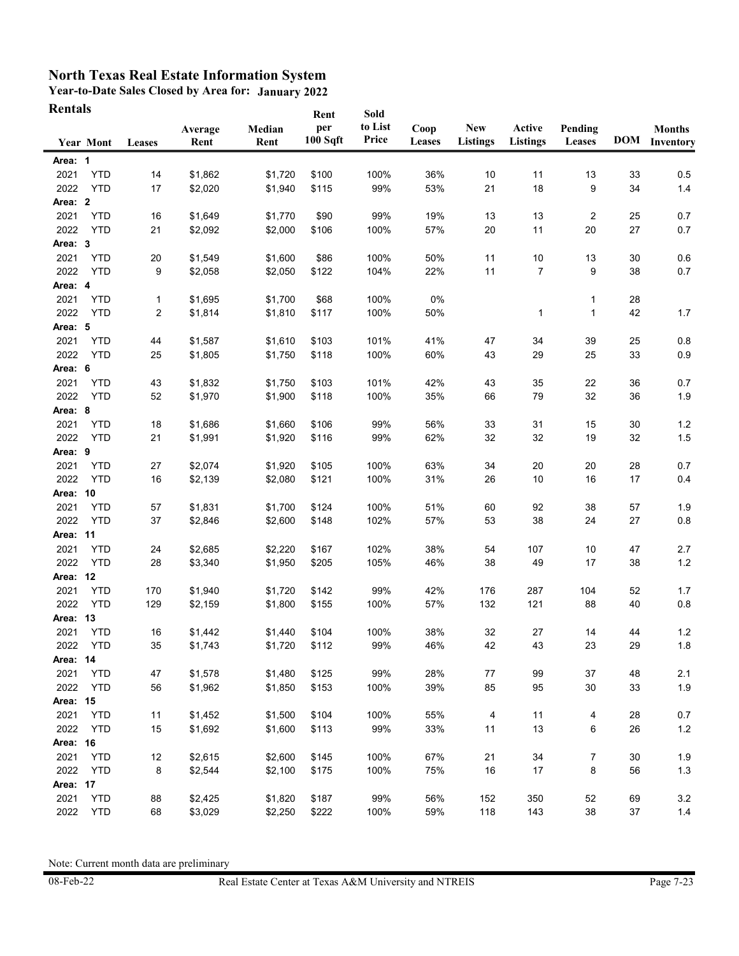**Year-to-Date Sales Closed by Area for: January 2022 Rentals**

| Rentals  |                  |        |                 |                | Rent                         | Sold             |                |                               |                           |                   |    |                                       |
|----------|------------------|--------|-----------------|----------------|------------------------------|------------------|----------------|-------------------------------|---------------------------|-------------------|----|---------------------------------------|
|          | <b>Year Mont</b> | Leases | Average<br>Rent | Median<br>Rent | per<br>100 S <sub>q</sub> ft | to List<br>Price | Coop<br>Leases | <b>New</b><br><b>Listings</b> | Active<br><b>Listings</b> | Pending<br>Leases |    | <b>Months</b><br><b>DOM</b> Inventory |
| Area: 1  |                  |        |                 |                |                              |                  |                |                               |                           |                   |    |                                       |
| 2021     | <b>YTD</b>       | 14     | \$1,862         | \$1,720        | \$100                        | 100%             | 36%            | 10                            | 11                        | 13                | 33 | 0.5                                   |
| 2022     | <b>YTD</b>       | 17     | \$2,020         | \$1,940        | \$115                        | 99%              | 53%            | 21                            | 18                        | 9                 | 34 | $1.4$                                 |
| Area: 2  |                  |        |                 |                |                              |                  |                |                               |                           |                   |    |                                       |
| 2021     | <b>YTD</b>       | 16     | \$1,649         | \$1,770        | \$90                         | 99%              | 19%            | 13                            | 13                        | 2                 | 25 | 0.7                                   |
| 2022     | <b>YTD</b>       | 21     | \$2,092         | \$2,000        | \$106                        | 100%             | 57%            | 20                            | 11                        | 20                | 27 | 0.7                                   |
| Area: 3  |                  |        |                 |                |                              |                  |                |                               |                           |                   |    |                                       |
| 2021     | <b>YTD</b>       | 20     | \$1,549         | \$1,600        | \$86                         | 100%             | 50%            | 11                            | 10                        | 13                | 30 | 0.6                                   |
| 2022     | <b>YTD</b>       | 9      | \$2,058         | \$2,050        | \$122                        | 104%             | 22%            | 11                            | 7                         | 9                 | 38 | 0.7                                   |
| Area: 4  |                  |        |                 |                |                              |                  |                |                               |                           |                   |    |                                       |
| 2021     | <b>YTD</b>       | 1      | \$1,695         | \$1,700        | \$68                         | 100%             | 0%             |                               |                           | 1                 | 28 |                                       |
| 2022     | <b>YTD</b>       | 2      | \$1,814         | \$1,810        | \$117                        | 100%             | 50%            |                               | 1                         | 1                 | 42 | 1.7                                   |
| Area: 5  |                  |        |                 |                |                              |                  |                |                               |                           |                   |    |                                       |
| 2021     | <b>YTD</b>       | 44     | \$1,587         | \$1,610        | \$103                        | 101%             | 41%            | 47                            | 34                        | 39                | 25 | 0.8                                   |
| 2022     | <b>YTD</b>       | 25     | \$1,805         | \$1,750        | \$118                        | 100%             | 60%            | 43                            | 29                        | 25                | 33 | 0.9                                   |
| Area: 6  |                  |        |                 |                |                              |                  |                |                               |                           |                   |    |                                       |
| 2021     | <b>YTD</b>       | 43     | \$1,832         | \$1,750        | \$103                        | 101%             | 42%            | 43                            | 35                        | 22                | 36 | 0.7                                   |
| 2022     | <b>YTD</b>       | 52     | \$1,970         | \$1,900        | \$118                        | 100%             | 35%            | 66                            | 79                        | 32                | 36 | 1.9                                   |
| Area: 8  |                  |        |                 |                |                              |                  |                |                               |                           |                   |    |                                       |
| 2021     | <b>YTD</b>       | 18     | \$1,686         | \$1,660        | \$106                        | 99%              | 56%            | 33                            | 31                        | 15                | 30 | 1.2                                   |
| 2022     | <b>YTD</b>       | 21     | \$1,991         | \$1,920        | \$116                        | 99%              | 62%            | 32                            | 32                        | 19                | 32 | 1.5                                   |
| Area: 9  |                  |        |                 |                |                              |                  |                |                               |                           |                   |    |                                       |
| 2021     | <b>YTD</b>       | 27     | \$2,074         | \$1,920        | \$105                        | 100%             | 63%            | 34                            | 20                        | 20                | 28 | 0.7                                   |
| 2022     | <b>YTD</b>       | 16     | \$2,139         | \$2,080        | \$121                        | 100%             | 31%            | 26                            | 10                        | 16                | 17 | 0.4                                   |
| Area: 10 |                  |        |                 |                |                              |                  |                |                               |                           |                   |    |                                       |
| 2021     | <b>YTD</b>       | 57     | \$1,831         | \$1,700        | \$124                        | 100%             | 51%            | 60                            | 92                        | 38                | 57 | 1.9                                   |
| 2022     | <b>YTD</b>       | 37     | \$2,846         | \$2,600        | \$148                        | 102%             | 57%            | 53                            | 38                        | 24                | 27 | $0.8\,$                               |
| Area: 11 |                  |        |                 |                |                              |                  |                |                               |                           |                   |    |                                       |
| 2021     | <b>YTD</b>       | 24     | \$2,685         | \$2,220        | \$167                        | 102%             | 38%            | 54                            | 107                       | 10                | 47 | 2.7                                   |
| 2022     | <b>YTD</b>       | 28     | \$3,340         | \$1,950        | \$205                        | 105%             | 46%            | 38                            | 49                        | 17                | 38 | $1.2$                                 |
| Area: 12 |                  |        |                 |                |                              |                  |                |                               |                           |                   |    |                                       |
| 2021     | <b>YTD</b>       | 170    | \$1,940         | \$1,720        | \$142                        | 99%              | 42%            | 176                           | 287                       | 104               | 52 | 1.7                                   |
| 2022     | <b>YTD</b>       | 129    | \$2,159         | \$1,800        | \$155                        | 100%             | 57%            | 132                           | 121                       | 88                | 40 | $0.8\,$                               |
| Area: 13 |                  |        |                 |                |                              |                  |                |                               |                           |                   |    |                                       |
| 2021     | <b>YTD</b>       | 16     | \$1,442         | \$1,440        | \$104                        | 100%             | 38%            | 32                            | 27                        | 14                | 44 | 1.2                                   |
| 2022     | <b>YTD</b>       | 35     | \$1,743         | \$1,720        | \$112                        | 99%              | 46%            | 42                            | 43                        | 23                | 29 | $1.8\,$                               |
| Area: 14 |                  |        |                 |                |                              |                  |                |                               |                           |                   |    |                                       |
| 2021     | <b>YTD</b>       | 47     | \$1,578         | \$1,480        | \$125                        | 99%              | 28%            | 77                            | 99                        | 37                | 48 | 2.1                                   |
| 2022     | <b>YTD</b>       | 56     | \$1,962         | \$1,850        | \$153                        | 100%             | 39%            | 85                            | 95                        | 30                | 33 | 1.9                                   |
| Area: 15 |                  |        |                 |                |                              |                  |                |                               |                           |                   |    |                                       |
| 2021     | <b>YTD</b>       | 11     | \$1,452         | \$1,500        | \$104                        | 100%             | 55%            | 4                             | 11                        | 4                 | 28 | 0.7                                   |
| 2022     | <b>YTD</b>       | 15     | \$1,692         | \$1,600        | \$113                        | 99%              | 33%            | 11                            | 13                        | 6                 | 26 | $1.2\,$                               |
| Area: 16 |                  |        |                 |                |                              |                  |                |                               |                           |                   |    |                                       |
| 2021     | <b>YTD</b>       | 12     | \$2,615         | \$2,600        | \$145                        | 100%             | 67%            | 21                            | 34                        | 7                 | 30 | 1.9                                   |
| 2022     | <b>YTD</b>       | 8      | \$2,544         | \$2,100        | \$175                        | 100%             | 75%            | 16                            | 17                        | 8                 | 56 | 1.3                                   |
| Area: 17 |                  |        |                 |                |                              |                  |                |                               |                           |                   |    |                                       |
| 2021     | <b>YTD</b>       | 88     | \$2,425         | \$1,820        | \$187                        | 99%              | 56%            | 152                           | 350                       | 52                | 69 | $3.2\,$                               |
| 2022     | <b>YTD</b>       | 68     | \$3,029         | \$2,250        | \$222                        | 100%             | 59%            | 118                           | 143                       | 38                | 37 | $1.4$                                 |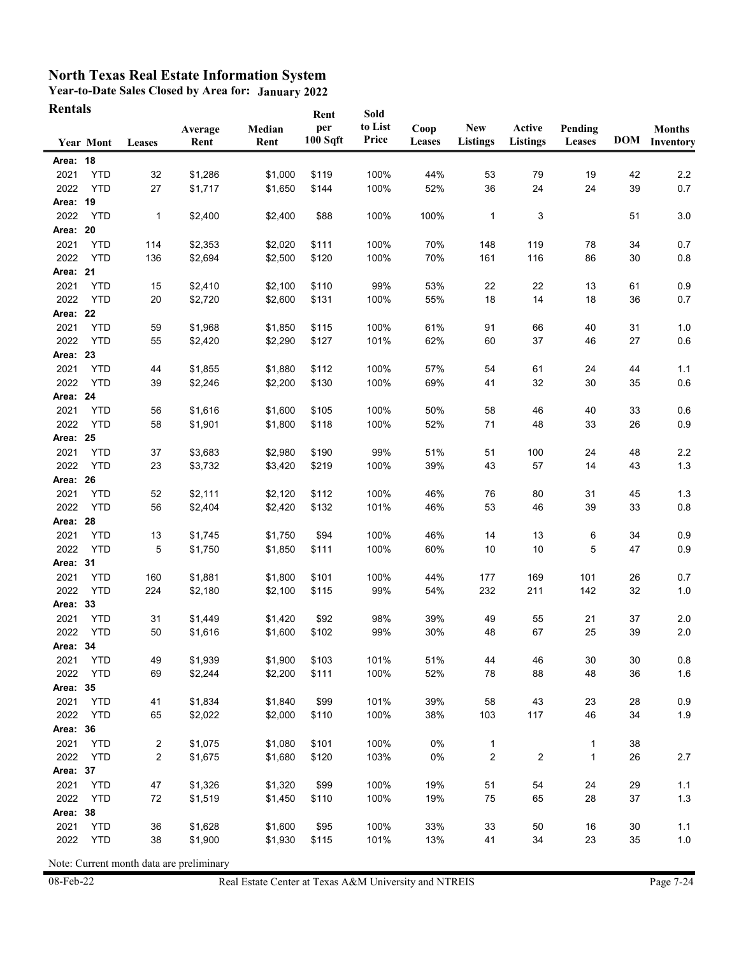**Year-to-Date Sales Closed by Area for: January 2022 Rentals**

| <b>Rentals</b> |                  |        |                 |                | Rent                         | Sold             |                |                               |                           |                   |    |                                       |
|----------------|------------------|--------|-----------------|----------------|------------------------------|------------------|----------------|-------------------------------|---------------------------|-------------------|----|---------------------------------------|
|                | <b>Year Mont</b> | Leases | Average<br>Rent | Median<br>Rent | per<br>100 S <sub>q</sub> ft | to List<br>Price | Coop<br>Leases | <b>New</b><br><b>Listings</b> | Active<br><b>Listings</b> | Pending<br>Leases |    | <b>Months</b><br><b>DOM</b> Inventory |
| Area: 18       |                  |        |                 |                |                              |                  |                |                               |                           |                   |    |                                       |
| 2021           | <b>YTD</b>       | 32     | \$1,286         | \$1,000        | \$119                        | 100%             | 44%            | 53                            | 79                        | 19                | 42 | $2.2\,$                               |
| 2022           | <b>YTD</b>       | 27     | \$1,717         | \$1,650        | \$144                        | 100%             | 52%            | 36                            | 24                        | 24                | 39 | 0.7                                   |
| Area: 19       |                  |        |                 |                |                              |                  |                |                               |                           |                   |    |                                       |
| 2022           | <b>YTD</b>       | 1      | \$2,400         |                | \$88                         | 100%             | 100%           | $\mathbf 1$                   | 3                         |                   | 51 |                                       |
| Area: 20       |                  |        |                 | \$2,400        |                              |                  |                |                               |                           |                   |    | 3.0                                   |
| 2021           | <b>YTD</b>       | 114    | \$2,353         | \$2,020        | \$111                        | 100%             | 70%            | 148                           | 119                       | 78                | 34 | 0.7                                   |
| 2022           | <b>YTD</b>       | 136    | \$2,694         | \$2,500        | \$120                        | 100%             | 70%            | 161                           | 116                       | 86                | 30 | $0.8\,$                               |
| Area: 21       |                  |        |                 |                |                              |                  |                |                               |                           |                   |    |                                       |
| 2021           | <b>YTD</b>       | 15     | \$2,410         | \$2,100        | \$110                        | 99%              | 53%            | 22                            | 22                        | 13                | 61 | 0.9                                   |
| 2022           | <b>YTD</b>       | 20     | \$2,720         | \$2,600        | \$131                        | 100%             | 55%            | 18                            | 14                        | 18                | 36 | 0.7                                   |
| Area: 22       |                  |        |                 |                |                              |                  |                |                               |                           |                   |    |                                       |
| 2021           | <b>YTD</b>       | 59     | \$1,968         | \$1,850        | \$115                        | 100%             | 61%            | 91                            | 66                        | 40                | 31 | 1.0                                   |
| 2022           | <b>YTD</b>       | 55     | \$2,420         | \$2,290        | \$127                        | 101%             | 62%            | 60                            | 37                        | 46                | 27 | 0.6                                   |
| Area: 23       |                  |        |                 |                |                              |                  |                |                               |                           |                   |    |                                       |
| 2021           | <b>YTD</b>       | 44     | \$1,855         | \$1,880        | \$112                        | 100%             | 57%            | 54                            | 61                        | 24                | 44 | 1.1                                   |
| 2022           | <b>YTD</b>       | 39     | \$2,246         | \$2,200        | \$130                        | 100%             | 69%            | 41                            | 32                        | 30                | 35 | 0.6                                   |
| Area: 24       |                  |        |                 |                |                              |                  |                |                               |                           |                   |    |                                       |
| 2021           | <b>YTD</b>       | 56     | \$1,616         | \$1,600        | \$105                        | 100%             | 50%            | 58                            | 46                        | 40                | 33 | 0.6                                   |
| 2022           | <b>YTD</b>       | 58     | \$1,901         | \$1,800        | \$118                        | 100%             | 52%            | 71                            | 48                        | 33                | 26 | $0.9\,$                               |
| Area: 25       |                  |        |                 |                |                              |                  |                |                               |                           |                   |    |                                       |
| 2021           | <b>YTD</b>       | 37     | \$3,683         | \$2,980        | \$190                        | 99%              | 51%            | 51                            | 100                       | 24                | 48 | 2.2                                   |
| 2022           | <b>YTD</b>       | 23     | \$3,732         | \$3,420        | \$219                        | 100%             | 39%            | 43                            | 57                        | 14                | 43 | $1.3$                                 |
| Area: 26       |                  |        |                 |                |                              |                  |                |                               |                           |                   |    |                                       |
| 2021           | <b>YTD</b>       | 52     | \$2,111         | \$2,120        | \$112                        | 100%             | 46%            | 76                            | 80                        | 31                | 45 | 1.3                                   |
| 2022           | <b>YTD</b>       | 56     | \$2,404         | \$2,420        | \$132                        | 101%             | 46%            | 53                            | 46                        | 39                | 33 | $0.8\,$                               |
| Area: 28       |                  |        |                 |                |                              |                  |                |                               |                           |                   |    |                                       |
| 2021           | <b>YTD</b>       | 13     | \$1,745         | \$1,750        | \$94                         | 100%             | 46%            | 14                            | 13                        | 6                 | 34 | 0.9                                   |
| 2022           | <b>YTD</b>       | 5      | \$1,750         | \$1,850        | \$111                        | 100%             | 60%            | 10                            | 10                        | 5                 | 47 | 0.9                                   |
| Area: 31       |                  |        |                 |                |                              |                  |                |                               |                           |                   |    |                                       |
| 2021           | <b>YTD</b>       | 160    | \$1,881         | \$1,800        | \$101                        | 100%             | 44%            | 177                           | 169                       | 101               | 26 | 0.7                                   |
| 2022           | <b>YTD</b>       | 224    | \$2,180         | \$2,100        | \$115                        | 99%              | 54%            | 232                           | 211                       | 142               | 32 | 1.0                                   |
| Area: 33       |                  |        |                 |                |                              |                  |                |                               |                           |                   |    |                                       |
| 2021           | <b>YTD</b>       | 31     | \$1,449         | \$1,420        | \$92                         | 98%              | 39%            | 49                            | 55                        | 21                | 37 | 2.0                                   |
| 2022           | <b>YTD</b>       | 50     | \$1,616         | \$1,600        | \$102                        | 99%              | 30%            | 48                            | 67                        | 25                | 39 | 2.0                                   |
| Area: 34       |                  |        |                 |                |                              |                  |                |                               |                           |                   |    |                                       |
| 2021           | <b>YTD</b>       | 49     | \$1,939         | \$1,900        | \$103                        | 101%             | 51%            | 44                            | 46                        | 30                | 30 | 0.8                                   |
| 2022           | <b>YTD</b>       | 69     | \$2,244         | \$2,200        | \$111                        | 100%             | 52%            | 78                            | 88                        | 48                | 36 | 1.6                                   |
| Area: 35       |                  |        |                 |                |                              |                  |                |                               |                           |                   |    |                                       |
| 2021           | <b>YTD</b>       | 41     | \$1,834         | \$1,840        | \$99                         | 101%             | 39%            | 58                            | 43                        | 23                | 28 | 0.9                                   |
| 2022           | <b>YTD</b>       | 65     | \$2,022         | \$2,000        | \$110                        | 100%             | 38%            | 103                           | 117                       | 46                | 34 | 1.9                                   |
| Area: 36       |                  |        |                 |                |                              |                  |                |                               |                           |                   |    |                                       |
| 2021           | <b>YTD</b>       | 2      | \$1,075         | \$1,080        | \$101                        | 100%             | 0%             | $\mathbf{1}$                  |                           | 1                 | 38 |                                       |
| 2022           | <b>YTD</b>       | 2      | \$1,675         | \$1,680        | \$120                        | 103%             | 0%             | $\overline{\mathbf{c}}$       | $\overline{\mathbf{c}}$   | $\mathbf{1}$      | 26 | 2.7                                   |
| Area: 37       |                  |        |                 |                |                              |                  |                |                               |                           |                   |    |                                       |
| 2021           | <b>YTD</b>       | 47     | \$1,326         | \$1,320        | \$99                         | 100%             | 19%            | 51                            | 54                        | 24                | 29 | 1.1                                   |
| 2022           | <b>YTD</b>       | 72     | \$1,519         | \$1,450        | \$110                        | 100%             | 19%            | 75                            | 65                        | 28                | 37 | $1.3$                                 |
| Area: 38       |                  |        |                 |                |                              |                  |                |                               |                           |                   |    |                                       |
| 2021           | <b>YTD</b>       | 36     | \$1,628         | \$1,600        | \$95                         | 100%             | 33%            | 33                            | 50                        | 16                | 30 | 1.1                                   |
| 2022           | <b>YTD</b>       | 38     | \$1,900         | \$1,930        | \$115                        | 101%             | 13%            | 41                            | 34                        | 23                | 35 | 1.0                                   |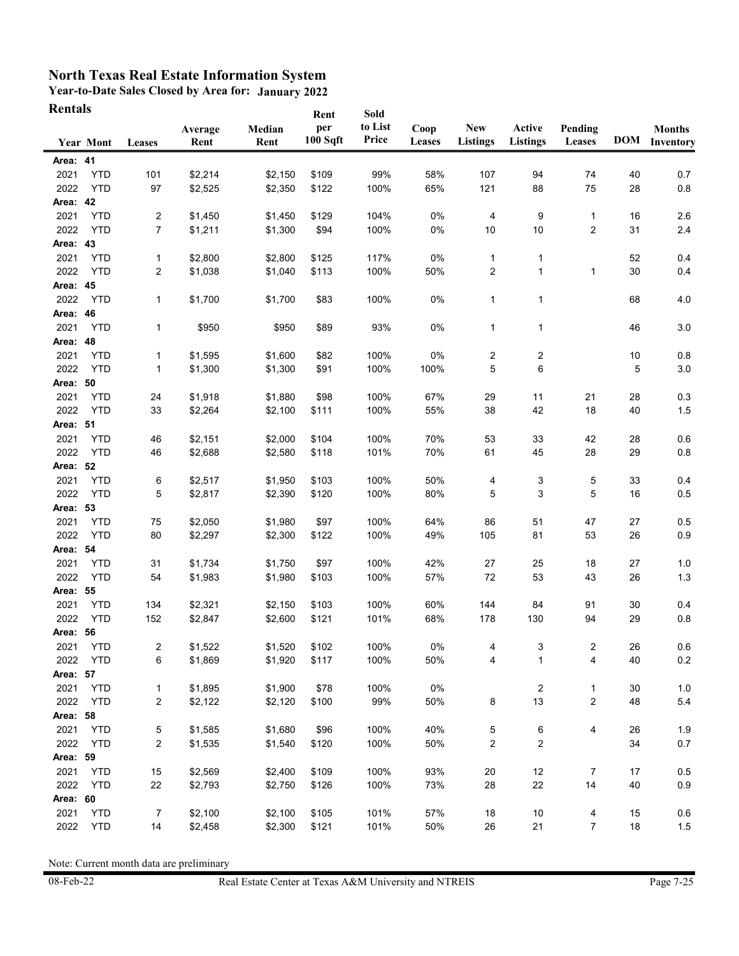**Year-to-Date Sales Closed by Area for: January 2022 Rentals**

| Rentals  |                  |                |         |         | Rent     | Sold    |               |                  |                 |                         |    |                      |
|----------|------------------|----------------|---------|---------|----------|---------|---------------|------------------|-----------------|-------------------------|----|----------------------|
|          |                  |                | Average | Median  | per      | to List | Coop          | <b>New</b>       | Active          | Pending                 |    | <b>Months</b>        |
|          | <b>Year Mont</b> | Leases         | Rent    | Rent    | 100 Sqft | Price   | <b>Leases</b> | <b>Listings</b>  | <b>Listings</b> | Leases                  |    | <b>DOM</b> Inventory |
| Area: 41 |                  |                |         |         |          |         |               |                  |                 |                         |    |                      |
| 2021     | <b>YTD</b>       | 101            | \$2,214 | \$2,150 | \$109    | 99%     | 58%           | 107              | 94              | 74                      | 40 | 0.7                  |
| 2022     | <b>YTD</b>       | 97             | \$2,525 | \$2,350 | \$122    | 100%    | 65%           | 121              | 88              | 75                      | 28 | 0.8                  |
| Area: 42 |                  |                |         |         |          |         |               |                  |                 |                         |    |                      |
| 2021     | <b>YTD</b>       | 2              | \$1,450 | \$1,450 | \$129    | 104%    | 0%            | 4                | 9               | 1                       | 16 | 2.6                  |
| 2022     | <b>YTD</b>       | 7              | \$1,211 | \$1,300 | \$94     | 100%    | 0%            | 10               | 10              | $\overline{\mathbf{c}}$ | 31 | $2.4\,$              |
| Area: 43 |                  |                |         |         |          |         |               |                  |                 |                         |    |                      |
| 2021     | <b>YTD</b>       | $\mathbf{1}$   | \$2,800 | \$2,800 | \$125    | 117%    | 0%            | $\mathbf{1}$     | 1               |                         | 52 | 0.4                  |
| 2022     | <b>YTD</b>       | 2              | \$1,038 | \$1,040 | \$113    | 100%    | 50%           | $\boldsymbol{2}$ | $\mathbf{1}$    | $\mathbf 1$             | 30 | 0.4                  |
| Area: 45 |                  |                |         |         |          |         |               |                  |                 |                         |    |                      |
| 2022     | <b>YTD</b>       | $\mathbf{1}$   | \$1,700 | \$1,700 | \$83     | 100%    | 0%            | $\mathbf 1$      | 1               |                         | 68 | 4.0                  |
| Area: 46 |                  |                |         |         |          |         |               |                  |                 |                         |    |                      |
| 2021     | <b>YTD</b>       | 1              | \$950   | \$950   | \$89     | 93%     | 0%            | $\mathbf{1}$     | 1               |                         | 46 | 3.0                  |
| Area: 48 |                  |                |         |         |          |         |               |                  |                 |                         |    |                      |
| 2021     | <b>YTD</b>       | $\mathbf{1}$   | \$1,595 | \$1,600 | \$82     | 100%    | 0%            | $\overline{c}$   | 2               |                         | 10 | 0.8                  |
| 2022     | <b>YTD</b>       | 1              | \$1,300 | \$1,300 | \$91     | 100%    | 100%          | 5                | 6               |                         | 5  | 3.0                  |
| Area: 50 |                  |                |         |         |          |         |               |                  |                 |                         |    |                      |
| 2021     | <b>YTD</b>       | 24             | \$1,918 | \$1,880 | \$98     | 100%    | 67%           | 29               | 11              | 21                      | 28 | 0.3                  |
| 2022     | <b>YTD</b>       | 33             | \$2,264 | \$2,100 | \$111    | 100%    | 55%           | 38               | 42              | 18                      | 40 | 1.5                  |
| Area: 51 |                  |                |         |         |          |         |               |                  |                 |                         |    |                      |
| 2021     | <b>YTD</b>       | 46             | \$2,151 | \$2,000 | \$104    | 100%    | 70%           | 53               | 33              | 42                      | 28 | 0.6                  |
| 2022     | <b>YTD</b>       | 46             | \$2,688 | \$2,580 | \$118    | 101%    | 70%           | 61               | 45              | 28                      | 29 | 0.8                  |
| Area: 52 |                  |                |         |         |          |         |               |                  |                 |                         |    |                      |
| 2021     | <b>YTD</b>       | 6              | \$2,517 | \$1,950 | \$103    | 100%    | 50%           | 4                | 3               | 5                       | 33 | 0.4                  |
| 2022     | <b>YTD</b>       | 5              | \$2,817 | \$2,390 | \$120    | 100%    | 80%           | 5                | 3               | 5                       | 16 | $0.5\,$              |
| Area: 53 |                  |                |         |         |          |         |               |                  |                 |                         |    |                      |
| 2021     | <b>YTD</b>       | 75             | \$2,050 | \$1,980 | \$97     | 100%    | 64%           | 86               | 51              | 47                      | 27 | 0.5                  |
| 2022     | <b>YTD</b>       | 80             | \$2,297 | \$2,300 | \$122    | 100%    | 49%           | 105              | 81              | 53                      | 26 | 0.9                  |
| Area: 54 |                  |                |         |         |          |         |               |                  |                 |                         |    |                      |
| 2021     | <b>YTD</b>       | 31             | \$1,734 | \$1,750 | \$97     | 100%    | 42%           | 27               | 25              | 18                      | 27 | 1.0                  |
| 2022     | <b>YTD</b>       | 54             | \$1,983 | \$1,980 | \$103    | 100%    | 57%           | 72               | 53              | 43                      | 26 | $1.3$                |
| Area: 55 |                  |                |         |         |          |         |               |                  |                 |                         |    |                      |
| 2021     | <b>YTD</b>       | 134            | \$2,321 | \$2,150 | \$103    | 100%    | 60%           | 144              | 84              | 91                      | 30 | 0.4                  |
| 2022     | <b>YTD</b>       | 152            | \$2,847 | \$2,600 | \$121    | 101%    | 68%           | 178              | 130             | 94                      | 29 | 0.8                  |
| Area: 56 |                  |                |         |         |          |         |               |                  |                 |                         |    |                      |
| 2021     | YTD              | 2              | \$1,522 | \$1,520 | \$102    | 100%    | 0%            | 4                | 3               | 2                       | 26 | 0.6                  |
| 2022     | YTD              | 6              | \$1,869 | \$1,920 | \$117    | 100%    | 50%           | 4                | 1               | 4                       | 40 | 0.2                  |
| Area: 57 |                  |                |         |         |          |         |               |                  |                 |                         |    |                      |
| 2021     | <b>YTD</b>       | $\mathbf 1$    | \$1,895 | \$1,900 | \$78     | 100%    | 0%            |                  | 2               | 1                       | 30 | 1.0                  |
| 2022     | <b>YTD</b>       | 2              | \$2,122 | \$2,120 | \$100    | 99%     | 50%           | 8                | 13              | 2                       | 48 | 5.4                  |
| Area: 58 |                  |                |         |         |          |         |               |                  |                 |                         |    |                      |
| 2021     | <b>YTD</b>       | 5              | \$1,585 | \$1,680 | \$96     | 100%    | 40%           | 5                | 6               | 4                       | 26 | 1.9                  |
| 2022     | <b>YTD</b>       | 2              | \$1,535 | \$1,540 | \$120    | 100%    | 50%           | 2                | $\overline{2}$  |                         | 34 | 0.7                  |
| Area: 59 |                  |                |         |         |          |         |               |                  |                 |                         |    |                      |
| 2021     | <b>YTD</b>       | 15             | \$2,569 | \$2,400 | \$109    | 100%    | 93%           | 20               | 12              | 7                       | 17 | 0.5                  |
| 2022     | <b>YTD</b>       | 22             | \$2,793 | \$2,750 | \$126    | 100%    | 73%           | 28               | 22              | 14                      | 40 | 0.9                  |
| Area: 60 |                  |                |         |         |          |         |               |                  |                 |                         |    |                      |
| 2021     | <b>YTD</b>       | $\overline{7}$ | \$2,100 | \$2,100 | \$105    | 101%    | 57%           | 18               | 10              | 4                       | 15 | 0.6                  |
| 2022     | <b>YTD</b>       | 14             | \$2,458 | \$2,300 | \$121    | 101%    | 50%           | 26               | 21              | 7                       | 18 | 1.5                  |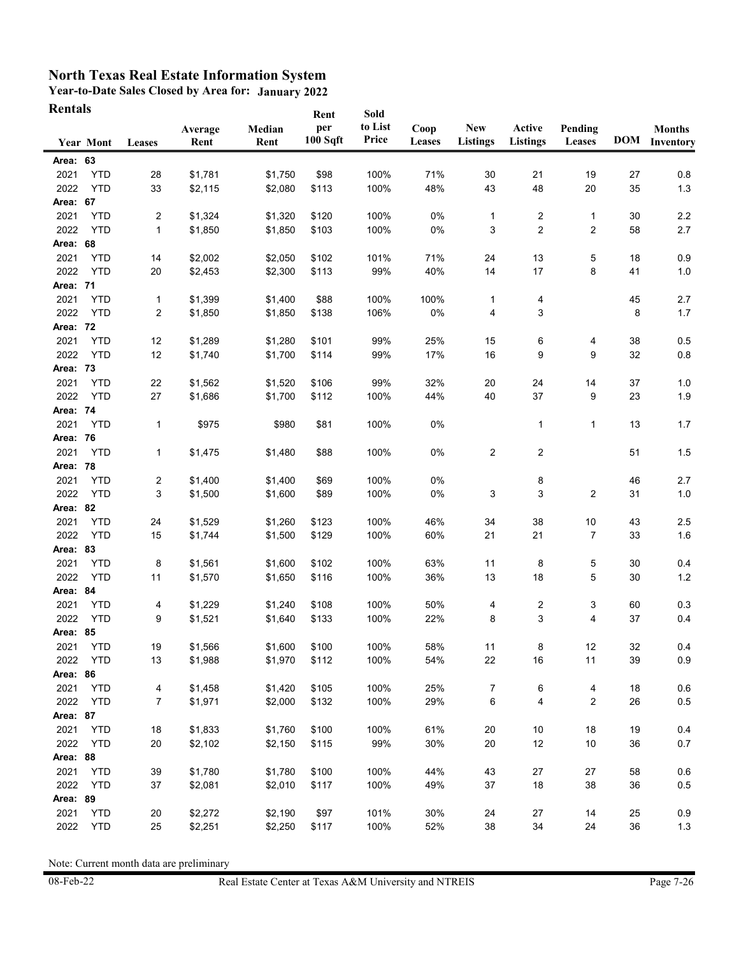**Year-to-Date Sales Closed by Area for: January 2022 Rentals**

| Rentals  |                  |              |                 |                | Rent                         | Sold             |                |                               |                           |                   |    |                                       |
|----------|------------------|--------------|-----------------|----------------|------------------------------|------------------|----------------|-------------------------------|---------------------------|-------------------|----|---------------------------------------|
|          | <b>Year Mont</b> | Leases       | Average<br>Rent | Median<br>Rent | per<br>100 S <sub>q</sub> ft | to List<br>Price | Coop<br>Leases | <b>New</b><br><b>Listings</b> | Active<br><b>Listings</b> | Pending<br>Leases |    | <b>Months</b><br><b>DOM</b> Inventory |
| Area: 63 |                  |              |                 |                |                              |                  |                |                               |                           |                   |    |                                       |
| 2021     | <b>YTD</b>       | 28           | \$1,781         | \$1,750        | \$98                         | 100%             | 71%            | 30                            | 21                        | 19                | 27 | 0.8                                   |
| 2022     | <b>YTD</b>       | 33           | \$2,115         | \$2,080        | \$113                        | 100%             | 48%            | 43                            | 48                        | 20                | 35 | 1.3                                   |
| Area: 67 |                  |              |                 |                |                              |                  |                |                               |                           |                   |    |                                       |
| 2021     | <b>YTD</b>       | 2            | \$1,324         | \$1,320        | \$120                        | 100%             | 0%             | $\mathbf 1$                   | 2                         | 1                 | 30 | 2.2                                   |
| 2022     | <b>YTD</b>       | $\mathbf{1}$ | \$1,850         | \$1,850        | \$103                        | 100%             | 0%             | 3                             | $\overline{2}$            | 2                 | 58 | 2.7                                   |
| Area: 68 |                  |              |                 |                |                              |                  |                |                               |                           |                   |    |                                       |
| 2021     | <b>YTD</b>       | 14           | \$2,002         | \$2,050        | \$102                        | 101%             | 71%            | 24                            | 13                        | 5                 | 18 | 0.9                                   |
| 2022     | <b>YTD</b>       | 20           | \$2,453         | \$2,300        | \$113                        | 99%              | 40%            | 14                            | 17                        | 8                 | 41 | 1.0                                   |
| Area: 71 |                  |              |                 |                |                              |                  |                |                               |                           |                   |    |                                       |
| 2021     | <b>YTD</b>       | 1            | \$1,399         | \$1,400        | \$88                         | 100%             | 100%           | $\mathbf 1$                   | 4                         |                   | 45 | 2.7                                   |
| 2022     | <b>YTD</b>       | 2            | \$1,850         | \$1,850        | \$138                        | 106%             | 0%             | 4                             | 3                         |                   | 8  | 1.7                                   |
| Area: 72 |                  |              |                 |                |                              |                  |                |                               |                           |                   |    |                                       |
| 2021     | <b>YTD</b>       | 12           | \$1,289         | \$1,280        | \$101                        | 99%              | 25%            | 15                            | 6                         | 4                 | 38 | 0.5                                   |
| 2022     | <b>YTD</b>       | 12           | \$1,740         | \$1,700        | \$114                        | 99%              | 17%            | 16                            | 9                         | 9                 | 32 | 0.8                                   |
| Area: 73 |                  |              |                 |                |                              |                  |                |                               |                           |                   |    |                                       |
| 2021     | <b>YTD</b>       | 22           | \$1,562         | \$1,520        | \$106                        | 99%              | 32%            | 20                            | 24                        | 14                | 37 | 1.0                                   |
| 2022     | <b>YTD</b>       | 27           | \$1,686         | \$1,700        | \$112                        | 100%             | 44%            | 40                            | 37                        | 9                 | 23 | 1.9                                   |
| Area: 74 |                  |              |                 |                |                              |                  |                |                               |                           |                   |    |                                       |
| 2021     | <b>YTD</b>       | 1            | \$975           | \$980          | \$81                         | 100%             | 0%             |                               | 1                         | 1                 | 13 | 1.7                                   |
| Area: 76 |                  |              |                 |                |                              |                  |                |                               |                           |                   |    |                                       |
| 2021     | <b>YTD</b>       | 1            | \$1,475         | \$1,480        | \$88                         | 100%             | 0%             | $\overline{\mathbf{c}}$       | 2                         |                   | 51 | 1.5                                   |
| Area: 78 |                  |              |                 |                |                              |                  |                |                               |                           |                   |    |                                       |
| 2021     | <b>YTD</b>       | 2            | \$1,400         | \$1,400        | \$69                         | 100%             | 0%             |                               | 8                         |                   | 46 | 2.7                                   |
| 2022     | <b>YTD</b>       | 3            | \$1,500         | \$1,600        | \$89                         | 100%             | 0%             | 3                             | 3                         | 2                 | 31 | 1.0                                   |
| Area: 82 |                  |              |                 |                |                              |                  |                |                               |                           |                   |    |                                       |
| 2021     | <b>YTD</b>       | 24           | \$1,529         | \$1,260        | \$123                        | 100%             | 46%            | 34                            | 38                        | 10                | 43 | $2.5\,$                               |
| 2022     | <b>YTD</b>       | 15           | \$1,744         | \$1,500        | \$129                        | 100%             | 60%            | 21                            | 21                        | 7                 | 33 | 1.6                                   |
| Area: 83 |                  |              |                 |                |                              |                  |                |                               |                           |                   |    |                                       |
| 2021     | <b>YTD</b>       | 8            | \$1,561         | \$1,600        | \$102                        | 100%             | 63%            | 11                            | 8                         | 5                 | 30 | 0.4                                   |
| 2022     | <b>YTD</b>       | 11           | \$1,570         | \$1,650        | \$116                        | 100%             | 36%            | 13                            | 18                        | 5                 | 30 | $1.2$                                 |
| Area: 84 |                  |              |                 |                |                              |                  |                |                               |                           |                   |    |                                       |
| 2021     | <b>YTD</b>       | 4            | \$1,229         | \$1,240        | \$108                        | 100%             | 50%            | 4                             | 2                         | 3                 | 60 | 0.3                                   |
| 2022     | <b>YTD</b>       | 9            | \$1,521         | \$1,640        | \$133                        | 100%             | 22%            | 8                             | 3                         | 4                 | 37 | 0.4                                   |
| Area: 85 |                  |              |                 |                |                              |                  |                |                               |                           |                   |    |                                       |
| 2021     | YTD              | 19           | \$1,566         | \$1,600        | \$100                        | 100%             | 58%            | 11                            | 8                         | 12                | 32 | 0.4                                   |
| 2022     | <b>YTD</b>       | 13           | \$1,988         | \$1,970        | \$112                        | 100%             | 54%            | 22                            | 16                        | 11                | 39 | 0.9                                   |
| Area: 86 |                  |              |                 |                |                              |                  |                |                               |                           |                   |    |                                       |
| 2021     | <b>YTD</b>       | 4            | \$1,458         | \$1,420        | \$105                        | 100%             | 25%            | $\overline{7}$                | 6                         | 4                 | 18 | $0.6\,$                               |
| 2022     | <b>YTD</b>       | 7            | \$1,971         | \$2,000        | \$132                        | 100%             | 29%            | 6                             | 4                         | 2                 | 26 | $0.5\,$                               |
| Area: 87 |                  |              |                 |                |                              |                  |                |                               |                           |                   |    |                                       |
| 2021     | <b>YTD</b>       | 18           | \$1,833         | \$1,760        | \$100                        | 100%             | 61%            | 20                            | 10                        | 18                | 19 | 0.4                                   |
| 2022     | <b>YTD</b>       | 20           | \$2,102         | \$2,150        | \$115                        | 99%              | 30%            | 20                            | 12                        | 10                | 36 | 0.7                                   |
| Area: 88 |                  |              |                 |                |                              |                  |                |                               |                           |                   |    |                                       |
| 2021     | <b>YTD</b>       | 39           | \$1,780         | \$1,780        | \$100                        | 100%             | 44%            | 43                            | 27                        | 27                | 58 | 0.6                                   |
| 2022     | <b>YTD</b>       | 37           | \$2,081         | \$2,010        | \$117                        | 100%             | 49%            | 37                            | 18                        | 38                | 36 | 0.5                                   |
| Area: 89 |                  |              |                 |                |                              |                  |                |                               |                           |                   |    |                                       |
| 2021     | <b>YTD</b>       | 20           | \$2,272         | \$2,190        | \$97                         | 101%             | 30%            | 24                            | 27                        | 14                | 25 | 0.9                                   |
| 2022     | <b>YTD</b>       | 25           | \$2,251         | \$2,250        | \$117                        | 100%             | 52%            | 38                            | 34                        | 24                | 36 | 1.3                                   |
|          |                  |              |                 |                |                              |                  |                |                               |                           |                   |    |                                       |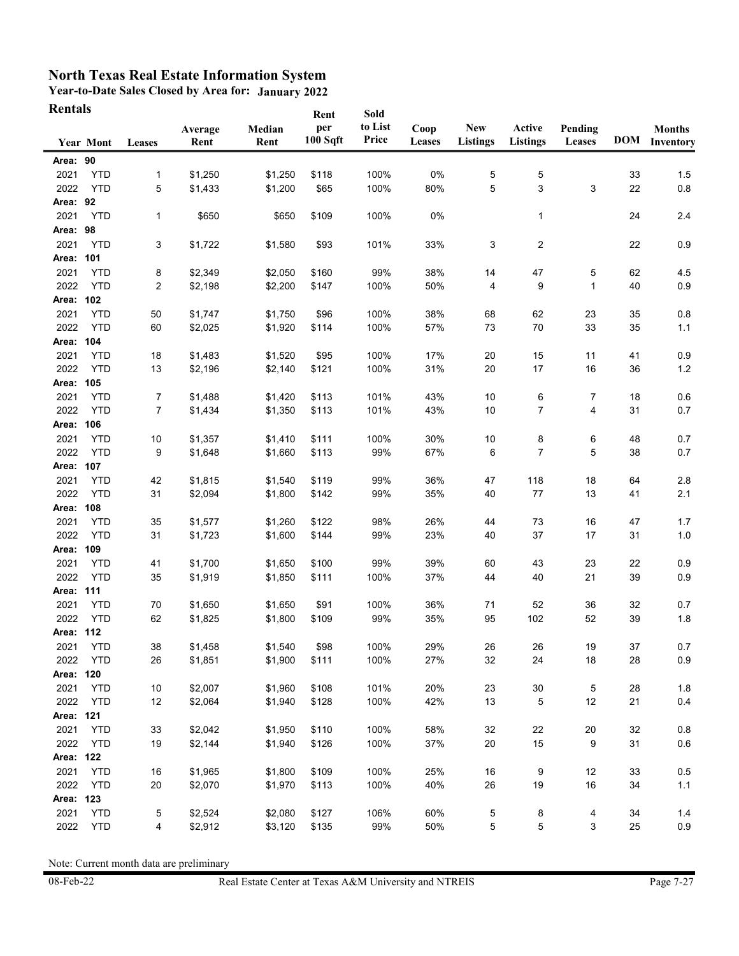**Year-to-Date Sales Closed by Area for: January 2022 Rentals**

| Rentals   |                  |        |                 |                | Rent                         | Sold             |                |                               |                           |                   |    |                                       |
|-----------|------------------|--------|-----------------|----------------|------------------------------|------------------|----------------|-------------------------------|---------------------------|-------------------|----|---------------------------------------|
|           | <b>Year Mont</b> | Leases | Average<br>Rent | Median<br>Rent | per<br>100 S <sub>q</sub> ft | to List<br>Price | Coop<br>Leases | <b>New</b><br><b>Listings</b> | Active<br><b>Listings</b> | Pending<br>Leases |    | <b>Months</b><br><b>DOM</b> Inventory |
| Area: 90  |                  |        |                 |                |                              |                  |                |                               |                           |                   |    |                                       |
| 2021      | <b>YTD</b>       | 1      | \$1,250         | \$1,250        | \$118                        | 100%             | 0%             | 5                             | 5                         |                   | 33 | 1.5                                   |
| 2022      | <b>YTD</b>       | 5      | \$1,433         | \$1,200        | \$65                         | 100%             | 80%            | 5                             | 3                         | 3                 | 22 | $0.8\,$                               |
| Area: 92  |                  |        |                 |                |                              |                  |                |                               |                           |                   |    |                                       |
| 2021      | <b>YTD</b>       | 1      | \$650           | \$650          | \$109                        | 100%             | 0%             |                               | 1                         |                   | 24 | 2.4                                   |
| Area: 98  |                  |        |                 |                |                              |                  |                |                               |                           |                   |    |                                       |
| 2021      | <b>YTD</b>       | 3      | \$1,722         | \$1,580        | \$93                         | 101%             | 33%            | 3                             | $\overline{2}$            |                   | 22 | 0.9                                   |
| Area: 101 |                  |        |                 |                |                              |                  |                |                               |                           |                   |    |                                       |
| 2021      | <b>YTD</b>       | 8      | \$2,349         | \$2,050        | \$160                        | 99%              | 38%            | 14                            | 47                        | 5                 | 62 | 4.5                                   |
| 2022      | <b>YTD</b>       | 2      | \$2,198         | \$2,200        | \$147                        | 100%             | 50%            | 4                             | 9                         | $\mathbf 1$       | 40 | 0.9                                   |
| Area: 102 |                  |        |                 |                |                              |                  |                |                               |                           |                   |    |                                       |
| 2021      | <b>YTD</b>       | 50     | \$1,747         | \$1,750        | \$96                         | 100%             | 38%            | 68                            | 62                        | 23                | 35 | 0.8                                   |
| 2022      | <b>YTD</b>       | 60     | \$2,025         | \$1,920        | \$114                        | 100%             | 57%            | 73                            | 70                        | 33                | 35 | 1.1                                   |
| Area:     | 104              |        |                 |                |                              |                  |                |                               |                           |                   |    |                                       |
| 2021      | <b>YTD</b>       | 18     | \$1,483         | \$1,520        | \$95                         | 100%             | 17%            | 20                            | 15                        | 11                | 41 | 0.9                                   |
| 2022      | <b>YTD</b>       | 13     | \$2,196         | \$2,140        | \$121                        | 100%             | 31%            | 20                            | 17                        | 16                | 36 | $1.2$                                 |
| Area: 105 |                  |        |                 |                |                              |                  |                |                               |                           |                   |    |                                       |
| 2021      | <b>YTD</b>       | 7      | \$1,488         | \$1,420        | \$113                        | 101%             | 43%            | 10                            | 6                         | 7                 | 18 | 0.6                                   |
| 2022      | <b>YTD</b>       | 7      | \$1,434         | \$1,350        | \$113                        | 101%             | 43%            | 10                            | 7                         | 4                 | 31 | 0.7                                   |
| Area:     | 106              |        |                 |                |                              |                  |                |                               |                           |                   |    |                                       |
| 2021      | <b>YTD</b>       | 10     | \$1,357         | \$1,410        | \$111                        | 100%             | 30%            | 10                            | 8                         | 6                 | 48 | 0.7                                   |
| 2022      | <b>YTD</b>       | 9      | \$1,648         | \$1,660        | \$113                        | 99%              | 67%            | 6                             | 7                         | 5                 | 38 | 0.7                                   |
| Area: 107 |                  |        |                 |                |                              |                  |                |                               |                           |                   |    |                                       |
| 2021      | <b>YTD</b>       | 42     | \$1,815         | \$1,540        | \$119                        | 99%              | 36%            | 47                            | 118                       | 18                | 64 | 2.8                                   |
| 2022      | <b>YTD</b>       | 31     | \$2,094         | \$1,800        | \$142                        | 99%              | 35%            | 40                            | 77                        | 13                | 41 | 2.1                                   |
| Area: 108 |                  |        |                 |                |                              |                  |                |                               |                           |                   |    |                                       |
| 2021      | <b>YTD</b>       | 35     | \$1,577         | \$1,260        | \$122                        | 98%              | 26%            | 44                            | 73                        | 16                | 47 | $1.7$                                 |
| 2022      | <b>YTD</b>       | 31     | \$1,723         | \$1,600        | \$144                        | 99%              | 23%            | 40                            | 37                        | 17                | 31 | $1.0$                                 |
| Area: 109 |                  |        |                 |                |                              |                  |                |                               |                           |                   |    |                                       |
| 2021      | <b>YTD</b>       | 41     | \$1,700         | \$1,650        | \$100                        | 99%              | 39%            | 60                            | 43                        | 23                | 22 | 0.9                                   |
| 2022      | <b>YTD</b>       | 35     | \$1,919         | \$1,850        | \$111                        | 100%             | 37%            | 44                            | 40                        | 21                | 39 | 0.9                                   |
| Area: 111 |                  |        |                 |                |                              |                  |                |                               |                           |                   |    |                                       |
| 2021      | <b>YTD</b>       | 70     | \$1,650         | \$1,650        | \$91                         | 100%             | 36%            | 71                            | 52                        | 36                | 32 | 0.7                                   |
| 2022      | <b>YTD</b>       | 62     | \$1,825         | \$1,800        | \$109                        | 99%              | 35%            | 95                            | 102                       | 52                | 39 | 1.8                                   |
| Area: 112 |                  |        |                 |                |                              |                  |                |                               |                           |                   |    |                                       |
| 2021      | YTD              | 38     | \$1,458         | \$1,540        | \$98                         | 100%             | 29%            | 26                            | 26                        | 19                | 37 | 0.7                                   |
| 2022      | <b>YTD</b>       | 26     | \$1,851         | \$1,900        | \$111                        | 100%             | 27%            | 32                            | 24                        | 18                | 28 | 0.9                                   |
| Area: 120 |                  |        |                 |                |                              |                  |                |                               |                           |                   |    |                                       |
| 2021      | <b>YTD</b>       | 10     | \$2,007         | \$1,960        | \$108                        | 101%             | 20%            | 23                            | $30\,$                    | 5                 | 28 | 1.8                                   |
| 2022      | <b>YTD</b>       | 12     | \$2,064         | \$1,940        | \$128                        | 100%             | 42%            | 13                            | 5                         | 12                | 21 | 0.4                                   |
| Area: 121 |                  |        |                 |                |                              |                  |                |                               |                           |                   |    |                                       |
| 2021      | <b>YTD</b>       | 33     | \$2,042         | \$1,950        | \$110                        | 100%             | 58%            | 32                            | 22                        | 20                | 32 | 0.8                                   |
| 2022      | <b>YTD</b>       | 19     | \$2,144         | \$1,940        | \$126                        | 100%             | 37%            | 20                            | 15                        | 9                 | 31 | $0.6\,$                               |
| Area: 122 |                  |        |                 |                |                              |                  |                |                               |                           |                   |    |                                       |
| 2021      | <b>YTD</b>       | 16     | \$1,965         | \$1,800        | \$109                        | 100%             | 25%            | 16                            | 9                         | 12                | 33 | 0.5                                   |
| 2022      | <b>YTD</b>       | 20     | \$2,070         | \$1,970        | \$113                        | 100%             | 40%            | 26                            | 19                        | 16                | 34 | $1.1$                                 |
| Area: 123 |                  |        |                 |                |                              |                  |                |                               |                           |                   |    |                                       |
| 2021      | <b>YTD</b>       | 5      | \$2,524         | \$2,080        | \$127                        | 106%             | 60%            | $\,$ 5 $\,$                   | 8                         | 4                 | 34 | 1.4                                   |
| 2022      | <b>YTD</b>       | 4      | \$2,912         | \$3,120        | \$135                        | 99%              | 50%            | 5                             | 5                         | 3                 | 25 | $0.9\,$                               |
|           |                  |        |                 |                |                              |                  |                |                               |                           |                   |    |                                       |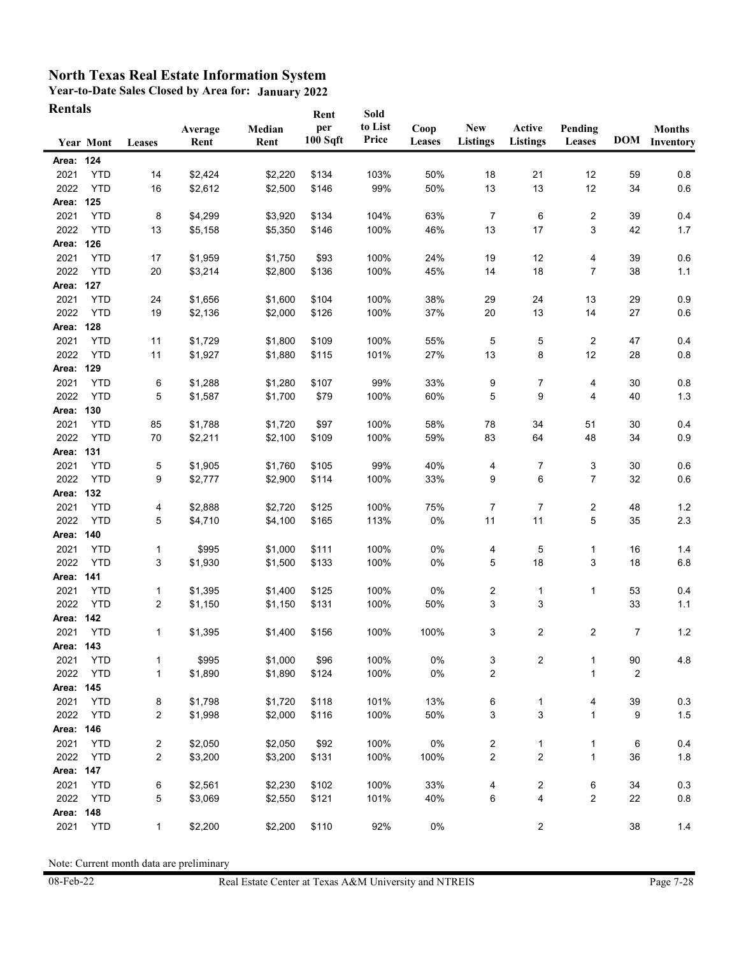## **North Texas Real Estate Information System**

**Year-to-Date Sales Closed by Area for: January 2022 Rentals**

| Rentals      |                          |              |                 |                    | Rent            | Sold             |                |                               |                           |                   |                |                                |
|--------------|--------------------------|--------------|-----------------|--------------------|-----------------|------------------|----------------|-------------------------------|---------------------------|-------------------|----------------|--------------------------------|
|              | <b>Year Mont</b>         | Leases       | Average<br>Rent | Median<br>Rent     | per<br>100 Sqft | to List<br>Price | Coop<br>Leases | <b>New</b><br><b>Listings</b> | Active<br><b>Listings</b> | Pending<br>Leases |                | <b>Months</b><br>DOM Inventory |
| Area: 124    |                          |              |                 |                    |                 |                  |                |                               |                           |                   |                |                                |
| 2021         | <b>YTD</b>               | 14           | \$2,424         | \$2,220            | \$134           | 103%             | 50%            | 18                            | 21                        | 12                | 59             | 0.8                            |
| 2022         | <b>YTD</b>               | 16           | \$2,612         | \$2,500            | \$146           | 99%              | 50%            | 13                            | 13                        | 12                | 34             | $0.6\,$                        |
| Area: 125    |                          |              |                 |                    |                 |                  |                |                               |                           |                   |                |                                |
| 2021         | <b>YTD</b>               | 8            | \$4,299         | \$3,920            | \$134           | 104%             | 63%            | $\overline{7}$                | 6                         | 2                 | 39             | 0.4                            |
| 2022         | <b>YTD</b>               | 13           | \$5,158         | \$5,350            | \$146           | 100%             | 46%            | 13                            | 17                        | 3                 | 42             | 1.7                            |
| Area: 126    |                          |              |                 |                    |                 |                  |                |                               |                           |                   |                |                                |
| 2021         | <b>YTD</b>               | 17           | \$1,959         | \$1,750            | \$93            | 100%             | 24%            | 19                            | 12                        | 4                 | 39             | 0.6                            |
| 2022         | <b>YTD</b>               | 20           | \$3,214         | \$2,800            | \$136           | 100%             | 45%            | 14                            | 18                        | $\overline{7}$    | 38             | $1.1$                          |
| Area: 127    |                          |              |                 |                    |                 |                  |                |                               |                           |                   |                |                                |
| 2021         | <b>YTD</b>               | 24           | \$1,656         | \$1,600            | \$104           | 100%             | 38%            | 29                            | 24                        | 13                | 29             | 0.9                            |
| 2022         | <b>YTD</b>               | 19           | \$2,136         | \$2,000            | \$126           | 100%             | 37%            | 20                            | 13                        | 14                | 27             | 0.6                            |
| Area:        | 128                      |              |                 |                    |                 |                  |                |                               |                           |                   |                |                                |
| 2021         | <b>YTD</b>               | 11           | \$1,729         | \$1,800            | \$109           | 100%             | 55%            | 5                             | 5                         | 2                 | 47             | 0.4                            |
| 2022         | <b>YTD</b>               | 11           | \$1,927         | \$1,880            | \$115           | 101%             | 27%            | 13                            | 8                         | 12                | 28             | 0.8                            |
| Area: 129    |                          |              |                 |                    |                 |                  |                |                               |                           |                   |                |                                |
| 2021         | <b>YTD</b>               | 6            | \$1,288         | \$1,280            | \$107           | 99%              | 33%            | 9                             | 7                         | 4                 | 30             | 0.8                            |
| 2022         | <b>YTD</b>               | 5            | \$1,587         | \$1,700            | \$79            | 100%             | 60%            | 5                             | 9                         | 4                 | 40             | 1.3                            |
| Area:        | 130                      |              |                 |                    |                 |                  |                |                               |                           |                   |                |                                |
| 2021<br>2022 | <b>YTD</b><br><b>YTD</b> | 85<br>70     | \$1,788         | \$1,720<br>\$2,100 | \$97<br>\$109   | 100%<br>100%     | 58%<br>59%     | 78<br>83                      | 34<br>64                  | 51<br>48          | 30<br>34       | 0.4<br>0.9                     |
| Area: 131    |                          |              | \$2,211         |                    |                 |                  |                |                               |                           |                   |                |                                |
| 2021         | <b>YTD</b>               | 5            | \$1,905         | \$1,760            | \$105           | 99%              | 40%            | 4                             | 7                         | 3                 | 30             | 0.6                            |
| 2022         | <b>YTD</b>               | 9            | \$2,777         | \$2,900            | \$114           | 100%             | 33%            | 9                             | 6                         | 7                 | 32             | $0.6\,$                        |
| Area:        | 132                      |              |                 |                    |                 |                  |                |                               |                           |                   |                |                                |
| 2021         | <b>YTD</b>               | 4            | \$2,888         | \$2,720            | \$125           | 100%             | 75%            | 7                             | 7                         | 2                 | 48             | $1.2$                          |
| 2022         | <b>YTD</b>               | 5            | \$4,710         | \$4,100            | \$165           | 113%             | 0%             | 11                            | 11                        | 5                 | 35             | 2.3                            |
| Area: 140    |                          |              |                 |                    |                 |                  |                |                               |                           |                   |                |                                |
| 2021         | <b>YTD</b>               | 1            | \$995           | \$1,000            | \$111           | 100%             | 0%             | 4                             | 5                         | 1                 | 16             | 1.4                            |
| 2022         | <b>YTD</b>               | 3            | \$1,930         | \$1,500            | \$133           | 100%             | 0%             | 5                             | 18                        | 3                 | 18             | $6.8\,$                        |
| Area: 141    |                          |              |                 |                    |                 |                  |                |                               |                           |                   |                |                                |
| 2021         | <b>YTD</b>               | 1            | \$1,395         | \$1,400            | \$125           | 100%             | 0%             | $\overline{\mathbf{c}}$       | 1                         | 1                 | 53             | 0.4                            |
| 2022         | <b>YTD</b>               | 2            | \$1,150         | \$1,150            | \$131           | 100%             | 50%            | 3                             | 3                         |                   | 33             | $1.1$                          |
| Area: 142    |                          |              |                 |                    |                 |                  |                |                               |                           |                   |                |                                |
| 2021         | <b>YTD</b>               | 1            | \$1,395         | \$1,400            | \$156           | 100%             | 100%           | 3                             | 2                         | 2                 | 7              | $1.2$                          |
| Area: 143    |                          |              |                 |                    |                 |                  |                |                               |                           |                   |                |                                |
| 2021         | <b>YTD</b>               | 1            | \$995           | \$1,000            | \$96            | 100%             | 0%             | 3                             | $\overline{\mathbf{c}}$   | 1                 | 90             | 4.8                            |
| 2022         | <b>YTD</b>               | $\mathbf{1}$ | \$1,890         | \$1,890            | \$124           | 100%             | 0%             | $\boldsymbol{2}$              |                           | 1                 | $\overline{2}$ |                                |
| Area: 145    |                          |              |                 |                    |                 |                  |                |                               |                           |                   |                |                                |
| 2021         | <b>YTD</b>               | 8            | \$1,798         | \$1,720            | \$118           | 101%             | 13%            | 6                             | 1                         | 4                 | 39             | 0.3                            |
| 2022         | <b>YTD</b>               | 2            | \$1,998         | \$2,000            | \$116           | 100%             | 50%            | 3                             | 3                         | $\mathbf{1}$      | 9              | $1.5$                          |
| Area: 146    |                          |              |                 |                    |                 |                  |                |                               |                           |                   |                |                                |
| 2021         | <b>YTD</b>               | 2            | \$2,050         | \$2,050            | \$92            | 100%             | 0%             | $\overline{\mathbf{c}}$       | 1                         | 1                 | 6              | 0.4                            |
| 2022         | <b>YTD</b>               | 2            | \$3,200         | \$3,200            | \$131           | 100%             | 100%           | $\overline{c}$                | $\overline{c}$            | $\mathbf{1}$      | 36             | 1.8                            |
| Area: 147    |                          |              |                 |                    |                 |                  |                |                               |                           |                   |                |                                |
| 2021         | <b>YTD</b>               | 6            | \$2,561         | \$2,230            | \$102           | 100%             | 33%            | 4                             | 2                         | 6                 | 34             | 0.3                            |
| 2022         | <b>YTD</b>               | 5            | \$3,069         | \$2,550            | \$121           | 101%             | 40%            | 6                             | 4                         | 2                 | 22             | 0.8                            |
| Area:        | 148                      |              |                 |                    |                 |                  |                |                               |                           |                   |                |                                |
| 2021         | <b>YTD</b>               | 1            | \$2,200         | \$2,200            | \$110           | 92%              | 0%             |                               | 2                         |                   | 38             | 1.4                            |

Note: Current month data are preliminary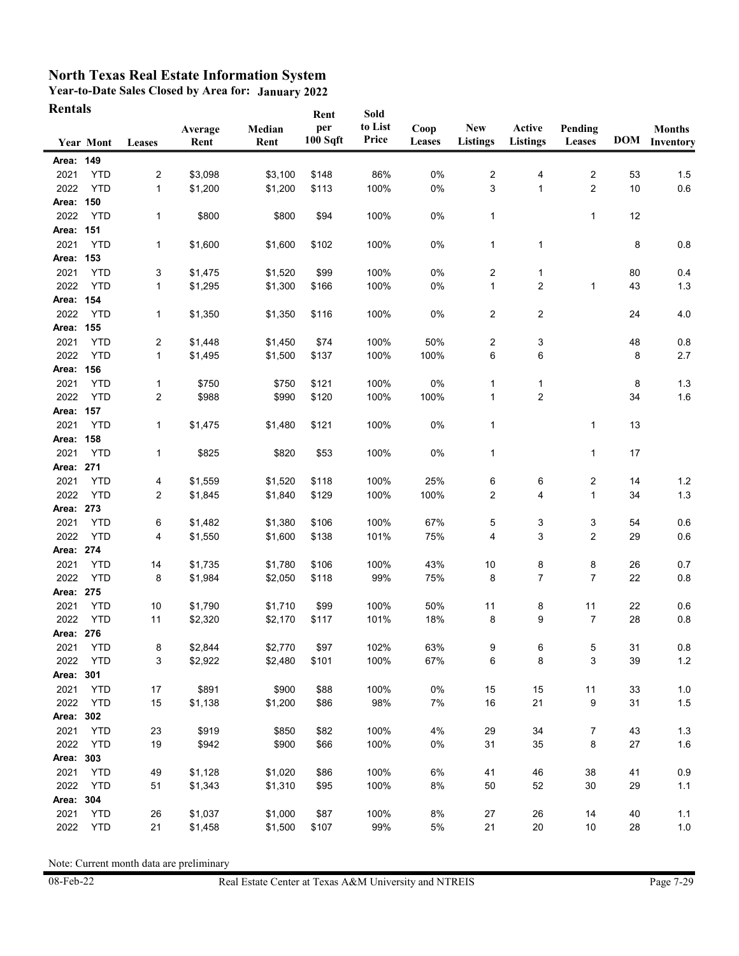## **North Texas Real Estate Information System**

**Year-to-Date Sales Closed by Area for: January 2022 Rentals**

| Rentals   |                  |              |                 |                | Rent                         | Sold             |                |                               |                           |                   |    |                                       |
|-----------|------------------|--------------|-----------------|----------------|------------------------------|------------------|----------------|-------------------------------|---------------------------|-------------------|----|---------------------------------------|
|           | <b>Year Mont</b> | Leases       | Average<br>Rent | Median<br>Rent | per<br>100 S <sub>q</sub> ft | to List<br>Price | Coop<br>Leases | <b>New</b><br><b>Listings</b> | Active<br><b>Listings</b> | Pending<br>Leases |    | <b>Months</b><br><b>DOM</b> Inventory |
| Area: 149 |                  |              |                 |                |                              |                  |                |                               |                           |                   |    |                                       |
| 2021      | <b>YTD</b>       | 2            | \$3,098         | \$3,100        | \$148                        | 86%              | 0%             | 2                             | 4                         | 2                 | 53 | 1.5                                   |
| 2022      | <b>YTD</b>       | 1            | \$1,200         | \$1,200        | \$113                        | 100%             | 0%             | 3                             | $\mathbf{1}$              | $\overline{2}$    | 10 | $0.6\,$                               |
| Area: 150 |                  |              |                 |                |                              |                  |                |                               |                           |                   |    |                                       |
| 2022      | <b>YTD</b>       | 1            | \$800           | \$800          | \$94                         | 100%             | 0%             | $\mathbf{1}$                  |                           | $\mathbf{1}$      | 12 |                                       |
| Area: 151 |                  |              |                 |                |                              |                  |                |                               |                           |                   |    |                                       |
| 2021      | <b>YTD</b>       | 1            | \$1,600         | \$1,600        | \$102                        | 100%             | 0%             | $\mathbf 1$                   | $\mathbf 1$               |                   | 8  | 0.8                                   |
| Area: 153 |                  |              |                 |                |                              |                  |                |                               |                           |                   |    |                                       |
| 2021      | <b>YTD</b>       | 3            | \$1,475         | \$1,520        | \$99                         | 100%             | 0%             | $\overline{\mathbf{c}}$       | 1                         |                   | 80 | 0.4                                   |
| 2022      | <b>YTD</b>       | 1            | \$1,295         | \$1,300        | \$166                        | 100%             | 0%             | 1                             | $\overline{2}$            | 1                 | 43 | $1.3$                                 |
| Area: 154 |                  |              |                 |                |                              |                  |                |                               |                           |                   |    |                                       |
| 2022      | <b>YTD</b>       | 1            | \$1,350         | \$1,350        | \$116                        | 100%             | 0%             | $\overline{c}$                | 2                         |                   | 24 | 4.0                                   |
| Area: 155 |                  |              |                 |                |                              |                  |                |                               |                           |                   |    |                                       |
| 2021      | <b>YTD</b>       | 2            | \$1,448         | \$1,450        | \$74                         | 100%             | 50%            | $\overline{c}$                | 3                         |                   | 48 | 0.8                                   |
| 2022      | <b>YTD</b>       | $\mathbf{1}$ | \$1,495         | \$1,500        | \$137                        | 100%             | 100%           | 6                             | 6                         |                   | 8  | 2.7                                   |
| Area:     | 156              |              |                 |                |                              |                  |                |                               |                           |                   |    |                                       |
| 2021      | <b>YTD</b>       | 1            | \$750           | \$750          | \$121                        | 100%             | 0%             | 1                             | 1                         |                   | 8  | 1.3                                   |
| 2022      | <b>YTD</b>       | 2            | \$988           | \$990          | \$120                        | 100%             | 100%           | $\mathbf 1$                   | $\overline{2}$            |                   | 34 | 1.6                                   |
| Area: 157 |                  |              |                 |                |                              |                  |                |                               |                           |                   |    |                                       |
| 2021      | <b>YTD</b>       | 1            | \$1,475         | \$1,480        | \$121                        | 100%             | 0%             | $\mathbf{1}$                  |                           | 1                 | 13 |                                       |
| Area:     | 158              |              |                 |                |                              |                  |                |                               |                           |                   |    |                                       |
| 2021      | <b>YTD</b>       | 1            | \$825           | \$820          | \$53                         | 100%             | 0%             | $\mathbf{1}$                  |                           | 1                 | 17 |                                       |
| Area: 271 |                  |              |                 |                |                              |                  |                |                               |                           |                   |    |                                       |
| 2021      | <b>YTD</b>       | 4            | \$1,559         | \$1,520        | \$118                        | 100%             | 25%            | 6                             | 6                         | 2                 | 14 | $1.2$                                 |
| 2022      | <b>YTD</b>       | 2            | \$1,845         | \$1,840        | \$129                        | 100%             | 100%           | $\overline{\mathbf{c}}$       | 4                         | 1                 | 34 | 1.3                                   |
| Area: 273 |                  |              |                 |                |                              |                  |                |                               |                           |                   |    |                                       |
| 2021      | <b>YTD</b>       | 6            | \$1,482         | \$1,380        | \$106                        | 100%             | 67%            | 5                             | 3                         | 3                 | 54 | 0.6                                   |
| 2022      | <b>YTD</b>       | 4            | \$1,550         | \$1,600        | \$138                        | 101%             | 75%            | 4                             | 3                         | 2                 | 29 | $0.6\,$                               |
| Area: 274 |                  |              |                 |                |                              |                  |                |                               |                           |                   |    |                                       |
| 2021      | <b>YTD</b>       | 14           | \$1,735         | \$1,780        | \$106                        | 100%             | 43%            | 10                            | 8                         | 8                 | 26 | 0.7                                   |
| 2022      | <b>YTD</b>       | 8            | \$1,984         | \$2,050        | \$118                        | 99%              | 75%            | 8                             | 7                         | $\overline{7}$    | 22 | $0.8\,$                               |
| Area: 275 |                  |              |                 |                |                              |                  |                |                               |                           |                   |    |                                       |
| 2021      | <b>YTD</b>       | 10           | \$1,790         | \$1,710        | \$99                         | 100%             | 50%            | 11                            | 8                         | 11                | 22 | 0.6                                   |
| 2022      | <b>YTD</b>       | 11           | \$2,320         | \$2,170        | \$117                        | 101%             | 18%            | 8                             | 9                         | $\overline{7}$    | 28 | 0.8                                   |
| Area: 276 |                  |              |                 |                |                              |                  |                |                               |                           |                   |    |                                       |
| 2021      | YTD              | 8            | \$2,844         | \$2,770        | \$97                         | 102%             | 63%            | 9                             | 6                         | 5                 | 31 | $0.8\,$                               |
| 2022      | YTD              | 3            | \$2,922         | \$2,480        | \$101                        | 100%             | 67%            | 6                             | 8                         | 3                 | 39 | $1.2$                                 |
| Area: 301 |                  |              |                 |                |                              |                  |                |                               |                           |                   |    |                                       |
| 2021      | <b>YTD</b>       | 17           | \$891           | \$900          | \$88                         | 100%             | 0%             | 15                            | 15                        | 11                | 33 | 1.0                                   |
| 2022      | <b>YTD</b>       | 15           | \$1,138         | \$1,200        | \$86                         | 98%              | 7%             | 16                            | 21                        | 9                 | 31 | $1.5$                                 |
| Area: 302 |                  |              |                 |                |                              |                  |                |                               |                           |                   |    |                                       |
| 2021      | <b>YTD</b>       | 23           | \$919           | \$850          | \$82                         | 100%             | 4%             | 29                            | 34                        | 7                 | 43 | $1.3$                                 |
| 2022      | <b>YTD</b>       | 19           | \$942           | \$900          | \$66                         | 100%             | 0%             | 31                            | 35                        | 8                 | 27 | 1.6                                   |
| Area: 303 |                  |              |                 |                |                              |                  |                |                               |                           |                   |    |                                       |
| 2021      | <b>YTD</b>       | 49           | \$1,128         | \$1,020        | \$86                         | 100%             | 6%             | 41                            | 46                        | 38                | 41 | 0.9                                   |
| 2022      | <b>YTD</b>       | 51           | \$1,343         | \$1,310        | \$95                         | 100%             | 8%             | 50                            | 52                        | 30                | 29 | $1.1$                                 |
| Area: 304 |                  |              |                 |                |                              |                  |                |                               |                           |                   |    |                                       |
| 2021      | <b>YTD</b>       | 26           | \$1,037         | \$1,000        | \$87                         | 100%             | 8%             | 27                            | 26                        | 14                | 40 | 1.1                                   |
| 2022      | <b>YTD</b>       | 21           | \$1,458         | \$1,500        | \$107                        | 99%              | 5%             | 21                            | 20                        | 10                | 28 | $1.0\,$                               |

Note: Current month data are preliminary